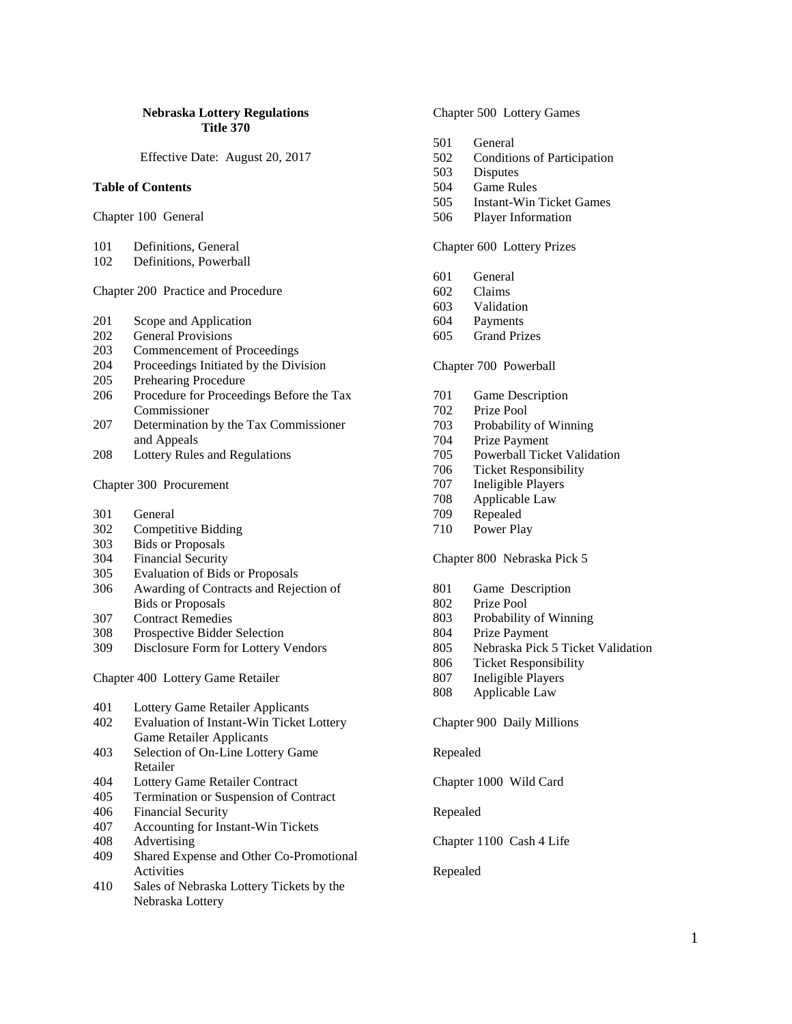#### **Nebraska Lottery Regulations Title 370**

Effective Date: August 20, 2017

#### **Table of Contents**

- Chapter 100 General
- 101 Definitions, General
- 102 Definitions, Powerball

# Chapter 200 Practice and Procedure

- 201 Scope and Application
- 202 General Provisions
- 203 Commencement of Proceedings
- 204 Proceedings Initiated by the Division
- 205 Prehearing Procedure
- 206 Procedure for Proceedings Before the Tax Commissioner
- 207 Determination by the Tax Commissioner and Appeals
- 208 Lottery Rules and Regulations

### Chapter 300 Procurement

- 301 General
- 302 Competitive Bidding
- 303 Bids or Proposals
- 304 Financial Security
- 305 Evaluation of Bids or Proposals
- 306 Awarding of Contracts and Rejection of Bids or Proposals
- 
- 307 Contract Remedies Prospective Bidder Selection
- 309 Disclosure Form for Lottery Vendors

Chapter 400 Lottery Game Retailer

| 401 | Lottery Game Retailer Applicants         |
|-----|------------------------------------------|
| 402 | Evaluation of Instant-Win Ticket Lottery |
|     | <b>Game Retailer Applicants</b>          |
| 403 | Selection of On-Line Lottery Game        |
|     | Retailer                                 |
| 404 | Lottery Game Retailer Contract           |
| 405 | Termination or Suspension of Contract    |
| 406 | <b>Financial Security</b>                |

- 407 Accounting for Instant-Win Tickets<br>408 Advertising
- **Advertising**
- 409 Shared Expense and Other Co-Promotional Activities
- 410 Sales of Nebraska Lottery Tickets by the Nebraska Lottery

Chapter 500 Lottery Games

- 501 General
- 502 Conditions of Participation<br>503 Disputes
- **Disputes**
- 504 Game Rules
- 505 Instant-Win Ticket Games
- 506 Player Information

Chapter 600 Lottery Prizes

- 601 General
- 602 Claims
- 603 Validation
- 604 Payments
- 605 Grand Prizes

#### Chapter 700 Powerball

- 701 Game Description
- 702 Prize Pool
- 703 Probability of Winning
- 704 Prize Payment
- 705 Powerball Ticket Validation
- 706 Ticket Responsibility
- 707 Ineligible Players<br>708 Applicable Law
- Applicable Law
- 709 Repealed
- 710 Power Play

#### Chapter 800 Nebraska Pick 5

- 801 Game Description
- 802 Prize Pool
- 803 Probability of Winning<br>804 Prize Payment
- Prize Payment
- 805 Nebraska Pick 5 Ticket Validation
- 806 Ticket Responsibility<br>807 Ineligible Players
- Ineligible Players
- 808 Applicable Law

Chapter 900 Daily Millions

Repealed

Chapter 1000 Wild Card

Repealed

Chapter 1100 Cash 4 Life

#### Repealed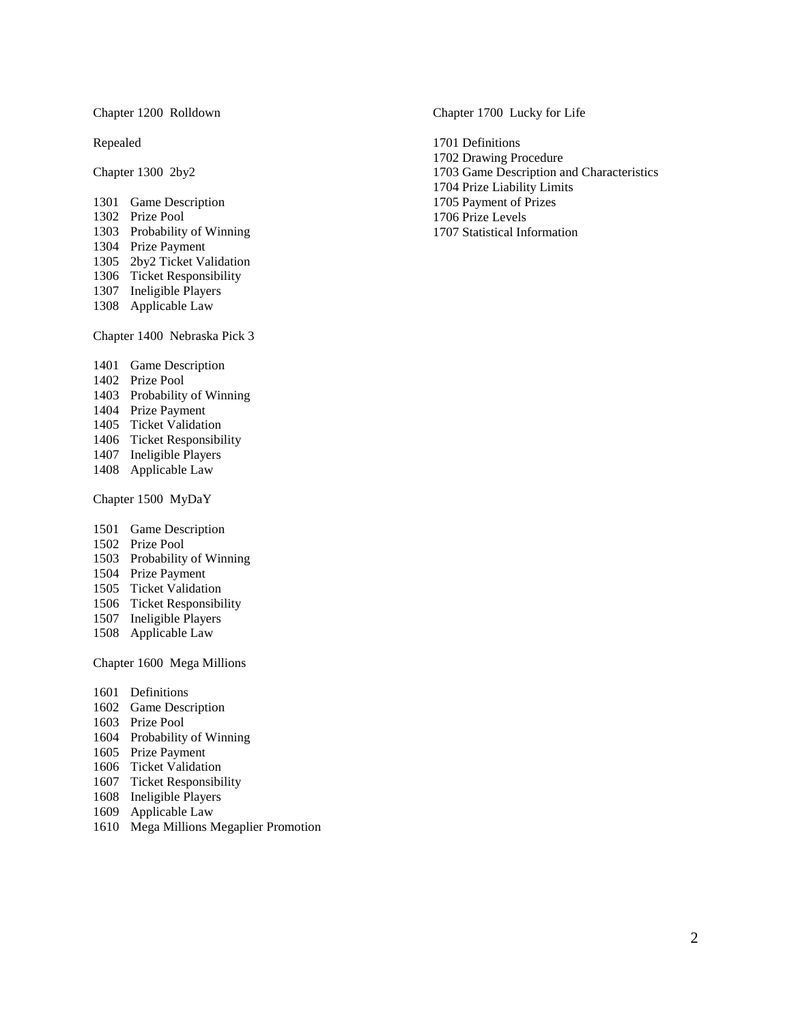Chapter 1200 Rolldown

Repealed

Chapter 1300 2by2

- Game Description
- Prize Pool
- Probability of Winning
- Prize Payment
- 2by2 Ticket Validation
- Ticket Responsibility
- Ineligible Players
- Applicable Law

Chapter 1400 Nebraska Pick 3

- Game Description
- Prize Pool
- Probability of Winning
- Prize Payment
- Ticket Validation
- Ticket Responsibility
- Ineligible Players
- Applicable Law
- Chapter 1500 MyDaY
- Game Description
- Prize Pool
- Probability of Winning
- Prize Payment
- Ticket Validation
- Ticket Responsibility
- Ineligible Players
- Applicable Law

Chapter 1600 Mega Millions

- 1601 Definitions
- Game Description
- Prize Pool
- Probability of Winning
- Prize Payment
- Ticket Validation
- Ticket Responsibility
- Ineligible Players
- Applicable Law
- Mega Millions Megaplier Promotion

Chapter 1700 Lucky for Life

1701 Definitions 1702 Drawing Procedure 1703 Game Description and Characteristics 1704 Prize Liability Limits 1705 Payment of Prizes 1706 Prize Levels 1707 Statistical Information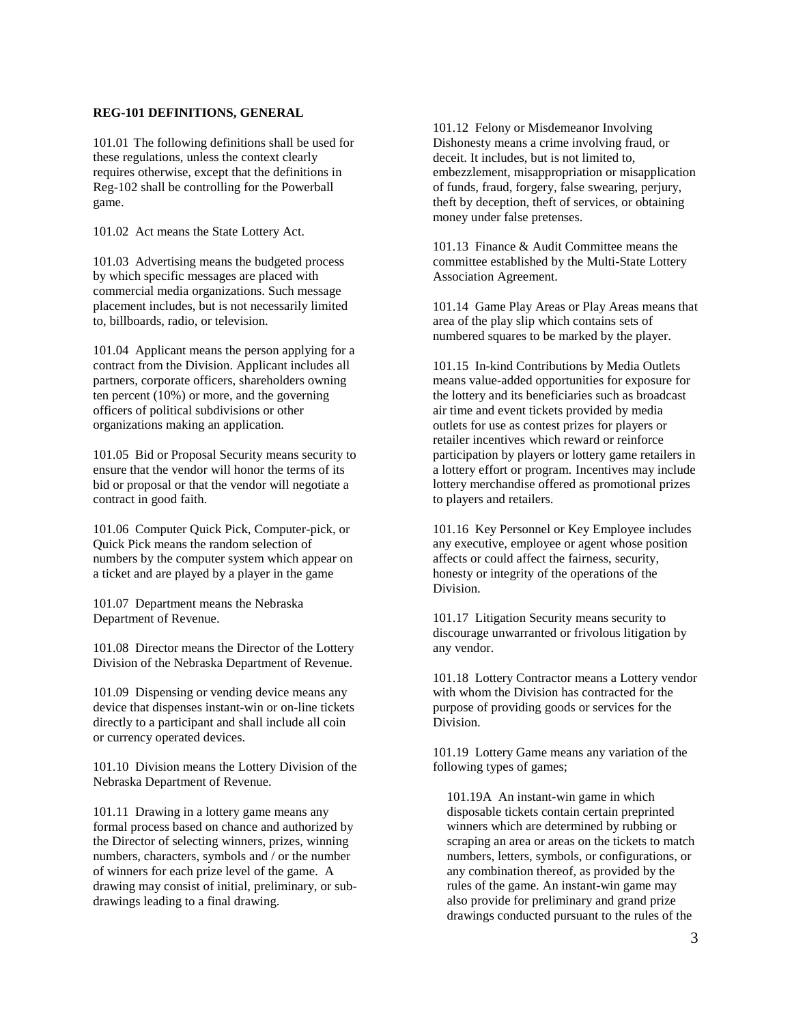### **REG-101 DEFINITIONS, GENERAL**

101.01 The following definitions shall be used for these regulations, unless the context clearly requires otherwise, except that the definitions in Reg-102 shall be controlling for the Powerball game.

101.02 Act means the State Lottery Act.

101.03 Advertising means the budgeted process by which specific messages are placed with commercial media organizations. Such message placement includes, but is not necessarily limited to, billboards, radio, or television.

101.04 Applicant means the person applying for a contract from the Division. Applicant includes all partners, corporate officers, shareholders owning ten percent (10%) or more, and the governing officers of political subdivisions or other organizations making an application.

101.05 Bid or Proposal Security means security to ensure that the vendor will honor the terms of its bid or proposal or that the vendor will negotiate a contract in good faith.

101.06 Computer Quick Pick, Computer-pick, or Quick Pick means the random selection of numbers by the computer system which appear on a ticket and are played by a player in the game

101.07 Department means the Nebraska Department of Revenue.

101.08 Director means the Director of the Lottery Division of the Nebraska Department of Revenue.

101.09 Dispensing or vending device means any device that dispenses instant-win or on-line tickets directly to a participant and shall include all coin or currency operated devices.

101.10 Division means the Lottery Division of the Nebraska Department of Revenue.

101.11 Drawing in a lottery game means any formal process based on chance and authorized by the Director of selecting winners, prizes, winning numbers, characters, symbols and / or the number of winners for each prize level of the game. A drawing may consist of initial, preliminary, or subdrawings leading to a final drawing.

101.12 Felony or Misdemeanor Involving Dishonesty means a crime involving fraud, or deceit. It includes, but is not limited to, embezzlement, misappropriation or misapplication of funds, fraud, forgery, false swearing, perjury, theft by deception, theft of services, or obtaining money under false pretenses.

101.13 Finance & Audit Committee means the committee established by the Multi-State Lottery Association Agreement.

101.14 Game Play Areas or Play Areas means that area of the play slip which contains sets of numbered squares to be marked by the player.

101.15 In-kind Contributions by Media Outlets means value-added opportunities for exposure for the lottery and its beneficiaries such as broadcast air time and event tickets provided by media outlets for use as contest prizes for players or retailer incentives which reward or reinforce participation by players or lottery game retailers in a lottery effort or program. Incentives may include lottery merchandise offered as promotional prizes to players and retailers.

101.16 Key Personnel or Key Employee includes any executive, employee or agent whose position affects or could affect the fairness, security, honesty or integrity of the operations of the Division.

101.17 Litigation Security means security to discourage unwarranted or frivolous litigation by any vendor.

101.18 Lottery Contractor means a Lottery vendor with whom the Division has contracted for the purpose of providing goods or services for the Division.

101.19 Lottery Game means any variation of the following types of games;

101.19A An instant-win game in which disposable tickets contain certain preprinted winners which are determined by rubbing or scraping an area or areas on the tickets to match numbers, letters, symbols, or configurations, or any combination thereof, as provided by the rules of the game. An instant-win game may also provide for preliminary and grand prize drawings conducted pursuant to the rules of the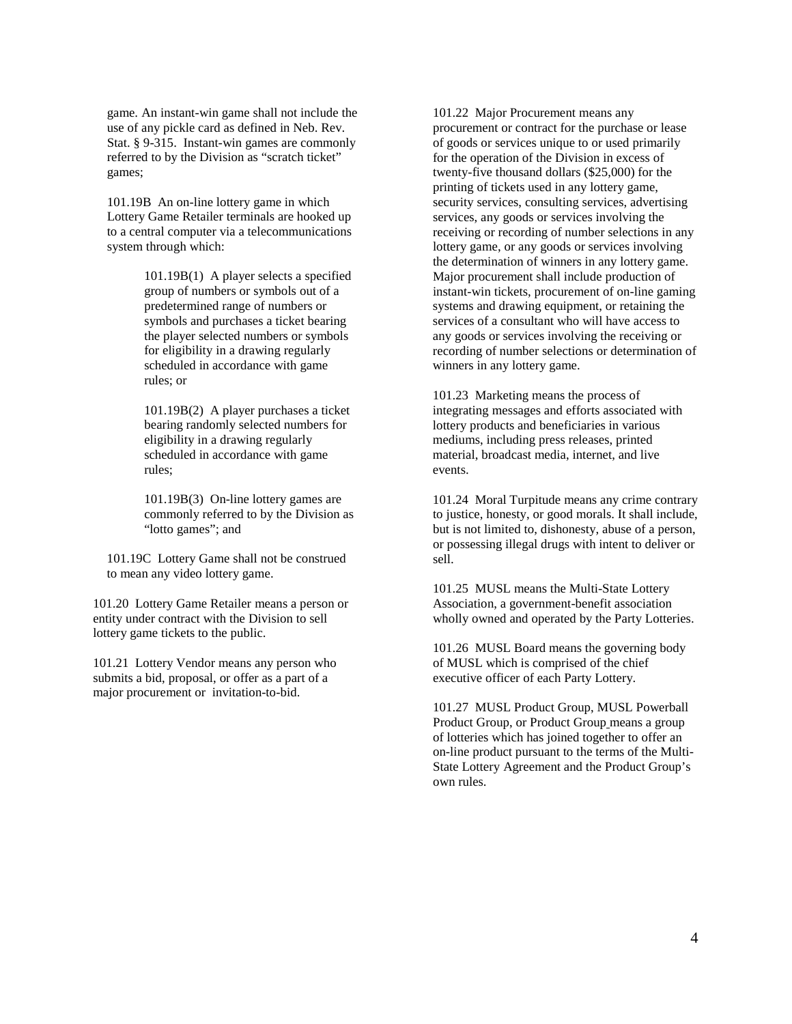game. An instant-win game shall not include the use of any pickle card as defined in Neb. Rev. Stat. § 9-315. Instant-win games are commonly referred to by the Division as "scratch ticket" games;

101.19B An on-line lottery game in which Lottery Game Retailer terminals are hooked up to a central computer via a telecommunications system through which:

> 101.19B(1) A player selects a specified group of numbers or symbols out of a predetermined range of numbers or symbols and purchases a ticket bearing the player selected numbers or symbols for eligibility in a drawing regularly scheduled in accordance with game rules; or

> 101.19B(2) A player purchases a ticket bearing randomly selected numbers for eligibility in a drawing regularly scheduled in accordance with game rules;

101.19B(3) On-line lottery games are commonly referred to by the Division as "lotto games"; and

101.19C Lottery Game shall not be construed to mean any video lottery game.

101.20 Lottery Game Retailer means a person or entity under contract with the Division to sell lottery game tickets to the public.

101.21 Lottery Vendor means any person who submits a bid, proposal, or offer as a part of a major procurement or invitation-to-bid.

101.22 Major Procurement means any procurement or contract for the purchase or lease of goods or services unique to or used primarily for the operation of the Division in excess of twenty-five thousand dollars (\$25,000) for the printing of tickets used in any lottery game, security services, consulting services, advertising services, any goods or services involving the receiving or recording of number selections in any lottery game, or any goods or services involving the determination of winners in any lottery game. Major procurement shall include production of instant-win tickets, procurement of on-line gaming systems and drawing equipment, or retaining the services of a consultant who will have access to any goods or services involving the receiving or recording of number selections or determination of winners in any lottery game.

101.23 Marketing means the process of integrating messages and efforts associated with lottery products and beneficiaries in various mediums, including press releases, printed material, broadcast media, internet, and live events.

101.24 Moral Turpitude means any crime contrary to justice, honesty, or good morals. It shall include, but is not limited to, dishonesty, abuse of a person, or possessing illegal drugs with intent to deliver or sell.

101.25 MUSL means the Multi-State Lottery Association, a government-benefit association wholly owned and operated by the Party Lotteries.

101.26 MUSL Board means the governing body of MUSL which is comprised of the chief executive officer of each Party Lottery.

101.27 MUSL Product Group, MUSL Powerball Product Group, or Product Group means a group of lotteries which has joined together to offer an on-line product pursuant to the terms of the Multi-State Lottery Agreement and the Product Group's own rules.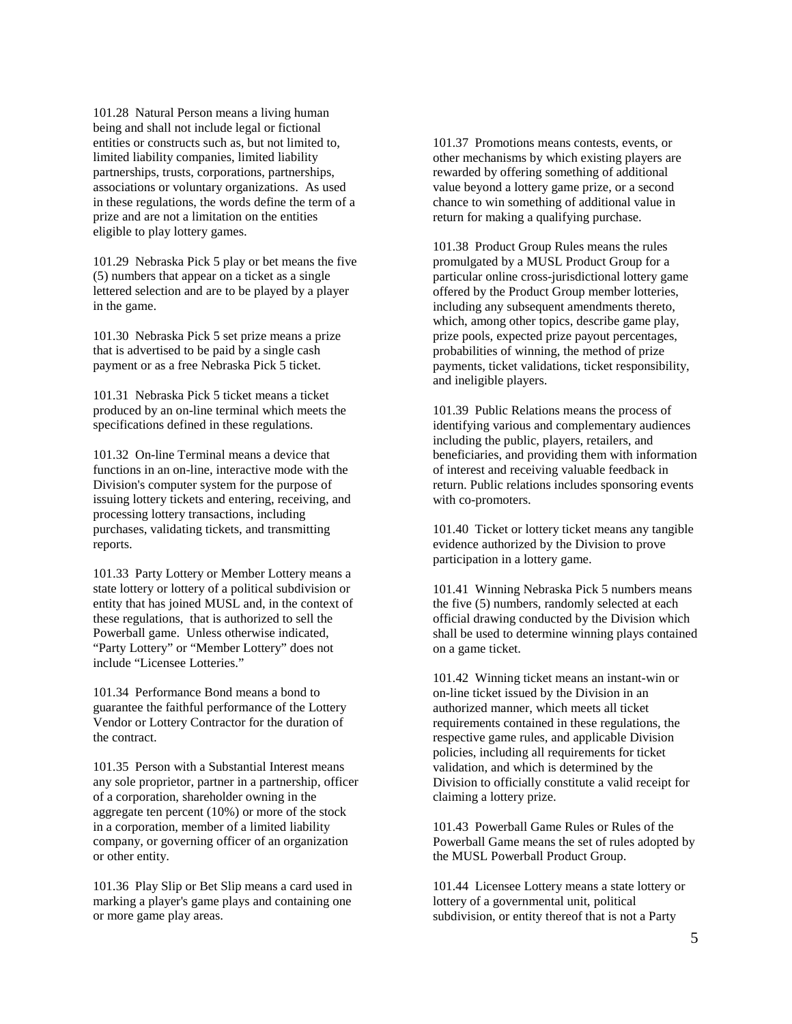101.28 Natural Person means a living human being and shall not include legal or fictional entities or constructs such as, but not limited to, limited liability companies, limited liability partnerships, trusts, corporations, partnerships, associations or voluntary organizations. As used in these regulations, the words define the term of a prize and are not a limitation on the entities eligible to play lottery games.

101.29 Nebraska Pick 5 play or bet means the five (5) numbers that appear on a ticket as a single lettered selection and are to be played by a player in the game.

101.30 Nebraska Pick 5 set prize means a prize that is advertised to be paid by a single cash payment or as a free Nebraska Pick 5 ticket.

101.31 Nebraska Pick 5 ticket means a ticket produced by an on-line terminal which meets the specifications defined in these regulations.

101.32 On-line Terminal means a device that functions in an on-line, interactive mode with the Division's computer system for the purpose of issuing lottery tickets and entering, receiving, and processing lottery transactions, including purchases, validating tickets, and transmitting reports.

101.33 Party Lottery or Member Lottery means a state lottery or lottery of a political subdivision or entity that has joined MUSL and, in the context of these regulations, that is authorized to sell the Powerball game. Unless otherwise indicated, "Party Lottery" or "Member Lottery" does not include "Licensee Lotteries."

101.34 Performance Bond means a bond to guarantee the faithful performance of the Lottery Vendor or Lottery Contractor for the duration of the contract.

101.35 Person with a Substantial Interest means any sole proprietor, partner in a partnership, officer of a corporation, shareholder owning in the aggregate ten percent (10%) or more of the stock in a corporation, member of a limited liability company, or governing officer of an organization or other entity.

101.36 Play Slip or Bet Slip means a card used in marking a player's game plays and containing one or more game play areas.

101.37 Promotions means contests, events, or other mechanisms by which existing players are rewarded by offering something of additional value beyond a lottery game prize, or a second chance to win something of additional value in return for making a qualifying purchase.

101.38 Product Group Rules means the rules promulgated by a MUSL Product Group for a particular online cross-jurisdictional lottery game offered by the Product Group member lotteries, including any subsequent amendments thereto, which, among other topics, describe game play, prize pools, expected prize payout percentages, probabilities of winning, the method of prize payments, ticket validations, ticket responsibility, and ineligible players.

101.39 Public Relations means the process of identifying various and complementary audiences including the public, players, retailers, and beneficiaries, and providing them with information of interest and receiving valuable feedback in return. Public relations includes sponsoring events with co-promoters.

101.40 Ticket or lottery ticket means any tangible evidence authorized by the Division to prove participation in a lottery game.

101.41 Winning Nebraska Pick 5 numbers means the five (5) numbers, randomly selected at each official drawing conducted by the Division which shall be used to determine winning plays contained on a game ticket.

101.42 Winning ticket means an instant-win or on-line ticket issued by the Division in an authorized manner, which meets all ticket requirements contained in these regulations, the respective game rules, and applicable Division policies, including all requirements for ticket validation, and which is determined by the Division to officially constitute a valid receipt for claiming a lottery prize.

101.43 Powerball Game Rules or Rules of the Powerball Game means the set of rules adopted by the MUSL Powerball Product Group.

101.44 Licensee Lottery means a state lottery or lottery of a governmental unit, political subdivision, or entity thereof that is not a Party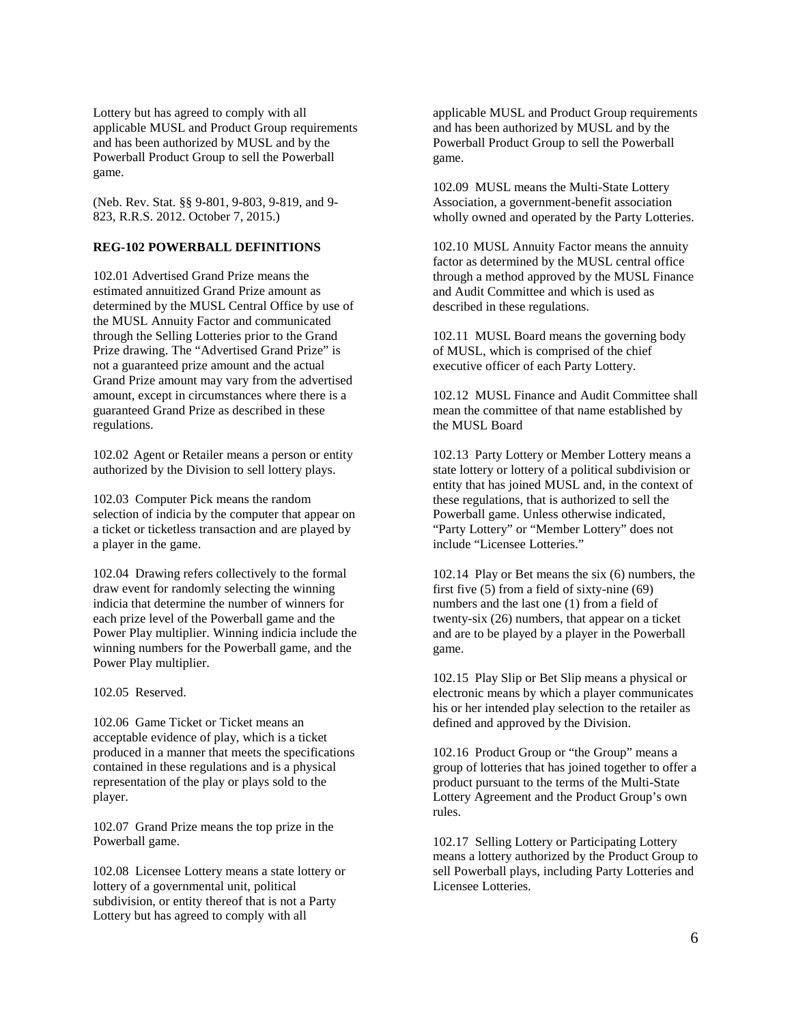Lottery but has agreed to comply with all applicable MUSL and Product Group requirements and has been authorized by MUSL and by the Powerball Product Group to sell the Powerball game.

(Neb. Rev. Stat. §§ 9-801, 9-803, 9-819, and 9- 823, R.R.S. 2012. October 7, 2015.)

### **REG-102 POWERBALL DEFINITIONS**

102.01 Advertised Grand Prize means the estimated annuitized Grand Prize amount as determined by the MUSL Central Office by use of the MUSL Annuity Factor and communicated through the Selling Lotteries prior to the Grand Prize drawing. The "Advertised Grand Prize" is not a guaranteed prize amount and the actual Grand Prize amount may vary from the advertised amount, except in circumstances where there is a guaranteed Grand Prize as described in these regulations.

102.02 Agent or Retailer means a person or entity authorized by the Division to sell lottery plays.

102.03 Computer Pick means the random selection of indicia by the computer that appear on a ticket or ticketless transaction and are played by a player in the game.

102.04 Drawing refers collectively to the formal draw event for randomly selecting the winning indicia that determine the number of winners for each prize level of the Powerball game and the Power Play multiplier. Winning indicia include the winning numbers for the Powerball game, and the Power Play multiplier.

102.05 Reserved.

102.06 Game Ticket or Ticket means an acceptable evidence of play, which is a ticket produced in a manner that meets the specifications contained in these regulations and is a physical representation of the play or plays sold to the player.

102.07 Grand Prize means the top prize in the Powerball game.

102.08 Licensee Lottery means a state lottery or lottery of a governmental unit, political subdivision, or entity thereof that is not a Party Lottery but has agreed to comply with all

applicable MUSL and Product Group requirements and has been authorized by MUSL and by the Powerball Product Group to sell the Powerball game.

102.09 MUSL means the Multi-State Lottery Association, a government-benefit association wholly owned and operated by the Party Lotteries.

102.10 MUSL Annuity Factor means the annuity factor as determined by the MUSL central office through a method approved by the MUSL Finance and Audit Committee and which is used as described in these regulations.

102.11 MUSL Board means the governing body of MUSL, which is comprised of the chief executive officer of each Party Lottery.

102.12 MUSL Finance and Audit Committee shall mean the committee of that name established by the MUSL Board

102.13 Party Lottery or Member Lottery means a state lottery or lottery of a political subdivision or entity that has joined MUSL and, in the context of these regulations, that is authorized to sell the Powerball game. Unless otherwise indicated, "Party Lottery" or "Member Lottery" does not include "Licensee Lotteries."

102.14 Play or Bet means the six (6) numbers, the first five (5) from a field of sixty-nine (69) numbers and the last one (1) from a field of twenty-six (26) numbers, that appear on a ticket and are to be played by a player in the Powerball game.

102.15 Play Slip or Bet Slip means a physical or electronic means by which a player communicates his or her intended play selection to the retailer as defined and approved by the Division.

102.16 Product Group or "the Group" means a group of lotteries that has joined together to offer a product pursuant to the terms of the Multi-State Lottery Agreement and the Product Group's own rules.

102.17 Selling Lottery or Participating Lottery means a lottery authorized by the Product Group to sell Powerball plays, including Party Lotteries and Licensee Lotteries.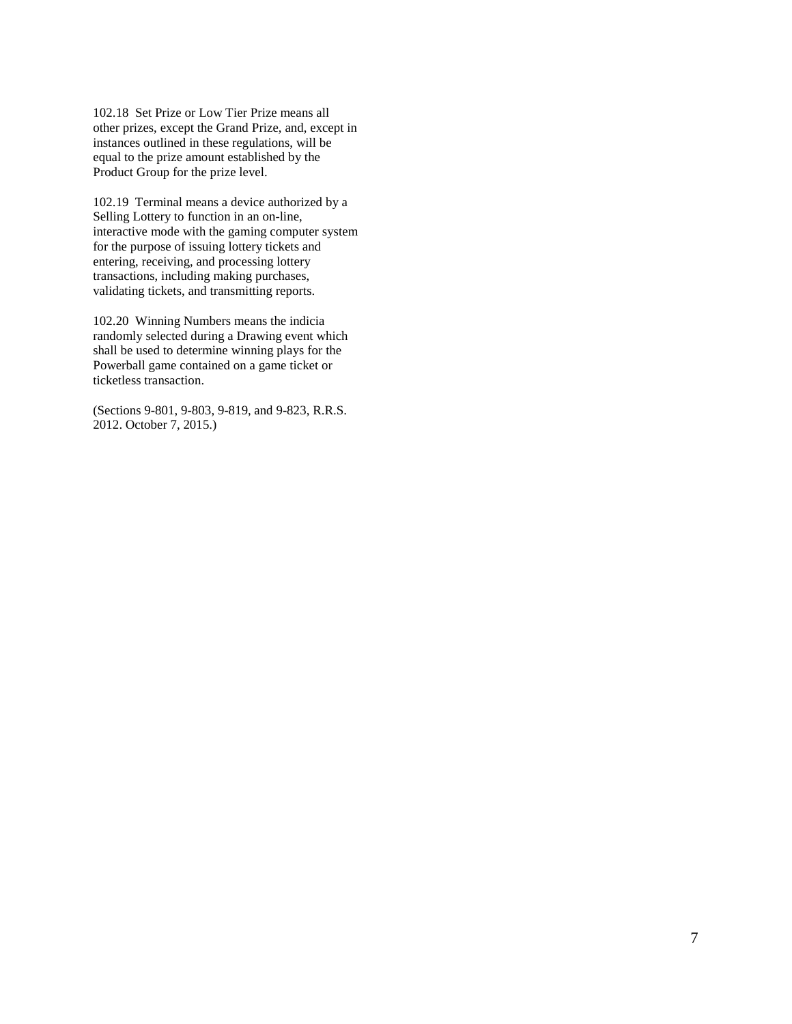102.18 Set Prize or Low Tier Prize means all other prizes, except the Grand Prize, and, except in instances outlined in these regulations, will be equal to the prize amount established by the Product Group for the prize level.

102.19 Terminal means a device authorized by a Selling Lottery to function in an on-line, interactive mode with the gaming computer system for the purpose of issuing lottery tickets and entering, receiving, and processing lottery transactions, including making purchases, validating tickets, and transmitting reports.

102.20 Winning Numbers means the indicia randomly selected during a Drawing event which shall be used to determine winning plays for the Powerball game contained on a game ticket or ticketless transaction.

(Sections 9-801, 9-803, 9-819, and 9-823, R.R.S. 2012. October 7, 2015.)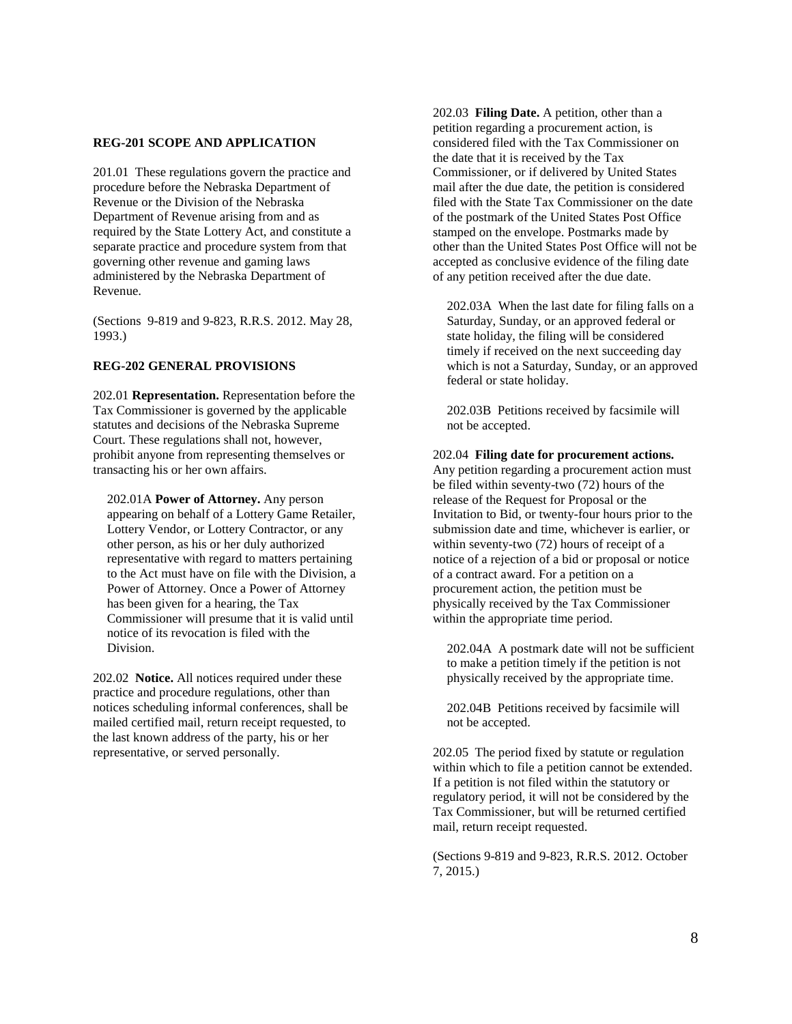### **REG-201 SCOPE AND APPLICATION**

201.01 These regulations govern the practice and procedure before the Nebraska Department of Revenue or the Division of the Nebraska Department of Revenue arising from and as required by the State Lottery Act, and constitute a separate practice and procedure system from that governing other revenue and gaming laws administered by the Nebraska Department of Revenue.

(Sections 9-819 and 9-823, R.R.S. 2012. May 28, 1993.)

#### **REG-202 GENERAL PROVISIONS**

202.01 **Representation.** Representation before the Tax Commissioner is governed by the applicable statutes and decisions of the Nebraska Supreme Court. These regulations shall not, however, prohibit anyone from representing themselves or transacting his or her own affairs.

202.01A **Power of Attorney.** Any person appearing on behalf of a Lottery Game Retailer, Lottery Vendor, or Lottery Contractor, or any other person, as his or her duly authorized representative with regard to matters pertaining to the Act must have on file with the Division, a Power of Attorney. Once a Power of Attorney has been given for a hearing, the Tax Commissioner will presume that it is valid until notice of its revocation is filed with the Division.

202.02 **Notice.** All notices required under these practice and procedure regulations, other than notices scheduling informal conferences, shall be mailed certified mail, return receipt requested, to the last known address of the party, his or her representative, or served personally.

202.03 **Filing Date.** A petition, other than a petition regarding a procurement action, is considered filed with the Tax Commissioner on the date that it is received by the Tax Commissioner, or if delivered by United States mail after the due date, the petition is considered filed with the State Tax Commissioner on the date of the postmark of the United States Post Office stamped on the envelope. Postmarks made by other than the United States Post Office will not be accepted as conclusive evidence of the filing date of any petition received after the due date.

202.03A When the last date for filing falls on a Saturday, Sunday, or an approved federal or state holiday, the filing will be considered timely if received on the next succeeding day which is not a Saturday, Sunday, or an approved federal or state holiday.

202.03B Petitions received by facsimile will not be accepted.

#### 202.04 **Filing date for procurement actions.**

Any petition regarding a procurement action must be filed within seventy-two (72) hours of the release of the Request for Proposal or the Invitation to Bid, or twenty-four hours prior to the submission date and time, whichever is earlier, or within seventy-two (72) hours of receipt of a notice of a rejection of a bid or proposal or notice of a contract award. For a petition on a procurement action, the petition must be physically received by the Tax Commissioner within the appropriate time period.

202.04A A postmark date will not be sufficient to make a petition timely if the petition is not physically received by the appropriate time.

202.04B Petitions received by facsimile will not be accepted.

202.05 The period fixed by statute or regulation within which to file a petition cannot be extended. If a petition is not filed within the statutory or regulatory period, it will not be considered by the Tax Commissioner, but will be returned certified mail, return receipt requested.

(Sections 9-819 and 9-823, R.R.S. 2012. October 7, 2015.)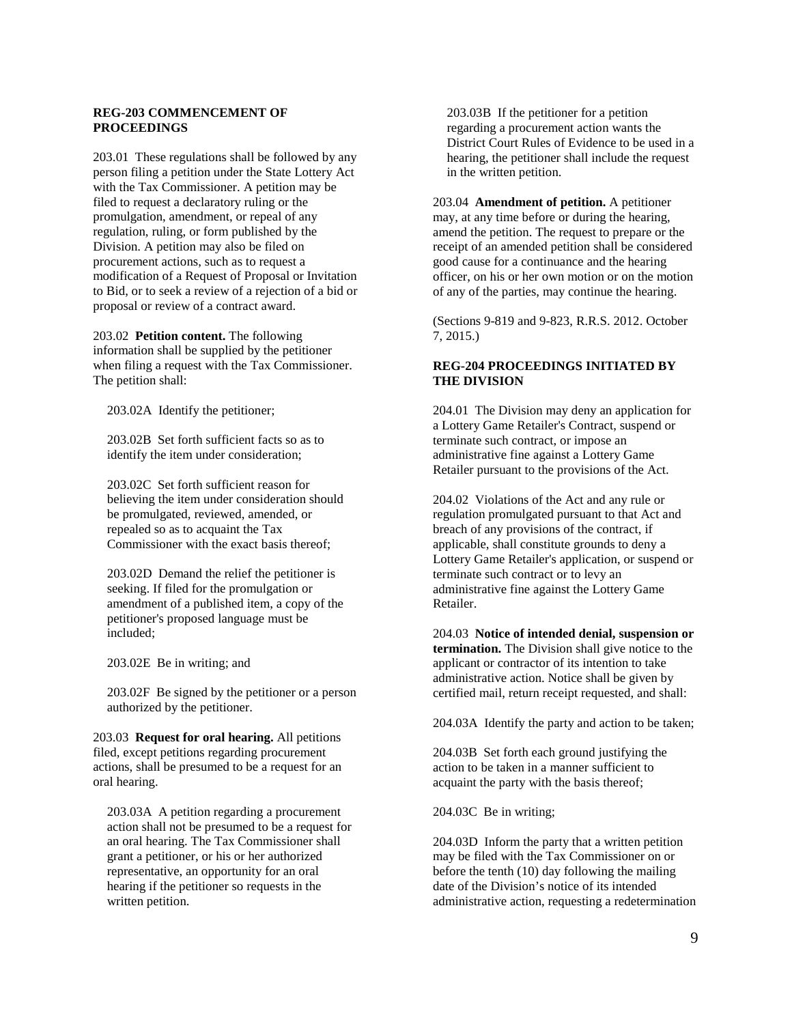#### **REG-203 COMMENCEMENT OF PROCEEDINGS**

203.01 These regulations shall be followed by any person filing a petition under the State Lottery Act with the Tax Commissioner. A petition may be filed to request a declaratory ruling or the promulgation, amendment, or repeal of any regulation, ruling, or form published by the Division. A petition may also be filed on procurement actions, such as to request a modification of a Request of Proposal or Invitation to Bid, or to seek a review of a rejection of a bid or proposal or review of a contract award.

203.02 **Petition content.** The following information shall be supplied by the petitioner when filing a request with the Tax Commissioner. The petition shall:

203.02A Identify the petitioner;

203.02B Set forth sufficient facts so as to identify the item under consideration;

203.02C Set forth sufficient reason for believing the item under consideration should be promulgated, reviewed, amended, or repealed so as to acquaint the Tax Commissioner with the exact basis thereof;

203.02D Demand the relief the petitioner is seeking. If filed for the promulgation or amendment of a published item, a copy of the petitioner's proposed language must be included;

203.02E Be in writing; and

203.02F Be signed by the petitioner or a person authorized by the petitioner.

203.03 **Request for oral hearing.** All petitions filed, except petitions regarding procurement actions, shall be presumed to be a request for an oral hearing.

203.03A A petition regarding a procurement action shall not be presumed to be a request for an oral hearing. The Tax Commissioner shall grant a petitioner, or his or her authorized representative, an opportunity for an oral hearing if the petitioner so requests in the written petition.

203.03B If the petitioner for a petition regarding a procurement action wants the District Court Rules of Evidence to be used in a hearing, the petitioner shall include the request in the written petition.

203.04 **Amendment of petition.** A petitioner may, at any time before or during the hearing, amend the petition. The request to prepare or the receipt of an amended petition shall be considered good cause for a continuance and the hearing officer, on his or her own motion or on the motion of any of the parties, may continue the hearing.

(Sections 9-819 and 9-823, R.R.S. 2012. October 7, 2015.)

## **REG-204 PROCEEDINGS INITIATED BY THE DIVISION**

204.01 The Division may deny an application for a Lottery Game Retailer's Contract, suspend or terminate such contract, or impose an administrative fine against a Lottery Game Retailer pursuant to the provisions of the Act.

204.02 Violations of the Act and any rule or regulation promulgated pursuant to that Act and breach of any provisions of the contract, if applicable, shall constitute grounds to deny a Lottery Game Retailer's application, or suspend or terminate such contract or to levy an administrative fine against the Lottery Game Retailer.

204.03 **Notice of intended denial, suspension or termination.** The Division shall give notice to the applicant or contractor of its intention to take administrative action. Notice shall be given by certified mail, return receipt requested, and shall:

204.03A Identify the party and action to be taken;

204.03B Set forth each ground justifying the action to be taken in a manner sufficient to acquaint the party with the basis thereof;

204.03C Be in writing;

204.03D Inform the party that a written petition may be filed with the Tax Commissioner on or before the tenth (10) day following the mailing date of the Division's notice of its intended administrative action, requesting a redetermination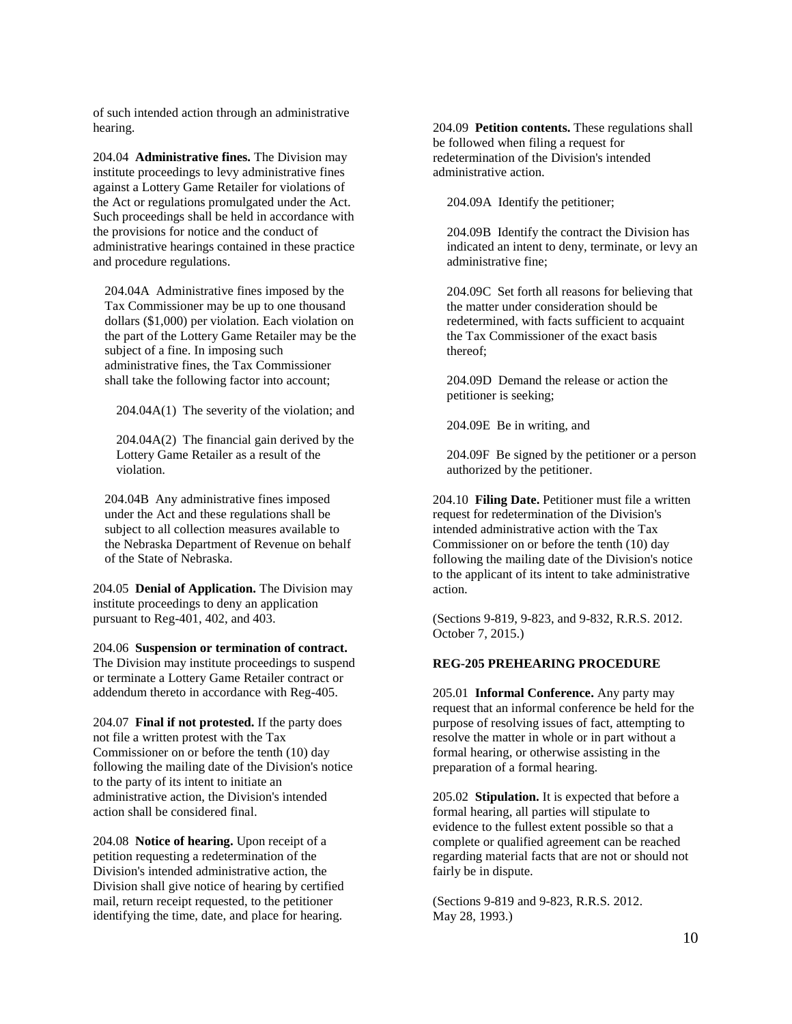of such intended action through an administrative hearing.

204.04 **Administrative fines.** The Division may institute proceedings to levy administrative fines against a Lottery Game Retailer for violations of the Act or regulations promulgated under the Act. Such proceedings shall be held in accordance with the provisions for notice and the conduct of administrative hearings contained in these practice and procedure regulations.

204.04A Administrative fines imposed by the Tax Commissioner may be up to one thousand dollars (\$1,000) per violation. Each violation on the part of the Lottery Game Retailer may be the subject of a fine. In imposing such administrative fines, the Tax Commissioner shall take the following factor into account;

204.04A(1) The severity of the violation; and

204.04A(2) The financial gain derived by the Lottery Game Retailer as a result of the violation.

204.04B Any administrative fines imposed under the Act and these regulations shall be subject to all collection measures available to the Nebraska Department of Revenue on behalf of the State of Nebraska.

204.05 **Denial of Application.** The Division may institute proceedings to deny an application pursuant to Reg-401, 402, and 403.

204.06 **Suspension or termination of contract.**  The Division may institute proceedings to suspend or terminate a Lottery Game Retailer contract or addendum thereto in accordance with Reg-405.

204.07 **Final if not protested.** If the party does not file a written protest with the Tax Commissioner on or before the tenth (10) day following the mailing date of the Division's notice to the party of its intent to initiate an administrative action, the Division's intended action shall be considered final.

204.08 **Notice of hearing.** Upon receipt of a petition requesting a redetermination of the Division's intended administrative action, the Division shall give notice of hearing by certified mail, return receipt requested, to the petitioner identifying the time, date, and place for hearing.

204.09 **Petition contents.** These regulations shall be followed when filing a request for redetermination of the Division's intended administrative action.

204.09A Identify the petitioner;

204.09B Identify the contract the Division has indicated an intent to deny, terminate, or levy an administrative fine;

204.09C Set forth all reasons for believing that the matter under consideration should be redetermined, with facts sufficient to acquaint the Tax Commissioner of the exact basis thereof;

204.09D Demand the release or action the petitioner is seeking;

204.09E Be in writing, and

204.09F Be signed by the petitioner or a person authorized by the petitioner.

204.10 **Filing Date.** Petitioner must file a written request for redetermination of the Division's intended administrative action with the Tax Commissioner on or before the tenth (10) day following the mailing date of the Division's notice to the applicant of its intent to take administrative action.

(Sections 9-819, 9-823, and 9-832, R.R.S. 2012. October 7, 2015.)

## **REG-205 PREHEARING PROCEDURE**

205.01 **Informal Conference.** Any party may request that an informal conference be held for the purpose of resolving issues of fact, attempting to resolve the matter in whole or in part without a formal hearing, or otherwise assisting in the preparation of a formal hearing.

205.02 **Stipulation.** It is expected that before a formal hearing, all parties will stipulate to evidence to the fullest extent possible so that a complete or qualified agreement can be reached regarding material facts that are not or should not fairly be in dispute.

(Sections 9-819 and 9-823, R.R.S. 2012. May 28, 1993.)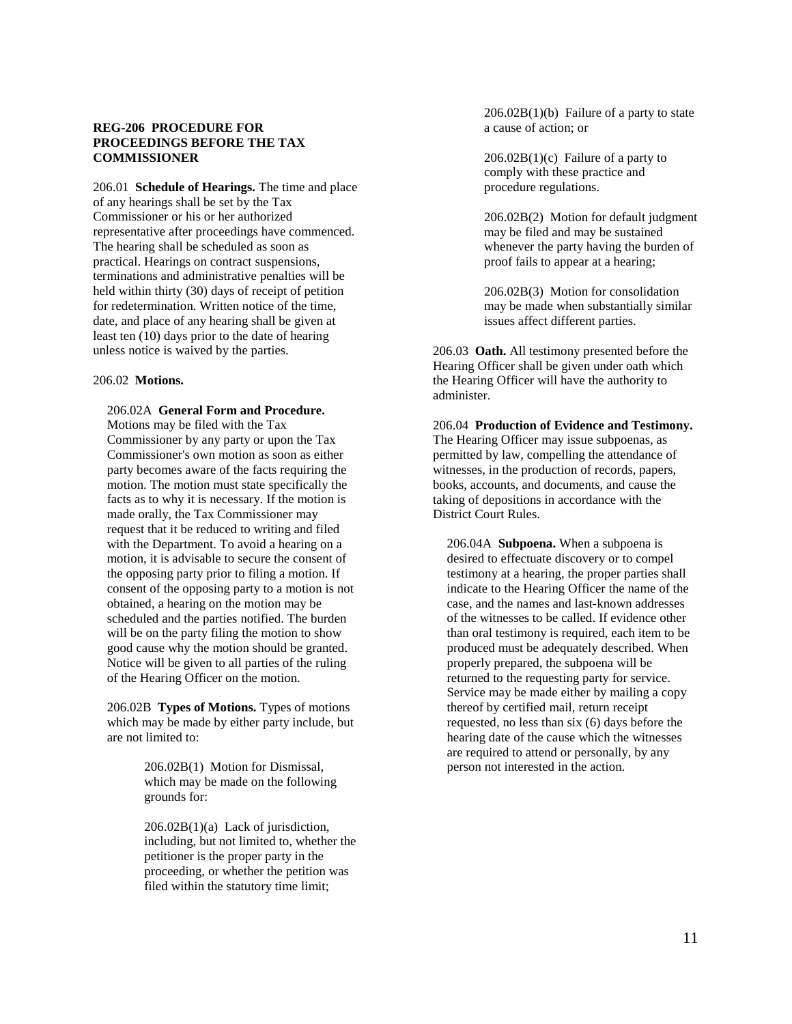# **REG-206 PROCEDURE FOR PROCEEDINGS BEFORE THE TAX COMMISSIONER**

206.01 **Schedule of Hearings.** The time and place of any hearings shall be set by the Tax Commissioner or his or her authorized representative after proceedings have commenced. The hearing shall be scheduled as soon as practical. Hearings on contract suspensions, terminations and administrative penalties will be held within thirty (30) days of receipt of petition for redetermination. Written notice of the time, date, and place of any hearing shall be given at least ten (10) days prior to the date of hearing unless notice is waived by the parties.

#### 206.02 **Motions.**

#### 206.02A **General Form and Procedure.**

Motions may be filed with the Tax Commissioner by any party or upon the Tax Commissioner's own motion as soon as either party becomes aware of the facts requiring the motion. The motion must state specifically the facts as to why it is necessary. If the motion is made orally, the Tax Commissioner may request that it be reduced to writing and filed with the Department. To avoid a hearing on a motion, it is advisable to secure the consent of the opposing party prior to filing a motion. If consent of the opposing party to a motion is not obtained, a hearing on the motion may be scheduled and the parties notified. The burden will be on the party filing the motion to show good cause why the motion should be granted. Notice will be given to all parties of the ruling of the Hearing Officer on the motion.

206.02B **Types of Motions.** Types of motions which may be made by either party include, but are not limited to:

> 206.02B(1) Motion for Dismissal, which may be made on the following grounds for:

 $206.02B(1)(a)$  Lack of jurisdiction, including, but not limited to, whether the petitioner is the proper party in the proceeding, or whether the petition was filed within the statutory time limit;

206.02B(1)(b) Failure of a party to state a cause of action; or

 $206.02B(1)(c)$  Failure of a party to comply with these practice and procedure regulations.

206.02B(2) Motion for default judgment may be filed and may be sustained whenever the party having the burden of proof fails to appear at a hearing;

206.02B(3) Motion for consolidation may be made when substantially similar issues affect different parties.

206.03 **Oath.** All testimony presented before the Hearing Officer shall be given under oath which the Hearing Officer will have the authority to administer.

206.04 **Production of Evidence and Testimony.** The Hearing Officer may issue subpoenas, as permitted by law, compelling the attendance of witnesses, in the production of records, papers, books, accounts, and documents, and cause the taking of depositions in accordance with the District Court Rules.

206.04A **Subpoena.** When a subpoena is desired to effectuate discovery or to compel testimony at a hearing, the proper parties shall indicate to the Hearing Officer the name of the case, and the names and last-known addresses of the witnesses to be called. If evidence other than oral testimony is required, each item to be produced must be adequately described. When properly prepared, the subpoena will be returned to the requesting party for service. Service may be made either by mailing a copy thereof by certified mail, return receipt requested, no less than six (6) days before the hearing date of the cause which the witnesses are required to attend or personally, by any person not interested in the action.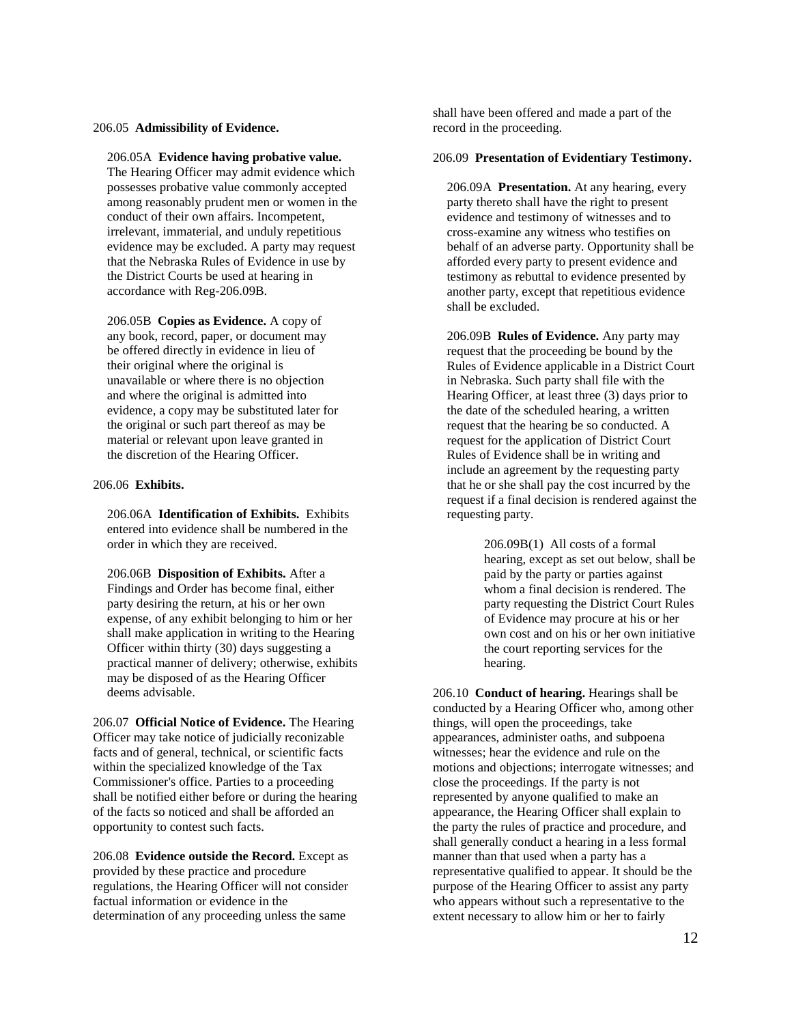### 206.05 **Admissibility of Evidence.**

206.05A **Evidence having probative value.**

The Hearing Officer may admit evidence which possesses probative value commonly accepted among reasonably prudent men or women in the conduct of their own affairs. Incompetent, irrelevant, immaterial, and unduly repetitious evidence may be excluded. A party may request that the Nebraska Rules of Evidence in use by the District Courts be used at hearing in accordance with Reg-206.09B.

206.05B **Copies as Evidence.** A copy of any book, record, paper, or document may be offered directly in evidence in lieu of their original where the original is unavailable or where there is no objection and where the original is admitted into evidence, a copy may be substituted later for the original or such part thereof as may be material or relevant upon leave granted in the discretion of the Hearing Officer.

#### 206.06 **Exhibits.**

206.06A **Identification of Exhibits.** Exhibits entered into evidence shall be numbered in the order in which they are received.

206.06B **Disposition of Exhibits.** After a Findings and Order has become final, either party desiring the return, at his or her own expense, of any exhibit belonging to him or her shall make application in writing to the Hearing Officer within thirty (30) days suggesting a practical manner of delivery; otherwise, exhibits may be disposed of as the Hearing Officer deems advisable.

206.07 **Official Notice of Evidence.** The Hearing Officer may take notice of judicially reconizable facts and of general, technical, or scientific facts within the specialized knowledge of the Tax Commissioner's office. Parties to a proceeding shall be notified either before or during the hearing of the facts so noticed and shall be afforded an opportunity to contest such facts.

206.08 **Evidence outside the Record.** Except as provided by these practice and procedure regulations, the Hearing Officer will not consider factual information or evidence in the determination of any proceeding unless the same

shall have been offered and made a part of the record in the proceeding.

## 206.09 **Presentation of Evidentiary Testimony.**

206.09A **Presentation.** At any hearing, every party thereto shall have the right to present evidence and testimony of witnesses and to cross-examine any witness who testifies on behalf of an adverse party. Opportunity shall be afforded every party to present evidence and testimony as rebuttal to evidence presented by another party, except that repetitious evidence shall be excluded.

206.09B **Rules of Evidence.** Any party may request that the proceeding be bound by the Rules of Evidence applicable in a District Court in Nebraska. Such party shall file with the Hearing Officer, at least three (3) days prior to the date of the scheduled hearing, a written request that the hearing be so conducted. A request for the application of District Court Rules of Evidence shall be in writing and include an agreement by the requesting party that he or she shall pay the cost incurred by the request if a final decision is rendered against the requesting party.

> 206.09B(1) All costs of a formal hearing, except as set out below, shall be paid by the party or parties against whom a final decision is rendered. The party requesting the District Court Rules of Evidence may procure at his or her own cost and on his or her own initiative the court reporting services for the hearing.

206.10 **Conduct of hearing.** Hearings shall be conducted by a Hearing Officer who, among other things, will open the proceedings, take appearances, administer oaths, and subpoena witnesses; hear the evidence and rule on the motions and objections; interrogate witnesses; and close the proceedings. If the party is not represented by anyone qualified to make an appearance, the Hearing Officer shall explain to the party the rules of practice and procedure, and shall generally conduct a hearing in a less formal manner than that used when a party has a representative qualified to appear. It should be the purpose of the Hearing Officer to assist any party who appears without such a representative to the extent necessary to allow him or her to fairly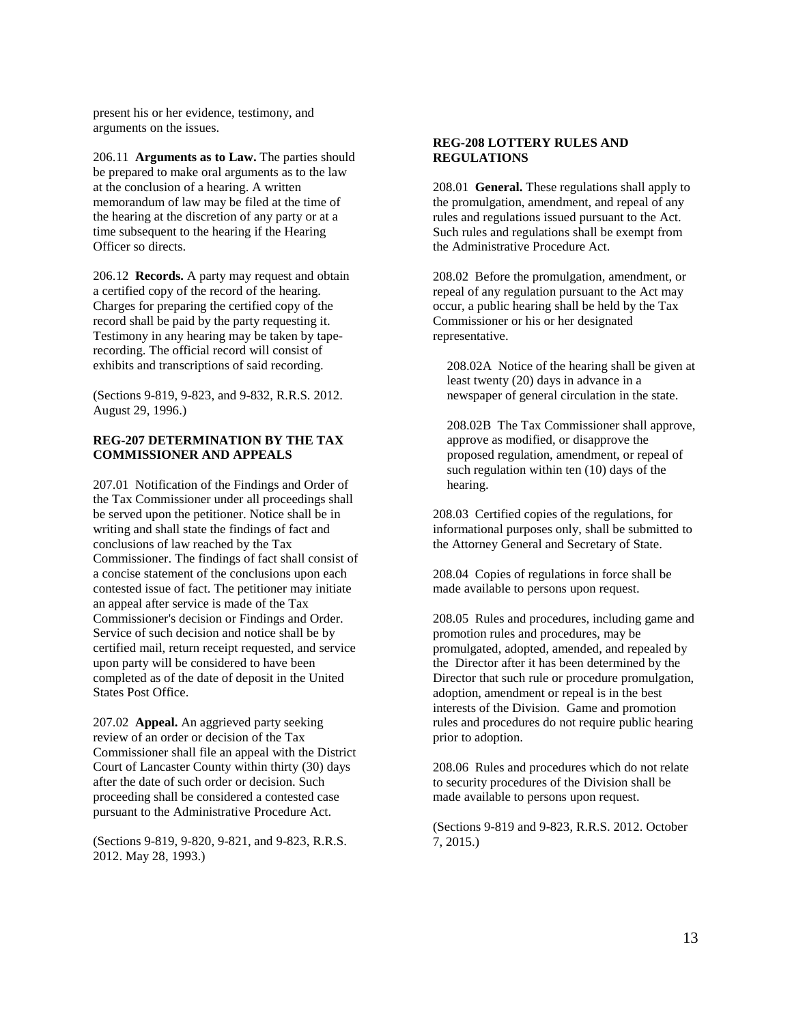present his or her evidence, testimony, and arguments on the issues.

206.11 **Arguments as to Law.** The parties should be prepared to make oral arguments as to the law at the conclusion of a hearing. A written memorandum of law may be filed at the time of the hearing at the discretion of any party or at a time subsequent to the hearing if the Hearing Officer so directs.

206.12 **Records.** A party may request and obtain a certified copy of the record of the hearing. Charges for preparing the certified copy of the record shall be paid by the party requesting it. Testimony in any hearing may be taken by taperecording. The official record will consist of exhibits and transcriptions of said recording.

(Sections 9-819, 9-823, and 9-832, R.R.S. 2012. August 29, 1996.)

## **REG-207 DETERMINATION BY THE TAX COMMISSIONER AND APPEALS**

207.01 Notification of the Findings and Order of the Tax Commissioner under all proceedings shall be served upon the petitioner. Notice shall be in writing and shall state the findings of fact and conclusions of law reached by the Tax Commissioner. The findings of fact shall consist of a concise statement of the conclusions upon each contested issue of fact. The petitioner may initiate an appeal after service is made of the Tax Commissioner's decision or Findings and Order. Service of such decision and notice shall be by certified mail, return receipt requested, and service upon party will be considered to have been completed as of the date of deposit in the United States Post Office.

207.02 **Appeal.** An aggrieved party seeking review of an order or decision of the Tax Commissioner shall file an appeal with the District Court of Lancaster County within thirty (30) days after the date of such order or decision. Such proceeding shall be considered a contested case pursuant to the Administrative Procedure Act.

(Sections 9-819, 9-820, 9-821, and 9-823, R.R.S. 2012. May 28, 1993.)

### **REG-208 LOTTERY RULES AND REGULATIONS**

208.01 **General.** These regulations shall apply to the promulgation, amendment, and repeal of any rules and regulations issued pursuant to the Act. Such rules and regulations shall be exempt from the Administrative Procedure Act.

208.02 Before the promulgation, amendment, or repeal of any regulation pursuant to the Act may occur, a public hearing shall be held by the Tax Commissioner or his or her designated representative.

208.02A Notice of the hearing shall be given at least twenty (20) days in advance in a newspaper of general circulation in the state.

208.02B The Tax Commissioner shall approve, approve as modified, or disapprove the proposed regulation, amendment, or repeal of such regulation within ten (10) days of the hearing.

208.03 Certified copies of the regulations, for informational purposes only, shall be submitted to the Attorney General and Secretary of State.

208.04 Copies of regulations in force shall be made available to persons upon request.

208.05 Rules and procedures, including game and promotion rules and procedures, may be promulgated, adopted, amended, and repealed by the Director after it has been determined by the Director that such rule or procedure promulgation, adoption, amendment or repeal is in the best interests of the Division. Game and promotion rules and procedures do not require public hearing prior to adoption.

208.06 Rules and procedures which do not relate to security procedures of the Division shall be made available to persons upon request.

(Sections 9-819 and 9-823, R.R.S. 2012. October 7, 2015.)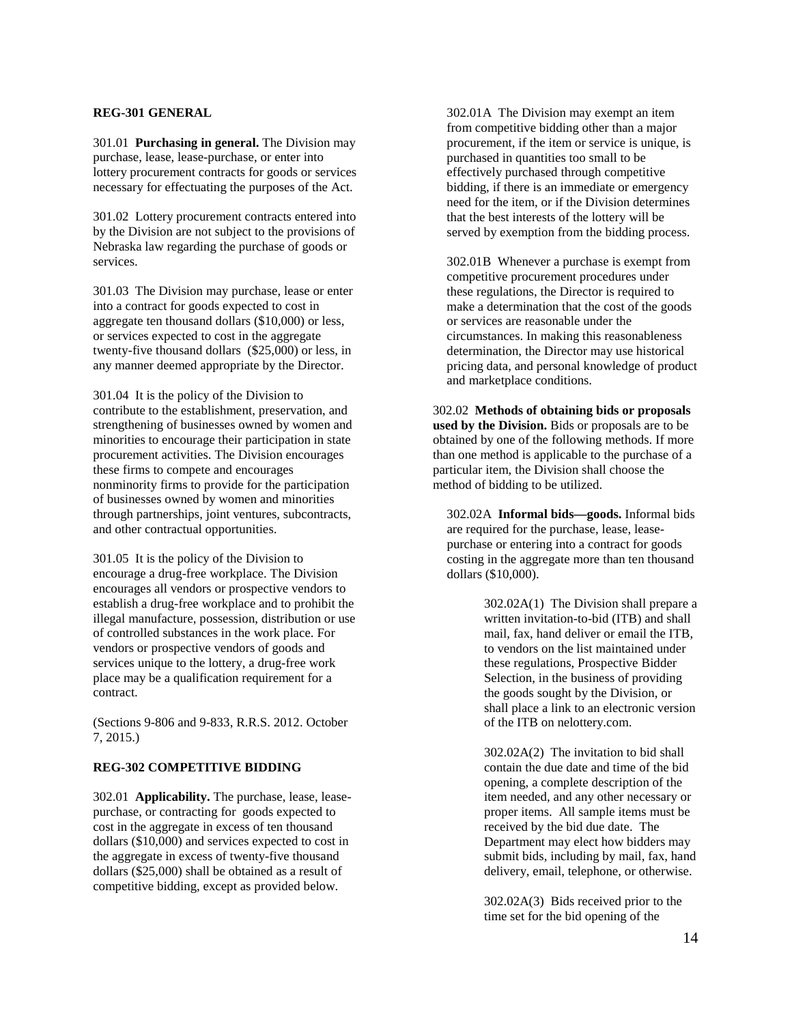### **REG-301 GENERAL**

301.01 **Purchasing in general.** The Division may purchase, lease, lease-purchase, or enter into lottery procurement contracts for goods or services necessary for effectuating the purposes of the Act.

301.02 Lottery procurement contracts entered into by the Division are not subject to the provisions of Nebraska law regarding the purchase of goods or services.

301.03 The Division may purchase, lease or enter into a contract for goods expected to cost in aggregate ten thousand dollars (\$10,000) or less, or services expected to cost in the aggregate twenty-five thousand dollars (\$25,000) or less, in any manner deemed appropriate by the Director.

301.04 It is the policy of the Division to contribute to the establishment, preservation, and strengthening of businesses owned by women and minorities to encourage their participation in state procurement activities. The Division encourages these firms to compete and encourages nonminority firms to provide for the participation of businesses owned by women and minorities through partnerships, joint ventures, subcontracts, and other contractual opportunities.

301.05 It is the policy of the Division to encourage a drug-free workplace. The Division encourages all vendors or prospective vendors to establish a drug-free workplace and to prohibit the illegal manufacture, possession, distribution or use of controlled substances in the work place. For vendors or prospective vendors of goods and services unique to the lottery, a drug-free work place may be a qualification requirement for a contract.

(Sections 9-806 and 9-833, R.R.S. 2012. October 7, 2015.)

## **REG-302 COMPETITIVE BIDDING**

302.01 **Applicability.** The purchase, lease, leasepurchase, or contracting for goods expected to cost in the aggregate in excess of ten thousand dollars (\$10,000) and services expected to cost in the aggregate in excess of twenty-five thousand dollars (\$25,000) shall be obtained as a result of competitive bidding, except as provided below.

302.01A The Division may exempt an item from competitive bidding other than a major procurement, if the item or service is unique, is purchased in quantities too small to be effectively purchased through competitive bidding, if there is an immediate or emergency need for the item, or if the Division determines that the best interests of the lottery will be served by exemption from the bidding process.

302.01B Whenever a purchase is exempt from competitive procurement procedures under these regulations, the Director is required to make a determination that the cost of the goods or services are reasonable under the circumstances. In making this reasonableness determination, the Director may use historical pricing data, and personal knowledge of product and marketplace conditions.

302.02 **Methods of obtaining bids or proposals used by the Division.** Bids or proposals are to be obtained by one of the following methods. If more than one method is applicable to the purchase of a particular item, the Division shall choose the method of bidding to be utilized.

302.02A **Informal bids—goods.** Informal bids are required for the purchase, lease, leasepurchase or entering into a contract for goods costing in the aggregate more than ten thousand dollars (\$10,000).

> 302.02A(1) The Division shall prepare a written invitation-to-bid (ITB) and shall mail, fax, hand deliver or email the ITB, to vendors on the list maintained under these regulations, Prospective Bidder Selection, in the business of providing the goods sought by the Division, or shall place a link to an electronic version of the ITB on nelottery.com.

> 302.02A(2) The invitation to bid shall contain the due date and time of the bid opening, a complete description of the item needed, and any other necessary or proper items. All sample items must be received by the bid due date. The Department may elect how bidders may submit bids, including by mail, fax, hand delivery, email, telephone, or otherwise.

302.02A(3) Bids received prior to the time set for the bid opening of the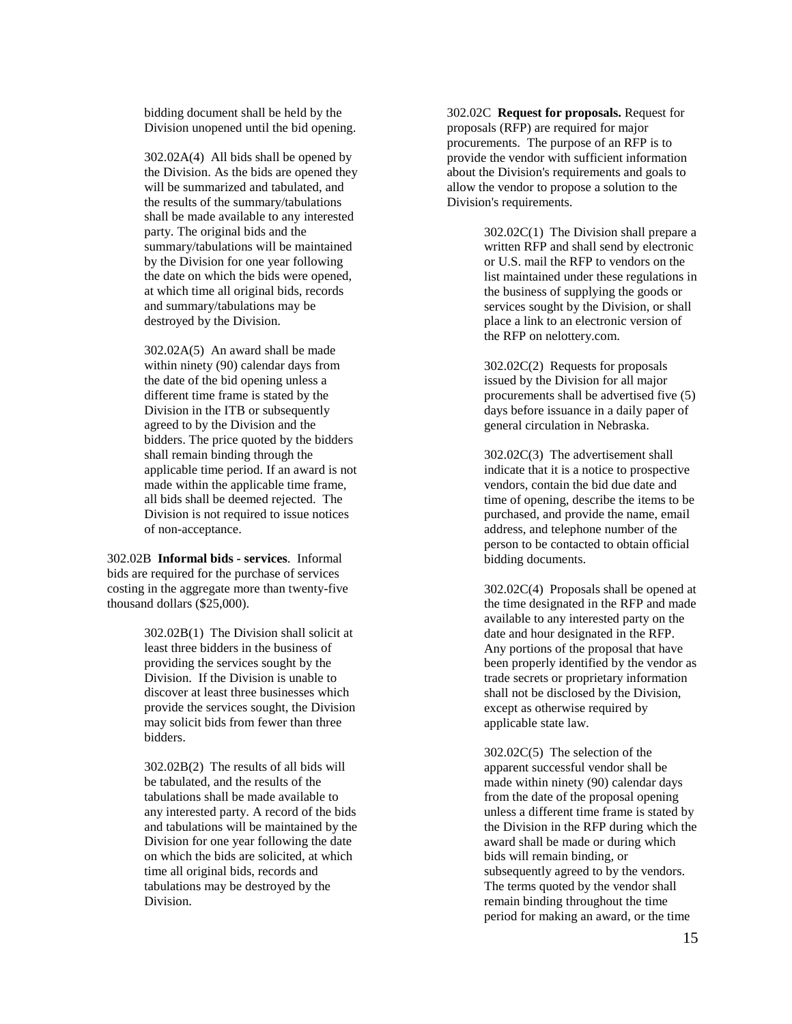bidding document shall be held by the Division unopened until the bid opening.

302.02A(4) All bids shall be opened by the Division. As the bids are opened they will be summarized and tabulated, and the results of the summary/tabulations shall be made available to any interested party. The original bids and the summary/tabulations will be maintained by the Division for one year following the date on which the bids were opened, at which time all original bids, records and summary/tabulations may be destroyed by the Division.

302.02A(5) An award shall be made within ninety (90) calendar days from the date of the bid opening unless a different time frame is stated by the Division in the ITB or subsequently agreed to by the Division and the bidders. The price quoted by the bidders shall remain binding through the applicable time period. If an award is not made within the applicable time frame, all bids shall be deemed rejected. The Division is not required to issue notices of non-acceptance.

302.02B **Informal bids - services**. Informal bids are required for the purchase of services costing in the aggregate more than twenty-five thousand dollars (\$25,000).

> 302.02B(1) The Division shall solicit at least three bidders in the business of providing the services sought by the Division. If the Division is unable to discover at least three businesses which provide the services sought, the Division may solicit bids from fewer than three bidders.

> 302.02B(2) The results of all bids will be tabulated, and the results of the tabulations shall be made available to any interested party. A record of the bids and tabulations will be maintained by the Division for one year following the date on which the bids are solicited, at which time all original bids, records and tabulations may be destroyed by the Division.

302.02C **Request for proposals.** Request for proposals (RFP) are required for major procurements. The purpose of an RFP is to provide the vendor with sufficient information about the Division's requirements and goals to allow the vendor to propose a solution to the Division's requirements.

> 302.02C(1) The Division shall prepare a written RFP and shall send by electronic or U.S. mail the RFP to vendors on the list maintained under these regulations in the business of supplying the goods or services sought by the Division, or shall place a link to an electronic version of the RFP on nelottery.com.

> 302.02C(2) Requests for proposals issued by the Division for all major procurements shall be advertised five (5) days before issuance in a daily paper of general circulation in Nebraska.

> 302.02C(3) The advertisement shall indicate that it is a notice to prospective vendors, contain the bid due date and time of opening, describe the items to be purchased, and provide the name, email address, and telephone number of the person to be contacted to obtain official bidding documents.

> 302.02C(4) Proposals shall be opened at the time designated in the RFP and made available to any interested party on the date and hour designated in the RFP. Any portions of the proposal that have been properly identified by the vendor as trade secrets or proprietary information shall not be disclosed by the Division, except as otherwise required by applicable state law.

> 302.02C(5) The selection of the apparent successful vendor shall be made within ninety (90) calendar days from the date of the proposal opening unless a different time frame is stated by the Division in the RFP during which the award shall be made or during which bids will remain binding, or subsequently agreed to by the vendors. The terms quoted by the vendor shall remain binding throughout the time period for making an award, or the time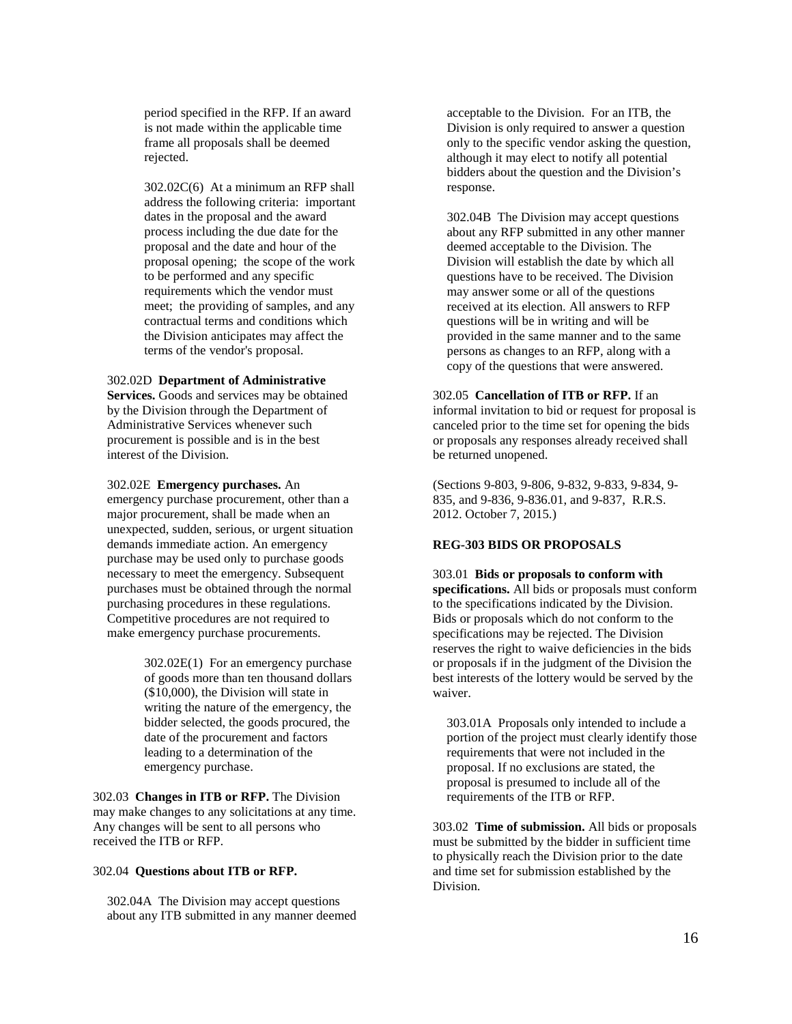period specified in the RFP. If an award is not made within the applicable time frame all proposals shall be deemed rejected.

302.02C(6) At a minimum an RFP shall address the following criteria: important dates in the proposal and the award process including the due date for the proposal and the date and hour of the proposal opening; the scope of the work to be performed and any specific requirements which the vendor must meet; the providing of samples, and any contractual terms and conditions which the Division anticipates may affect the terms of the vendor's proposal.

#### 302.02D **Department of Administrative**

**Services.** Goods and services may be obtained by the Division through the Department of Administrative Services whenever such procurement is possible and is in the best interest of the Division.

#### 302.02E **Emergency purchases.** An

emergency purchase procurement, other than a major procurement, shall be made when an unexpected, sudden, serious, or urgent situation demands immediate action. An emergency purchase may be used only to purchase goods necessary to meet the emergency. Subsequent purchases must be obtained through the normal purchasing procedures in these regulations. Competitive procedures are not required to make emergency purchase procurements.

> 302.02E(1) For an emergency purchase of goods more than ten thousand dollars (\$10,000), the Division will state in writing the nature of the emergency, the bidder selected, the goods procured, the date of the procurement and factors leading to a determination of the emergency purchase.

302.03 **Changes in ITB or RFP.** The Division may make changes to any solicitations at any time. Any changes will be sent to all persons who received the ITB or RFP.

#### 302.04 **Questions about ITB or RFP.**

302.04A The Division may accept questions about any ITB submitted in any manner deemed

acceptable to the Division. For an ITB, the Division is only required to answer a question only to the specific vendor asking the question, although it may elect to notify all potential bidders about the question and the Division's response.

302.04B The Division may accept questions about any RFP submitted in any other manner deemed acceptable to the Division. The Division will establish the date by which all questions have to be received. The Division may answer some or all of the questions received at its election. All answers to RFP questions will be in writing and will be provided in the same manner and to the same persons as changes to an RFP, along with a copy of the questions that were answered.

302.05 **Cancellation of ITB or RFP.** If an informal invitation to bid or request for proposal is canceled prior to the time set for opening the bids or proposals any responses already received shall be returned unopened.

(Sections 9-803, 9-806, 9-832, 9-833, 9-834, 9- 835, and 9-836, 9-836.01, and 9-837, R.R.S. 2012. October 7, 2015.)

### **REG-303 BIDS OR PROPOSALS**

303.01 **Bids or proposals to conform with specifications.** All bids or proposals must conform to the specifications indicated by the Division. Bids or proposals which do not conform to the specifications may be rejected. The Division reserves the right to waive deficiencies in the bids or proposals if in the judgment of the Division the best interests of the lottery would be served by the waiver.

303.01A Proposals only intended to include a portion of the project must clearly identify those requirements that were not included in the proposal. If no exclusions are stated, the proposal is presumed to include all of the requirements of the ITB or RFP.

303.02 **Time of submission.** All bids or proposals must be submitted by the bidder in sufficient time to physically reach the Division prior to the date and time set for submission established by the Division.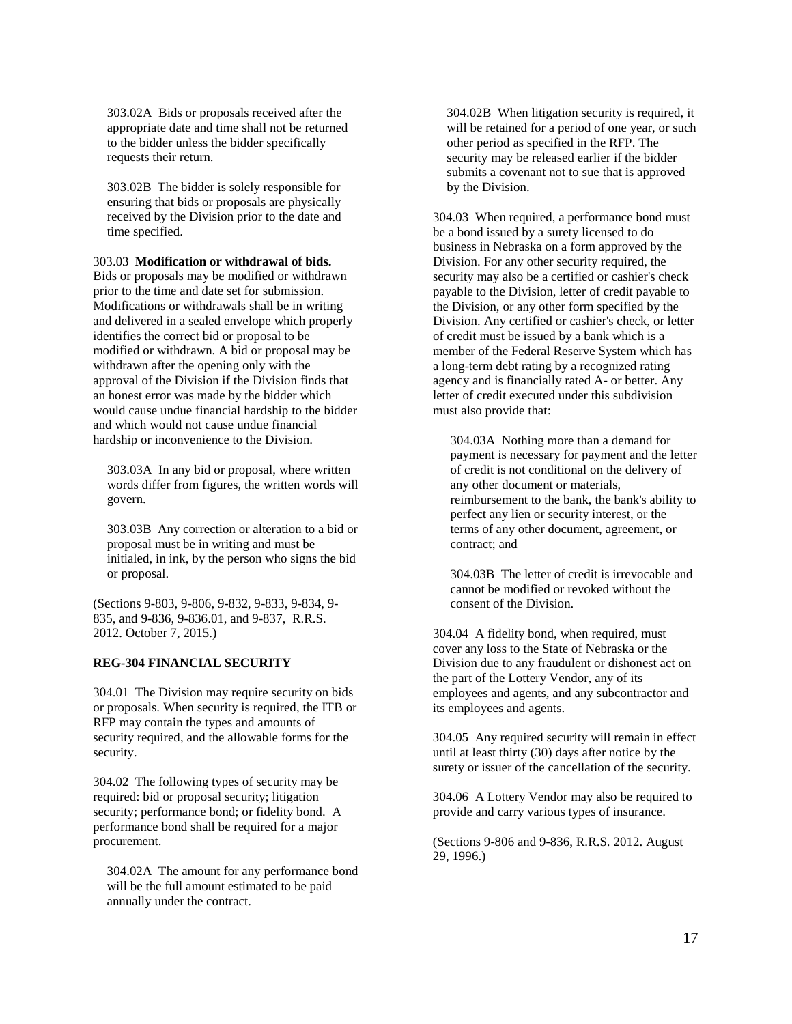303.02A Bids or proposals received after the appropriate date and time shall not be returned to the bidder unless the bidder specifically requests their return.

303.02B The bidder is solely responsible for ensuring that bids or proposals are physically received by the Division prior to the date and time specified.

303.03 **Modification or withdrawal of bids.** Bids or proposals may be modified or withdrawn prior to the time and date set for submission. Modifications or withdrawals shall be in writing and delivered in a sealed envelope which properly identifies the correct bid or proposal to be modified or withdrawn. A bid or proposal may be withdrawn after the opening only with the approval of the Division if the Division finds that an honest error was made by the bidder which would cause undue financial hardship to the bidder and which would not cause undue financial hardship or inconvenience to the Division.

303.03A In any bid or proposal, where written words differ from figures, the written words will govern.

303.03B Any correction or alteration to a bid or proposal must be in writing and must be initialed, in ink, by the person who signs the bid or proposal.

(Sections 9-803, 9-806, 9-832, 9-833, 9-834, 9- 835, and 9-836, 9-836.01, and 9-837, R.R.S. 2012. October 7, 2015.)

## **REG-304 FINANCIAL SECURITY**

304.01 The Division may require security on bids or proposals. When security is required, the ITB or RFP may contain the types and amounts of security required, and the allowable forms for the security.

304.02 The following types of security may be required: bid or proposal security; litigation security; performance bond; or fidelity bond. A performance bond shall be required for a major procurement.

304.02A The amount for any performance bond will be the full amount estimated to be paid annually under the contract.

304.02B When litigation security is required, it will be retained for a period of one year, or such other period as specified in the RFP. The security may be released earlier if the bidder submits a covenant not to sue that is approved by the Division.

304.03 When required, a performance bond must be a bond issued by a surety licensed to do business in Nebraska on a form approved by the Division. For any other security required, the security may also be a certified or cashier's check payable to the Division, letter of credit payable to the Division, or any other form specified by the Division. Any certified or cashier's check, or letter of credit must be issued by a bank which is a member of the Federal Reserve System which has a long-term debt rating by a recognized rating agency and is financially rated A- or better. Any letter of credit executed under this subdivision must also provide that:

304.03A Nothing more than a demand for payment is necessary for payment and the letter of credit is not conditional on the delivery of any other document or materials, reimbursement to the bank, the bank's ability to perfect any lien or security interest, or the terms of any other document, agreement, or contract; and

304.03B The letter of credit is irrevocable and cannot be modified or revoked without the consent of the Division.

304.04 A fidelity bond, when required, must cover any loss to the State of Nebraska or the Division due to any fraudulent or dishonest act on the part of the Lottery Vendor, any of its employees and agents, and any subcontractor and its employees and agents.

304.05 Any required security will remain in effect until at least thirty (30) days after notice by the surety or issuer of the cancellation of the security.

304.06 A Lottery Vendor may also be required to provide and carry various types of insurance.

(Sections 9-806 and 9-836, R.R.S. 2012. August 29, 1996.)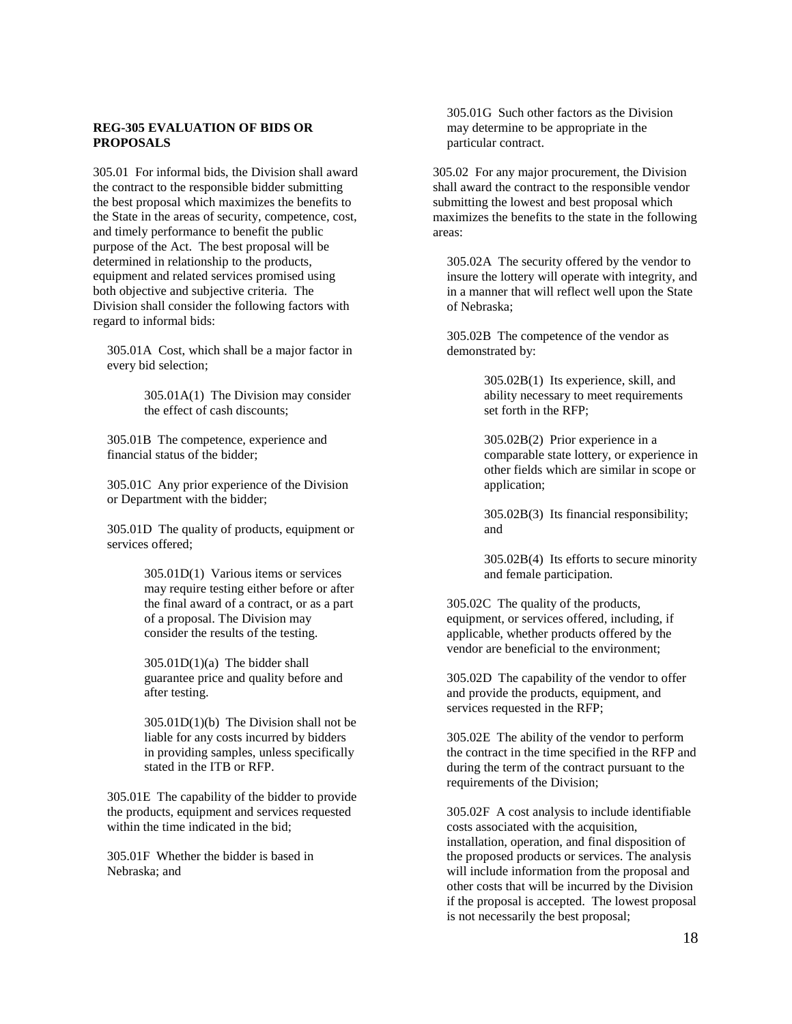## **REG-305 EVALUATION OF BIDS OR PROPOSALS**

305.01 For informal bids, the Division shall award the contract to the responsible bidder submitting the best proposal which maximizes the benefits to the State in the areas of security, competence, cost, and timely performance to benefit the public purpose of the Act. The best proposal will be determined in relationship to the products, equipment and related services promised using both objective and subjective criteria. The Division shall consider the following factors with regard to informal bids:

305.01A Cost, which shall be a major factor in every bid selection;

> 305.01A(1) The Division may consider the effect of cash discounts;

305.01B The competence, experience and financial status of the bidder;

305.01C Any prior experience of the Division or Department with the bidder;

305.01D The quality of products, equipment or services offered;

> 305.01D(1) Various items or services may require testing either before or after the final award of a contract, or as a part of a proposal. The Division may consider the results of the testing.

305.01D(1)(a) The bidder shall guarantee price and quality before and after testing.

305.01D(1)(b) The Division shall not be liable for any costs incurred by bidders in providing samples, unless specifically stated in the ITB or RFP.

305.01E The capability of the bidder to provide the products, equipment and services requested within the time indicated in the bid;

305.01F Whether the bidder is based in Nebraska; and

305.01G Such other factors as the Division may determine to be appropriate in the particular contract.

305.02 For any major procurement, the Division shall award the contract to the responsible vendor submitting the lowest and best proposal which maximizes the benefits to the state in the following areas:

305.02A The security offered by the vendor to insure the lottery will operate with integrity, and in a manner that will reflect well upon the State of Nebraska;

305.02B The competence of the vendor as demonstrated by:

> 305.02B(1) Its experience, skill, and ability necessary to meet requirements set forth in the RFP;

305.02B(2) Prior experience in a comparable state lottery, or experience in other fields which are similar in scope or application;

305.02B(3) Its financial responsibility; and

305.02B(4) Its efforts to secure minority and female participation.

305.02C The quality of the products, equipment, or services offered, including, if applicable, whether products offered by the vendor are beneficial to the environment;

305.02D The capability of the vendor to offer and provide the products, equipment, and services requested in the RFP;

305.02E The ability of the vendor to perform the contract in the time specified in the RFP and during the term of the contract pursuant to the requirements of the Division;

305.02F A cost analysis to include identifiable costs associated with the acquisition, installation, operation, and final disposition of the proposed products or services. The analysis will include information from the proposal and other costs that will be incurred by the Division if the proposal is accepted. The lowest proposal is not necessarily the best proposal;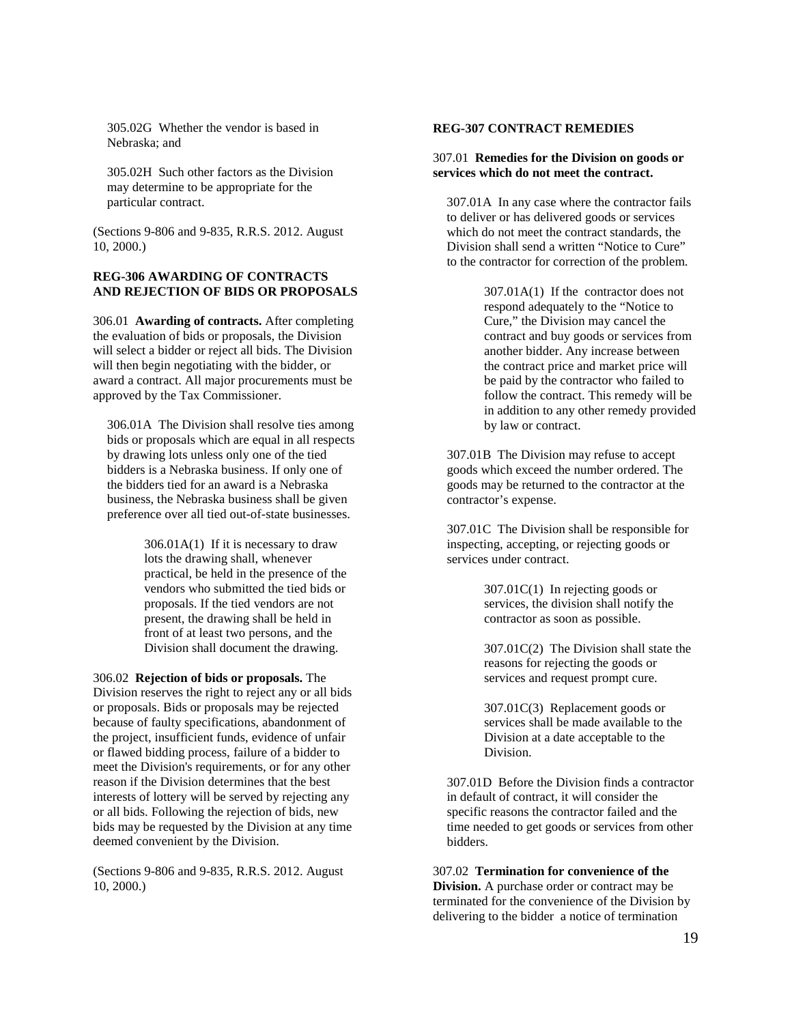305.02G Whether the vendor is based in Nebraska; and

305.02H Such other factors as the Division may determine to be appropriate for the particular contract.

(Sections 9-806 and 9-835, R.R.S. 2012. August 10, 2000.)

### **REG-306 AWARDING OF CONTRACTS AND REJECTION OF BIDS OR PROPOSALS**

306.01 **Awarding of contracts.** After completing the evaluation of bids or proposals, the Division will select a bidder or reject all bids. The Division will then begin negotiating with the bidder, or award a contract. All major procurements must be approved by the Tax Commissioner.

306.01A The Division shall resolve ties among bids or proposals which are equal in all respects by drawing lots unless only one of the tied bidders is a Nebraska business. If only one of the bidders tied for an award is a Nebraska business, the Nebraska business shall be given preference over all tied out-of-state businesses.

> 306.01A(1) If it is necessary to draw lots the drawing shall, whenever practical, be held in the presence of the vendors who submitted the tied bids or proposals. If the tied vendors are not present, the drawing shall be held in front of at least two persons, and the Division shall document the drawing.

306.02 **Rejection of bids or proposals.** The Division reserves the right to reject any or all bids or proposals. Bids or proposals may be rejected because of faulty specifications, abandonment of the project, insufficient funds, evidence of unfair or flawed bidding process, failure of a bidder to meet the Division's requirements, or for any other reason if the Division determines that the best interests of lottery will be served by rejecting any or all bids. Following the rejection of bids, new bids may be requested by the Division at any time deemed convenient by the Division.

(Sections 9-806 and 9-835, R.R.S. 2012. August 10, 2000.)

## **REG-307 CONTRACT REMEDIES**

## 307.01 **Remedies for the Division on goods or services which do not meet the contract.**

307.01A In any case where the contractor fails to deliver or has delivered goods or services which do not meet the contract standards, the Division shall send a written "Notice to Cure" to the contractor for correction of the problem.

> 307.01A(1) If the contractor does not respond adequately to the "Notice to Cure," the Division may cancel the contract and buy goods or services from another bidder. Any increase between the contract price and market price will be paid by the contractor who failed to follow the contract. This remedy will be in addition to any other remedy provided by law or contract.

307.01B The Division may refuse to accept goods which exceed the number ordered. The goods may be returned to the contractor at the contractor's expense.

307.01C The Division shall be responsible for inspecting, accepting, or rejecting goods or services under contract.

> 307.01C(1) In rejecting goods or services, the division shall notify the contractor as soon as possible.

307.01C(2) The Division shall state the reasons for rejecting the goods or services and request prompt cure.

307.01C(3) Replacement goods or services shall be made available to the Division at a date acceptable to the **Division** 

307.01D Before the Division finds a contractor in default of contract, it will consider the specific reasons the contractor failed and the time needed to get goods or services from other bidders.

307.02 **Termination for convenience of the Division.** A purchase order or contract may be terminated for the convenience of the Division by delivering to the bidder a notice of termination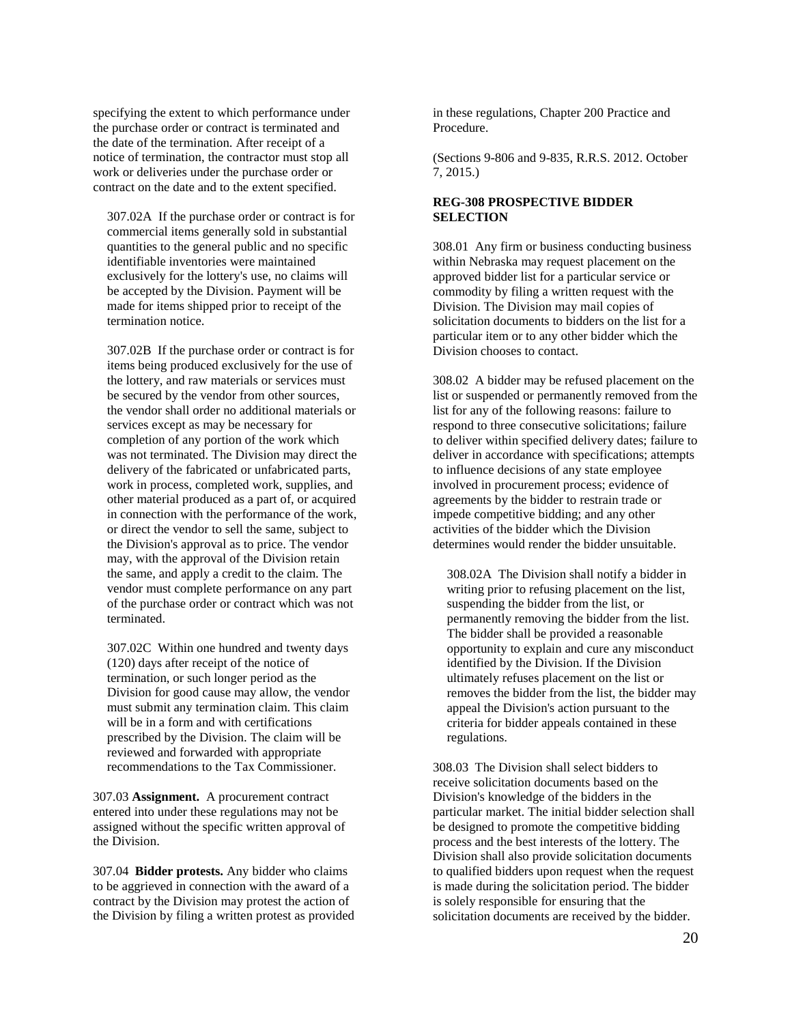specifying the extent to which performance under the purchase order or contract is terminated and the date of the termination. After receipt of a notice of termination, the contractor must stop all work or deliveries under the purchase order or contract on the date and to the extent specified.

307.02A If the purchase order or contract is for commercial items generally sold in substantial quantities to the general public and no specific identifiable inventories were maintained exclusively for the lottery's use, no claims will be accepted by the Division. Payment will be made for items shipped prior to receipt of the termination notice.

307.02B If the purchase order or contract is for items being produced exclusively for the use of the lottery, and raw materials or services must be secured by the vendor from other sources, the vendor shall order no additional materials or services except as may be necessary for completion of any portion of the work which was not terminated. The Division may direct the delivery of the fabricated or unfabricated parts, work in process, completed work, supplies, and other material produced as a part of, or acquired in connection with the performance of the work, or direct the vendor to sell the same, subject to the Division's approval as to price. The vendor may, with the approval of the Division retain the same, and apply a credit to the claim. The vendor must complete performance on any part of the purchase order or contract which was not terminated.

307.02C Within one hundred and twenty days (120) days after receipt of the notice of termination, or such longer period as the Division for good cause may allow, the vendor must submit any termination claim. This claim will be in a form and with certifications prescribed by the Division. The claim will be reviewed and forwarded with appropriate recommendations to the Tax Commissioner.

307.03 **Assignment.** A procurement contract entered into under these regulations may not be assigned without the specific written approval of the Division.

307.04 **Bidder protests.** Any bidder who claims to be aggrieved in connection with the award of a contract by the Division may protest the action of the Division by filing a written protest as provided in these regulations, Chapter 200 Practice and Procedure.

(Sections 9-806 and 9-835, R.R.S. 2012. October 7, 2015.)

# **REG-308 PROSPECTIVE BIDDER SELECTION**

308.01 Any firm or business conducting business within Nebraska may request placement on the approved bidder list for a particular service or commodity by filing a written request with the Division. The Division may mail copies of solicitation documents to bidders on the list for a particular item or to any other bidder which the Division chooses to contact.

308.02 A bidder may be refused placement on the list or suspended or permanently removed from the list for any of the following reasons: failure to respond to three consecutive solicitations; failure to deliver within specified delivery dates; failure to deliver in accordance with specifications; attempts to influence decisions of any state employee involved in procurement process; evidence of agreements by the bidder to restrain trade or impede competitive bidding; and any other activities of the bidder which the Division determines would render the bidder unsuitable.

308.02A The Division shall notify a bidder in writing prior to refusing placement on the list, suspending the bidder from the list, or permanently removing the bidder from the list. The bidder shall be provided a reasonable opportunity to explain and cure any misconduct identified by the Division. If the Division ultimately refuses placement on the list or removes the bidder from the list, the bidder may appeal the Division's action pursuant to the criteria for bidder appeals contained in these regulations.

308.03 The Division shall select bidders to receive solicitation documents based on the Division's knowledge of the bidders in the particular market. The initial bidder selection shall be designed to promote the competitive bidding process and the best interests of the lottery. The Division shall also provide solicitation documents to qualified bidders upon request when the request is made during the solicitation period. The bidder is solely responsible for ensuring that the solicitation documents are received by the bidder.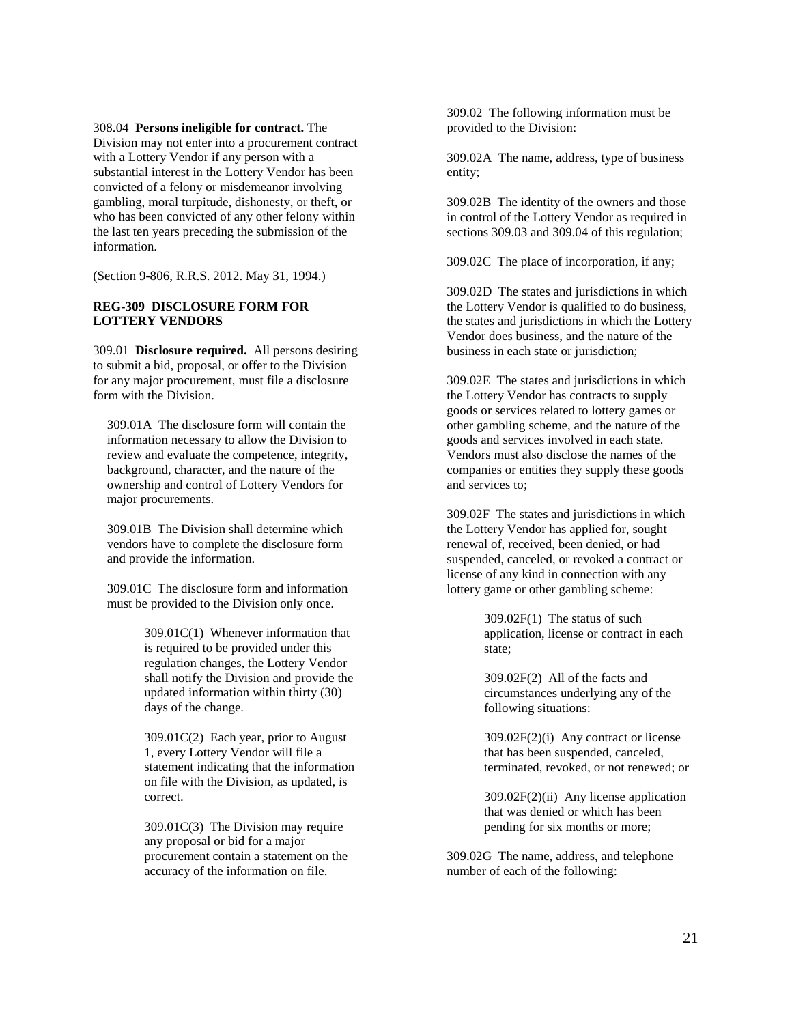#### 308.04 **Persons ineligible for contract.** The

Division may not enter into a procurement contract with a Lottery Vendor if any person with a substantial interest in the Lottery Vendor has been convicted of a felony or misdemeanor involving gambling, moral turpitude, dishonesty, or theft, or who has been convicted of any other felony within the last ten years preceding the submission of the information.

(Section 9-806, R.R.S. 2012. May 31, 1994.)

## **REG-309 DISCLOSURE FORM FOR LOTTERY VENDORS**

309.01 **Disclosure required.** All persons desiring to submit a bid, proposal, or offer to the Division for any major procurement, must file a disclosure form with the Division.

309.01A The disclosure form will contain the information necessary to allow the Division to review and evaluate the competence, integrity, background, character, and the nature of the ownership and control of Lottery Vendors for major procurements.

309.01B The Division shall determine which vendors have to complete the disclosure form and provide the information.

309.01C The disclosure form and information must be provided to the Division only once.

> 309.01C(1) Whenever information that is required to be provided under this regulation changes, the Lottery Vendor shall notify the Division and provide the updated information within thirty (30) days of the change.

> 309.01C(2) Each year, prior to August 1, every Lottery Vendor will file a statement indicating that the information on file with the Division, as updated, is correct.

309.01C(3) The Division may require any proposal or bid for a major procurement contain a statement on the accuracy of the information on file.

309.02 The following information must be provided to the Division:

309.02A The name, address, type of business entity;

309.02B The identity of the owners and those in control of the Lottery Vendor as required in sections 309.03 and 309.04 of this regulation;

309.02C The place of incorporation, if any;

309.02D The states and jurisdictions in which the Lottery Vendor is qualified to do business, the states and jurisdictions in which the Lottery Vendor does business, and the nature of the business in each state or jurisdiction;

309.02E The states and jurisdictions in which the Lottery Vendor has contracts to supply goods or services related to lottery games or other gambling scheme, and the nature of the goods and services involved in each state. Vendors must also disclose the names of the companies or entities they supply these goods and services to;

309.02F The states and jurisdictions in which the Lottery Vendor has applied for, sought renewal of, received, been denied, or had suspended, canceled, or revoked a contract or license of any kind in connection with any lottery game or other gambling scheme:

> 309.02F(1) The status of such application, license or contract in each state;

309.02F(2) All of the facts and circumstances underlying any of the following situations:

309.02F(2)(i) Any contract or license that has been suspended, canceled, terminated, revoked, or not renewed; or

309.02F(2)(ii) Any license application that was denied or which has been pending for six months or more;

309.02G The name, address, and telephone number of each of the following: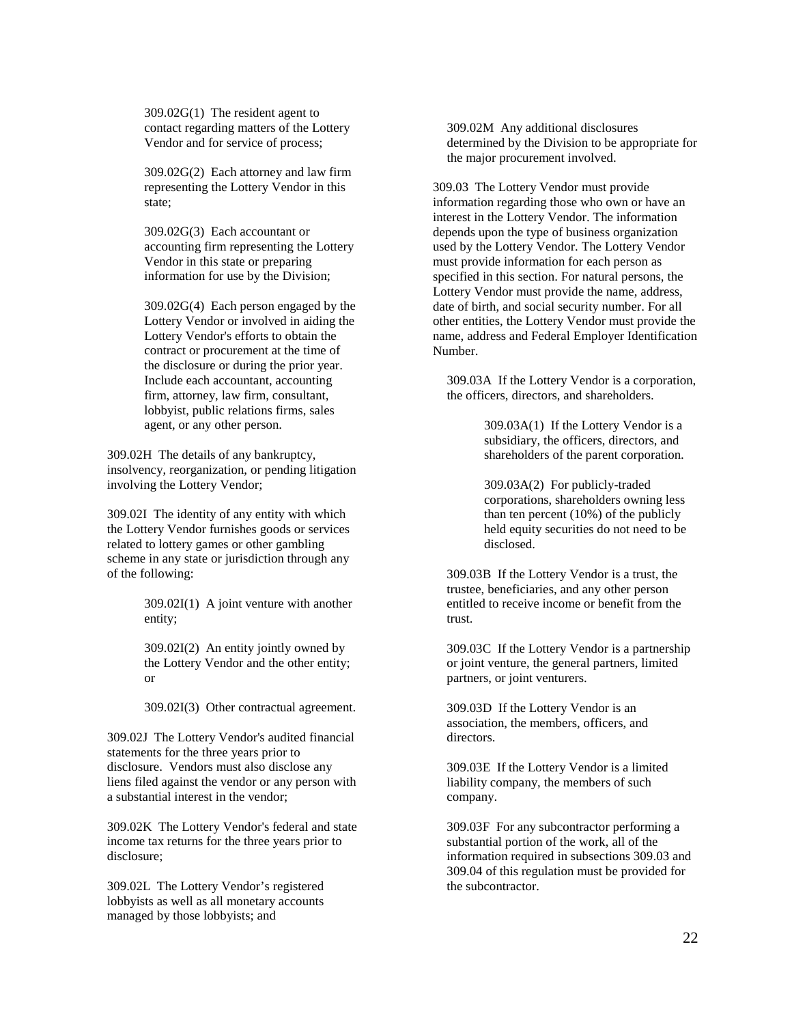309.02G(1) The resident agent to contact regarding matters of the Lottery Vendor and for service of process;

309.02G(2) Each attorney and law firm representing the Lottery Vendor in this state;

309.02G(3) Each accountant or accounting firm representing the Lottery Vendor in this state or preparing information for use by the Division;

309.02G(4) Each person engaged by the Lottery Vendor or involved in aiding the Lottery Vendor's efforts to obtain the contract or procurement at the time of the disclosure or during the prior year. Include each accountant, accounting firm, attorney, law firm, consultant, lobbyist, public relations firms, sales agent, or any other person.

309.02H The details of any bankruptcy, insolvency, reorganization, or pending litigation involving the Lottery Vendor;

309.02I The identity of any entity with which the Lottery Vendor furnishes goods or services related to lottery games or other gambling scheme in any state or jurisdiction through any of the following:

> 309.02I(1) A joint venture with another entity;

> 309.02I(2) An entity jointly owned by the Lottery Vendor and the other entity; or

309.02I(3) Other contractual agreement.

309.02J The Lottery Vendor's audited financial statements for the three years prior to disclosure. Vendors must also disclose any liens filed against the vendor or any person with a substantial interest in the vendor;

309.02K The Lottery Vendor's federal and state income tax returns for the three years prior to disclosure;

309.02L The Lottery Vendor's registered lobbyists as well as all monetary accounts managed by those lobbyists; and

309.02M Any additional disclosures determined by the Division to be appropriate for the major procurement involved.

309.03 The Lottery Vendor must provide information regarding those who own or have an interest in the Lottery Vendor. The information depends upon the type of business organization used by the Lottery Vendor. The Lottery Vendor must provide information for each person as specified in this section. For natural persons, the Lottery Vendor must provide the name, address, date of birth, and social security number. For all other entities, the Lottery Vendor must provide the name, address and Federal Employer Identification Number.

309.03A If the Lottery Vendor is a corporation, the officers, directors, and shareholders.

> 309.03A(1) If the Lottery Vendor is a subsidiary, the officers, directors, and shareholders of the parent corporation.

309.03A(2) For publicly-traded corporations, shareholders owning less than ten percent (10%) of the publicly held equity securities do not need to be disclosed.

309.03B If the Lottery Vendor is a trust, the trustee, beneficiaries, and any other person entitled to receive income or benefit from the trust.

309.03C If the Lottery Vendor is a partnership or joint venture, the general partners, limited partners, or joint venturers.

309.03D If the Lottery Vendor is an association, the members, officers, and directors.

309.03E If the Lottery Vendor is a limited liability company, the members of such company.

309.03F For any subcontractor performing a substantial portion of the work, all of the information required in subsections 309.03 and 309.04 of this regulation must be provided for the subcontractor.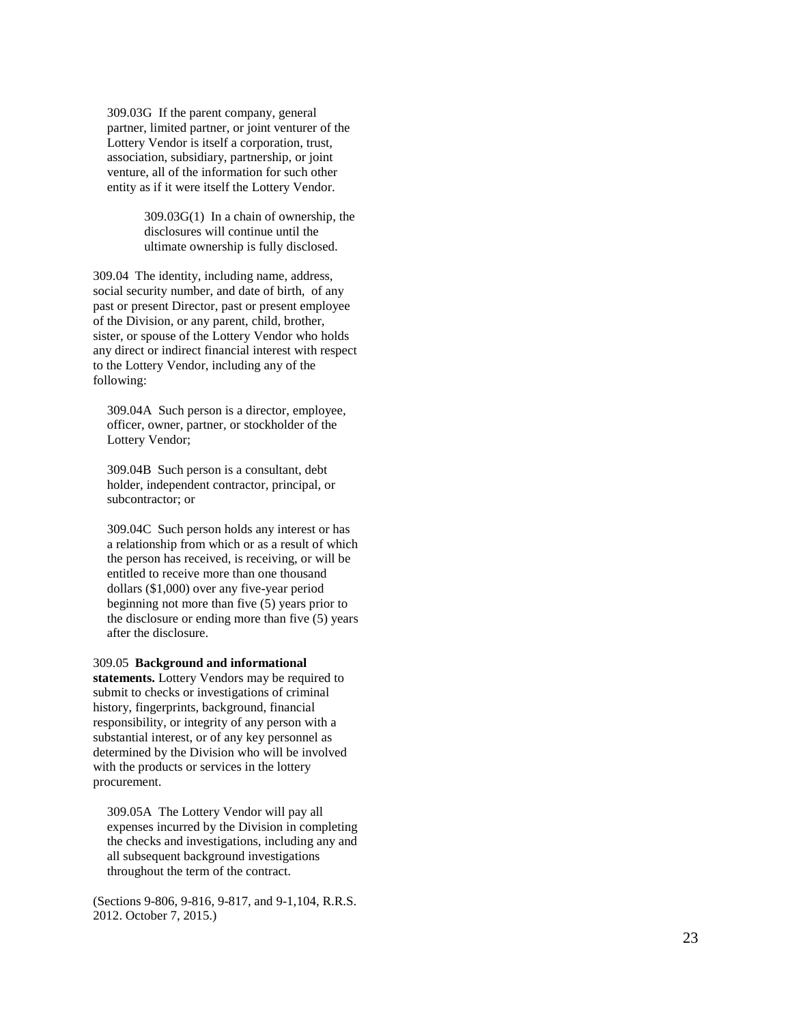309.03G If the parent company, general partner, limited partner, or joint venturer of the Lottery Vendor is itself a corporation, trust, association, subsidiary, partnership, or joint venture, all of the information for such other entity as if it were itself the Lottery Vendor.

> 309.03G(1) In a chain of ownership, the disclosures will continue until the ultimate ownership is fully disclosed.

309.04 The identity, including name, address, social security number, and date of birth, of any past or present Director, past or present employee of the Division, or any parent, child, brother, sister, or spouse of the Lottery Vendor who holds any direct or indirect financial interest with respect to the Lottery Vendor, including any of the following:

309.04A Such person is a director, employee, officer, owner, partner, or stockholder of the Lottery Vendor;

309.04B Such person is a consultant, debt holder, independent contractor, principal, or subcontractor; or

309.04C Such person holds any interest or has a relationship from which or as a result of which the person has received, is receiving, or will be entitled to receive more than one thousand dollars (\$1,000) over any five -year period beginning not more than five (5) years prior to the disclosure or ending more than five (5) years after the disclosure.

### 309.05 **Background and informational**

**statements.** Lottery Vendors may be required to submit to checks or investigations of criminal history, fingerprints, background, financial responsibility, or integrity of any person with a substantial interest, or of any key personnel as determined by the Division who will be involved with the products or services in the lottery procurement.

309.05A The Lottery Vendor will pay all expenses incurred by the Division in completing the checks and investigations, including any and all subsequent background investigations throughout the term of the contract.

(Sections 9 -806, 9 -816, 9 -817, and 9 -1,104, R.R.S. 2012. October 7, 2015.)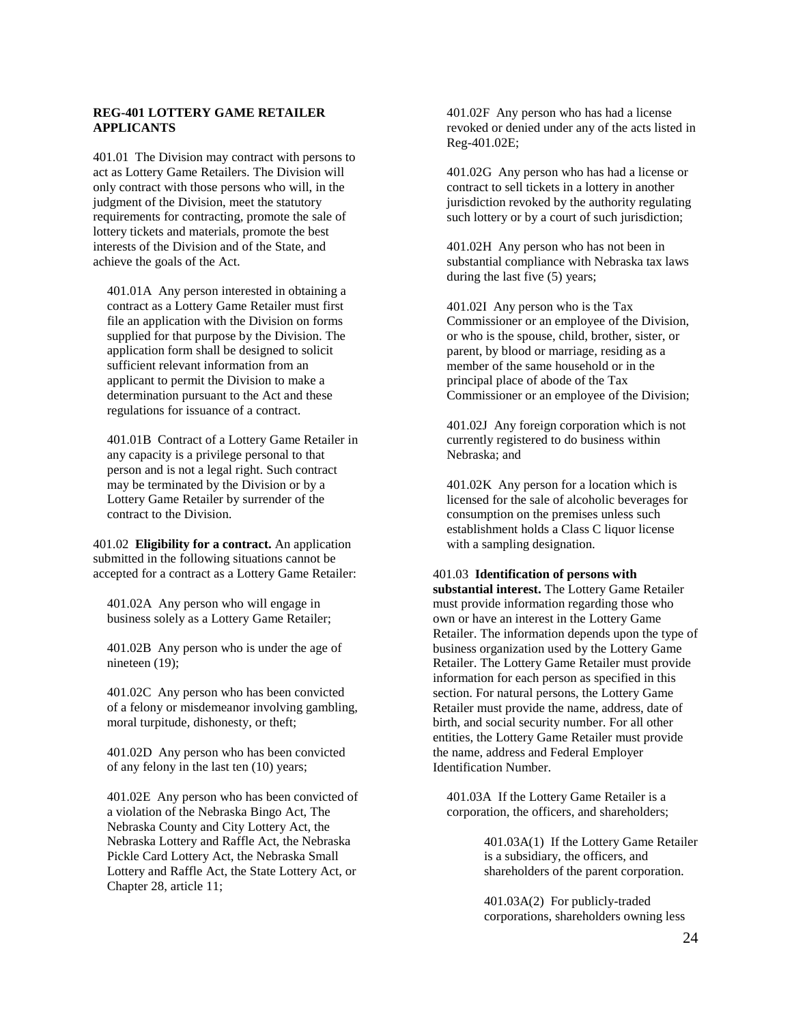## **REG-401 LOTTERY GAME RETAILER APPLICANTS**

401.01 The Division may contract with persons to act as Lottery Game Retailers. The Division will only contract with those persons who will, in the judgment of the Division, meet the statutory requirements for contracting, promote the sale of lottery tickets and materials, promote the best interests of the Division and of the State, and achieve the goals of the Act.

401.01A Any person interested in obtaining a contract as a Lottery Game Retailer must first file an application with the Division on forms supplied for that purpose by the Division. The application form shall be designed to solicit sufficient relevant information from an applicant to permit the Division to make a determination pursuant to the Act and these regulations for issuance of a contract.

401.01B Contract of a Lottery Game Retailer in any capacity is a privilege personal to that person and is not a legal right. Such contract may be terminated by the Division or by a Lottery Game Retailer by surrender of the contract to the Division.

401.02 **Eligibility for a contract.** An application submitted in the following situations cannot be accepted for a contract as a Lottery Game Retailer:

401.02A Any person who will engage in business solely as a Lottery Game Retailer;

401.02B Any person who is under the age of nineteen (19);

401.02C Any person who has been convicted of a felony or misdemeanor involving gambling, moral turpitude, dishonesty, or theft;

401.02D Any person who has been convicted of any felony in the last ten (10) years;

401.02E Any person who has been convicted of a violation of the Nebraska Bingo Act, The Nebraska County and City Lottery Act, the Nebraska Lottery and Raffle Act, the Nebraska Pickle Card Lottery Act, the Nebraska Small Lottery and Raffle Act, the State Lottery Act, or Chapter 28, article 11;

401.02F Any person who has had a license revoked or denied under any of the acts listed in Reg-401.02E;

401.02G Any person who has had a license or contract to sell tickets in a lottery in another jurisdiction revoked by the authority regulating such lottery or by a court of such jurisdiction;

401.02H Any person who has not been in substantial compliance with Nebraska tax laws during the last five (5) years;

401.02I Any person who is the Tax Commissioner or an employee of the Division, or who is the spouse, child, brother, sister, or parent, by blood or marriage, residing as a member of the same household or in the principal place of abode of the Tax Commissioner or an employee of the Division;

401.02J Any foreign corporation which is not currently registered to do business within Nebraska; and

401.02K Any person for a location which is licensed for the sale of alcoholic beverages for consumption on the premises unless such establishment holds a Class C liquor license with a sampling designation.

#### 401.03 **Identification of persons with**

**substantial interest.** The Lottery Game Retailer must provide information regarding those who own or have an interest in the Lottery Game Retailer. The information depends upon the type of business organization used by the Lottery Game Retailer. The Lottery Game Retailer must provide information for each person as specified in this section. For natural persons, the Lottery Game Retailer must provide the name, address, date of birth, and social security number. For all other entities, the Lottery Game Retailer must provide the name, address and Federal Employer Identification Number.

401.03A If the Lottery Game Retailer is a corporation, the officers, and shareholders;

> 401.03A(1) If the Lottery Game Retailer is a subsidiary, the officers, and shareholders of the parent corporation.

401.03A(2) For publicly-traded corporations, shareholders owning less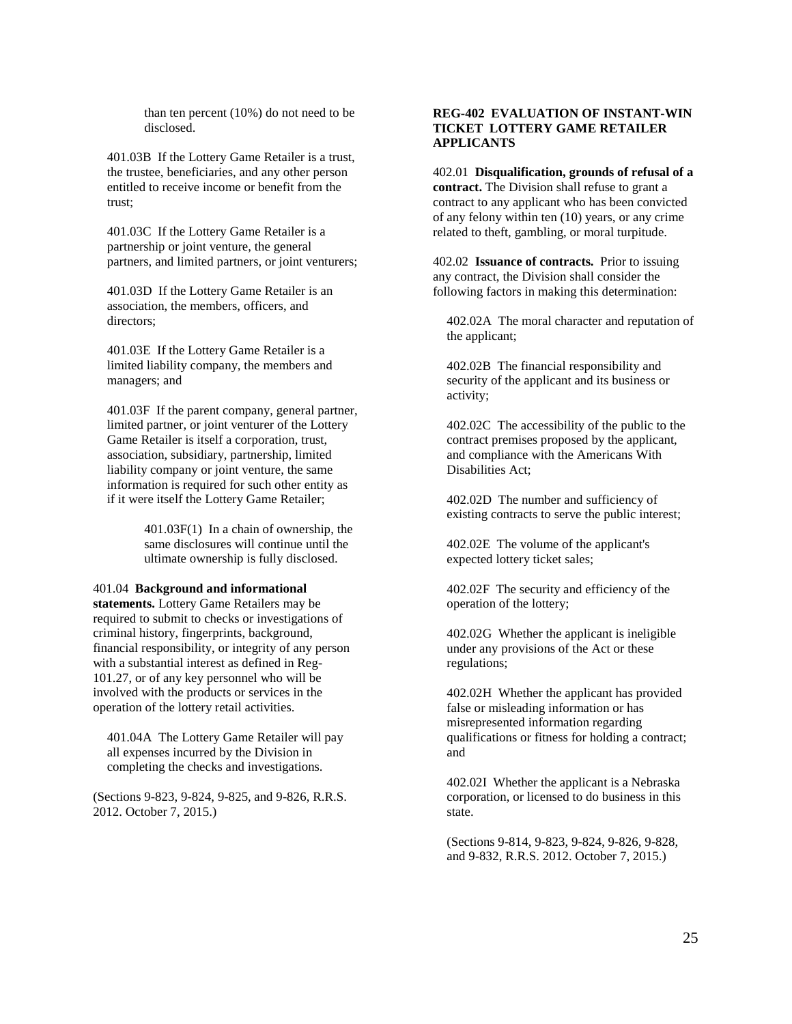than ten percent (10%) do not need to be disclosed.

401.03B If the Lottery Game Retailer is a trust, the trustee, beneficiaries, and any other person entitled to receive income or benefit from the trust;

401.03C If the Lottery Game Retailer is a partnership or joint venture, the general partners, and limited partners, or joint venturers;

401.03D If the Lottery Game Retailer is an association, the members, officers, and directors;

401.03E If the Lottery Game Retailer is a limited liability company, the members and managers; and

401.03F If the parent company, general partner, limited partner, or joint venturer of the Lottery Game Retailer is itself a corporation, trust, association, subsidiary, partnership, limited liability company or joint venture, the same information is required for such other entity as if it were itself the Lottery Game Retailer;

> 401.03F(1) In a chain of ownership, the same disclosures will continue until the ultimate ownership is fully disclosed.

#### 401.04 **Background and informational**

**statements.** Lottery Game Retailers may be required to submit to checks or investigations of criminal history, fingerprints, background, financial responsibility, or integrity of any person with a substantial interest as defined in Reg-101.27, or of any key personnel who will be involved with the products or services in the operation of the lottery retail activities.

401.04A The Lottery Game Retailer will pay all expenses incurred by the Division in completing the checks and investigations.

(Sections 9-823, 9-824, 9-825, and 9-826, R.R.S. 2012. October 7, 2015.)

## **REG-402 EVALUATION OF INSTANT-WIN TICKET LOTTERY GAME RETAILER APPLICANTS**

402.01 **Disqualification, grounds of refusal of a contract.** The Division shall refuse to grant a contract to any applicant who has been convicted of any felony within ten (10) years, or any crime related to theft, gambling, or moral turpitude.

402.02 **Issuance of contracts.** Prior to issuing any contract, the Division shall consider the following factors in making this determination:

402.02A The moral character and reputation of the applicant;

402.02B The financial responsibility and security of the applicant and its business or activity;

402.02C The accessibility of the public to the contract premises proposed by the applicant, and compliance with the Americans With Disabilities Act;

402.02D The number and sufficiency of existing contracts to serve the public interest;

402.02E The volume of the applicant's expected lottery ticket sales;

402.02F The security and efficiency of the operation of the lottery;

402.02G Whether the applicant is ineligible under any provisions of the Act or these regulations;

402.02H Whether the applicant has provided false or misleading information or has misrepresented information regarding qualifications or fitness for holding a contract; and

402.02I Whether the applicant is a Nebraska corporation, or licensed to do business in this state.

(Sections 9-814, 9-823, 9-824, 9-826, 9-828, and 9-832, R.R.S. 2012. October 7, 2015.)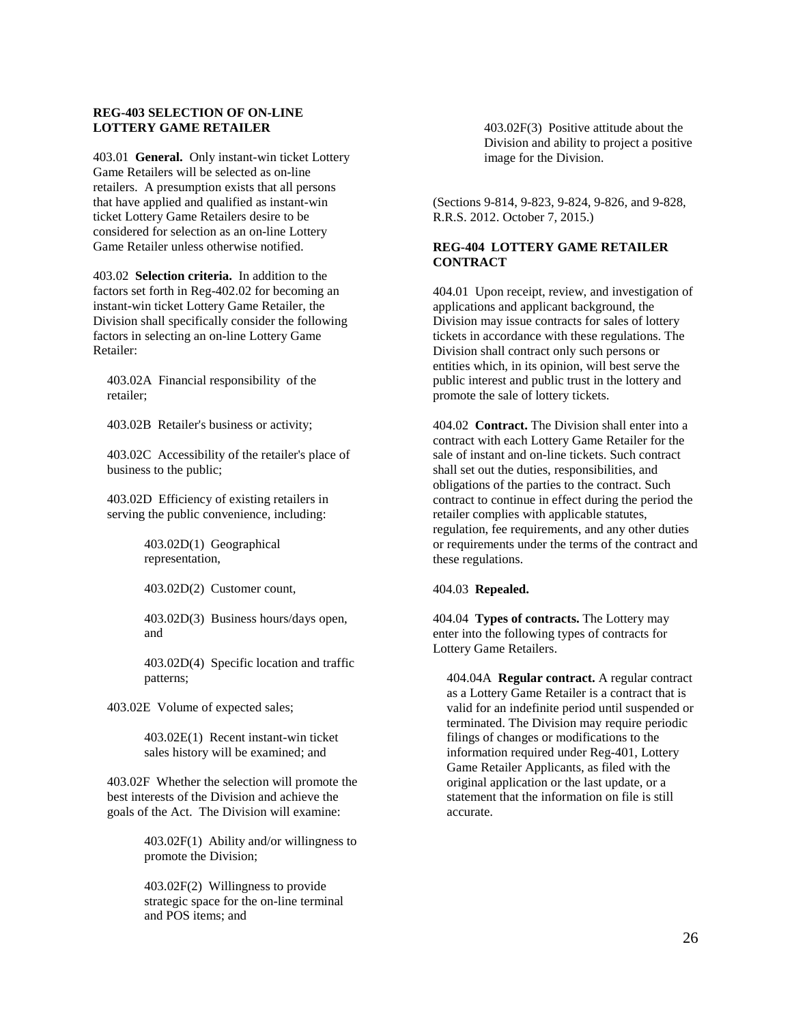### **REG-403 SELECTION OF ON-LINE LOTTERY GAME RETAILER**

403.01 **General.** Only instant-win ticket Lottery Game Retailers will be selected as on-line retailers. A presumption exists that all persons that have applied and qualified as instant-win ticket Lottery Game Retailers desire to be considered for selection as an on-line Lottery Game Retailer unless otherwise notified.

403.02 **Selection criteria.** In addition to the factors set forth in Reg-402.02 for becoming an instant-win ticket Lottery Game Retailer, the Division shall specifically consider the following factors in selecting an on-line Lottery Game Retailer:

403.02A Financial responsibility of the retailer;

403.02B Retailer's business or activity;

403.02C Accessibility of the retailer's place of business to the public;

403.02D Efficiency of existing retailers in serving the public convenience, including:

> 403.02D(1) Geographical representation,

403.02D(2) Customer count,

403.02D(3) Business hours/days open, and

403.02D(4) Specific location and traffic patterns;

403.02E Volume of expected sales;

403.02E(1) Recent instant-win ticket sales history will be examined; and

403.02F Whether the selection will promote the best interests of the Division and achieve the goals of the Act. The Division will examine:

> 403.02F(1) Ability and/or willingness to promote the Division;

403.02F(2) Willingness to provide strategic space for the on-line terminal and POS items; and

403.02F(3) Positive attitude about the Division and ability to project a positive image for the Division.

(Sections 9-814, 9-823, 9-824, 9-826, and 9-828, R.R.S. 2012. October 7, 2015.)

### **REG-404 LOTTERY GAME RETAILER CONTRACT**

404.01 Upon receipt, review, and investigation of applications and applicant background, the Division may issue contracts for sales of lottery tickets in accordance with these regulations. The Division shall contract only such persons or entities which, in its opinion, will best serve the public interest and public trust in the lottery and promote the sale of lottery tickets.

404.02 **Contract.** The Division shall enter into a contract with each Lottery Game Retailer for the sale of instant and on-line tickets. Such contract shall set out the duties, responsibilities, and obligations of the parties to the contract. Such contract to continue in effect during the period the retailer complies with applicable statutes, regulation, fee requirements, and any other duties or requirements under the terms of the contract and these regulations.

## 404.03 **Repealed.**

404.04 **Types of contracts.** The Lottery may enter into the following types of contracts for Lottery Game Retailers.

404.04A **Regular contract.** A regular contract as a Lottery Game Retailer is a contract that is valid for an indefinite period until suspended or terminated. The Division may require periodic filings of changes or modifications to the information required under Reg-401, Lottery Game Retailer Applicants, as filed with the original application or the last update, or a statement that the information on file is still accurate.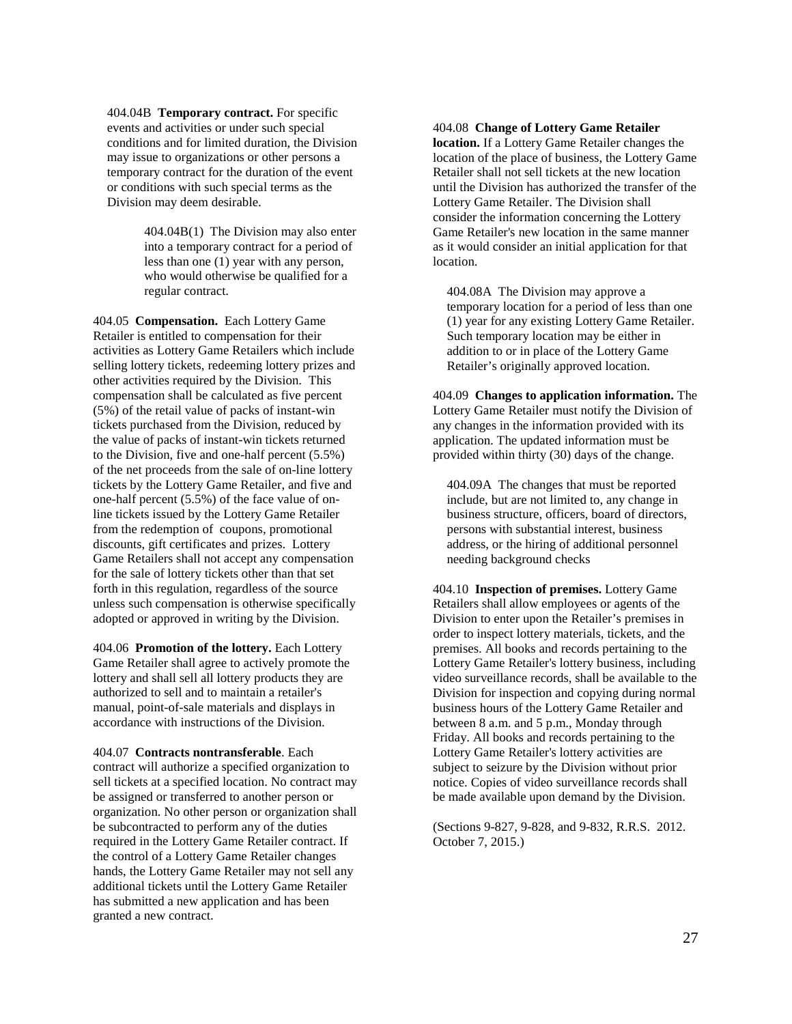404.04B **Temporary contract.** For specific events and activities or under such special conditions and for limited duration, the Division may issue to organizations or other persons a temporary contract for the duration of the event or conditions with such special terms as the Division may deem desirable.

> 404.04B(1) The Division may also enter into a temporary contract for a period of less than one (1) year with any person, who would otherwise be qualified for a regular contract.

404.05 **Compensation.** Each Lottery Game Retailer is entitled to compensation for their activities as Lottery Game Retailers which include selling lottery tickets, redeeming lottery prizes and other activities required by the Division. This compensation shall be calculated as five percent (5%) of the retail value of packs of instant-win tickets purchased from the Division, reduced by the value of packs of instant-win tickets returned to the Division, five and one-half percent (5.5%) of the net proceeds from the sale of on-line lottery tickets by the Lottery Game Retailer, and five and one-half percent (5.5%) of the face value of online tickets issued by the Lottery Game Retailer from the redemption of coupons, promotional discounts, gift certificates and prizes. Lottery Game Retailers shall not accept any compensation for the sale of lottery tickets other than that set forth in this regulation, regardless of the source unless such compensation is otherwise specifically adopted or approved in writing by the Division.

404.06 **Promotion of the lottery.** Each Lottery Game Retailer shall agree to actively promote the lottery and shall sell all lottery products they are authorized to sell and to maintain a retailer's manual, point-of-sale materials and displays in accordance with instructions of the Division.

404.07 **Contracts nontransferable**. Each contract will authorize a specified organization to sell tickets at a specified location. No contract may be assigned or transferred to another person or organization. No other person or organization shall be subcontracted to perform any of the duties required in the Lottery Game Retailer contract. If the control of a Lottery Game Retailer changes hands, the Lottery Game Retailer may not sell any additional tickets until the Lottery Game Retailer has submitted a new application and has been granted a new contract.

#### 404.08 **Change of Lottery Game Retailer**

**location.** If a Lottery Game Retailer changes the location of the place of business, the Lottery Game Retailer shall not sell tickets at the new location until the Division has authorized the transfer of the Lottery Game Retailer. The Division shall consider the information concerning the Lottery Game Retailer's new location in the same manner as it would consider an initial application for that location.

404.08A The Division may approve a temporary location for a period of less than one (1) year for any existing Lottery Game Retailer. Such temporary location may be either in addition to or in place of the Lottery Game Retailer's originally approved location.

404.09 **Changes to application information.** The Lottery Game Retailer must notify the Division of any changes in the information provided with its application. The updated information must be provided within thirty (30) days of the change.

404.09A The changes that must be reported include, but are not limited to, any change in business structure, officers, board of directors, persons with substantial interest, business address, or the hiring of additional personnel needing background checks

404.10 **Inspection of premises.** Lottery Game Retailers shall allow employees or agents of the Division to enter upon the Retailer's premises in order to inspect lottery materials, tickets, and the premises. All books and records pertaining to the Lottery Game Retailer's lottery business, including video surveillance records, shall be available to the Division for inspection and copying during normal business hours of the Lottery Game Retailer and between 8 a.m. and 5 p.m., Monday through Friday. All books and records pertaining to the Lottery Game Retailer's lottery activities are subject to seizure by the Division without prior notice. Copies of video surveillance records shall be made available upon demand by the Division.

(Sections 9-827, 9-828, and 9-832, R.R.S. 2012. October 7, 2015.)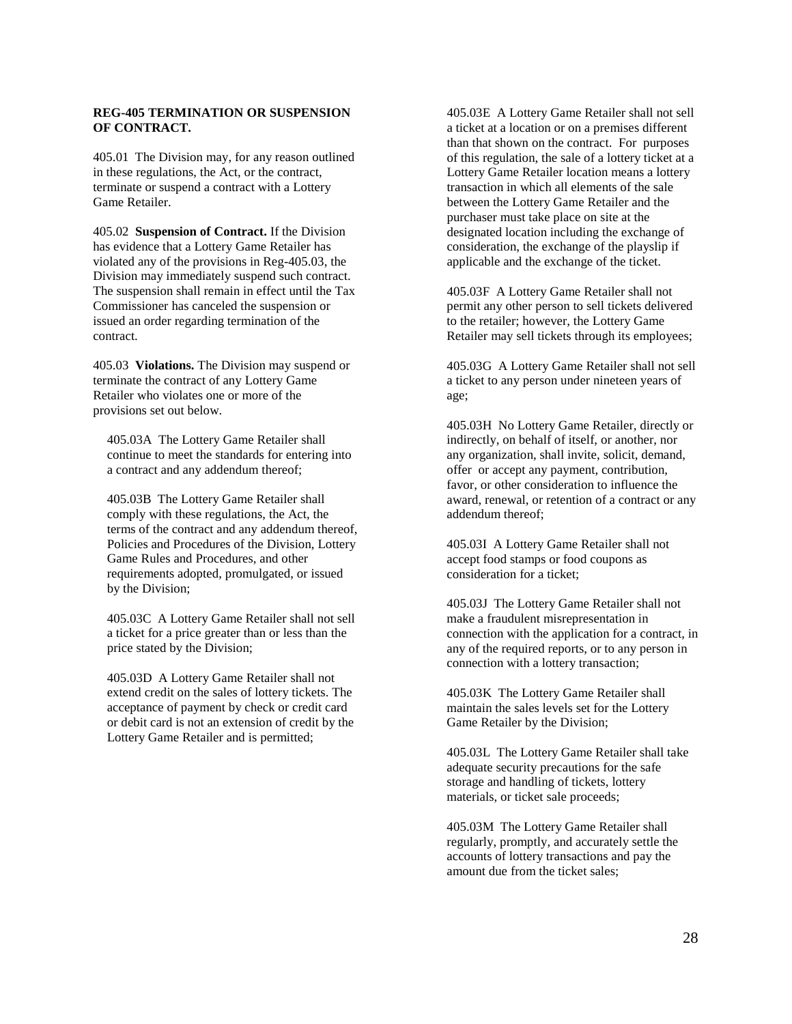## **REG-405 TERMINATION OR SUSPENSION OF CONTRACT.**

405.01 The Division may, for any reason outlined in these regulations, the Act, or the contract, terminate or suspend a contract with a Lottery Game Retailer.

405.02 **Suspension of Contract.** If the Division has evidence that a Lottery Game Retailer has violated any of the provisions in Reg-405.03, the Division may immediately suspend such contract. The suspension shall remain in effect until the Tax Commissioner has canceled the suspension or issued an order regarding termination of the contract.

405.03 **Violations.** The Division may suspend or terminate the contract of any Lottery Game Retailer who violates one or more of the provisions set out below.

405.03A The Lottery Game Retailer shall continue to meet the standards for entering into a contract and any addendum thereof;

405.03B The Lottery Game Retailer shall comply with these regulations, the Act, the terms of the contract and any addendum thereof, Policies and Procedures of the Division, Lottery Game Rules and Procedures, and other requirements adopted, promulgated, or issued by the Division;

405.03C A Lottery Game Retailer shall not sell a ticket for a price greater than or less than the price stated by the Division;

405.03D A Lottery Game Retailer shall not extend credit on the sales of lottery tickets. The acceptance of payment by check or credit card or debit card is not an extension of credit by the Lottery Game Retailer and is permitted;

405.03E A Lottery Game Retailer shall not sell a ticket at a location or on a premises different than that shown on the contract. For purposes of this regulation, the sale of a lottery ticket at a Lottery Game Retailer location means a lottery transaction in which all elements of the sale between the Lottery Game Retailer and the purchaser must take place on site at the designated location including the exchange of consideration, the exchange of the playslip if applicable and the exchange of the ticket.

405.03F A Lottery Game Retailer shall not permit any other person to sell tickets delivered to the retailer; however, the Lottery Game Retailer may sell tickets through its employees;

405.03G A Lottery Game Retailer shall not sell a ticket to any person under nineteen years of age;

405.03H No Lottery Game Retailer, directly or indirectly, on behalf of itself, or another, nor any organization, shall invite, solicit, demand, offer or accept any payment, contribution, favor, or other consideration to influence the award, renewal, or retention of a contract or any addendum thereof;

405.03I A Lottery Game Retailer shall not accept food stamps or food coupons as consideration for a ticket;

405.03J The Lottery Game Retailer shall not make a fraudulent misrepresentation in connection with the application for a contract, in any of the required reports, or to any person in connection with a lottery transaction;

405.03K The Lottery Game Retailer shall maintain the sales levels set for the Lottery Game Retailer by the Division;

405.03L The Lottery Game Retailer shall take adequate security precautions for the safe storage and handling of tickets, lottery materials, or ticket sale proceeds;

405.03M The Lottery Game Retailer shall regularly, promptly, and accurately settle the accounts of lottery transactions and pay the amount due from the ticket sales;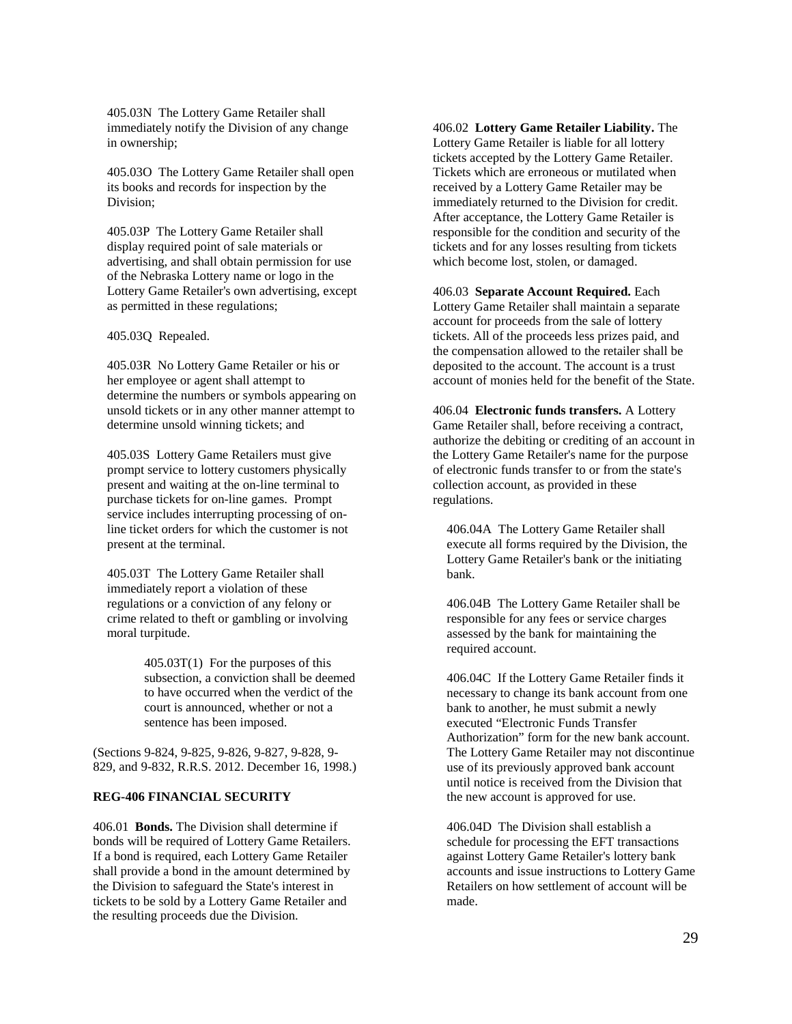405.03N The Lottery Game Retailer shall immediately notify the Division of any change in ownership;

405.03O The Lottery Game Retailer shall open its books and records for inspection by the Division;

405.03P The Lottery Game Retailer shall display required point of sale materials or advertising, and shall obtain permission for use of the Nebraska Lottery name or logo in the Lottery Game Retailer's own advertising, except as permitted in these regulations;

### 405.03Q Repealed.

405.03R No Lottery Game Retailer or his or her employee or agent shall attempt to determine the numbers or symbols appearing on unsold tickets or in any other manner attempt to determine unsold winning tickets; and

405.03S Lottery Game Retailers must give prompt service to lottery customers physically present and waiting at the on-line terminal to purchase tickets for on-line games. Prompt service includes interrupting processing of online ticket orders for which the customer is not present at the terminal.

405.03T The Lottery Game Retailer shall immediately report a violation of these regulations or a conviction of any felony or crime related to theft or gambling or involving moral turpitude.

> 405.03T(1) For the purposes of this subsection, a conviction shall be deemed to have occurred when the verdict of the court is announced, whether or not a sentence has been imposed.

(Sections 9-824, 9-825, 9-826, 9-827, 9-828, 9- 829, and 9-832, R.R.S. 2012. December 16, 1998.)

## **REG-406 FINANCIAL SECURITY**

406.01 **Bonds.** The Division shall determine if bonds will be required of Lottery Game Retailers. If a bond is required, each Lottery Game Retailer shall provide a bond in the amount determined by the Division to safeguard the State's interest in tickets to be sold by a Lottery Game Retailer and the resulting proceeds due the Division.

406.02 **Lottery Game Retailer Liability.** The Lottery Game Retailer is liable for all lottery tickets accepted by the Lottery Game Retailer. Tickets which are erroneous or mutilated when received by a Lottery Game Retailer may be immediately returned to the Division for credit. After acceptance, the Lottery Game Retailer is responsible for the condition and security of the tickets and for any losses resulting from tickets which become lost, stolen, or damaged.

#### 406.03 **Separate Account Required.** Each Lottery Game Retailer shall maintain a separate

account for proceeds from the sale of lottery tickets. All of the proceeds less prizes paid, and the compensation allowed to the retailer shall be deposited to the account. The account is a trust account of monies held for the benefit of the State.

406.04 **Electronic funds transfers.** A Lottery Game Retailer shall, before receiving a contract, authorize the debiting or crediting of an account in the Lottery Game Retailer's name for the purpose of electronic funds transfer to or from the state's collection account, as provided in these regulations.

406.04A The Lottery Game Retailer shall execute all forms required by the Division, the Lottery Game Retailer's bank or the initiating bank.

406.04B The Lottery Game Retailer shall be responsible for any fees or service charges assessed by the bank for maintaining the required account.

406.04C If the Lottery Game Retailer finds it necessary to change its bank account from one bank to another, he must submit a newly executed "Electronic Funds Transfer Authorization" form for the new bank account. The Lottery Game Retailer may not discontinue use of its previously approved bank account until notice is received from the Division that the new account is approved for use.

406.04D The Division shall establish a schedule for processing the EFT transactions against Lottery Game Retailer's lottery bank accounts and issue instructions to Lottery Game Retailers on how settlement of account will be made.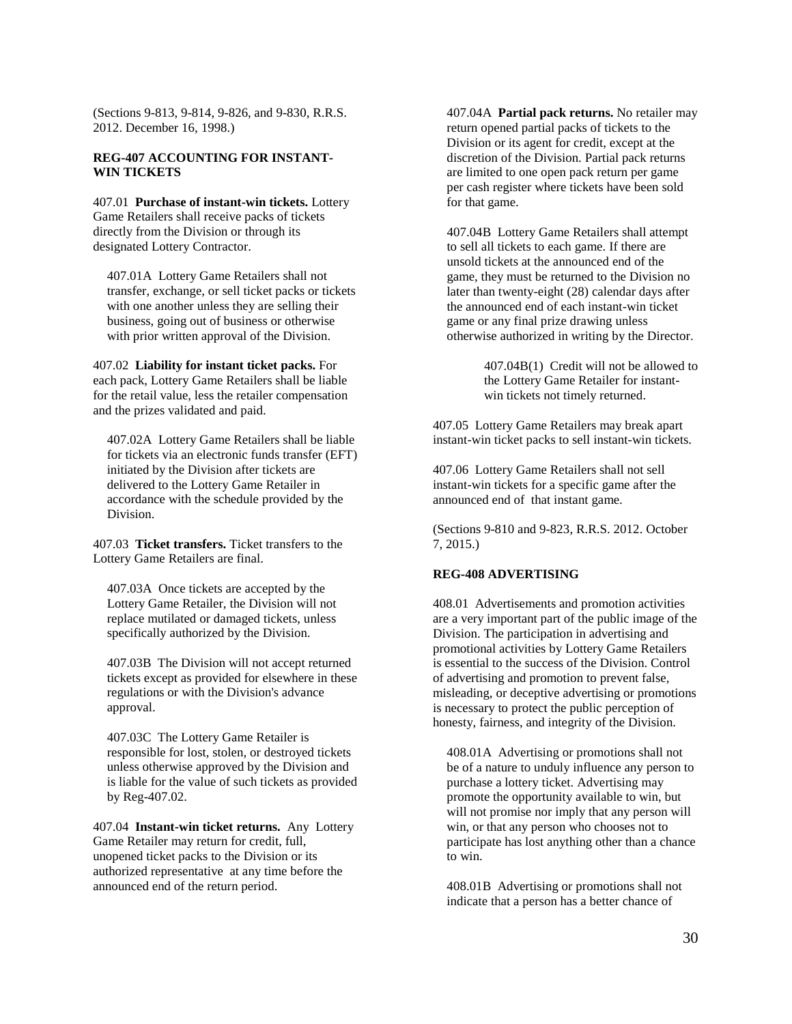(Sections 9-813, 9-814, 9-826, and 9-830, R.R.S. 2012. December 16, 1998.)

### **REG-407 ACCOUNTING FOR INSTANT-WIN TICKETS**

407.01 **Purchase of instant-win tickets.** Lottery Game Retailers shall receive packs of tickets directly from the Division or through its designated Lottery Contractor.

407.01A Lottery Game Retailers shall not transfer, exchange, or sell ticket packs or tickets with one another unless they are selling their business, going out of business or otherwise with prior written approval of the Division.

407.02 **Liability for instant ticket packs.** For each pack, Lottery Game Retailers shall be liable for the retail value, less the retailer compensation and the prizes validated and paid.

407.02A Lottery Game Retailers shall be liable for tickets via an electronic funds transfer (EFT) initiated by the Division after tickets are delivered to the Lottery Game Retailer in accordance with the schedule provided by the Division.

407.03 **Ticket transfers.** Ticket transfers to the Lottery Game Retailers are final.

407.03A Once tickets are accepted by the Lottery Game Retailer, the Division will not replace mutilated or damaged tickets, unless specifically authorized by the Division.

407.03B The Division will not accept returned tickets except as provided for elsewhere in these regulations or with the Division's advance approval.

407.03C The Lottery Game Retailer is responsible for lost, stolen, or destroyed tickets unless otherwise approved by the Division and is liable for the value of such tickets as provided by Reg-407.02.

407.04 **Instant-win ticket returns.** Any Lottery Game Retailer may return for credit, full, unopened ticket packs to the Division or its authorized representative at any time before the announced end of the return period.

407.04A **Partial pack returns.** No retailer may return opened partial packs of tickets to the Division or its agent for credit, except at the discretion of the Division. Partial pack returns are limited to one open pack return per game per cash register where tickets have been sold for that game.

407.04B Lottery Game Retailers shall attempt to sell all tickets to each game. If there are unsold tickets at the announced end of the game, they must be returned to the Division no later than twenty-eight (28) calendar days after the announced end of each instant-win ticket game or any final prize drawing unless otherwise authorized in writing by the Director.

> 407.04B(1) Credit will not be allowed to the Lottery Game Retailer for instantwin tickets not timely returned.

407.05 Lottery Game Retailers may break apart instant-win ticket packs to sell instant-win tickets.

407.06 Lottery Game Retailers shall not sell instant-win tickets for a specific game after the announced end of that instant game.

(Sections 9-810 and 9-823, R.R.S. 2012. October 7, 2015.)

## **REG-408 ADVERTISING**

408.01 Advertisements and promotion activities are a very important part of the public image of the Division. The participation in advertising and promotional activities by Lottery Game Retailers is essential to the success of the Division. Control of advertising and promotion to prevent false, misleading, or deceptive advertising or promotions is necessary to protect the public perception of honesty, fairness, and integrity of the Division.

408.01A Advertising or promotions shall not be of a nature to unduly influence any person to purchase a lottery ticket. Advertising may promote the opportunity available to win, but will not promise nor imply that any person will win, or that any person who chooses not to participate has lost anything other than a chance to win.

408.01B Advertising or promotions shall not indicate that a person has a better chance of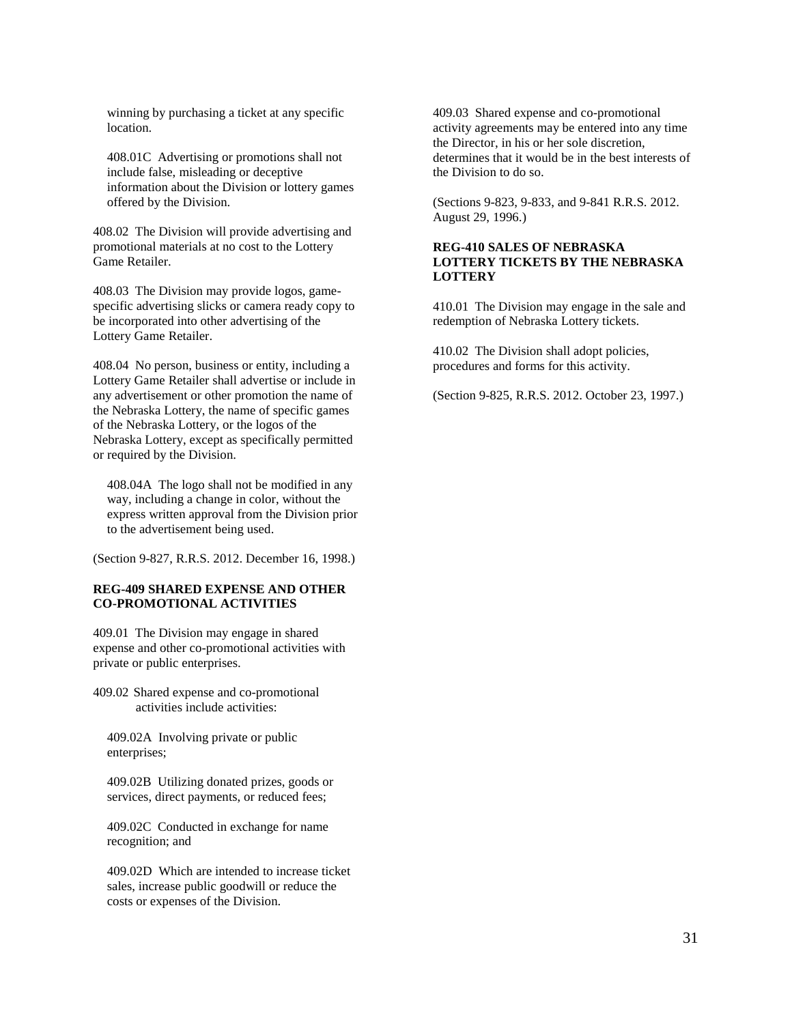winning by purchasing a ticket at any specific location.

408.01C Advertising or promotions shall not include false, misleading or deceptive information about the Division or lottery games offered by the Division.

408.02 The Division will provide advertising and promotional materials at no cost to the Lottery Game Retailer.

408.03 The Division may provide logos, gamespecific advertising slicks or camera ready copy to be incorporated into other advertising of the Lottery Game Retailer.

408.04 No person, business or entity, including a Lottery Game Retailer shall advertise or include in any advertisement or other promotion the name of the Nebraska Lottery, the name of specific games of the Nebraska Lottery, or the logos of the Nebraska Lottery, except as specifically permitted or required by the Division.

408.04A The logo shall not be modified in any way, including a change in color, without the express written approval from the Division prior to the advertisement being used.

(Section 9-827, R.R.S. 2012. December 16, 1998.)

### **REG-409 SHARED EXPENSE AND OTHER CO-PROMOTIONAL ACTIVITIES**

409.01 The Division may engage in shared expense and other co-promotional activities with private or public enterprises.

409.02 Shared expense and co-promotional activities include activities:

409.02A Involving private or public enterprises;

409.02B Utilizing donated prizes, goods or services, direct payments, or reduced fees;

409.02C Conducted in exchange for name recognition; and

409.02D Which are intended to increase ticket sales, increase public goodwill or reduce the costs or expenses of the Division.

409.03 Shared expense and co-promotional activity agreements may be entered into any time the Director, in his or her sole discretion, determines that it would be in the best interests of the Division to do so.

(Sections 9-823, 9-833, and 9-841 R.R.S. 2012. August 29, 1996.)

## **REG-410 SALES OF NEBRASKA LOTTERY TICKETS BY THE NEBRASKA LOTTERY**

410.01 The Division may engage in the sale and redemption of Nebraska Lottery tickets.

410.02 The Division shall adopt policies, procedures and forms for this activity.

(Section 9-825, R.R.S. 2012. October 23, 1997.)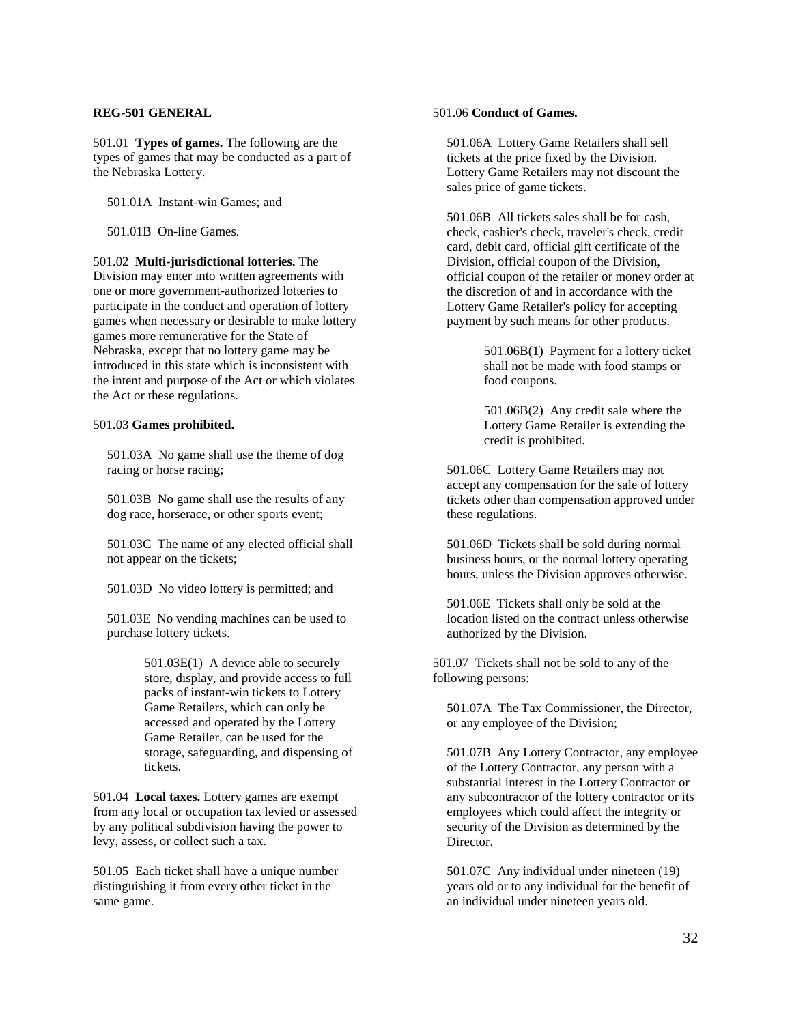#### **REG-501 GENERAL**

501.01 **Types of games.** The following are the types of games that may be conducted as a part of the Nebraska Lottery.

501.01A Instant-win Games; and

501.01B On-line Games.

501.02 **Multi-jurisdictional lotteries.** The Division may enter into written agreements with one or more government-authorized lotteries to participate in the conduct and operation of lottery games when necessary or desirable to make lottery games more remunerative for the State of Nebraska, except that no lottery game may be introduced in this state which is inconsistent with the intent and purpose of the Act or which violates the Act or these regulations.

### 501.03 **Games prohibited.**

501.03A No game shall use the theme of dog racing or horse racing;

501.03B No game shall use the results of any dog race, horserace, or other sports event;

501.03C The name of any elected official shall not appear on the tickets;

501.03D No video lottery is permitted; and

501.03E No vending machines can be used to purchase lottery tickets.

> 501.03E(1) A device able to securely store, display, and provide access to full packs of instant-win tickets to Lottery Game Retailers, which can only be accessed and operated by the Lottery Game Retailer, can be used for the storage, safeguarding, and dispensing of tickets.

501.04 **Local taxes.** Lottery games are exempt from any local or occupation tax levied or assessed by any political subdivision having the power to levy, assess, or collect such a tax.

501.05 Each ticket shall have a unique number distinguishing it from every other ticket in the same game.

### 501.06 **Conduct of Games.**

501.06A Lottery Game Retailers shall sell tickets at the price fixed by the Division. Lottery Game Retailers may not discount the sales price of game tickets.

501.06B All tickets sales shall be for cash, check, cashier's check, traveler's check, credit card, debit card, official gift certificate of the Division, official coupon of the Division, official coupon of the retailer or money order at the discretion of and in accordance with the Lottery Game Retailer's policy for accepting payment by such means for other products.

> 501.06B(1) Payment for a lottery ticket shall not be made with food stamps or food coupons.

501.06B(2) Any credit sale where the Lottery Game Retailer is extending the credit is prohibited.

501.06C Lottery Game Retailers may not accept any compensation for the sale of lottery tickets other than compensation approved under these regulations.

501.06D Tickets shall be sold during normal business hours, or the normal lottery operating hours, unless the Division approves otherwise.

501.06E Tickets shall only be sold at the location listed on the contract unless otherwise authorized by the Division.

501.07 Tickets shall not be sold to any of the following persons:

501.07A The Tax Commissioner, the Director, or any employee of the Division;

501.07B Any Lottery Contractor, any employee of the Lottery Contractor, any person with a substantial interest in the Lottery Contractor or any subcontractor of the lottery contractor or its employees which could affect the integrity or security of the Division as determined by the Director.

501.07C Any individual under nineteen (19) years old or to any individual for the benefit of an individual under nineteen years old.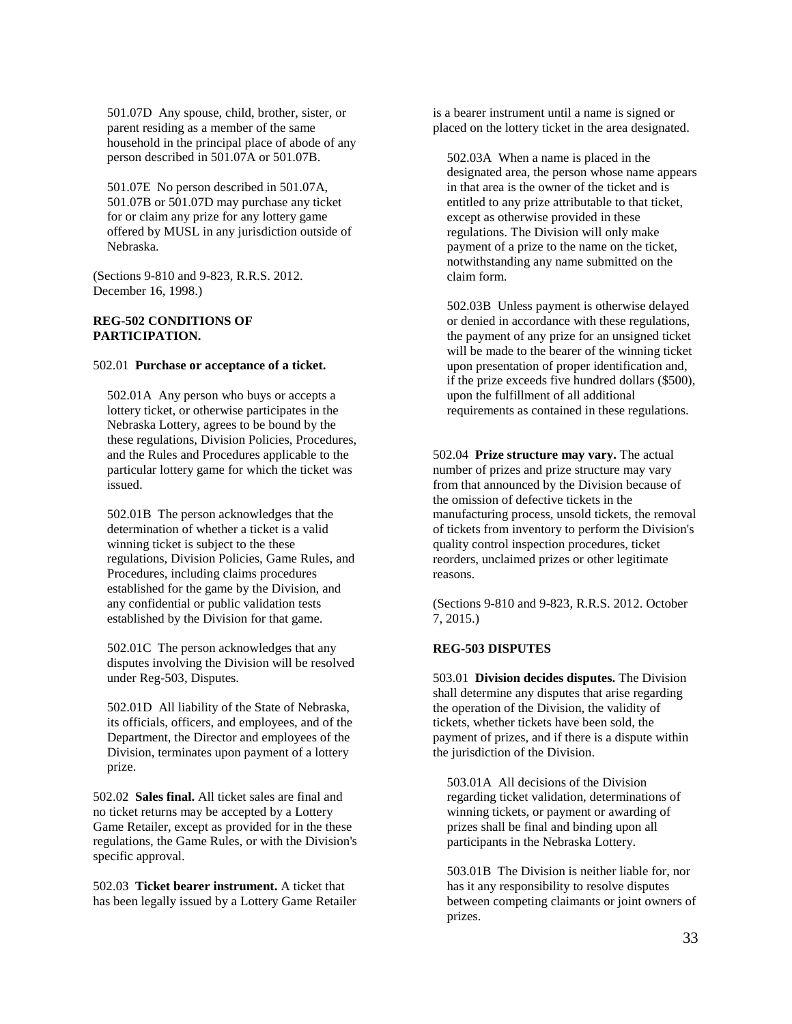501.07D Any spouse, child, brother, sister, or parent residing as a member of the same household in the principal place of abode of any person described in 501.07A or 501.07B.

501.07E No person described in 501.07A, 501.07B or 501.07D may purchase any ticket for or claim any prize for any lottery game offered by MUSL in any jurisdiction outside of Nebraska.

(Sections 9-810 and 9-823, R.R.S. 2012. December 16, 1998.)

## **REG-502 CONDITIONS OF PARTICIPATION.**

#### 502.01 **Purchase or acceptance of a ticket.**

502.01A Any person who buys or accepts a lottery ticket, or otherwise participates in the Nebraska Lottery, agrees to be bound by the these regulations, Division Policies, Procedures, and the Rules and Procedures applicable to the particular lottery game for which the ticket was issued.

502.01B The person acknowledges that the determination of whether a ticket is a valid winning ticket is subject to the these regulations, Division Policies, Game Rules, and Procedures, including claims procedures established for the game by the Division, and any confidential or public validation tests established by the Division for that game.

502.01C The person acknowledges that any disputes involving the Division will be resolved under Reg-503, Disputes.

502.01D All liability of the State of Nebraska, its officials, officers, and employees, and of the Department, the Director and employees of the Division, terminates upon payment of a lottery prize.

502.02 **Sales final.** All ticket sales are final and no ticket returns may be accepted by a Lottery Game Retailer, except as provided for in the these regulations, the Game Rules, or with the Division's specific approval.

502.03 **Ticket bearer instrument.** A ticket that has been legally issued by a Lottery Game Retailer is a bearer instrument until a name is signed or placed on the lottery ticket in the area designated.

502.03A When a name is placed in the designated area, the person whose name appears in that area is the owner of the ticket and is entitled to any prize attributable to that ticket, except as otherwise provided in these regulations. The Division will only make payment of a prize to the name on the ticket, notwithstanding any name submitted on the claim form.

502.03B Unless payment is otherwise delayed or denied in accordance with these regulations, the payment of any prize for an unsigned ticket will be made to the bearer of the winning ticket upon presentation of proper identification and, if the prize exceeds five hundred dollars (\$500), upon the fulfillment of all additional requirements as contained in these regulations.

502.04 **Prize structure may vary.** The actual number of prizes and prize structure may vary from that announced by the Division because of the omission of defective tickets in the manufacturing process, unsold tickets, the removal of tickets from inventory to perform the Division's quality control inspection procedures, ticket reorders, unclaimed prizes or other legitimate reasons.

(Sections 9-810 and 9-823, R.R.S. 2012. October 7, 2015.)

#### **REG-503 DISPUTES**

503.01 **Division decides disputes.** The Division shall determine any disputes that arise regarding the operation of the Division, the validity of tickets, whether tickets have been sold, the payment of prizes, and if there is a dispute within the jurisdiction of the Division.

503.01A All decisions of the Division regarding ticket validation, determinations of winning tickets, or payment or awarding of prizes shall be final and binding upon all participants in the Nebraska Lottery.

503.01B The Division is neither liable for, nor has it any responsibility to resolve disputes between competing claimants or joint owners of prizes.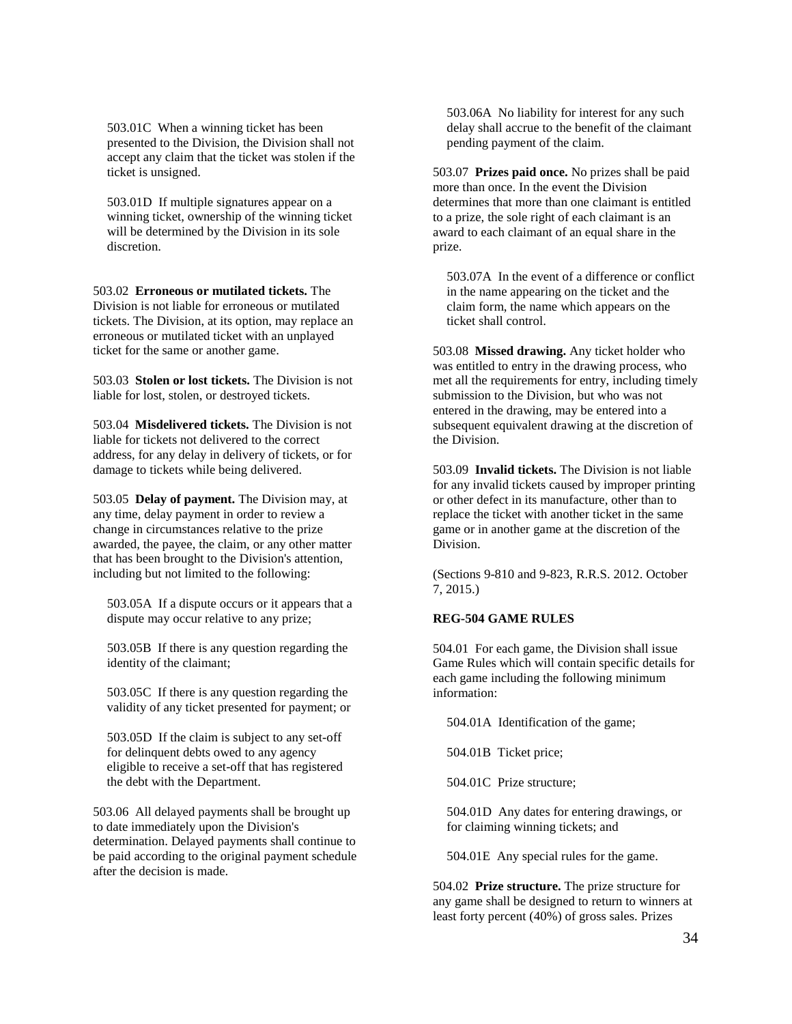503.01C When a winning ticket has been presented to the Division, the Division shall not accept any claim that the ticket was stolen if the ticket is unsigned.

503.01D If multiple signatures appear on a winning ticket, ownership of the winning ticket will be determined by the Division in its sole discretion.

503.02 **Erroneous or mutilated tickets.** The Division is not liable for erroneous or mutilated tickets. The Division, at its option, may replace an erroneous or mutilated ticket with an unplayed ticket for the same or another game.

503.03 **Stolen or lost tickets.** The Division is not liable for lost, stolen, or destroyed tickets.

503.04 **Misdelivered tickets.** The Division is not liable for tickets not delivered to the correct address, for any delay in delivery of tickets, or for damage to tickets while being delivered.

503.05 **Delay of payment.** The Division may, at any time, delay payment in order to review a change in circumstances relative to the prize awarded, the payee, the claim, or any other matter that has been brought to the Division's attention, including but not limited to the following:

503.05A If a dispute occurs or it appears that a dispute may occur relative to any prize;

503.05B If there is any question regarding the identity of the claimant;

503.05C If there is any question regarding the validity of any ticket presented for payment; or

503.05D If the claim is subject to any set-off for delinquent debts owed to any agency eligible to receive a set-off that has registered the debt with the Department.

503.06 All delayed payments shall be brought up to date immediately upon the Division's determination. Delayed payments shall continue to be paid according to the original payment schedule after the decision is made.

503.06A No liability for interest for any such delay shall accrue to the benefit of the claimant pending payment of the claim.

503.07 **Prizes paid once.** No prizes shall be paid more than once. In the event the Division determines that more than one claimant is entitled to a prize, the sole right of each claimant is an award to each claimant of an equal share in the prize.

503.07A In the event of a difference or conflict in the name appearing on the ticket and the claim form, the name which appears on the ticket shall control.

503.08 **Missed drawing.** Any ticket holder who was entitled to entry in the drawing process, who met all the requirements for entry, including timely submission to the Division, but who was not entered in the drawing, may be entered into a subsequent equivalent drawing at the discretion of the Division.

503.09 **Invalid tickets.** The Division is not liable for any invalid tickets caused by improper printing or other defect in its manufacture, other than to replace the ticket with another ticket in the same game or in another game at the discretion of the Division.

(Sections 9-810 and 9-823, R.R.S. 2012. October 7, 2015.)

## **REG-504 GAME RULES**

504.01 For each game, the Division shall issue Game Rules which will contain specific details for each game including the following minimum information:

504.01A Identification of the game;

504.01B Ticket price;

504.01C Prize structure;

504.01D Any dates for entering drawings, or for claiming winning tickets; and

504.01E Any special rules for the game.

504.02 **Prize structure.** The prize structure for any game shall be designed to return to winners at least forty percent (40%) of gross sales. Prizes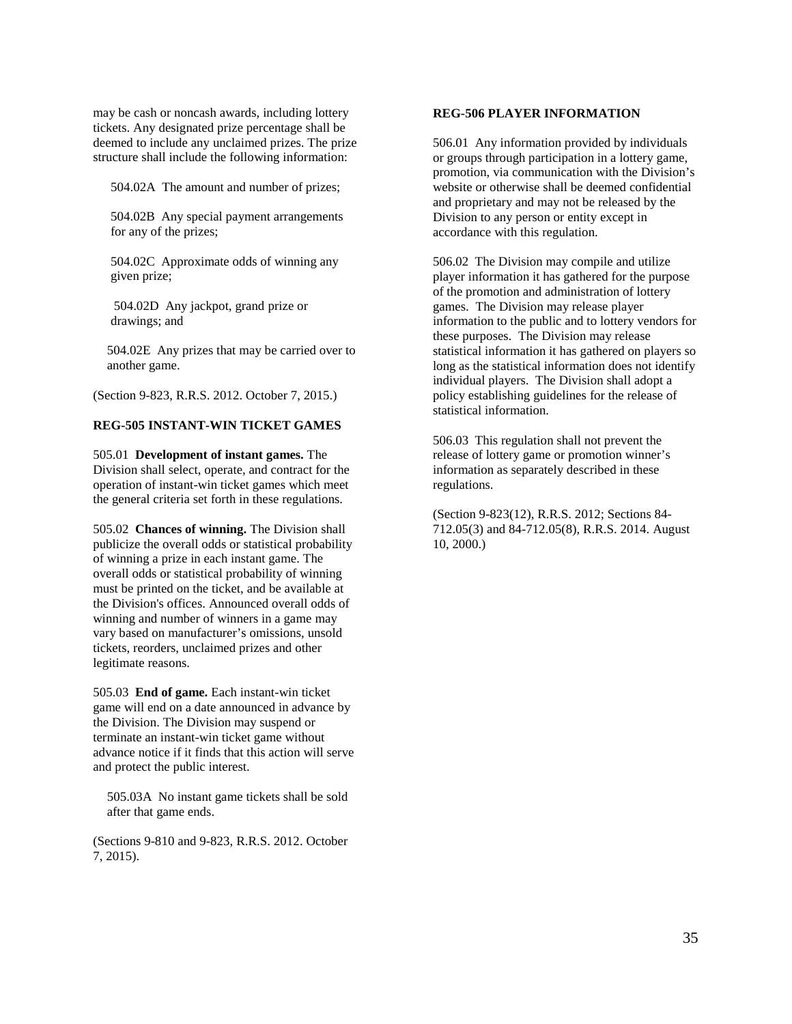may be cash or noncash awards, including lottery tickets. Any designated prize percentage shall be deemed to include any unclaimed prizes. The prize structure shall include the following information:

504.02A The amount and number of prizes;

504.02B Any special payment arrangements for any of the prizes;

504.02C Approximate odds of winning any given prize;

504.02D Any jackpot, grand prize or drawings; and

504.02E Any prizes that may be carried over to another game.

(Section 9-823, R.R.S. 2012. October 7, 2015.)

# **REG-505 INSTANT-WIN TICKET GAMES**

505.01 **Development of instant games.** The Division shall select, operate, and contract for the operation of instant-win ticket games which meet the general criteria set forth in these regulations.

505.02 **Chances of winning.** The Division shall publicize the overall odds or statistical probability of winning a prize in each instant game. The overall odds or statistical probability of winning must be printed on the ticket, and be available at the Division's offices. Announced overall odds of winning and number of winners in a game may vary based on manufacturer's omissions, unsold tickets, reorders, unclaimed prizes and other legitimate reasons.

505.03 **End of game.** Each instant-win ticket game will end on a date announced in advance by the Division. The Division may suspend or terminate an instant-win ticket game without advance notice if it finds that this action will serve and protect the public interest.

505.03A No instant game tickets shall be sold after that game ends.

(Sections 9-810 and 9-823, R.R.S. 2012. October 7, 2015).

### **REG-506 PLAYER INFORMATION**

506.01 Any information provided by individuals or groups through participation in a lottery game, promotion, via communication with the Division's website or otherwise shall be deemed confidential and proprietary and may not be released by the Division to any person or entity except in accordance with this regulation.

506.02 The Division may compile and utilize player information it has gathered for the purpose of the promotion and administration of lottery games. The Division may release player information to the public and to lottery vendors for these purposes. The Division may release statistical information it has gathered on players so long as the statistical information does not identify individual players. The Division shall adopt a policy establishing guidelines for the release of statistical information.

506.03 This regulation shall not prevent the release of lottery game or promotion winner's information as separately described in these regulations.

(Section 9-823(12), R.R.S. 2012; Sections 84- 712.05(3) and 84-712.05(8), R.R.S. 2014. August 10, 2000.)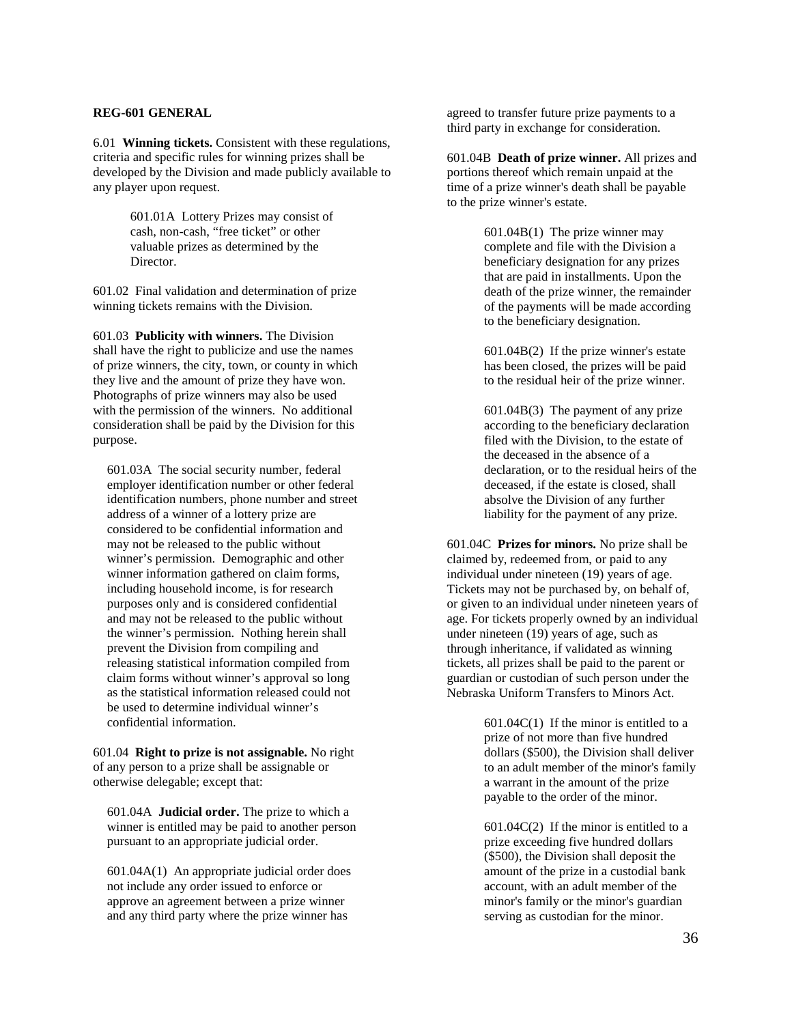### **REG-601 GENERAL**

6.01 **Winning tickets.** Consistent with these regulations, criteria and specific rules for winning prizes shall be developed by the Division and made publicly available to any player upon request.

> 601.01A Lottery Prizes may consist of cash, non-cash, "free ticket" or other valuable prizes as determined by the Director.

601.02 Final validation and determination of prize winning tickets remains with the Division.

601.03 **Publicity with winners.** The Division shall have the right to publicize and use the names of prize winners, the city, town, or county in which they live and the amount of prize they have won. Photographs of prize winners may also be used with the permission of the winners. No additional consideration shall be paid by the Division for this purpose.

601.03A The social security number, federal employer identification number or other federal identification numbers, phone number and street address of a winner of a lottery prize are considered to be confidential information and may not be released to the public without winner's permission. Demographic and other winner information gathered on claim forms, including household income, is for research purposes only and is considered confidential and may not be released to the public without the winner's permission. Nothing herein shall prevent the Division from compiling and releasing statistical information compiled from claim forms without winner's approval so long as the statistical information released could not be used to determine individual winner's confidential information.

601.04 **Right to prize is not assignable.** No right of any person to a prize shall be assignable or otherwise delegable; except that:

601.04A **Judicial order.** The prize to which a winner is entitled may be paid to another person pursuant to an appropriate judicial order.

601.04A(1) An appropriate judicial order does not include any order issued to enforce or approve an agreement between a prize winner and any third party where the prize winner has

agreed to transfer future prize payments to a third party in exchange for consideration.

601.04B **Death of prize winner.** All prizes and portions thereof which remain unpaid at the time of a prize winner's death shall be payable to the prize winner's estate.

> 601.04B(1) The prize winner may complete and file with the Division a beneficiary designation for any prizes that are paid in installments. Upon the death of the prize winner, the remainder of the payments will be made according to the beneficiary designation.

601.04B(2) If the prize winner's estate has been closed, the prizes will be paid to the residual heir of the prize winner.

601.04B(3) The payment of any prize according to the beneficiary declaration filed with the Division, to the estate of the deceased in the absence of a declaration, or to the residual heirs of the deceased, if the estate is closed, shall absolve the Division of any further liability for the payment of any prize.

601.04C **Prizes for minors.** No prize shall be claimed by, redeemed from, or paid to any individual under nineteen (19) years of age. Tickets may not be purchased by, on behalf of, or given to an individual under nineteen years of age. For tickets properly owned by an individual under nineteen (19) years of age, such as through inheritance, if validated as winning tickets, all prizes shall be paid to the parent or guardian or custodian of such person under the Nebraska Uniform Transfers to Minors Act.

> 601.04C(1) If the minor is entitled to a prize of not more than five hundred dollars (\$500), the Division shall deliver to an adult member of the minor's family a warrant in the amount of the prize payable to the order of the minor.

601.04C(2) If the minor is entitled to a prize exceeding five hundred dollars (\$500), the Division shall deposit the amount of the prize in a custodial bank account, with an adult member of the minor's family or the minor's guardian serving as custodian for the minor.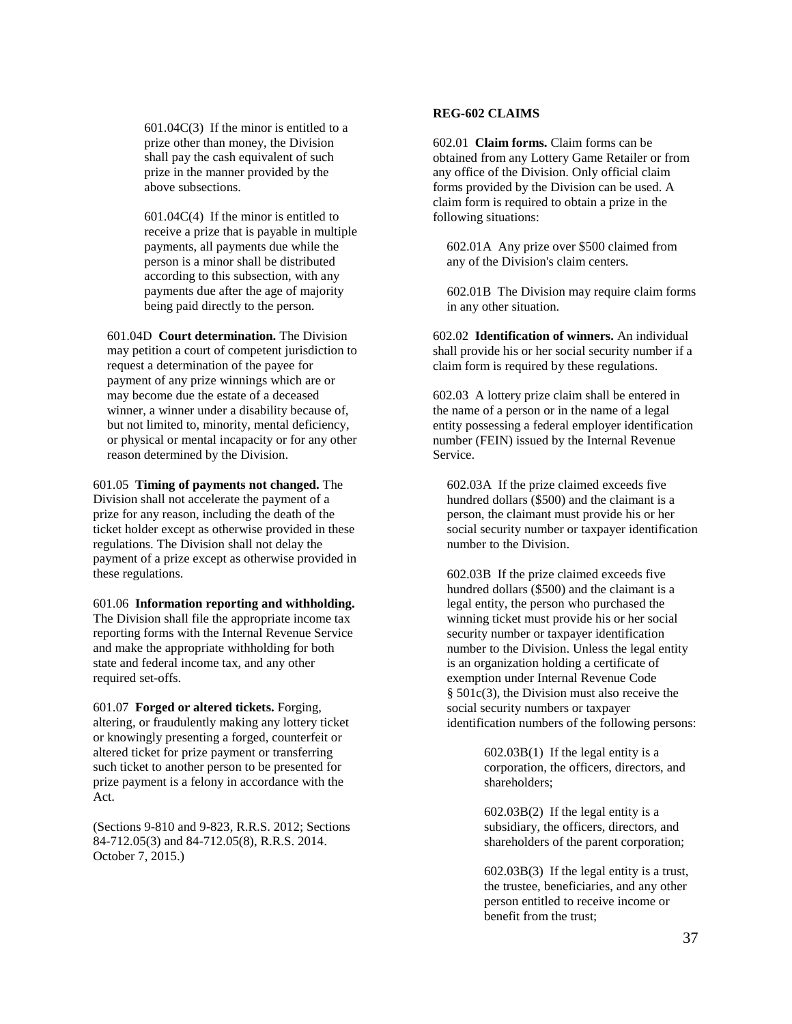601.04C(3) If the minor is entitled to a prize other than money, the Division shall pay the cash equivalent of such prize in the manner provided by the above subsections.

601.04C(4) If the minor is entitled to receive a prize that is payable in multiple payments, all payments due while the person is a minor shall be distributed according to this subsection, with any payments due after the age of majority being paid directly to the person.

601.04D **Court determination.** The Division may petition a court of competent jurisdiction to request a determination of the payee for payment of any prize winnings which are or may become due the estate of a deceased winner, a winner under a disability because of, but not limited to, minority, mental deficiency, or physical or mental incapacity or for any other reason determined by the Division.

601.05 **Timing of payments not changed.** The Division shall not accelerate the payment of a prize for any reason, including the death of the ticket holder except as otherwise provided in these regulations. The Division shall not delay the payment of a prize except as otherwise provided in these regulations.

601.06 **Information reporting and withholding.** The Division shall file the appropriate income tax reporting forms with the Internal Revenue Service and make the appropriate withholding for both state and federal income tax, and any other required set-offs.

601.07 **Forged or altered tickets.** Forging, altering, or fraudulently making any lottery ticket or knowingly presenting a forged, counterfeit or altered ticket for prize payment or transferring such ticket to another person to be presented for prize payment is a felony in accordance with the Act.

(Sections 9-810 and 9-823, R.R.S. 2012; Sections 84-712.05(3) and 84-712.05(8), R.R.S. 2014. October 7, 2015.)

# **REG-602 CLAIMS**

602.01 **Claim forms.** Claim forms can be obtained from any Lottery Game Retailer or from any office of the Division. Only official claim forms provided by the Division can be used. A claim form is required to obtain a prize in the following situations:

602.01A Any prize over \$500 claimed from any of the Division's claim centers.

602.01B The Division may require claim forms in any other situation.

602.02 **Identification of winners.** An individual shall provide his or her social security number if a claim form is required by these regulations.

602.03 A lottery prize claim shall be entered in the name of a person or in the name of a legal entity possessing a federal employer identification number (FEIN) issued by the Internal Revenue Service.

602.03A If the prize claimed exceeds five hundred dollars (\$500) and the claimant is a person, the claimant must provide his or her social security number or taxpayer identification number to the Division.

602.03B If the prize claimed exceeds five hundred dollars (\$500) and the claimant is a legal entity, the person who purchased the winning ticket must provide his or her social security number or taxpayer identification number to the Division. Unless the legal entity is an organization holding a certificate of exemption under Internal Revenue Code § 501c(3), the Division must also receive the social security numbers or taxpayer identification numbers of the following persons:

> 602.03B(1) If the legal entity is a corporation, the officers, directors, and shareholders;

> 602.03B(2) If the legal entity is a subsidiary, the officers, directors, and shareholders of the parent corporation;

602.03B(3) If the legal entity is a trust, the trustee, beneficiaries, and any other person entitled to receive income or benefit from the trust;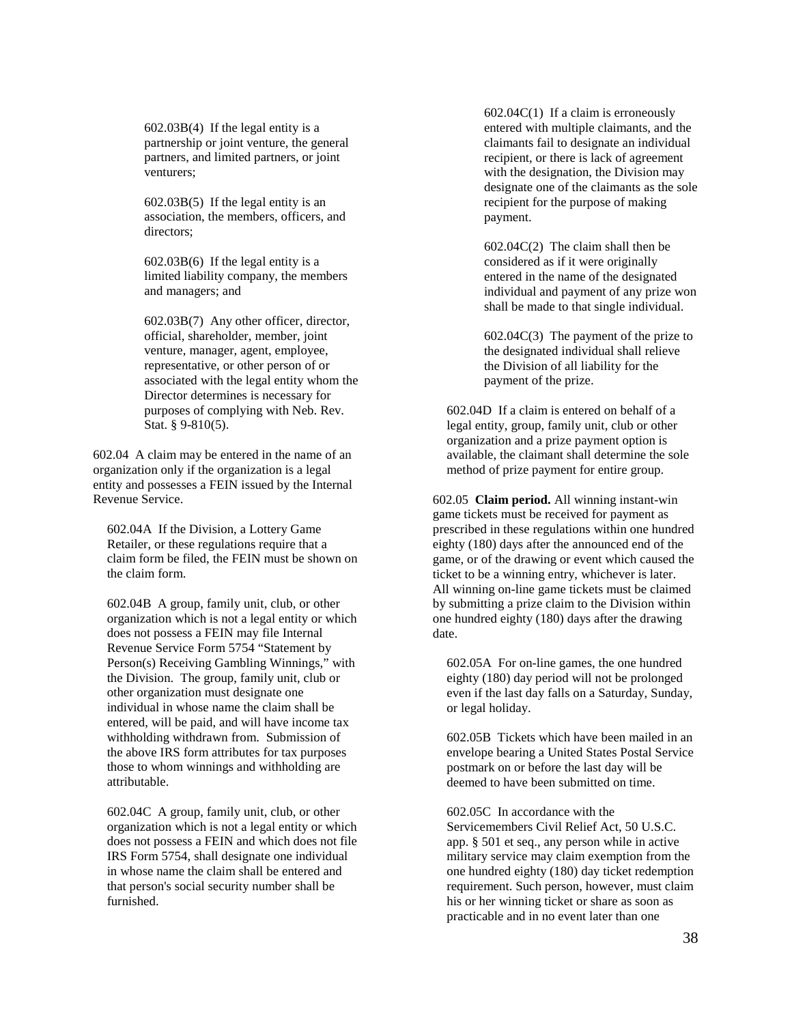602.03B(4) If the legal entity is a partnership or joint venture, the general partners, and limited partners, or joint venturers;

602.03B(5) If the legal entity is an association, the members, officers, and directors;

602.03B(6) If the legal entity is a limited liability company, the members and managers; and

602.03B(7) Any other officer, director, official, shareholder, member, joint venture, manager, agent, employee, representative, or other person of or associated with the legal entity whom the Director determines is necessary for purposes of complying with Neb. Rev. Stat. § 9-810(5).

602.04 A claim may be entered in the name of an organization only if the organization is a legal entity and possesses a FEIN issued by the Internal Revenue Service.

602.04A If the Division, a Lottery Game Retailer, or these regulations require that a claim form be filed, the FEIN must be shown on the claim form.

602.04B A group, family unit, club, or other organization which is not a legal entity or which does not possess a FEIN may file Internal Revenue Service Form 5754 "Statement by Person(s) Receiving Gambling Winnings," with the Division. The group, family unit, club or other organization must designate one individual in whose name the claim shall be entered, will be paid, and will have income tax withholding withdrawn from. Submission of the above IRS form attributes for tax purposes those to whom winnings and withholding are attributable.

602.04C A group, family unit, club, or other organization which is not a legal entity or which does not possess a FEIN and which does not file IRS Form 5754, shall designate one individual in whose name the claim shall be entered and that person's social security number shall be furnished.

602.04C(1) If a claim is erroneously entered with multiple claimants, and the claimants fail to designate an individual recipient, or there is lack of agreement with the designation, the Division may designate one of the claimants as the sole recipient for the purpose of making payment.

602.04C(2) The claim shall then be considered as if it were originally entered in the name of the designated individual and payment of any prize won shall be made to that single individual.

602.04C(3) The payment of the prize to the designated individual shall relieve the Division of all liability for the payment of the prize.

602.04D If a claim is entered on behalf of a legal entity, group, family unit, club or other organization and a prize payment option is available, the claimant shall determine the sole method of prize payment for entire group.

602.05 **Claim period.** All winning instant-win game tickets must be received for payment as prescribed in these regulations within one hundred eighty (180) days after the announced end of the game, or of the drawing or event which caused the ticket to be a winning entry, whichever is later. All winning on-line game tickets must be claimed by submitting a prize claim to the Division within one hundred eighty (180) days after the drawing date.

602.05A For on-line games, the one hundred eighty (180) day period will not be prolonged even if the last day falls on a Saturday, Sunday, or legal holiday.

602.05B Tickets which have been mailed in an envelope bearing a United States Postal Service postmark on or before the last day will be deemed to have been submitted on time.

602.05C In accordance with the Servicemembers Civil Relief Act, 50 U.S.C. app. § 501 et seq., any person while in active military service may claim exemption from the one hundred eighty (180) day ticket redemption requirement. Such person, however, must claim his or her winning ticket or share as soon as practicable and in no event later than one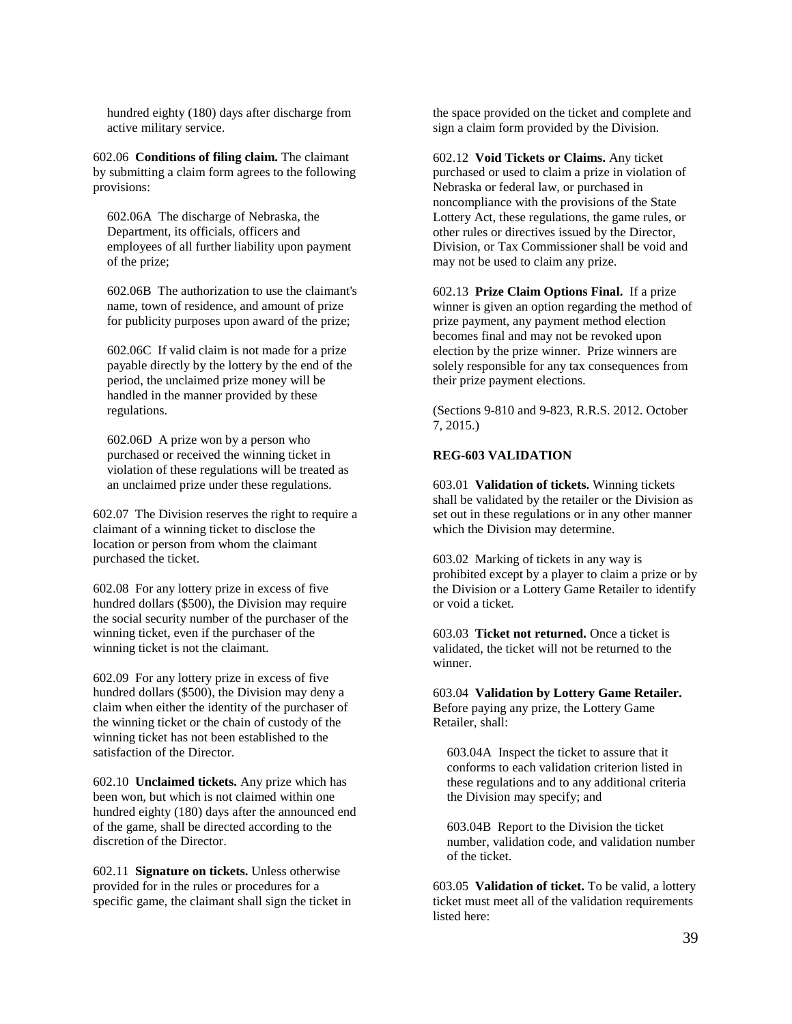hundred eighty (180) days after discharge from active military service.

602.06 **Conditions of filing claim.** The claimant by submitting a claim form agrees to the following provisions:

602.06A The discharge of Nebraska, the Department, its officials, officers and employees of all further liability upon payment of the prize;

602.06B The authorization to use the claimant's name, town of residence, and amount of prize for publicity purposes upon award of the prize;

602.06C If valid claim is not made for a prize payable directly by the lottery by the end of the period, the unclaimed prize money will be handled in the manner provided by these regulations.

602.06D A prize won by a person who purchased or received the winning ticket in violation of these regulations will be treated as an unclaimed prize under these regulations.

602.07 The Division reserves the right to require a claimant of a winning ticket to disclose the location or person from whom the claimant purchased the ticket.

602.08 For any lottery prize in excess of five hundred dollars (\$500), the Division may require the social security number of the purchaser of the winning ticket, even if the purchaser of the winning ticket is not the claimant.

602.09 For any lottery prize in excess of five hundred dollars (\$500), the Division may deny a claim when either the identity of the purchaser of the winning ticket or the chain of custody of the winning ticket has not been established to the satisfaction of the Director.

602.10 **Unclaimed tickets.** Any prize which has been won, but which is not claimed within one hundred eighty (180) days after the announced end of the game, shall be directed according to the discretion of the Director.

602.11 **Signature on tickets.** Unless otherwise provided for in the rules or procedures for a specific game, the claimant shall sign the ticket in the space provided on the ticket and complete and sign a claim form provided by the Division.

602.12 **Void Tickets or Claims.** Any ticket purchased or used to claim a prize in violation of Nebraska or federal law, or purchased in noncompliance with the provisions of the State Lottery Act, these regulations, the game rules, or other rules or directives issued by the Director, Division, or Tax Commissioner shall be void and may not be used to claim any prize.

602.13 **Prize Claim Options Final.** If a prize winner is given an option regarding the method of prize payment, any payment method election becomes final and may not be revoked upon election by the prize winner. Prize winners are solely responsible for any tax consequences from their prize payment elections.

(Sections 9-810 and 9-823, R.R.S. 2012. October 7, 2015.)

# **REG-603 VALIDATION**

603.01 **Validation of tickets.** Winning tickets shall be validated by the retailer or the Division as set out in these regulations or in any other manner which the Division may determine.

603.02 Marking of tickets in any way is prohibited except by a player to claim a prize or by the Division or a Lottery Game Retailer to identify or void a ticket.

603.03 **Ticket not returned.** Once a ticket is validated, the ticket will not be returned to the winner.

603.04 **Validation by Lottery Game Retailer.** Before paying any prize, the Lottery Game Retailer, shall:

603.04A Inspect the ticket to assure that it conforms to each validation criterion listed in these regulations and to any additional criteria the Division may specify; and

603.04B Report to the Division the ticket number, validation code, and validation number of the ticket.

603.05 **Validation of ticket.** To be valid, a lottery ticket must meet all of the validation requirements listed here: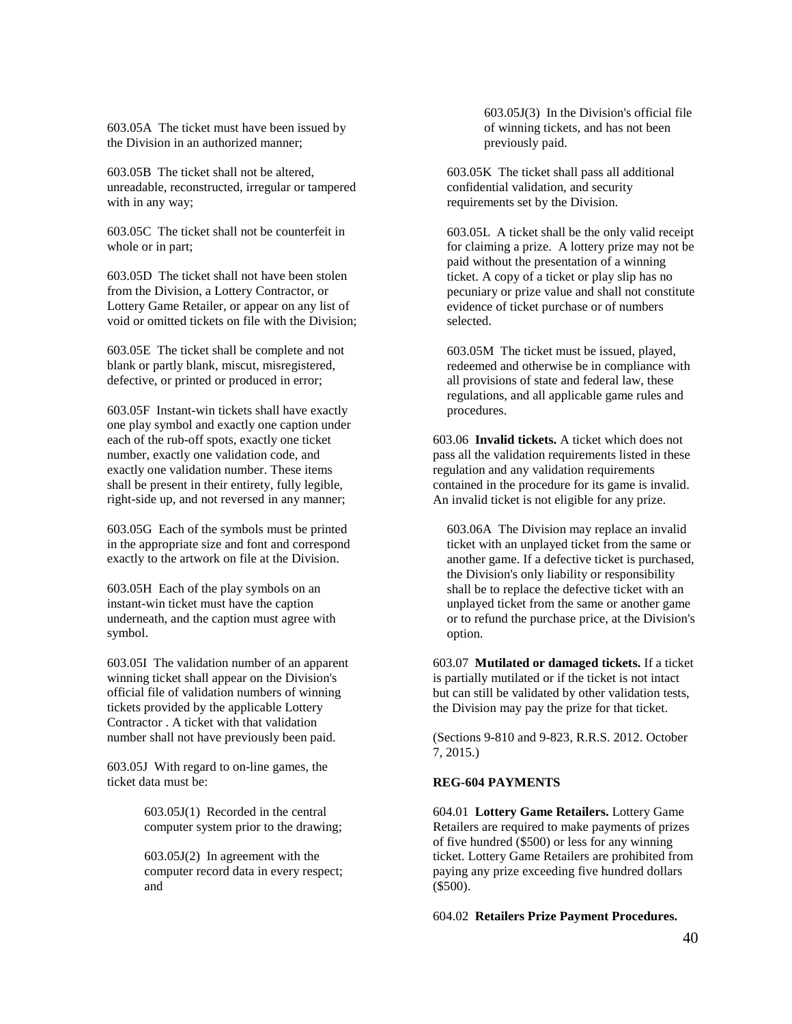603.05A The ticket must have been issued by the Division in an authorized manner;

603.05B The ticket shall not be altered, unreadable, reconstructed, irregular or tampered with in any way;

603.05C The ticket shall not be counterfeit in whole or in part;

603.05D The ticket shall not have been stolen from the Division, a Lottery Contractor, or Lottery Game Retailer, or appear on any list of void or omitted tickets on file with the Division;

603.05E The ticket shall be complete and not blank or partly blank, miscut, misregistered, defective, or printed or produced in error;

603.05F Instant-win tickets shall have exactly one play symbol and exactly one caption under each of the rub-off spots, exactly one ticket number, exactly one validation code, and exactly one validation number. These items shall be present in their entirety, fully legible, right-side up, and not reversed in any manner;

603.05G Each of the symbols must be printed in the appropriate size and font and correspond exactly to the artwork on file at the Division.

603.05H Each of the play symbols on an instant-win ticket must have the caption underneath, and the caption must agree with symbol.

603.05I The validation number of an apparent winning ticket shall appear on the Division's official file of validation numbers of winning tickets provided by the applicable Lottery Contractor . A ticket with that validation number shall not have previously been paid.

603.05J With regard to on-line games, the ticket data must be:

> 603.05J(1) Recorded in the central computer system prior to the drawing;

> 603.05J(2) In agreement with the computer record data in every respect; and

603.05J(3) In the Division's official file of winning tickets, and has not been previously paid.

603.05K The ticket shall pass all additional confidential validation, and security requirements set by the Division.

603.05L A ticket shall be the only valid receipt for claiming a prize. A lottery prize may not be paid without the presentation of a winning ticket. A copy of a ticket or play slip has no pecuniary or prize value and shall not constitute evidence of ticket purchase or of numbers selected.

603.05M The ticket must be issued, played, redeemed and otherwise be in compliance with all provisions of state and federal law, these regulations, and all applicable game rules and procedures.

603.06 **Invalid tickets.** A ticket which does not pass all the validation requirements listed in these regulation and any validation requirements contained in the procedure for its game is invalid. An invalid ticket is not eligible for any prize.

603.06A The Division may replace an invalid ticket with an unplayed ticket from the same or another game. If a defective ticket is purchased, the Division's only liability or responsibility shall be to replace the defective ticket with an unplayed ticket from the same or another game or to refund the purchase price, at the Division's option.

603.07 **Mutilated or damaged tickets.** If a ticket is partially mutilated or if the ticket is not intact but can still be validated by other validation tests, the Division may pay the prize for that ticket.

(Sections 9-810 and 9-823, R.R.S. 2012. October 7, 2015.)

## **REG-604 PAYMENTS**

604.01 **Lottery Game Retailers.** Lottery Game Retailers are required to make payments of prizes of five hundred (\$500) or less for any winning ticket. Lottery Game Retailers are prohibited from paying any prize exceeding five hundred dollars (\$500).

604.02 **Retailers Prize Payment Procedures.**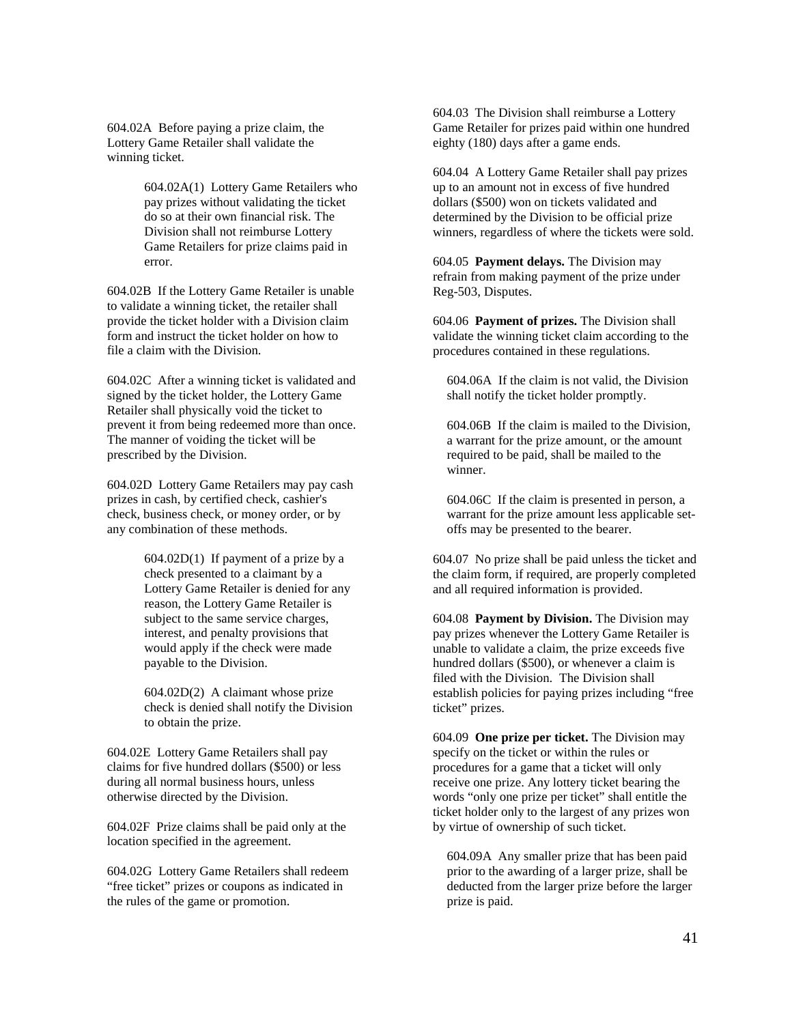604.02A Before paying a prize claim, the Lottery Game Retailer shall validate the winning ticket.

> 604.02A(1) Lottery Game Retailers who pay prizes without validating the ticket do so at their own financial risk. The Division shall not reimburse Lottery Game Retailers for prize claims paid in error.

604.02B If the Lottery Game Retailer is unable to validate a winning ticket, the retailer shall provide the ticket holder with a Division claim form and instruct the ticket holder on how to file a claim with the Division.

604.02C After a winning ticket is validated and signed by the ticket holder, the Lottery Game Retailer shall physically void the ticket to prevent it from being redeemed more than once. The manner of voiding the ticket will be prescribed by the Division.

604.02D Lottery Game Retailers may pay cash prizes in cash, by certified check, cashier's check, business check, or money order, or by any combination of these methods.

> 604.02D(1) If payment of a prize by a check presented to a claimant by a Lottery Game Retailer is denied for any reason, the Lottery Game Retailer is subject to the same service charges, interest, and penalty provisions that would apply if the check were made payable to the Division.

> 604.02D(2) A claimant whose prize check is denied shall notify the Division to obtain the prize.

604.02E Lottery Game Retailers shall pay claims for five hundred dollars (\$500) or less during all normal business hours, unless otherwise directed by the Division.

604.02F Prize claims shall be paid only at the location specified in the agreement.

604.02G Lottery Game Retailers shall redeem "free ticket" prizes or coupons as indicated in the rules of the game or promotion.

604.03 The Division shall reimburse a Lottery Game Retailer for prizes paid within one hundred eighty (180) days after a game ends.

604.04 A Lottery Game Retailer shall pay prizes up to an amount not in excess of five hundred dollars (\$500) won on tickets validated and determined by the Division to be official prize winners, regardless of where the tickets were sold.

604.05 **Payment delays.** The Division may refrain from making payment of the prize under Reg-503, Disputes.

604.06 **Payment of prizes.** The Division shall validate the winning ticket claim according to the procedures contained in these regulations.

604.06A If the claim is not valid, the Division shall notify the ticket holder promptly.

604.06B If the claim is mailed to the Division, a warrant for the prize amount, or the amount required to be paid, shall be mailed to the winner.

604.06C If the claim is presented in person, a warrant for the prize amount less applicable setoffs may be presented to the bearer.

604.07 No prize shall be paid unless the ticket and the claim form, if required, are properly completed and all required information is provided.

604.08 **Payment by Division.** The Division may pay prizes whenever the Lottery Game Retailer is unable to validate a claim, the prize exceeds five hundred dollars (\$500), or whenever a claim is filed with the Division. The Division shall establish policies for paying prizes including "free ticket" prizes.

604.09 **One prize per ticket.** The Division may specify on the ticket or within the rules or procedures for a game that a ticket will only receive one prize. Any lottery ticket bearing the words "only one prize per ticket" shall entitle the ticket holder only to the largest of any prizes won by virtue of ownership of such ticket.

604.09A Any smaller prize that has been paid prior to the awarding of a larger prize, shall be deducted from the larger prize before the larger prize is paid.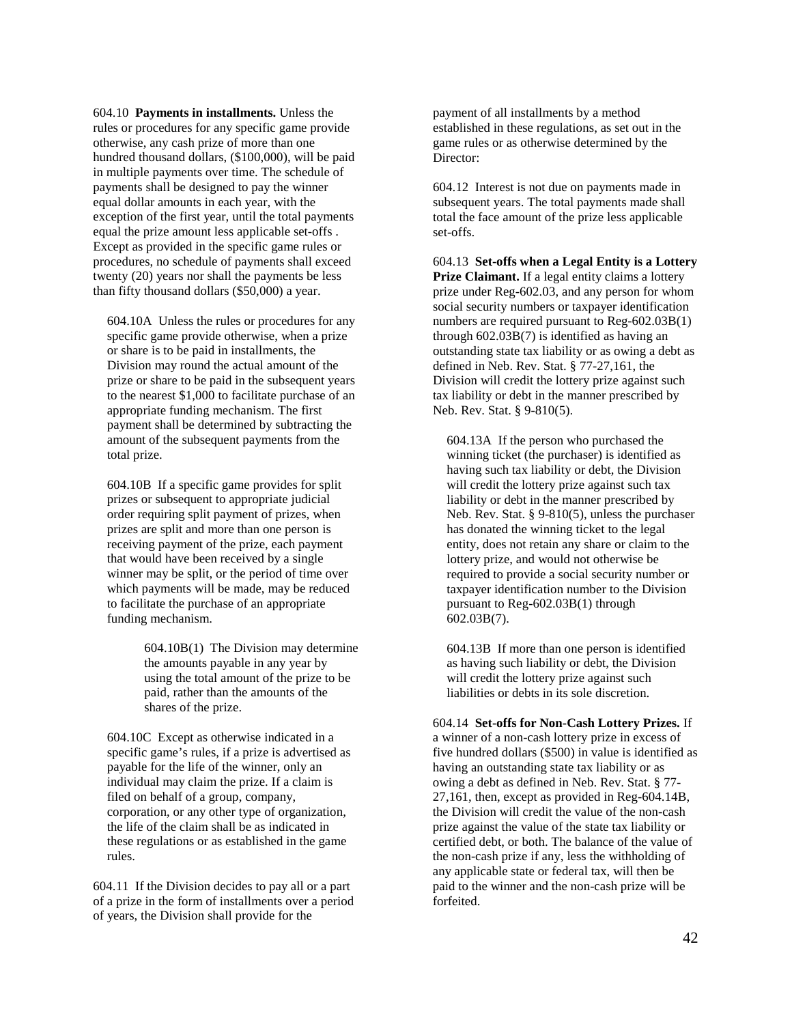604.10 **Payments in installments.** Unless the rules or procedures for any specific game provide otherwise, any cash prize of more than one hundred thousand dollars, (\$100,000), will be paid in multiple payments over time. The schedule of payments shall be designed to pay the winner equal dollar amounts in each year, with the exception of the first year, until the total payments equal the prize amount less applicable set-offs . Except as provided in the specific game rules or procedures, no schedule of payments shall exceed twenty (20) years nor shall the payments be less than fifty thousand dollars (\$50,000) a year.

604.10A Unless the rules or procedures for any specific game provide otherwise, when a prize or share is to be paid in installments, the Division may round the actual amount of the prize or share to be paid in the subsequent years to the nearest \$1,000 to facilitate purchase of an appropriate funding mechanism. The first payment shall be determined by subtracting the amount of the subsequent payments from the total prize.

604.10B If a specific game provides for split prizes or subsequent to appropriate judicial order requiring split payment of prizes, when prizes are split and more than one person is receiving payment of the prize, each payment that would have been received by a single winner may be split, or the period of time over which payments will be made, may be reduced to facilitate the purchase of an appropriate funding mechanism.

> 604.10B(1) The Division may determine the amounts payable in any year by using the total amount of the prize to be paid, rather than the amounts of the shares of the prize.

604.10C Except as otherwise indicated in a specific game's rules, if a prize is advertised as payable for the life of the winner, only an individual may claim the prize. If a claim is filed on behalf of a group, company, corporation, or any other type of organization, the life of the claim shall be as indicated in these regulations or as established in the game rules.

604.11 If the Division decides to pay all or a part of a prize in the form of installments over a period of years, the Division shall provide for the

payment of all installments by a method established in these regulations, as set out in the game rules or as otherwise determined by the Director:

604.12 Interest is not due on payments made in subsequent years. The total payments made shall total the face amount of the prize less applicable set-offs.

604.13 **Set-offs when a Legal Entity is a Lottery Prize Claimant.** If a legal entity claims a lottery prize under Reg-602.03, and any person for whom social security numbers or taxpayer identification numbers are required pursuant to Reg-602.03B(1) through 602.03B(7) is identified as having an outstanding state tax liability or as owing a debt as defined in Neb. Rev. Stat. § 77-27,161, the Division will credit the lottery prize against such tax liability or debt in the manner prescribed by Neb. Rev. Stat. § 9-810(5).

604.13A If the person who purchased the winning ticket (the purchaser) is identified as having such tax liability or debt, the Division will credit the lottery prize against such tax liability or debt in the manner prescribed by Neb. Rev. Stat. § 9-810(5), unless the purchaser has donated the winning ticket to the legal entity, does not retain any share or claim to the lottery prize, and would not otherwise be required to provide a social security number or taxpayer identification number to the Division pursuant to Reg-602.03B(1) through 602.03B(7).

604.13B If more than one person is identified as having such liability or debt, the Division will credit the lottery prize against such liabilities or debts in its sole discretion.

604.14 **Set-offs for Non-Cash Lottery Prizes.** If a winner of a non-cash lottery prize in excess of five hundred dollars (\$500) in value is identified as having an outstanding state tax liability or as owing a debt as defined in Neb. Rev. Stat. § 77- 27,161, then, except as provided in Reg-604.14B, the Division will credit the value of the non-cash prize against the value of the state tax liability or certified debt, or both. The balance of the value of the non-cash prize if any, less the withholding of any applicable state or federal tax, will then be paid to the winner and the non-cash prize will be forfeited.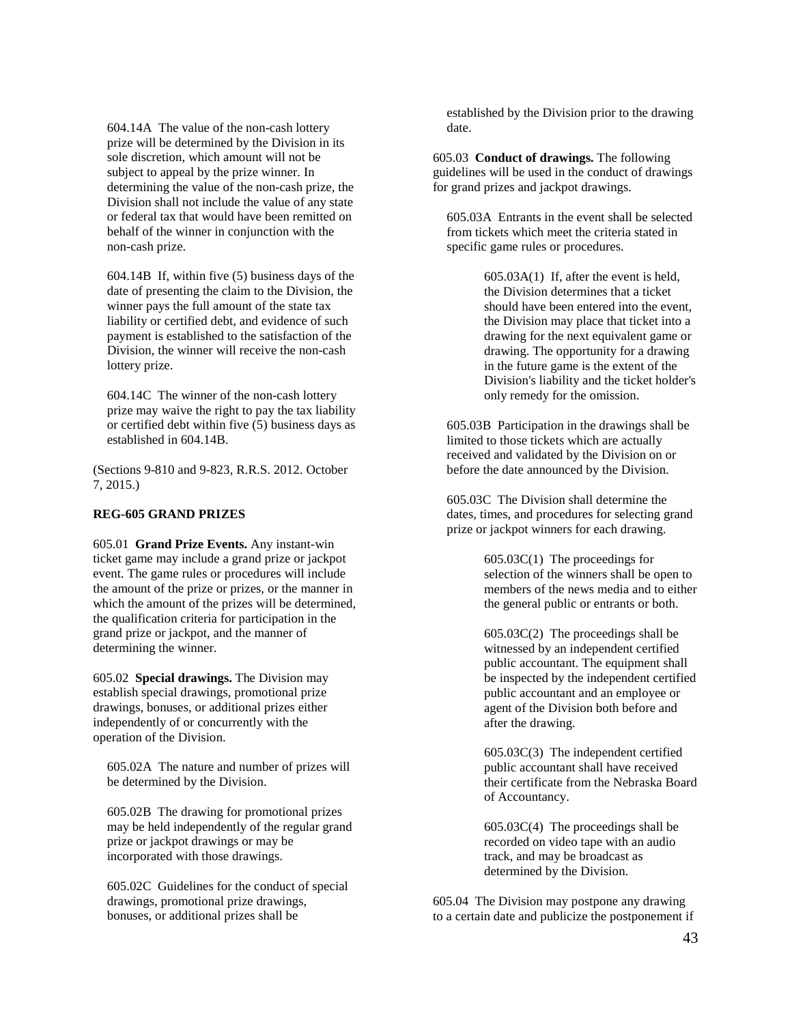604.14A The value of the non-cash lottery prize will be determined by the Division in its sole discretion, which amount will not be subject to appeal by the prize winner. In determining the value of the non-cash prize, the Division shall not include the value of any state or federal tax that would have been remitted on behalf of the winner in conjunction with the non-cash prize.

604.14B If, within five (5) business days of the date of presenting the claim to the Division, the winner pays the full amount of the state tax liability or certified debt, and evidence of such payment is established to the satisfaction of the Division, the winner will receive the non-cash lottery prize.

604.14C The winner of the non-cash lottery prize may waive the right to pay the tax liability or certified debt within five (5) business days as established in 604.14B.

(Sections 9-810 and 9-823, R.R.S. 2012. October 7, 2015.)

## **REG-605 GRAND PRIZES**

605.01 **Grand Prize Events.** Any instant-win ticket game may include a grand prize or jackpot event. The game rules or procedures will include the amount of the prize or prizes, or the manner in which the amount of the prizes will be determined, the qualification criteria for participation in the grand prize or jackpot, and the manner of determining the winner.

605.02 **Special drawings.** The Division may establish special drawings, promotional prize drawings, bonuses, or additional prizes either independently of or concurrently with the operation of the Division.

605.02A The nature and number of prizes will be determined by the Division.

605.02B The drawing for promotional prizes may be held independently of the regular grand prize or jackpot drawings or may be incorporated with those drawings.

605.02C Guidelines for the conduct of special drawings, promotional prize drawings, bonuses, or additional prizes shall be

established by the Division prior to the drawing date.

605.03 **Conduct of drawings.** The following guidelines will be used in the conduct of drawings for grand prizes and jackpot drawings.

605.03A Entrants in the event shall be selected from tickets which meet the criteria stated in specific game rules or procedures.

> 605.03A(1) If, after the event is held, the Division determines that a ticket should have been entered into the event, the Division may place that ticket into a drawing for the next equivalent game or drawing. The opportunity for a drawing in the future game is the extent of the Division's liability and the ticket holder's only remedy for the omission.

605.03B Participation in the drawings shall be limited to those tickets which are actually received and validated by the Division on or before the date announced by the Division.

605.03C The Division shall determine the dates, times, and procedures for selecting grand prize or jackpot winners for each drawing.

> 605.03C(1) The proceedings for selection of the winners shall be open to members of the news media and to either the general public or entrants or both.

> 605.03C(2) The proceedings shall be witnessed by an independent certified public accountant. The equipment shall be inspected by the independent certified public accountant and an employee or agent of the Division both before and after the drawing.

> 605.03C(3) The independent certified public accountant shall have received their certificate from the Nebraska Board of Accountancy.

605.03C(4) The proceedings shall be recorded on video tape with an audio track, and may be broadcast as determined by the Division.

605.04 The Division may postpone any drawing to a certain date and publicize the postponement if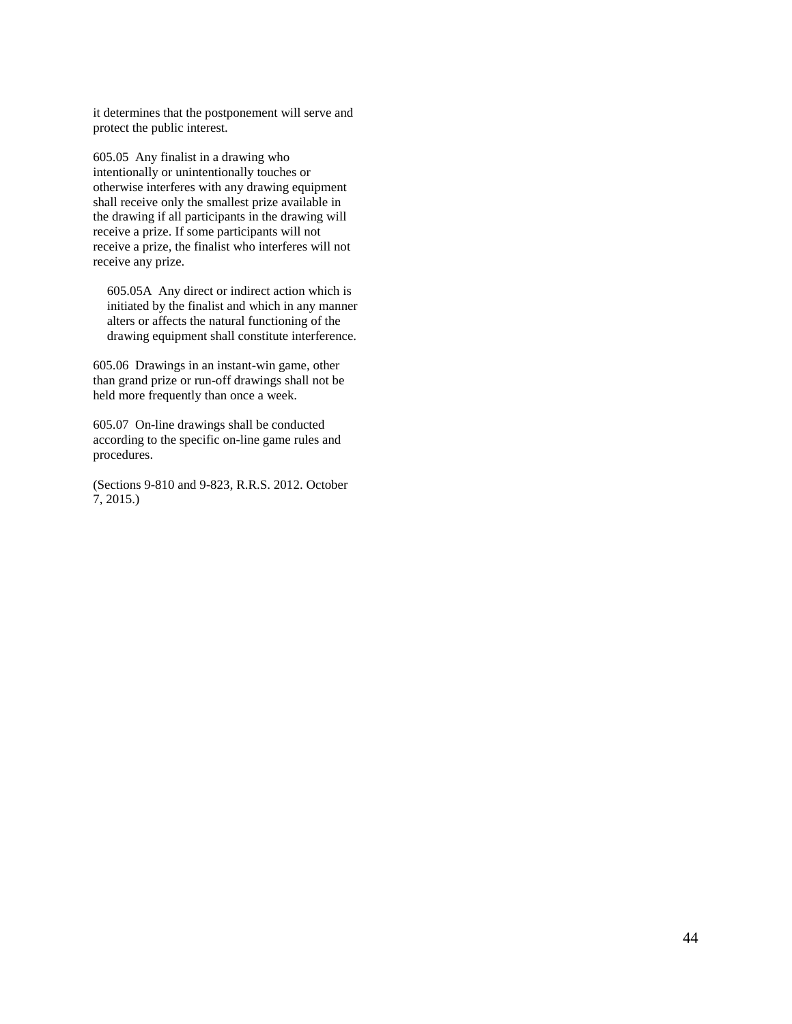it determines that the postponement will serve and protect the public interest.

605.05 Any finalist in a drawing who intentionally or unintentionally touches or otherwise interferes with any drawing equipment shall receive only the smallest prize available in the drawing if all participants in the drawing will receive a prize. If some participants will not receive a prize, the finalist who interferes will not receive any prize.

605.05A Any direct or indirect action which is initiated by the finalist and which in any manner alters or affects the natural functioning of the drawing equipment shall constitute interference.

605.06 Drawings in an instant-win game, other than grand prize or run-off drawings shall not be held more frequently than once a week.

605.07 On-line drawings shall be conducted according to the specific on-line game rules and procedures.

(Sections 9-810 and 9-823, R.R.S. 2012. October 7, 2015.)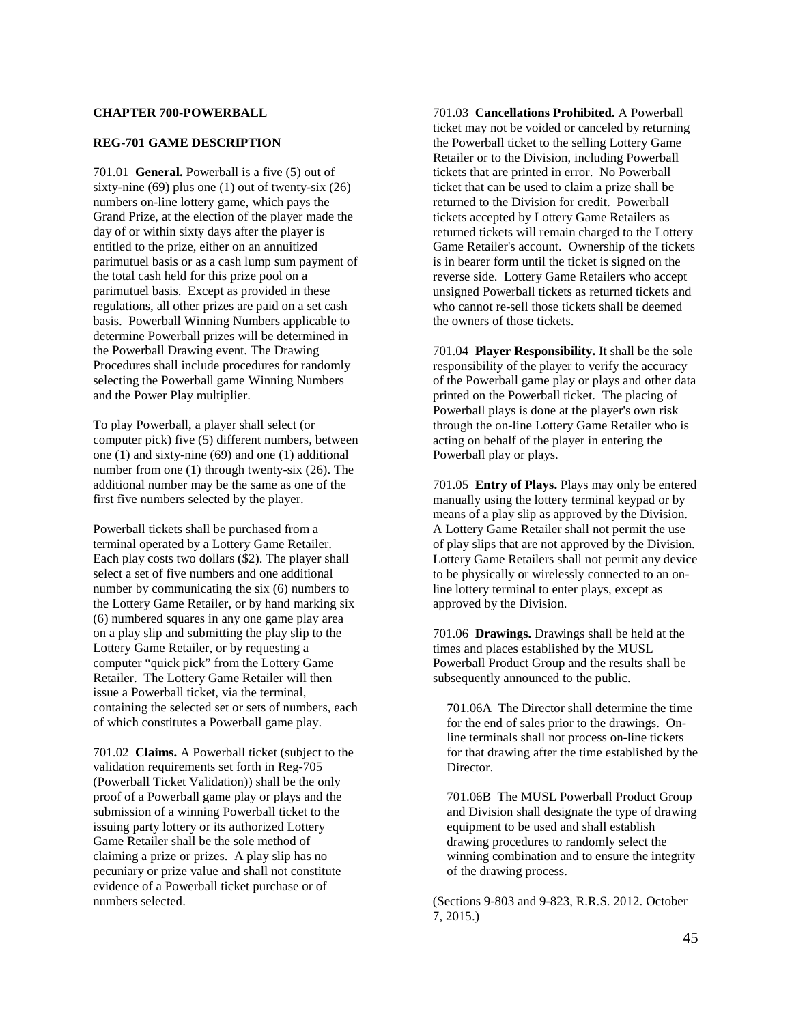## **CHAPTER 700-POWERBALL**

#### **REG-701 GAME DESCRIPTION**

701.01 **General.** Powerball is a five (5) out of sixty-nine  $(69)$  plus one  $(1)$  out of twenty-six  $(26)$ numbers on-line lottery game, which pays the Grand Prize, at the election of the player made the day of or within sixty days after the player is entitled to the prize, either on an annuitized parimutuel basis or as a cash lump sum payment of the total cash held for this prize pool on a parimutuel basis. Except as provided in these regulations, all other prizes are paid on a set cash basis. Powerball Winning Numbers applicable to determine Powerball prizes will be determined in the Powerball Drawing event. The Drawing Procedures shall include procedures for randomly selecting the Powerball game Winning Numbers and the Power Play multiplier.

To play Powerball, a player shall select (or computer pick) five (5) different numbers, between one (1) and sixty-nine (69) and one (1) additional number from one (1) through twenty-six (26). The additional number may be the same as one of the first five numbers selected by the player.

Powerball tickets shall be purchased from a terminal operated by a Lottery Game Retailer. Each play costs two dollars (\$2). The player shall select a set of five numbers and one additional number by communicating the six (6) numbers to the Lottery Game Retailer, or by hand marking six (6) numbered squares in any one game play area on a play slip and submitting the play slip to the Lottery Game Retailer, or by requesting a computer "quick pick" from the Lottery Game Retailer. The Lottery Game Retailer will then issue a Powerball ticket, via the terminal, containing the selected set or sets of numbers, each of which constitutes a Powerball game play.

701.02 **Claims.** A Powerball ticket (subject to the validation requirements set forth in Reg-705 (Powerball Ticket Validation)) shall be the only proof of a Powerball game play or plays and the submission of a winning Powerball ticket to the issuing party lottery or its authorized Lottery Game Retailer shall be the sole method of claiming a prize or prizes. A play slip has no pecuniary or prize value and shall not constitute evidence of a Powerball ticket purchase or of numbers selected.

701.03 **Cancellations Prohibited.** A Powerball ticket may not be voided or canceled by returning the Powerball ticket to the selling Lottery Game Retailer or to the Division, including Powerball tickets that are printed in error. No Powerball ticket that can be used to claim a prize shall be returned to the Division for credit. Powerball tickets accepted by Lottery Game Retailers as returned tickets will remain charged to the Lottery Game Retailer's account. Ownership of the tickets is in bearer form until the ticket is signed on the reverse side. Lottery Game Retailers who accept unsigned Powerball tickets as returned tickets and who cannot re-sell those tickets shall be deemed the owners of those tickets.

701.04 **Player Responsibility.** It shall be the sole responsibility of the player to verify the accuracy of the Powerball game play or plays and other data printed on the Powerball ticket. The placing of Powerball plays is done at the player's own risk through the on-line Lottery Game Retailer who is acting on behalf of the player in entering the Powerball play or plays.

701.05 **Entry of Plays.** Plays may only be entered manually using the lottery terminal keypad or by means of a play slip as approved by the Division. A Lottery Game Retailer shall not permit the use of play slips that are not approved by the Division. Lottery Game Retailers shall not permit any device to be physically or wirelessly connected to an online lottery terminal to enter plays, except as approved by the Division.

701.06 **Drawings.** Drawings shall be held at the times and places established by the MUSL Powerball Product Group and the results shall be subsequently announced to the public.

701.06A The Director shall determine the time for the end of sales prior to the drawings. Online terminals shall not process on-line tickets for that drawing after the time established by the Director.

701.06B The MUSL Powerball Product Group and Division shall designate the type of drawing equipment to be used and shall establish drawing procedures to randomly select the winning combination and to ensure the integrity of the drawing process.

(Sections 9-803 and 9-823, R.R.S. 2012. October 7, 2015.)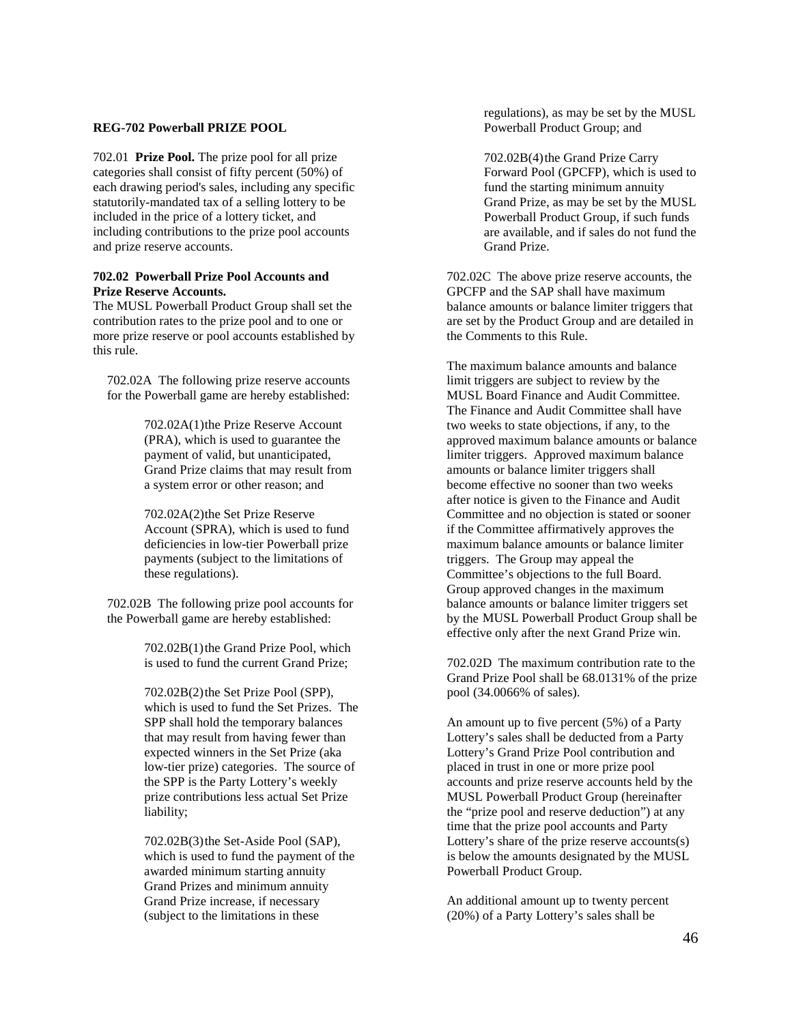## **REG-702 Powerball PRIZE POOL**

702.01 **Prize Pool.** The prize pool for all prize categories shall consist of fifty percent (50%) of each drawing period's sales, including any specific statutorily-mandated tax of a selling lottery to be included in the price of a lottery ticket, and including contributions to the prize pool accounts and prize reserve accounts.

# **702.02 Powerball Prize Pool Accounts and Prize Reserve Accounts.**

The MUSL Powerball Product Group shall set the contribution rates to the prize pool and to one or more prize reserve or pool accounts established by this rule.

702.02A The following prize reserve accounts for the Powerball game are hereby established:

> 702.02A(1)the Prize Reserve Account (PRA), which is used to guarantee the payment of valid, but unanticipated, Grand Prize claims that may result from a system error or other reason; and

702.02A(2)the Set Prize Reserve Account (SPRA), which is used to fund deficiencies in low-tier Powerball prize payments (subject to the limitations of these regulations).

702.02B The following prize pool accounts for the Powerball game are hereby established:

> 702.02B(1)the Grand Prize Pool, which is used to fund the current Grand Prize;

702.02B(2)the Set Prize Pool (SPP), which is used to fund the Set Prizes. The SPP shall hold the temporary balances that may result from having fewer than expected winners in the Set Prize (aka low-tier prize) categories. The source of the SPP is the Party Lottery's weekly prize contributions less actual Set Prize liability;

702.02B(3)the Set-Aside Pool (SAP), which is used to fund the payment of the awarded minimum starting annuity Grand Prizes and minimum annuity Grand Prize increase, if necessary (subject to the limitations in these

regulations), as may be set by the MUSL Powerball Product Group; and

702.02B(4)the Grand Prize Carry Forward Pool (GPCFP), which is used to fund the starting minimum annuity Grand Prize, as may be set by the MUSL Powerball Product Group, if such funds are available, and if sales do not fund the Grand Prize.

702.02C The above prize reserve accounts, the GPCFP and the SAP shall have maximum balance amounts or balance limiter triggers that are set by the Product Group and are detailed in the Comments to this Rule.

The maximum balance amounts and balance limit triggers are subject to review by the MUSL Board Finance and Audit Committee. The Finance and Audit Committee shall have two weeks to state objections, if any, to the approved maximum balance amounts or balance limiter triggers. Approved maximum balance amounts or balance limiter triggers shall become effective no sooner than two weeks after notice is given to the Finance and Audit Committee and no objection is stated or sooner if the Committee affirmatively approves the maximum balance amounts or balance limiter triggers. The Group may appeal the Committee's objections to the full Board. Group approved changes in the maximum balance amounts or balance limiter triggers set by the MUSL Powerball Product Group shall be effective only after the next Grand Prize win.

702.02D The maximum contribution rate to the Grand Prize Pool shall be 68.0131% of the prize pool (34.0066% of sales).

An amount up to five percent (5%) of a Party Lottery's sales shall be deducted from a Party Lottery's Grand Prize Pool contribution and placed in trust in one or more prize pool accounts and prize reserve accounts held by the MUSL Powerball Product Group (hereinafter the "prize pool and reserve deduction") at any time that the prize pool accounts and Party Lottery's share of the prize reserve accounts(s) is below the amounts designated by the MUSL Powerball Product Group.

An additional amount up to twenty percent (20%) of a Party Lottery's sales shall be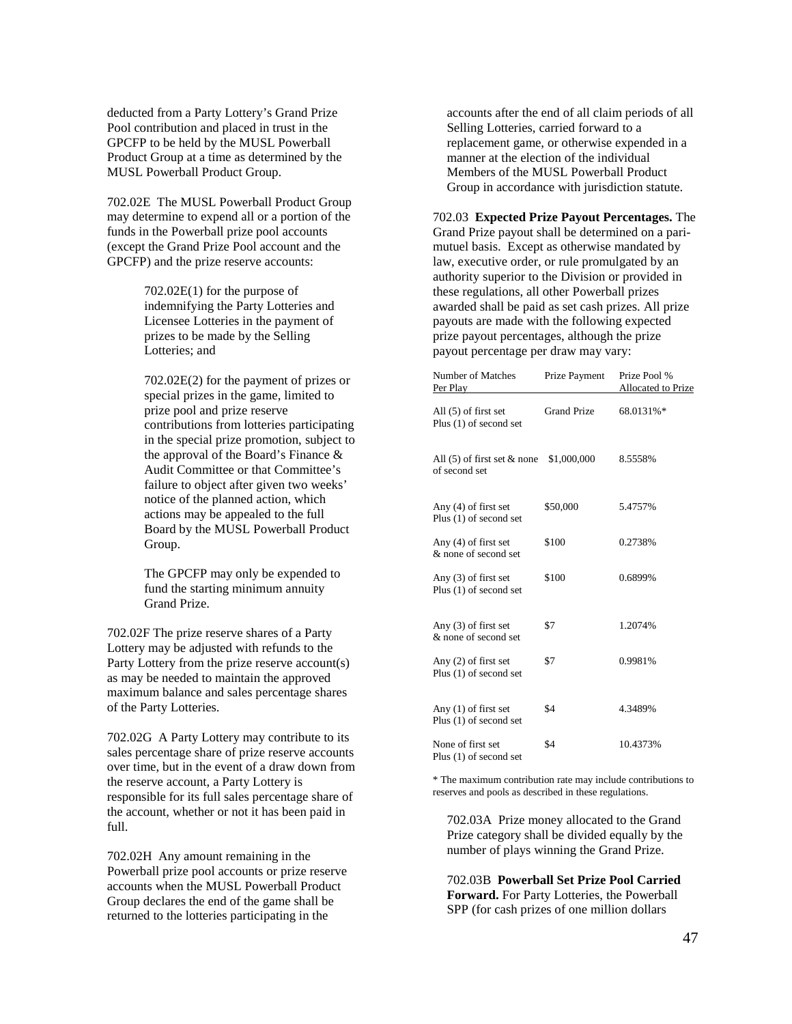deducted from a Party Lottery's Grand Prize Pool contribution and placed in trust in the GPCFP to be held by the MUSL Powerball Product Group at a time as determined by the MUSL Powerball Product Group.

702.02E The MUSL Powerball Product Group may determine to expend all or a portion of the funds in the Powerball prize pool accounts (except the Grand Prize Pool account and the GPCFP) and the prize reserve accounts:

> 702.02E(1) for the purpose of indemnifying the Party Lotteries and Licensee Lotteries in the payment of prizes to be made by the Selling Lotteries; and

702.02E(2) for the payment of prizes or special prizes in the game, limited to prize pool and prize reserve contributions from lotteries participating in the special prize promotion, subject to the approval of the Board's Finance & Audit Committee or that Committee's failure to object after given two weeks' notice of the planned action, which actions may be appealed to the full Board by the MUSL Powerball Product Group.

The GPCFP may only be expended to fund the starting minimum annuity Grand Prize.

702.02F The prize reserve shares of a Party Lottery may be adjusted with refunds to the Party Lottery from the prize reserve account(s) as may be needed to maintain the approved maximum balance and sales percentage shares of the Party Lotteries.

702.02G A Party Lottery may contribute to its sales percentage share of prize reserve accounts over time, but in the event of a draw down from the reserve account, a Party Lottery is responsible for its full sales percentage share of the account, whether or not it has been paid in full.

702.02H Any amount remaining in the Powerball prize pool accounts or prize reserve accounts when the MUSL Powerball Product Group declares the end of the game shall be returned to the lotteries participating in the

accounts after the end of all claim periods of all Selling Lotteries, carried forward to a replacement game, or otherwise expended in a manner at the election of the individual Members of the MUSL Powerball Product Group in accordance with jurisdiction statute.

702.03 **Expected Prize Payout Percentages.** The Grand Prize payout shall be determined on a parimutuel basis. Except as otherwise mandated by law, executive order, or rule promulgated by an authority superior to the Division or provided in these regulations, all other Powerball prizes awarded shall be paid as set cash prizes. All prize payouts are made with the following expected prize payout percentages, although the prize payout percentage per draw may vary:

| Number of Matches<br>Per Play                               | Prize Payment      | Prize Pool %<br>Allocated to Prize |
|-------------------------------------------------------------|--------------------|------------------------------------|
| All $(5)$ of first set<br>Plus $(1)$ of second set          | <b>Grand Prize</b> | 68.0131%*                          |
| All (5) of first set $&$ none $$1,000,000$<br>of second set |                    | 8.5558%                            |
| Any $(4)$ of first set<br>Plus (1) of second set            | \$50,000           | 5.4757%                            |
| Any $(4)$ of first set<br>& none of second set              | \$100              | 0.2738%                            |
| Any $(3)$ of first set<br>Plus $(1)$ of second set          | \$100              | 0.6899%                            |
| Any $(3)$ of first set<br>& none of second set              | \$7                | 1.2074%                            |
| Any $(2)$ of first set<br>Plus $(1)$ of second set          | \$7                | 0.9981%                            |
| Any $(1)$ of first set<br>Plus $(1)$ of second set          | \$4                | 4.3489%                            |
| None of first set<br>Plus $(1)$ of second set               | \$4                | 10.4373%                           |

\* The maximum contribution rate may include contributions to reserves and pools as described in these regulations.

702.03A Prize money allocated to the Grand Prize category shall be divided equally by the number of plays winning the Grand Prize.

702.03B **Powerball Set Prize Pool Carried Forward.** For Party Lotteries, the Powerball SPP (for cash prizes of one million dollars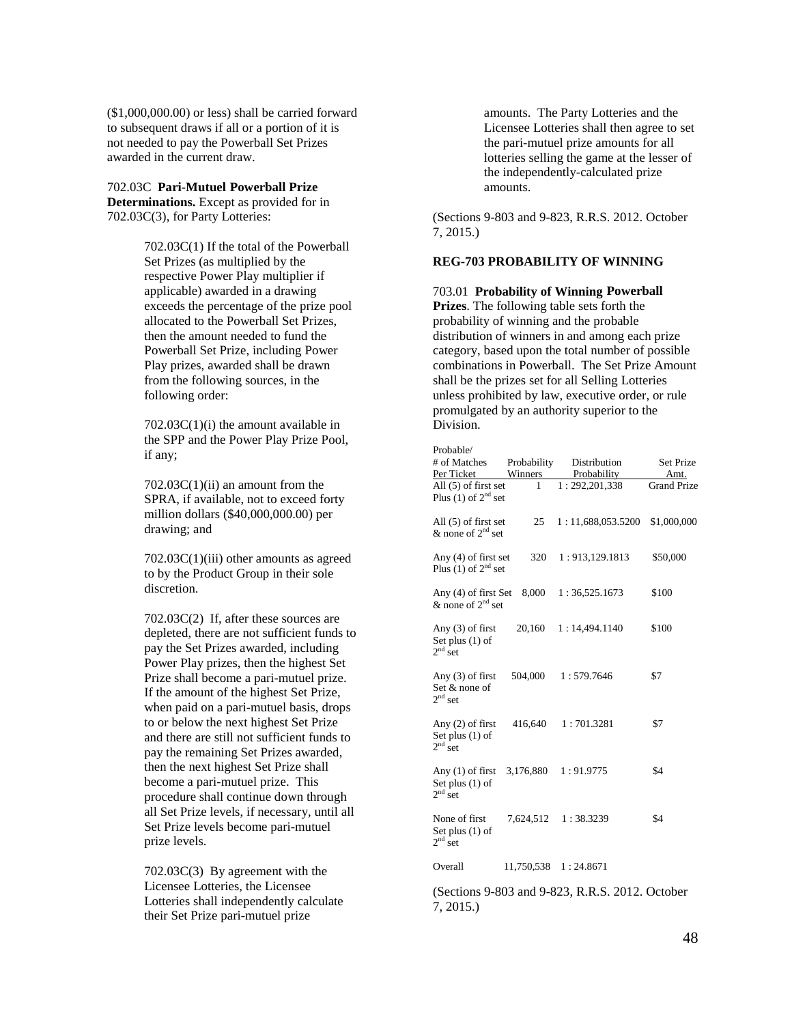(\$1,000,000.00) or less) shall be carried forward to subsequent draws if all or a portion of it is not needed to pay the Powerball Set Prizes awarded in the current draw.

702.03C **Pari-Mutuel Powerball Prize Determinations.** Except as provided for in 702.03C(3), for Party Lotteries:

> 702.03C(1) If the total of the Powerball Set Prizes (as multiplied by the respective Power Play multiplier if applicable) awarded in a drawing exceeds the percentage of the prize pool allocated to the Powerball Set Prizes, then the amount needed to fund the Powerball Set Prize, including Power Play prizes, awarded shall be drawn from the following sources, in the following order:

 $702.03C(1)(i)$  the amount available in the SPP and the Power Play Prize Pool, if any;

 $702.03C(1)(ii)$  an amount from the SPRA, if available, not to exceed forty million dollars (\$40,000,000.00) per drawing; and

702.03C(1)(iii) other amounts as agreed to by the Product Group in their sole discretion.

702.03C(2) If, after these sources are depleted, there are not sufficient funds to pay the Set Prizes awarded, including Power Play prizes, then the highest Set Prize shall become a pari-mutuel prize. If the amount of the highest Set Prize, when paid on a pari-mutuel basis, drops to or below the next highest Set Prize and there are still not sufficient funds to pay the remaining Set Prizes awarded, then the next highest Set Prize shall become a pari-mutuel prize. This procedure shall continue down through all Set Prize levels, if necessary, until all Set Prize levels become pari-mutuel prize levels.

702.03C(3) By agreement with the Licensee Lotteries, the Licensee Lotteries shall independently calculate their Set Prize pari-mutuel prize

amounts. The Party Lotteries and the Licensee Lotteries shall then agree to set the pari-mutuel prize amounts for all lotteries selling the game at the lesser of the independently-calculated prize amounts.

(Sections 9-803 and 9-823, R.R.S. 2012. October 7, 2015.)

### **REG-703 PROBABILITY OF WINNING**

703.01 **Probability of Winning Powerball Prizes**. The following table sets forth the probability of winning and the probable distribution of winners in and among each prize category, based upon the total number of possible combinations in Powerball. The Set Prize Amount

shall be the prizes set for all Selling Lotteries unless prohibited by law, executive order, or rule promulgated by an authority superior to the Division.

| Probable/                                            |             |                   |                    |
|------------------------------------------------------|-------------|-------------------|--------------------|
| # of Matches                                         | Probability | Distribution      | Set Prize          |
| Per Ticket                                           | Winners     | Probability       | Amt.               |
| All $(5)$ of first set<br>Plus $(1)$ of $2nd$ set    | 1           | 1:292,201,338     | <b>Grand Prize</b> |
| All (5) of first set<br>$&$ none of $2nd$ set        | 25          | 1:11,688,053.5200 | \$1,000,000        |
| Any $(4)$ of first set<br>Plus (1) of $2nd$ set      | 320         | 1:913,129.1813    | \$50,000           |
| Any (4) of first Set<br>& none of $2^{nd}$ set       | 8,000       | 1:36,525.1673     | \$100              |
| Any (3) of first<br>Set plus $(1)$ of<br>$2nd$ set   | 20,160      | 1:14,494.1140     | \$100              |
| Any $(3)$ of first<br>Set & none of<br>$2nd$ set     | 504,000     | 1:579.7646        | \$7                |
| Any $(2)$ of first<br>Set plus $(1)$ of<br>$2nd$ set | 416,640     | 1:701.3281        | \$7                |
| Any $(1)$ of first<br>Set plus $(1)$ of<br>$2nd$ set | 3,176,880   | 1:91.9775         | \$4                |
| None of first<br>Set plus $(1)$ of<br>$2nd$ set      | 7,624,512   | 1:38.3239         | \$4                |
| Overall                                              | 11,750,538  | 1:24.8671         |                    |
|                                                      |             |                   |                    |

(Sections 9-803 and 9-823, R.R.S. 2012. October 7, 2015.)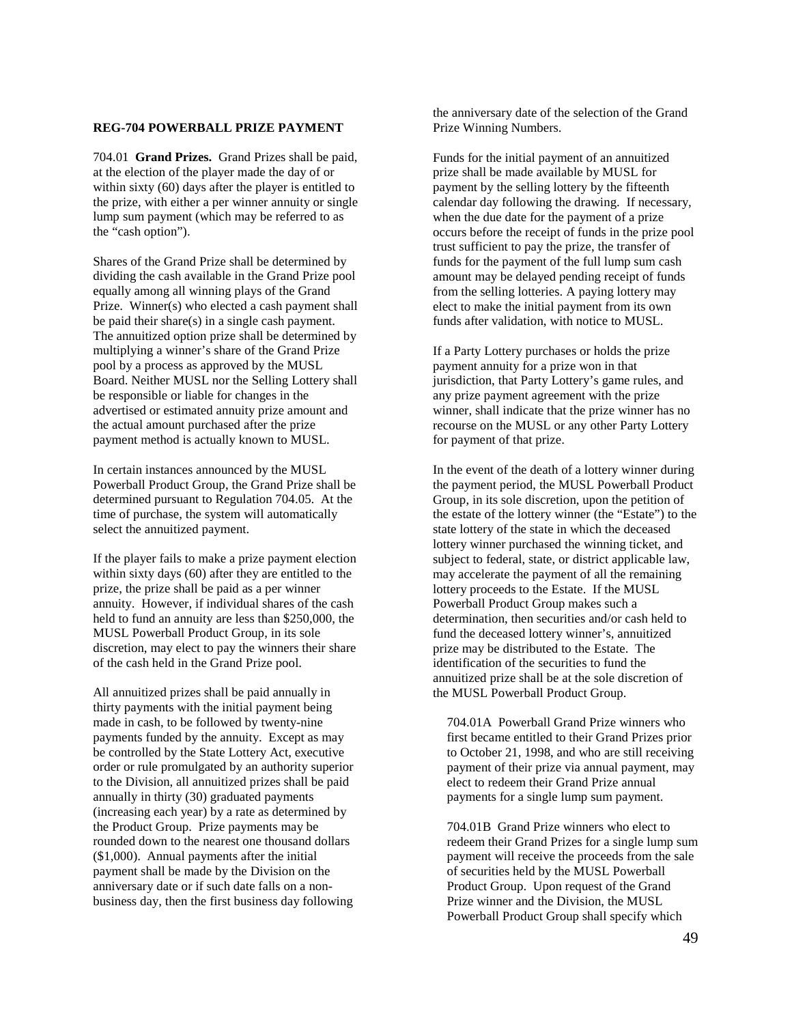# **REG-704 POWERBALL PRIZE PAYMENT**

704.01 **Grand Prizes.** Grand Prizes shall be paid, at the election of the player made the day of or within sixty (60) days after the player is entitled to the prize, with either a per winner annuity or single lump sum payment (which may be referred to as the "cash option").

Shares of the Grand Prize shall be determined by dividing the cash available in the Grand Prize pool equally among all winning plays of the Grand Prize. Winner(s) who elected a cash payment shall be paid their share(s) in a single cash payment. The annuitized option prize shall be determined by multiplying a winner's share of the Grand Prize pool by a process as approved by the MUSL Board. Neither MUSL nor the Selling Lottery shall be responsible or liable for changes in the advertised or estimated annuity prize amount and the actual amount purchased after the prize payment method is actually known to MUSL.

In certain instances announced by the MUSL Powerball Product Group, the Grand Prize shall be determined pursuant to Regulation 704.05. At the time of purchase, the system will automatically select the annuitized payment.

If the player fails to make a prize payment election within sixty days (60) after they are entitled to the prize, the prize shall be paid as a per winner annuity. However, if individual shares of the cash held to fund an annuity are less than \$250,000, the MUSL Powerball Product Group, in its sole discretion, may elect to pay the winners their share of the cash held in the Grand Prize pool.

All annuitized prizes shall be paid annually in thirty payments with the initial payment being made in cash, to be followed by twenty-nine payments funded by the annuity. Except as may be controlled by the State Lottery Act, executive order or rule promulgated by an authority superior to the Division, all annuitized prizes shall be paid annually in thirty (30) graduated payments (increasing each year) by a rate as determined by the Product Group. Prize payments may be rounded down to the nearest one thousand dollars (\$1,000). Annual payments after the initial payment shall be made by the Division on the anniversary date or if such date falls on a nonbusiness day, then the first business day following

the anniversary date of the selection of the Grand Prize Winning Numbers.

Funds for the initial payment of an annuitized prize shall be made available by MUSL for payment by the selling lottery by the fifteenth calendar day following the drawing. If necessary, when the due date for the payment of a prize occurs before the receipt of funds in the prize pool trust sufficient to pay the prize, the transfer of funds for the payment of the full lump sum cash amount may be delayed pending receipt of funds from the selling lotteries. A paying lottery may elect to make the initial payment from its own funds after validation, with notice to MUSL.

If a Party Lottery purchases or holds the prize payment annuity for a prize won in that jurisdiction, that Party Lottery's game rules, and any prize payment agreement with the prize winner, shall indicate that the prize winner has no recourse on the MUSL or any other Party Lottery for payment of that prize.

In the event of the death of a lottery winner during the payment period, the MUSL Powerball Product Group, in its sole discretion, upon the petition of the estate of the lottery winner (the "Estate") to the state lottery of the state in which the deceased lottery winner purchased the winning ticket, and subject to federal, state, or district applicable law, may accelerate the payment of all the remaining lottery proceeds to the Estate. If the MUSL Powerball Product Group makes such a determination, then securities and/or cash held to fund the deceased lottery winner's, annuitized prize may be distributed to the Estate. The identification of the securities to fund the annuitized prize shall be at the sole discretion of the MUSL Powerball Product Group.

704.01A Powerball Grand Prize winners who first became entitled to their Grand Prizes prior to October 21, 1998, and who are still receiving payment of their prize via annual payment, may elect to redeem their Grand Prize annual payments for a single lump sum payment.

704.01B Grand Prize winners who elect to redeem their Grand Prizes for a single lump sum payment will receive the proceeds from the sale of securities held by the MUSL Powerball Product Group. Upon request of the Grand Prize winner and the Division, the MUSL Powerball Product Group shall specify which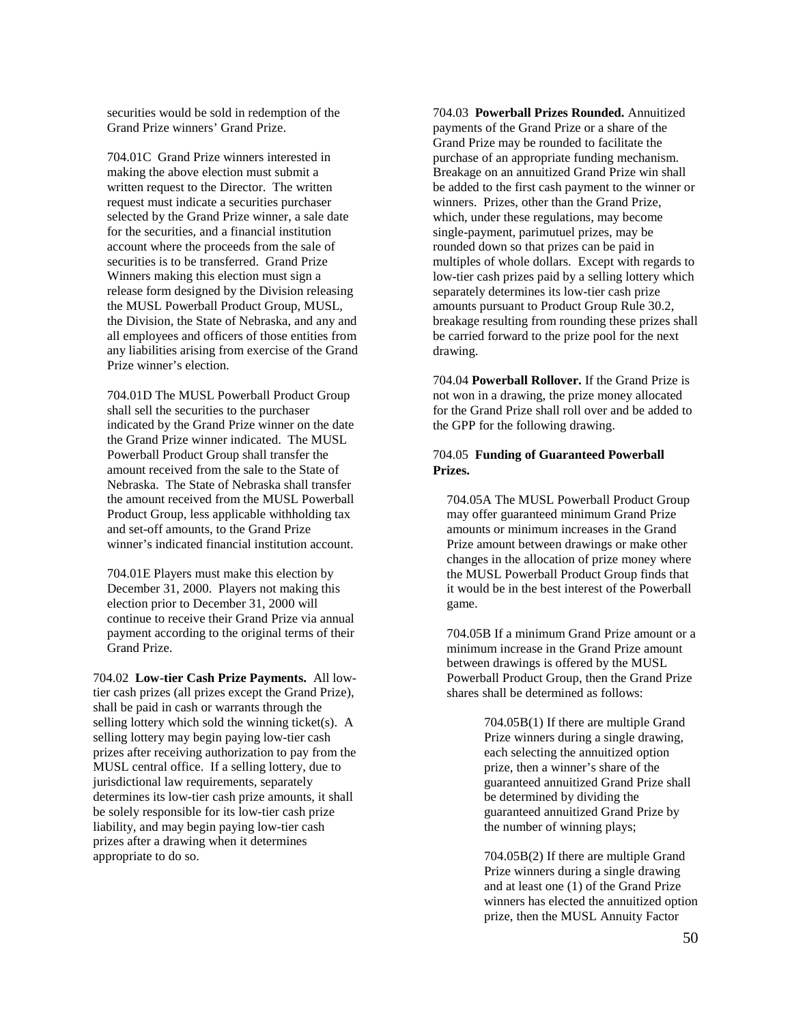securities would be sold in redemption of the Grand Prize winners' Grand Prize.

704.01C Grand Prize winners interested in making the above election must submit a written request to the Director. The written request must indicate a securities purchaser selected by the Grand Prize winner, a sale date for the securities, and a financial institution account where the proceeds from the sale of securities is to be transferred. Grand Prize Winners making this election must sign a release form designed by the Division releasing the MUSL Powerball Product Group, MUSL, the Division, the State of Nebraska, and any and all employees and officers of those entities from any liabilities arising from exercise of the Grand Prize winner's election.

704.01D The MUSL Powerball Product Group shall sell the securities to the purchaser indicated by the Grand Prize winner on the date the Grand Prize winner indicated. The MUSL Powerball Product Group shall transfer the amount received from the sale to the State of Nebraska. The State of Nebraska shall transfer the amount received from the MUSL Powerball Product Group, less applicable withholding tax and set-off amounts, to the Grand Prize winner's indicated financial institution account.

704.01E Players must make this election by December 31, 2000. Players not making this election prior to December 31, 2000 will continue to receive their Grand Prize via annual payment according to the original terms of their Grand Prize.

704.02 **Low-tier Cash Prize Payments.** All lowtier cash prizes (all prizes except the Grand Prize), shall be paid in cash or warrants through the selling lottery which sold the winning ticket(s). A selling lottery may begin paying low-tier cash prizes after receiving authorization to pay from the MUSL central office. If a selling lottery, due to jurisdictional law requirements, separately determines its low-tier cash prize amounts, it shall be solely responsible for its low-tier cash prize liability, and may begin paying low-tier cash prizes after a drawing when it determines appropriate to do so.

704.03 **Powerball Prizes Rounded.** Annuitized payments of the Grand Prize or a share of the Grand Prize may be rounded to facilitate the purchase of an appropriate funding mechanism. Breakage on an annuitized Grand Prize win shall be added to the first cash payment to the winner or winners. Prizes, other than the Grand Prize, which, under these regulations, may become single-payment, parimutuel prizes, may be rounded down so that prizes can be paid in multiples of whole dollars. Except with regards to low-tier cash prizes paid by a selling lottery which separately determines its low-tier cash prize amounts pursuant to Product Group Rule 30.2, breakage resulting from rounding these prizes shall be carried forward to the prize pool for the next drawing.

704.04 **Powerball Rollover.** If the Grand Prize is not won in a drawing, the prize money allocated for the Grand Prize shall roll over and be added to the GPP for the following drawing.

# 704.05 **Funding of Guaranteed Powerball Prizes.**

704.05A The MUSL Powerball Product Group may offer guaranteed minimum Grand Prize amounts or minimum increases in the Grand Prize amount between drawings or make other changes in the allocation of prize money where the MUSL Powerball Product Group finds that it would be in the best interest of the Powerball game.

704.05B If a minimum Grand Prize amount or a minimum increase in the Grand Prize amount between drawings is offered by the MUSL Powerball Product Group, then the Grand Prize shares shall be determined as follows:

> 704.05B(1) If there are multiple Grand Prize winners during a single drawing, each selecting the annuitized option prize, then a winner's share of the guaranteed annuitized Grand Prize shall be determined by dividing the guaranteed annuitized Grand Prize by the number of winning plays;

704.05B(2) If there are multiple Grand Prize winners during a single drawing and at least one (1) of the Grand Prize winners has elected the annuitized option prize, then the MUSL Annuity Factor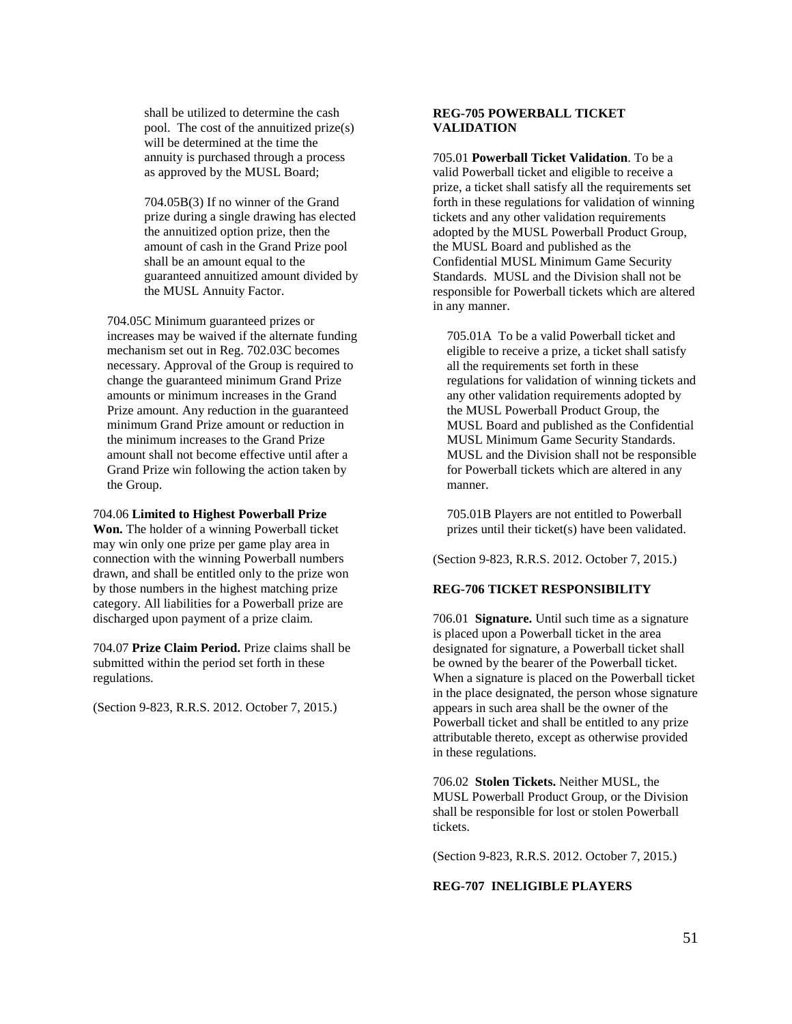shall be utilized to determine the cash pool. The cost of the annuitized prize(s) will be determined at the time the annuity is purchased through a process as approved by the MUSL Board;

704.05B(3) If no winner of the Grand prize during a single drawing has elected the annuitized option prize, then the amount of cash in the Grand Prize pool shall be an amount equal to the guaranteed annuitized amount divided by the MUSL Annuity Factor.

704.05C Minimum guaranteed prizes or increases may be waived if the alternate funding mechanism set out in Reg. 702.03C becomes necessary. Approval of the Group is required to change the guaranteed minimum Grand Prize amounts or minimum increases in the Grand Prize amount. Any reduction in the guaranteed minimum Grand Prize amount or reduction in the minimum increases to the Grand Prize amount shall not become effective until after a Grand Prize win following the action taken by the Group.

704.06 **Limited to Highest Powerball Prize Won.** The holder of a winning Powerball ticket may win only one prize per game play area in connection with the winning Powerball numbers drawn, and shall be entitled only to the prize won by those numbers in the highest matching prize category. All liabilities for a Powerball prize are discharged upon payment of a prize claim.

704.07 **Prize Claim Period.** Prize claims shall be submitted within the period set forth in these regulations.

(Section 9-823, R.R.S. 2012. October 7, 2015.)

# **REG-705 POWERBALL TICKET VALIDATION**

705.01 **Powerball Ticket Validation**. To be a valid Powerball ticket and eligible to receive a prize, a ticket shall satisfy all the requirements set forth in these regulations for validation of winning tickets and any other validation requirements adopted by the MUSL Powerball Product Group, the MUSL Board and published as the Confidential MUSL Minimum Game Security Standards. MUSL and the Division shall not be responsible for Powerball tickets which are altered in any manner.

705.01A To be a valid Powerball ticket and eligible to receive a prize, a ticket shall satisfy all the requirements set forth in these regulations for validation of winning tickets and any other validation requirements adopted by the MUSL Powerball Product Group, the MUSL Board and published as the Confidential MUSL Minimum Game Security Standards. MUSL and the Division shall not be responsible for Powerball tickets which are altered in any manner.

705.01B Players are not entitled to Powerball prizes until their ticket(s) have been validated.

(Section 9-823, R.R.S. 2012. October 7, 2015.)

# **REG-706 TICKET RESPONSIBILITY**

706.01 **Signature.** Until such time as a signature is placed upon a Powerball ticket in the area designated for signature, a Powerball ticket shall be owned by the bearer of the Powerball ticket. When a signature is placed on the Powerball ticket in the place designated, the person whose signature appears in such area shall be the owner of the Powerball ticket and shall be entitled to any prize attributable thereto, except as otherwise provided in these regulations.

706.02 **Stolen Tickets.** Neither MUSL, the MUSL Powerball Product Group, or the Division shall be responsible for lost or stolen Powerball tickets.

(Section 9-823, R.R.S. 2012. October 7, 2015.)

# **REG-707 INELIGIBLE PLAYERS**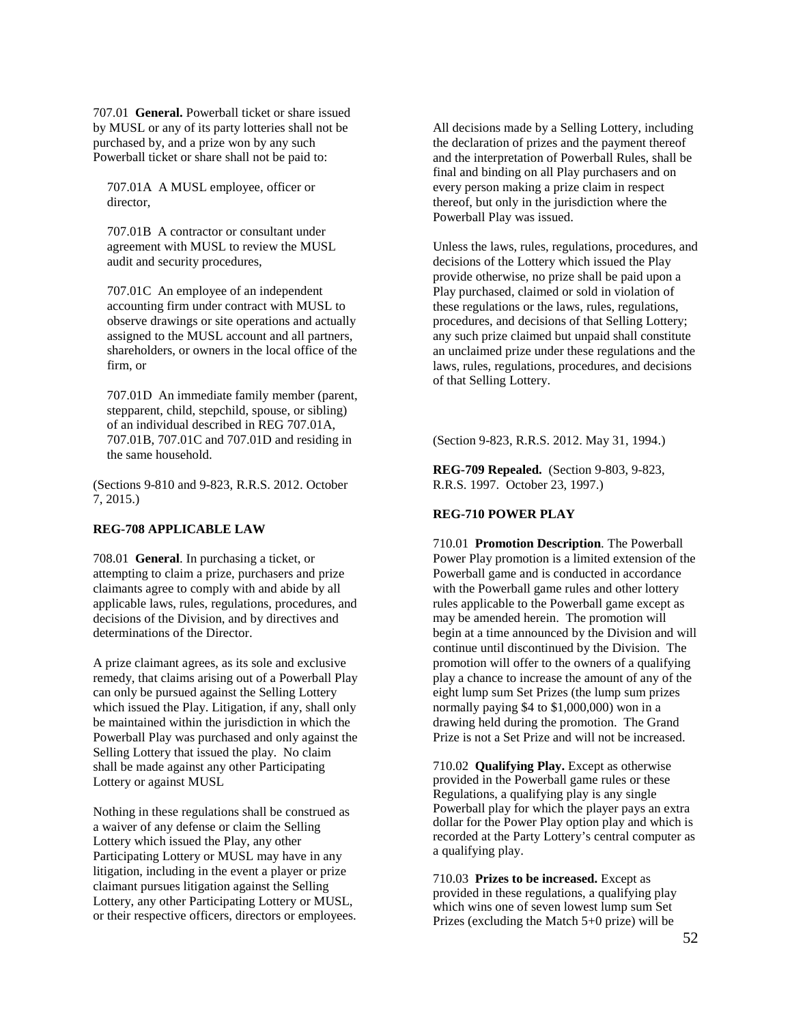707.01 **General.** Powerball ticket or share issued by MUSL or any of its party lotteries shall not be purchased by, and a prize won by any such Powerball ticket or share shall not be paid to:

707.01A A MUSL employee, officer or director,

707.01B A contractor or consultant under agreement with MUSL to review the MUSL audit and security procedures,

707.01C An employee of an independent accounting firm under contract with MUSL to observe drawings or site operations and actually assigned to the MUSL account and all partners, shareholders, or owners in the local office of the firm, or

707.01D An immediate family member (parent, stepparent, child, stepchild, spouse, or sibling) of an individual described in REG 707.01A, 707.01B, 707.01C and 707.01D and residing in the same household.

(Sections 9-810 and 9-823, R.R.S. 2012. October 7, 2015.)

#### **REG-708 APPLICABLE LAW**

708.01 **General**. In purchasing a ticket, or attempting to claim a prize, purchasers and prize claimants agree to comply with and abide by all applicable laws, rules, regulations, procedures, and decisions of the Division, and by directives and determinations of the Director.

A prize claimant agrees, as its sole and exclusive remedy, that claims arising out of a Powerball Play can only be pursued against the Selling Lottery which issued the Play. Litigation, if any, shall only be maintained within the jurisdiction in which the Powerball Play was purchased and only against the Selling Lottery that issued the play. No claim shall be made against any other Participating Lottery or against MUSL

Nothing in these regulations shall be construed as a waiver of any defense or claim the Selling Lottery which issued the Play, any other Participating Lottery or MUSL may have in any litigation, including in the event a player or prize claimant pursues litigation against the Selling Lottery, any other Participating Lottery or MUSL, or their respective officers, directors or employees. All decisions made by a Selling Lottery, including the declaration of prizes and the payment thereof and the interpretation of Powerball Rules, shall be final and binding on all Play purchasers and on every person making a prize claim in respect thereof, but only in the jurisdiction where the Powerball Play was issued.

Unless the laws, rules, regulations, procedures, and decisions of the Lottery which issued the Play provide otherwise, no prize shall be paid upon a Play purchased, claimed or sold in violation of these regulations or the laws, rules, regulations, procedures, and decisions of that Selling Lottery; any such prize claimed but unpaid shall constitute an unclaimed prize under these regulations and the laws, rules, regulations, procedures, and decisions of that Selling Lottery.

(Section 9-823, R.R.S. 2012. May 31, 1994.)

**REG-709 Repealed.** (Section 9-803, 9-823, R.R.S. 1997. October 23, 1997.)

# **REG-710 POWER PLAY**

710.01 **Promotion Description**. The Powerball Power Play promotion is a limited extension of the Powerball game and is conducted in accordance with the Powerball game rules and other lottery rules applicable to the Powerball game except as may be amended herein. The promotion will begin at a time announced by the Division and will continue until discontinued by the Division. The promotion will offer to the owners of a qualifying play a chance to increase the amount of any of the eight lump sum Set Prizes (the lump sum prizes normally paying \$4 to \$1,000,000) won in a drawing held during the promotion. The Grand Prize is not a Set Prize and will not be increased.

710.02 **Qualifying Play.** Except as otherwise provided in the Powerball game rules or these Regulations, a qualifying play is any single Powerball play for which the player pays an extra dollar for the Power Play option play and which is recorded at the Party Lottery's central computer as a qualifying play.

710.03 **Prizes to be increased.** Except as provided in these regulations, a qualifying play which wins one of seven lowest lump sum Set Prizes (excluding the Match 5+0 prize) will be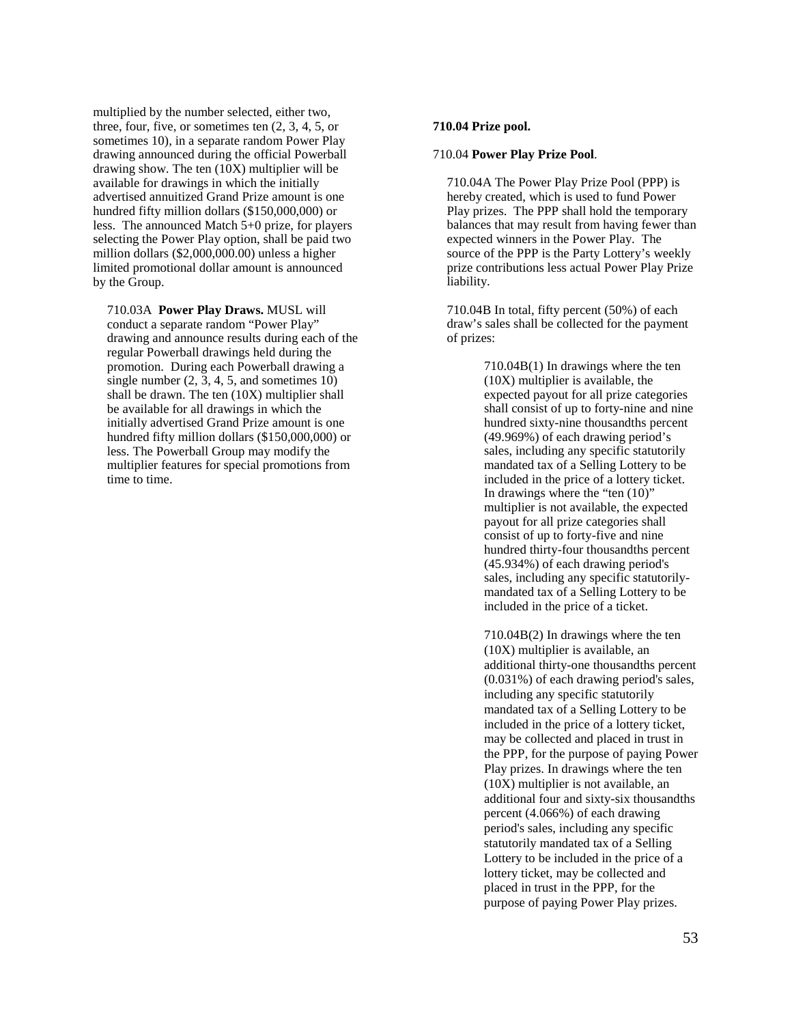multiplied by the number selected, either two, three, four, five, or sometimes ten (2, 3, 4, 5, or sometimes 10), in a separate random Power Play drawing announced during the official Powerball drawing show. The ten (10X) multiplier will be available for drawings in which the initially advertised annuitized Grand Prize amount is one hundred fifty million dollars (\$150,000,000) or less. The announced Match 5+0 prize, for players selecting the Power Play option, shall be paid two million dollars (\$2,000,000.00) unless a higher limited promotional dollar amount is announced by the Group.

710.03A **Power Play Draws.** MUSL will conduct a separate random "Power Play" drawing and announce results during each of the regular Powerball drawings held during the promotion. During each Powerball drawing a single number  $(2, 3, 4, 5,$  and sometimes  $(10)$ shall be drawn. The ten (10X) multiplier shall be available for all drawings in which the initially advertised Grand Prize amount is one hundred fifty million dollars (\$150,000,000) or less. The Powerball Group may modify the multiplier features for special promotions from time to time.

#### **710.04 Prize pool.**

#### 710.04 **Power Play Prize Pool**.

710.04A The Power Play Prize Pool (PPP) is hereby created, which is used to fund Power Play prizes. The PPP shall hold the temporary balances that may result from having fewer than expected winners in the Power Play. The source of the PPP is the Party Lottery's weekly prize contributions less actual Power Play Prize liability.

710.04B In total, fifty percent (50%) of each draw's sales shall be collected for the payment of prizes:

> 710.04B(1) In drawings where the ten (10X) multiplier is available, the expected payout for all prize categories shall consist of up to forty-nine and nine hundred sixty-nine thousandths percent (49.969%) of each drawing period's sales, including any specific statutorily mandated tax of a Selling Lottery to be included in the price of a lottery ticket. In drawings where the "ten (10)" multiplier is not available, the expected payout for all prize categories shall consist of up to forty-five and nine hundred thirty-four thousandths percent (45.934%) of each drawing period's sales, including any specific statutorilymandated tax of a Selling Lottery to be included in the price of a ticket.

710.04B(2) In drawings where the ten (10X) multiplier is available, an additional thirty-one thousandths percent (0.031%) of each drawing period's sales, including any specific statutorily mandated tax of a Selling Lottery to be included in the price of a lottery ticket, may be collected and placed in trust in the PPP, for the purpose of paying Power Play prizes. In drawings where the ten (10X) multiplier is not available, an additional four and sixty-six thousandths percent (4.066%) of each drawing period's sales, including any specific statutorily mandated tax of a Selling Lottery to be included in the price of a lottery ticket, may be collected and placed in trust in the PPP, for the purpose of paying Power Play prizes.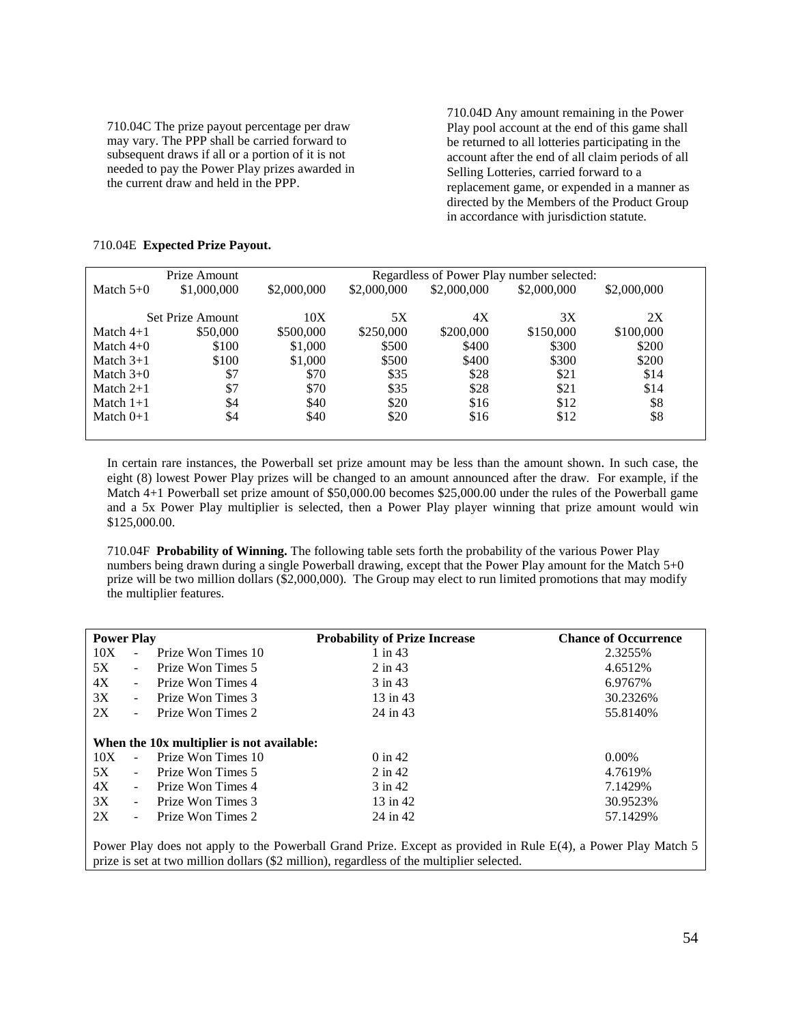710.04C The prize payout percentage per draw may vary. The PPP shall be carried forward to subsequent draws if all or a portion of it is not needed to pay the Power Play prizes awarded in the current draw and held in the PPP.

710.04D Any amount remaining in the Power Play pool account at the end of this game shall be returned to all lotteries participating in the account after the end of all claim periods of all Selling Lotteries, carried forward to a replacement game, or expended in a manner as directed by the Members of the Product Group in accordance with jurisdiction statute.

| Prize Amount<br>Regardless of Power Play number selected: |                  |             |             |             |             |             |
|-----------------------------------------------------------|------------------|-------------|-------------|-------------|-------------|-------------|
| Match $5+0$                                               | \$1,000,000      | \$2,000,000 | \$2,000,000 | \$2,000,000 | \$2,000,000 | \$2,000,000 |
|                                                           |                  |             |             |             |             |             |
|                                                           | Set Prize Amount | 10X         | 5X          | 4X          | 3X          | 2X          |
| Match $4+1$                                               | \$50,000         | \$500,000   | \$250,000   | \$200,000   | \$150,000   | \$100,000   |
| Match $4+0$                                               | \$100            | \$1,000     | \$500       | \$400       | \$300       | \$200       |
| Match $3+1$                                               | \$100            | \$1,000     | \$500       | \$400       | \$300       | \$200       |
| Match $3+0$                                               | \$7              | \$70        | \$35        | \$28        | \$21        | \$14        |
| Match $2+1$                                               | \$7              | \$70        | \$35        | \$28        | \$21        | \$14        |
| Match $1+1$                                               | \$4              | \$40        | \$20        | \$16        | \$12        | \$8         |
| Match $0+1$                                               | \$4              | \$40        | \$20        | \$16        | \$12        | \$8         |
|                                                           |                  |             |             |             |             |             |

# 710.04E **Expected Prize Payout.**

In certain rare instances, the Powerball set prize amount may be less than the amount shown. In such case, the eight (8) lowest Power Play prizes will be changed to an amount announced after the draw. For example, if the Match 4+1 Powerball set prize amount of \$50,000.00 becomes \$25,000.00 under the rules of the Powerball game and a 5x Power Play multiplier is selected, then a Power Play player winning that prize amount would win \$125,000.00.

710.04F **Probability of Winning.** The following table sets forth the probability of the various Power Play numbers being drawn during a single Powerball drawing, except that the Power Play amount for the Match 5+0 prize will be two million dollars (\$2,000,000). The Group may elect to run limited promotions that may modify the multiplier features.

| <b>Power Play</b> |                |                                           | <b>Probability of Prize Increase</b> | <b>Chance of Occurrence</b> |
|-------------------|----------------|-------------------------------------------|--------------------------------------|-----------------------------|
| 10X               | $\mathbf{r}$   | Prize Won Times 10                        | $1$ in $43$                          | 2.3255%                     |
| 5X                | $\sim$         | Prize Won Times 5                         | $2$ in 43                            | 4.6512%                     |
| 4X                | $\sim$         | Prize Won Times 4                         | 3 in 43                              | 6.9767%                     |
| 3X                | $\sim$         | Prize Won Times 3                         | 13 in 43                             | 30.2326%                    |
| 2X                | $\sim$         | Prize Won Times 2                         | 24 in 43                             | 55.8140\%                   |
|                   |                |                                           |                                      |                             |
|                   |                | When the 10x multiplier is not available: |                                      |                             |
| 10X               | $\sim$         | Prize Won Times 10                        | $0 \in 42$                           | $0.00\%$                    |
| 5X                | $\sim$         | Prize Won Times 5                         | $2$ in 42                            | 4.7619%                     |
| 4X                | $\sim$         | Prize Won Times 4                         | $3$ in 42                            | 7.1429%                     |
| 3X                | $\blacksquare$ | Prize Won Times 3                         | 13 in 42                             | 30.9523%                    |
| 2X                |                | Prize Won Times 2                         | 24 in 42                             | 57.1429%                    |
|                   |                |                                           |                                      |                             |

Power Play does not apply to the Powerball Grand Prize. Except as provided in Rule E(4), a Power Play Match 5 prize is set at two million dollars (\$2 million), regardless of the multiplier selected.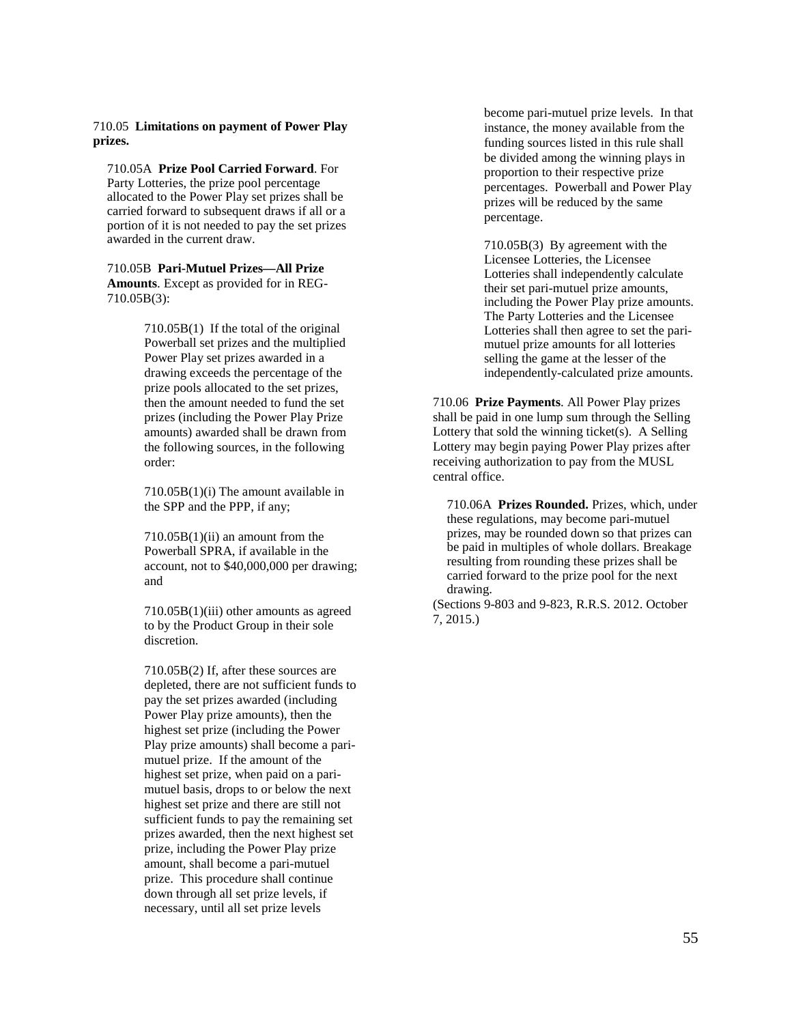## 710.05 **Limitations on payment of Power Play prizes.**

710.05A **Prize Pool Carried Forward**. For Party Lotteries, the prize pool percentage allocated to the Power Play set prizes shall be carried forward to subsequent draws if all or a portion of it is not needed to pay the set prizes awarded in the current draw.

710.05B **Pari-Mutuel Prizes—All Prize Amounts**. Except as provided for in REG-710.05B(3):

> 710.05B(1) If the total of the original Powerball set prizes and the multiplied Power Play set prizes awarded in a drawing exceeds the percentage of the prize pools allocated to the set prizes, then the amount needed to fund the set prizes (including the Power Play Prize amounts) awarded shall be drawn from the following sources, in the following order:

> 710.05B(1)(i) The amount available in the SPP and the PPP, if any;

710.05B(1)(ii) an amount from the Powerball SPRA, if available in the account, not to \$40,000,000 per drawing; and

710.05B(1)(iii) other amounts as agreed to by the Product Group in their sole discretion.

710.05B(2) If, after these sources are depleted, there are not sufficient funds to pay the set prizes awarded (including Power Play prize amounts), then the highest set prize (including the Power Play prize amounts) shall become a parimutuel prize. If the amount of the highest set prize, when paid on a parimutuel basis, drops to or below the next highest set prize and there are still not sufficient funds to pay the remaining set prizes awarded, then the next highest set prize, including the Power Play prize amount, shall become a pari-mutuel prize. This procedure shall continue down through all set prize levels, if necessary, until all set prize levels

become pari-mutuel prize levels. In that instance, the money available from the funding sources listed in this rule shall be divided among the winning plays in proportion to their respective prize percentages. Powerball and Power Play prizes will be reduced by the same percentage.

710.05B(3) By agreement with the Licensee Lotteries, the Licensee Lotteries shall independently calculate their set pari-mutuel prize amounts, including the Power Play prize amounts. The Party Lotteries and the Licensee Lotteries shall then agree to set the parimutuel prize amounts for all lotteries selling the game at the lesser of the independently-calculated prize amounts.

710.06 **Prize Payments**. All Power Play prizes shall be paid in one lump sum through the Selling Lottery that sold the winning ticket(s). A Selling Lottery may begin paying Power Play prizes after receiving authorization to pay from the MUSL central office.

710.06A **Prizes Rounded.** Prizes, which, under these regulations, may become pari-mutuel prizes, may be rounded down so that prizes can be paid in multiples of whole dollars. Breakage resulting from rounding these prizes shall be carried forward to the prize pool for the next drawing.

(Sections 9-803 and 9-823, R.R.S. 2012. October 7, 2015.)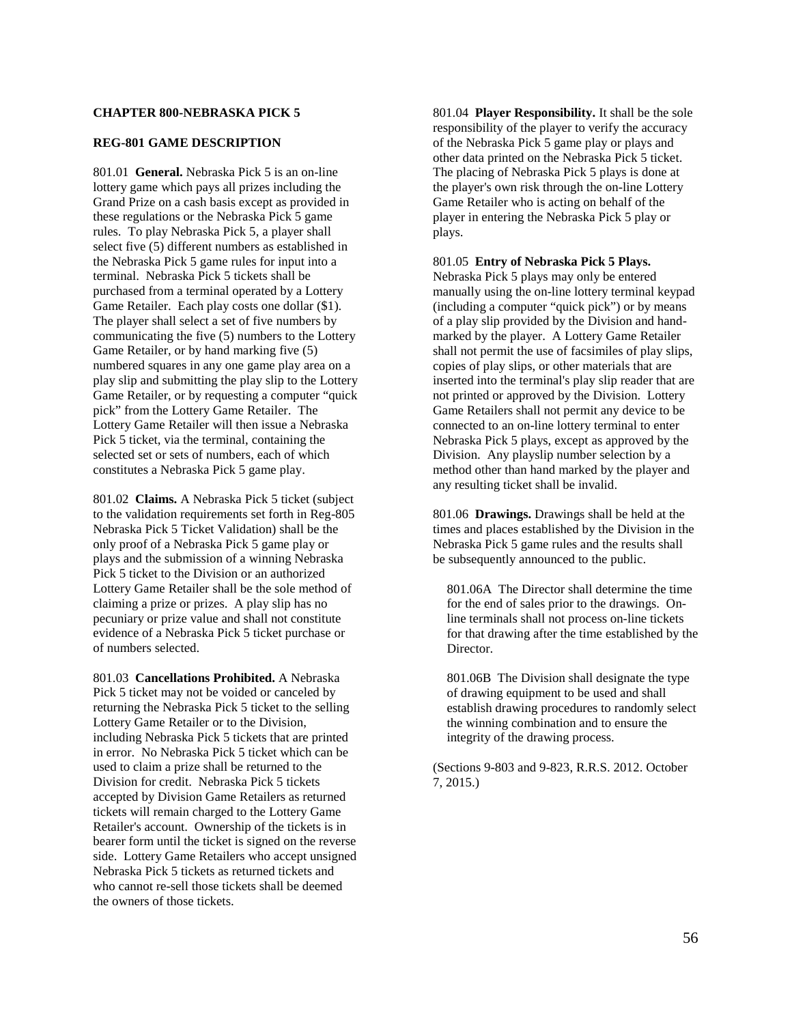### **CHAPTER 800-NEBRASKA PICK 5**

#### **REG-801 GAME DESCRIPTION**

801.01 **General.** Nebraska Pick 5 is an on-line lottery game which pays all prizes including the Grand Prize on a cash basis except as provided in these regulations or the Nebraska Pick 5 game rules. To play Nebraska Pick 5, a player shall select five (5) different numbers as established in the Nebraska Pick 5 game rules for input into a terminal. Nebraska Pick 5 tickets shall be purchased from a terminal operated by a Lottery Game Retailer. Each play costs one dollar (\$1). The player shall select a set of five numbers by communicating the five (5) numbers to the Lottery Game Retailer, or by hand marking five (5) numbered squares in any one game play area on a play slip and submitting the play slip to the Lottery Game Retailer, or by requesting a computer "quick pick" from the Lottery Game Retailer. The Lottery Game Retailer will then issue a Nebraska Pick 5 ticket, via the terminal, containing the selected set or sets of numbers, each of which constitutes a Nebraska Pick 5 game play.

801.02 **Claims.** A Nebraska Pick 5 ticket (subject to the validation requirements set forth in Reg-805 Nebraska Pick 5 Ticket Validation) shall be the only proof of a Nebraska Pick 5 game play or plays and the submission of a winning Nebraska Pick 5 ticket to the Division or an authorized Lottery Game Retailer shall be the sole method of claiming a prize or prizes. A play slip has no pecuniary or prize value and shall not constitute evidence of a Nebraska Pick 5 ticket purchase or of numbers selected.

801.03 **Cancellations Prohibited.** A Nebraska Pick 5 ticket may not be voided or canceled by returning the Nebraska Pick 5 ticket to the selling Lottery Game Retailer or to the Division, including Nebraska Pick 5 tickets that are printed in error. No Nebraska Pick 5 ticket which can be used to claim a prize shall be returned to the Division for credit. Nebraska Pick 5 tickets accepted by Division Game Retailers as returned tickets will remain charged to the Lottery Game Retailer's account. Ownership of the tickets is in bearer form until the ticket is signed on the reverse side. Lottery Game Retailers who accept unsigned Nebraska Pick 5 tickets as returned tickets and who cannot re-sell those tickets shall be deemed the owners of those tickets.

801.04 **Player Responsibility.** It shall be the sole responsibility of the player to verify the accuracy of the Nebraska Pick 5 game play or plays and other data printed on the Nebraska Pick 5 ticket. The placing of Nebraska Pick 5 plays is done at the player's own risk through the on-line Lottery Game Retailer who is acting on behalf of the player in entering the Nebraska Pick 5 play or plays.

#### 801.05 **Entry of Nebraska Pick 5 Plays.**

Nebraska Pick 5 plays may only be entered manually using the on-line lottery terminal keypad (including a computer "quick pick") or by means of a play slip provided by the Division and handmarked by the player. A Lottery Game Retailer shall not permit the use of facsimiles of play slips, copies of play slips, or other materials that are inserted into the terminal's play slip reader that are not printed or approved by the Division. Lottery Game Retailers shall not permit any device to be connected to an on-line lottery terminal to enter Nebraska Pick 5 plays, except as approved by the Division. Any playslip number selection by a method other than hand marked by the player and any resulting ticket shall be invalid.

801.06 **Drawings.** Drawings shall be held at the times and places established by the Division in the Nebraska Pick 5 game rules and the results shall be subsequently announced to the public.

801.06A The Director shall determine the time for the end of sales prior to the drawings. Online terminals shall not process on-line tickets for that drawing after the time established by the Director.

801.06B The Division shall designate the type of drawing equipment to be used and shall establish drawing procedures to randomly select the winning combination and to ensure the integrity of the drawing process.

(Sections 9-803 and 9-823, R.R.S. 2012. October 7, 2015.)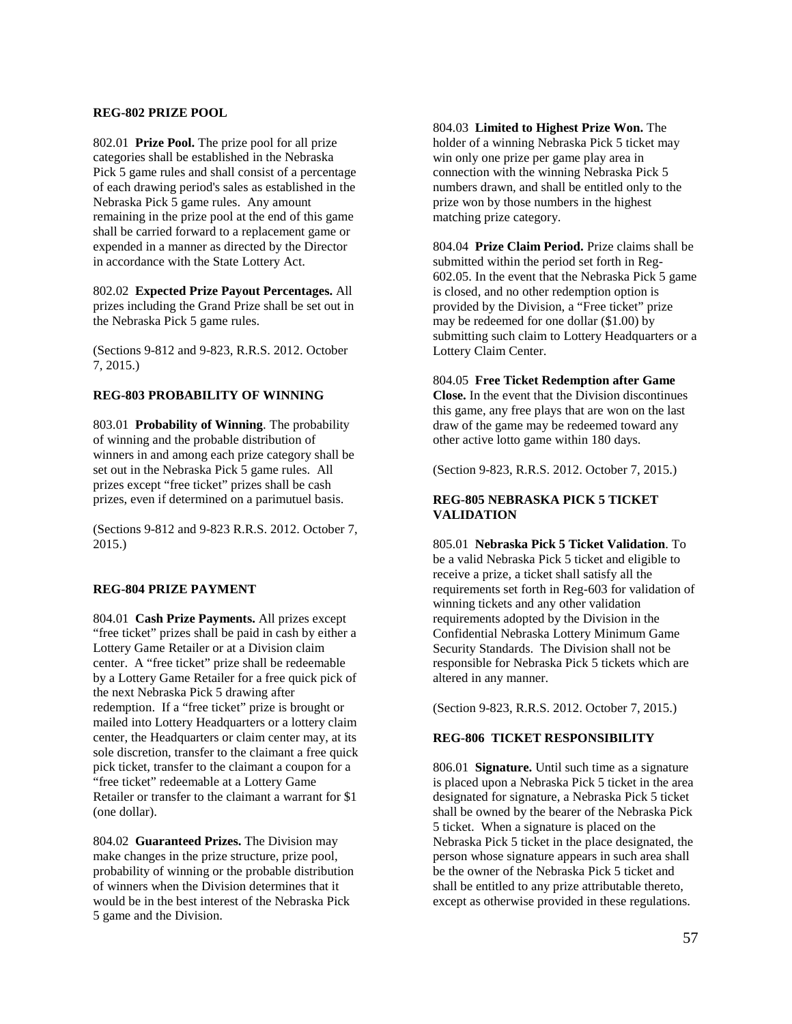# **REG-802 PRIZE POOL**

802.01 **Prize Pool.** The prize pool for all prize categories shall be established in the Nebraska Pick 5 game rules and shall consist of a percentage of each drawing period's sales as established in the Nebraska Pick 5 game rules. Any amount remaining in the prize pool at the end of this game shall be carried forward to a replacement game or expended in a manner as directed by the Director in accordance with the State Lottery Act.

802.02 **Expected Prize Payout Percentages.** All prizes including the Grand Prize shall be set out in the Nebraska Pick 5 game rules.

(Sections 9-812 and 9-823, R.R.S. 2012. October 7, 2015.)

# **REG-803 PROBABILITY OF WINNING**

803.01 **Probability of Winning**. The probability of winning and the probable distribution of winners in and among each prize category shall be set out in the Nebraska Pick 5 game rules. All prizes except "free ticket" prizes shall be cash prizes, even if determined on a parimutuel basis.

(Sections 9-812 and 9-823 R.R.S. 2012. October 7, 2015.)

## **REG-804 PRIZE PAYMENT**

804.01 **Cash Prize Payments.** All prizes except "free ticket" prizes shall be paid in cash by either a Lottery Game Retailer or at a Division claim center. A "free ticket" prize shall be redeemable by a Lottery Game Retailer for a free quick pick of the next Nebraska Pick 5 drawing after redemption. If a "free ticket" prize is brought or mailed into Lottery Headquarters or a lottery claim center, the Headquarters or claim center may, at its sole discretion, transfer to the claimant a free quick pick ticket, transfer to the claimant a coupon for a "free ticket" redeemable at a Lottery Game Retailer or transfer to the claimant a warrant for \$1 (one dollar).

804.02 **Guaranteed Prizes.** The Division may make changes in the prize structure, prize pool, probability of winning or the probable distribution of winners when the Division determines that it would be in the best interest of the Nebraska Pick 5 game and the Division.

804.03 **Limited to Highest Prize Won.** The holder of a winning Nebraska Pick 5 ticket may win only one prize per game play area in connection with the winning Nebraska Pick 5 numbers drawn, and shall be entitled only to the prize won by those numbers in the highest matching prize category.

804.04 **Prize Claim Period.** Prize claims shall be submitted within the period set forth in Reg-602.05. In the event that the Nebraska Pick 5 game is closed, and no other redemption option is provided by the Division, a "Free ticket" prize may be redeemed for one dollar (\$1.00) by submitting such claim to Lottery Headquarters or a Lottery Claim Center.

804.05 **Free Ticket Redemption after Game Close.** In the event that the Division discontinues this game, any free plays that are won on the last draw of the game may be redeemed toward any

other active lotto game within 180 days.

(Section 9-823, R.R.S. 2012. October 7, 2015.)

# **REG-805 NEBRASKA PICK 5 TICKET VALIDATION**

805.01 **Nebraska Pick 5 Ticket Validation**. To be a valid Nebraska Pick 5 ticket and eligible to receive a prize, a ticket shall satisfy all the requirements set forth in Reg-603 for validation of winning tickets and any other validation requirements adopted by the Division in the Confidential Nebraska Lottery Minimum Game Security Standards. The Division shall not be responsible for Nebraska Pick 5 tickets which are altered in any manner.

(Section 9-823, R.R.S. 2012. October 7, 2015.)

# **REG-806 TICKET RESPONSIBILITY**

806.01 **Signature.** Until such time as a signature is placed upon a Nebraska Pick 5 ticket in the area designated for signature, a Nebraska Pick 5 ticket shall be owned by the bearer of the Nebraska Pick 5 ticket. When a signature is placed on the Nebraska Pick 5 ticket in the place designated, the person whose signature appears in such area shall be the owner of the Nebraska Pick 5 ticket and shall be entitled to any prize attributable thereto, except as otherwise provided in these regulations.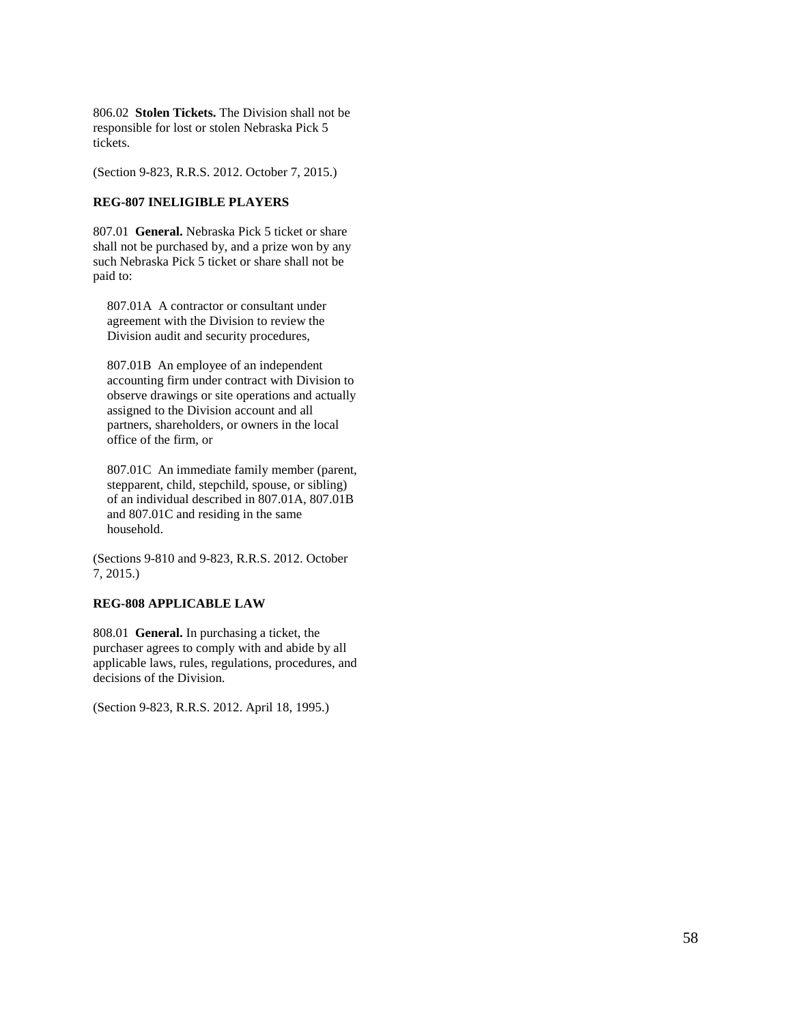806.02 **Stolen Tickets.** The Division shall not be responsible for lost or stolen Nebraska Pick 5 tickets.

(Section 9-823, R.R.S. 2012. October 7, 2015.)

# **REG-807 INELIGIBLE PLAYERS**

807.01 **General.** Nebraska Pick 5 ticket or share shall not be purchased by, and a prize won by any such Nebraska Pick 5 ticket or share shall not be paid to:

807.01A A contractor or consultant under agreement with the Division to review the Division audit and security procedures,

807.01B An employee of an independent accounting firm under contract with Division to observe drawings or site operations and actually assigned to the Division account and all partners, shareholders, or owners in the local office of the firm, or

807.01C An immediate family member (parent, stepparent, child, stepchild, spouse, or sibling) of an individual described in 807.01A, 807.01B and 807.01C and residing in the same household.

(Sections 9-810 and 9-823, R.R.S. 2012. October 7, 2015.)

## **REG-808 APPLICABLE LAW**

808.01 **General.** In purchasing a ticket, the purchaser agrees to comply with and abide by all applicable laws, rules, regulations, procedures, and decisions of the Division.

(Section 9-823, R.R.S. 2012. April 18, 1995.)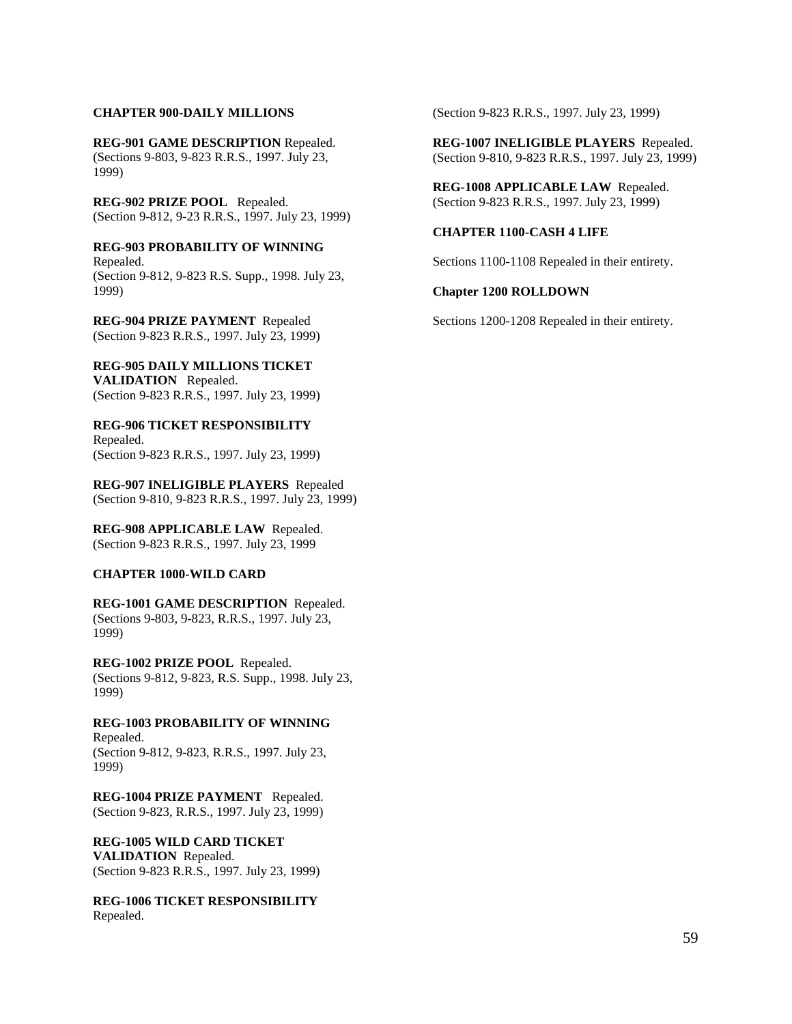# **CHAPTER 900-DAILY MILLIONS**

**REG-901 GAME DESCRIPTION** Repealed. (Sections 9-803, 9-823 R.R.S., 1997. July 23, 1999)

**REG-902 PRIZE POOL** Repealed. (Section 9-812, 9-23 R.R.S., 1997. July 23, 1999)

**REG-903 PROBABILITY OF WINNING** Repealed. (Section 9-812, 9-823 R.S. Supp., 1998. July 23, 1999)

**REG-904 PRIZE PAYMENT** Repealed (Section 9-823 R.R.S., 1997. July 23, 1999)

**REG-905 DAILY MILLIONS TICKET VALIDATION** Repealed. (Section 9-823 R.R.S., 1997. July 23, 1999)

**REG-906 TICKET RESPONSIBILITY**  Repealed. (Section 9-823 R.R.S., 1997. July 23, 1999)

**REG-907 INELIGIBLE PLAYERS** Repealed (Section 9-810, 9-823 R.R.S., 1997. July 23, 1999)

**REG-908 APPLICABLE LAW** Repealed. (Section 9-823 R.R.S., 1997. July 23, 1999

#### **CHAPTER 1000-WILD CARD**

**REG-1001 GAME DESCRIPTION** Repealed. (Sections 9-803, 9-823, R.R.S., 1997. July 23, 1999)

**REG-1002 PRIZE POOL** Repealed. (Sections 9-812, 9-823, R.S. Supp., 1998. July 23, 1999)

**REG-1003 PROBABILITY OF WINNING** Repealed. (Section 9-812, 9-823, R.R.S., 1997. July 23, 1999)

**REG-1004 PRIZE PAYMENT** Repealed. (Section 9-823, R.R.S., 1997. July 23, 1999)

**REG-1005 WILD CARD TICKET VALIDATION** Repealed. (Section 9-823 R.R.S., 1997. July 23, 1999)

**REG-1006 TICKET RESPONSIBILITY**  Repealed.

(Section 9-823 R.R.S., 1997. July 23, 1999)

**REG-1007 INELIGIBLE PLAYERS** Repealed. (Section 9-810, 9-823 R.R.S., 1997. July 23, 1999)

**REG-1008 APPLICABLE LAW** Repealed. (Section 9-823 R.R.S., 1997. July 23, 1999)

#### **CHAPTER 1100-CASH 4 LIFE**

Sections 1100-1108 Repealed in their entirety.

### **Chapter 1200 ROLLDOWN**

Sections 1200-1208 Repealed in their entirety.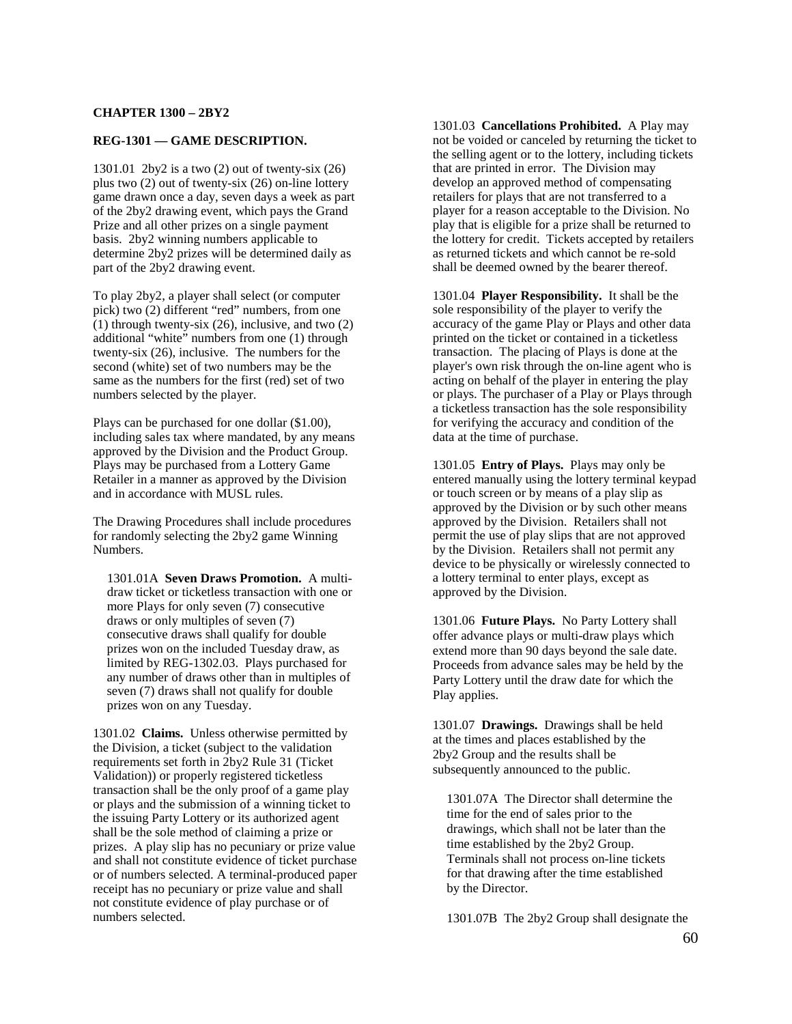#### **CHAPTER 1300 – 2BY2**

#### **REG-1301 — GAME DESCRIPTION.**

1301.01 2by2 is a two (2) out of twenty-six (26) plus two (2) out of twenty-six (26) on-line lottery game drawn once a day, seven days a week as part of the 2by2 drawing event, which pays the Grand Prize and all other prizes on a single payment basis. 2by2 winning numbers applicable to determine 2by2 prizes will be determined daily as part of the 2by2 drawing event.

To play 2by2, a player shall select (or computer pick) two (2) different "red" numbers, from one (1) through twenty-six (26), inclusive, and two (2) additional "white" numbers from one (1) through twenty-six (26), inclusive. The numbers for the second (white) set of two numbers may be the same as the numbers for the first (red) set of two numbers selected by the player.

Plays can be purchased for one dollar (\$1.00), including sales tax where mandated, by any means approved by the Division and the Product Group. Plays may be purchased from a Lottery Game Retailer in a manner as approved by the Division and in accordance with MUSL rules.

The Drawing Procedures shall include procedures for randomly selecting the 2by2 game Winning Numbers.

1301.01A **Seven Draws Promotion.** A multidraw ticket or ticketless transaction with one or more Plays for only seven (7) consecutive draws or only multiples of seven (7) consecutive draws shall qualify for double prizes won on the included Tuesday draw, as limited by REG-1302.03. Plays purchased for any number of draws other than in multiples of seven (7) draws shall not qualify for double prizes won on any Tuesday.

1301.02 **Claims.** Unless otherwise permitted by the Division, a ticket (subject to the validation requirements set forth in 2by2 Rule 31 (Ticket Validation)) or properly registered ticketless transaction shall be the only proof of a game play or plays and the submission of a winning ticket to the issuing Party Lottery or its authorized agent shall be the sole method of claiming a prize or prizes. A play slip has no pecuniary or prize value and shall not constitute evidence of ticket purchase or of numbers selected. A terminal-produced paper receipt has no pecuniary or prize value and shall not constitute evidence of play purchase or of numbers selected.

1301.03 **Cancellations Prohibited.** A Play may not be voided or canceled by returning the ticket to the selling agent or to the lottery, including tickets that are printed in error. The Division may develop an approved method of compensating retailers for plays that are not transferred to a player for a reason acceptable to the Division. No play that is eligible for a prize shall be returned to the lottery for credit. Tickets accepted by retailers as returned tickets and which cannot be re-sold shall be deemed owned by the bearer thereof.

1301.04 **Player Responsibility.** It shall be the sole responsibility of the player to verify the accuracy of the game Play or Plays and other data printed on the ticket or contained in a ticketless transaction. The placing of Plays is done at the player's own risk through the on-line agent who is acting on behalf of the player in entering the play or plays. The purchaser of a Play or Plays through a ticketless transaction has the sole responsibility for verifying the accuracy and condition of the data at the time of purchase.

1301.05 **Entry of Plays.** Plays may only be entered manually using the lottery terminal keypad or touch screen or by means of a play slip as approved by the Division or by such other means approved by the Division. Retailers shall not permit the use of play slips that are not approved by the Division. Retailers shall not permit any device to be physically or wirelessly connected to a lottery terminal to enter plays, except as approved by the Division.

1301.06 **Future Plays.** No Party Lottery shall offer advance plays or multi-draw plays which extend more than 90 days beyond the sale date. Proceeds from advance sales may be held by the Party Lottery until the draw date for which the Play applies.

1301.07 **Drawings.** Drawings shall be held at the times and places established by the 2by2 Group and the results shall be subsequently announced to the public.

1301.07A The Director shall determine the time for the end of sales prior to the drawings, which shall not be later than the time established by the 2by2 Group. Terminals shall not process on-line tickets for that drawing after the time established by the Director.

1301.07B The 2by2 Group shall designate the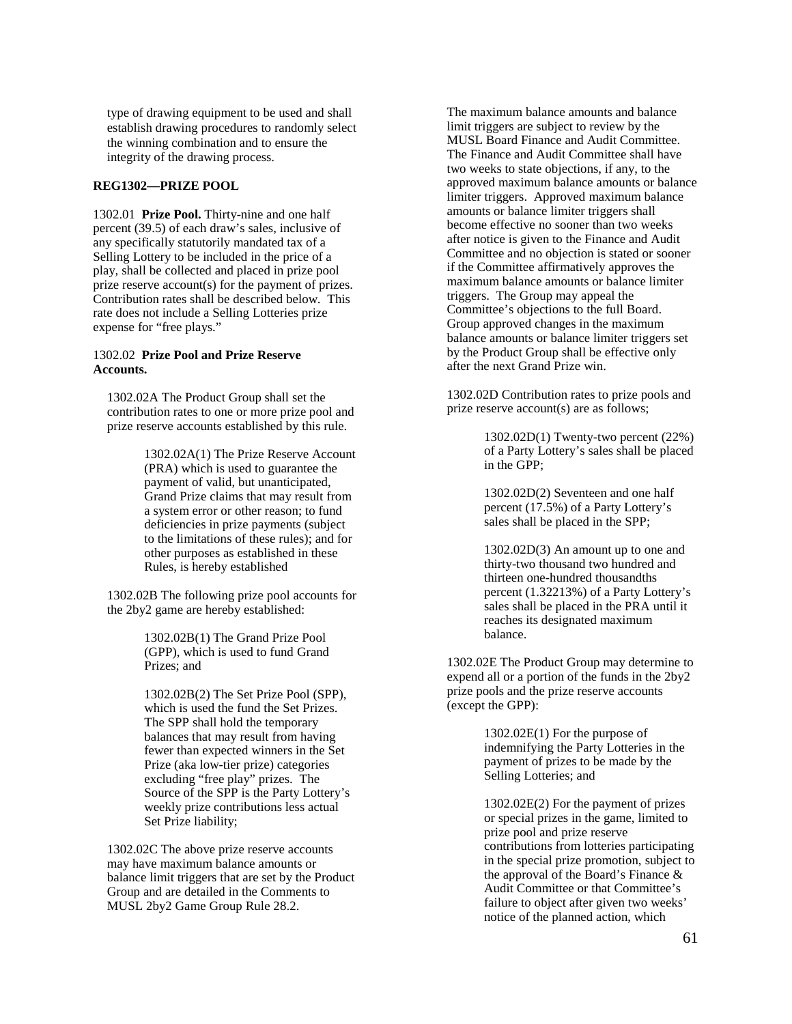type of drawing equipment to be used and shall establish drawing procedures to randomly select the winning combination and to ensure the integrity of the drawing process.

# **REG1302—PRIZE POOL**

1302.01 **Prize Pool.** Thirty-nine and one half percent (39.5) of each draw's sales, inclusive of any specifically statutorily mandated tax of a Selling Lottery to be included in the price of a play, shall be collected and placed in prize pool prize reserve account(s) for the payment of prizes. Contribution rates shall be described below. This rate does not include a Selling Lotteries prize expense for "free plays."

# 1302.02 **Prize Pool and Prize Reserve Accounts.**

1302.02A The Product Group shall set the contribution rates to one or more prize pool and prize reserve accounts established by this rule.

> 1302.02A(1) The Prize Reserve Account (PRA) which is used to guarantee the payment of valid, but unanticipated, Grand Prize claims that may result from a system error or other reason; to fund deficiencies in prize payments (subject to the limitations of these rules); and for other purposes as established in these Rules, is hereby established

1302.02B The following prize pool accounts for the 2by2 game are hereby established:

> 1302.02B(1) The Grand Prize Pool (GPP), which is used to fund Grand Prizes; and

1302.02B(2) The Set Prize Pool (SPP), which is used the fund the Set Prizes. The SPP shall hold the temporary balances that may result from having fewer than expected winners in the Set Prize (aka low-tier prize) categories excluding "free play" prizes. The Source of the SPP is the Party Lottery's weekly prize contributions less actual Set Prize liability;

1302.02C The above prize reserve accounts may have maximum balance amounts or balance limit triggers that are set by the Product Group and are detailed in the Comments to MUSL 2by2 Game Group Rule 28.2.

The maximum balance amounts and balance limit triggers are subject to review by the MUSL Board Finance and Audit Committee. The Finance and Audit Committee shall have two weeks to state objections, if any, to the approved maximum balance amounts or balance limiter triggers. Approved maximum balance amounts or balance limiter triggers shall become effective no sooner than two weeks after notice is given to the Finance and Audit Committee and no objection is stated or sooner if the Committee affirmatively approves the maximum balance amounts or balance limiter triggers. The Group may appeal the Committee's objections to the full Board. Group approved changes in the maximum balance amounts or balance limiter triggers set by the Product Group shall be effective only after the next Grand Prize win.

1302.02D Contribution rates to prize pools and prize reserve account(s) are as follows;

> 1302.02D(1) Twenty-two percent (22%) of a Party Lottery's sales shall be placed in the GPP;

1302.02D(2) Seventeen and one half percent (17.5%) of a Party Lottery's sales shall be placed in the SPP;

1302.02D(3) An amount up to one and thirty-two thousand two hundred and thirteen one-hundred thousandths percent (1.32213%) of a Party Lottery's sales shall be placed in the PRA until it reaches its designated maximum balance.

1302.02E The Product Group may determine to expend all or a portion of the funds in the 2by2 prize pools and the prize reserve accounts (except the GPP):

> 1302.02E(1) For the purpose of indemnifying the Party Lotteries in the payment of prizes to be made by the Selling Lotteries; and

1302.02E(2) For the payment of prizes or special prizes in the game, limited to prize pool and prize reserve contributions from lotteries participating in the special prize promotion, subject to the approval of the Board's Finance & Audit Committee or that Committee's failure to object after given two weeks' notice of the planned action, which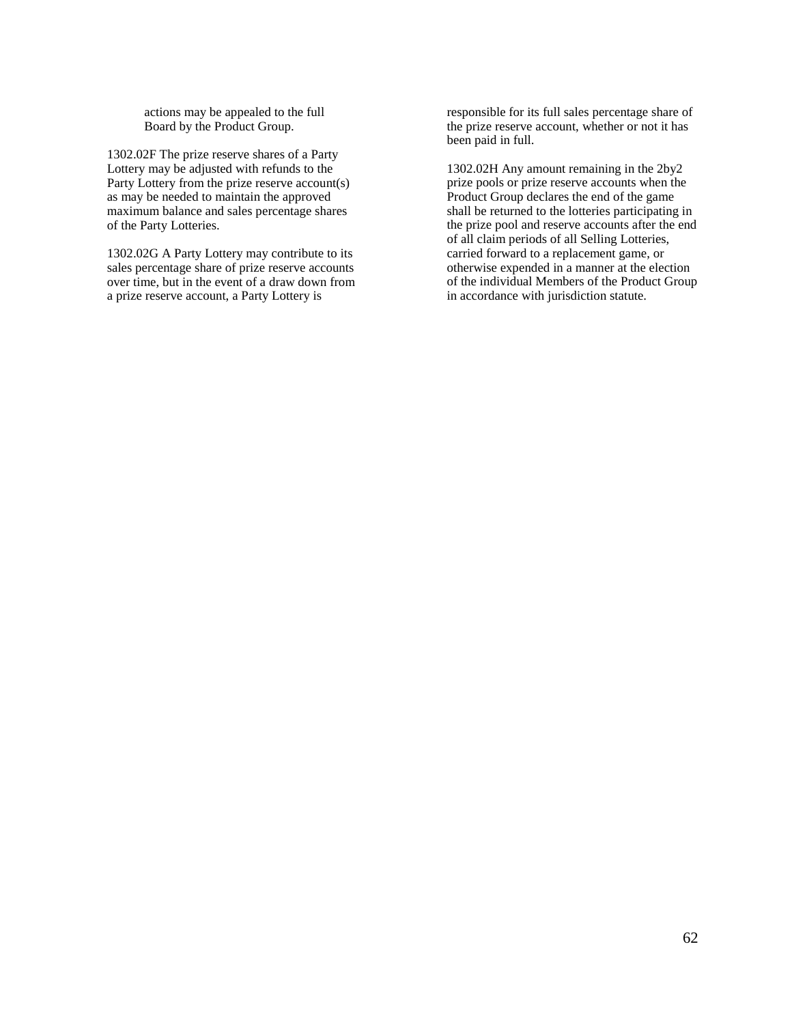actions may be appealed to the full Board by the Product Group.

1302.02F The prize reserve shares of a Party Lottery may be adjusted with refunds to the Party Lottery from the prize reserve account(s) as may be needed to maintain the approved maximum balance and sales percentage shares of the Party Lotteries.

1302.02G A Party Lottery may contribute to its sales percentage share of prize reserve accounts over time, but in the event of a draw down from a prize reserve account, a Party Lottery is

responsible for its full sales percentage share of the prize reserve account, whether or not it has been paid in full.

1302.02H Any amount remaining in the 2by2 prize pools or prize reserve accounts when the Product Group declares the end of the game shall be returned to the lotteries participating in the prize pool and reserve accounts after the end of all claim periods of all Selling Lotteries, carried forward to a replacement game, or otherwise expended in a manner at the election of the individual Members of the Product Group in accordance with jurisdiction statute.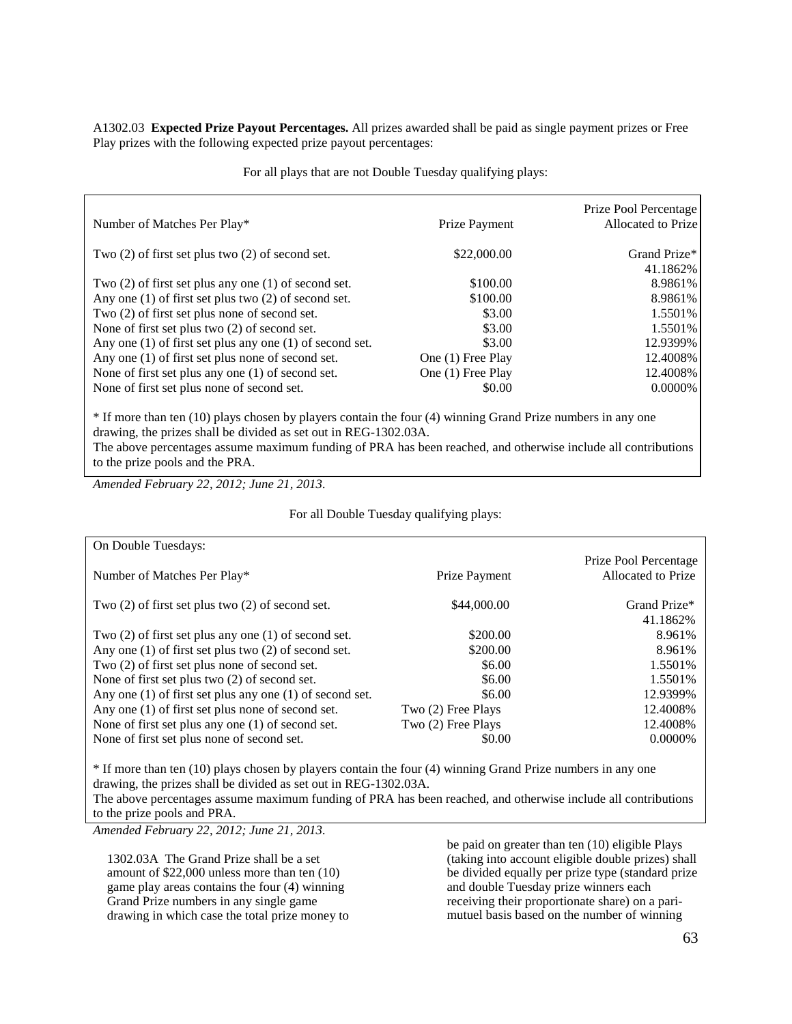A1302.03 **Expected Prize Payout Percentages.** All prizes awarded shall be paid as single payment prizes or Free Play prizes with the following expected prize payout percentages:

For all plays that are not Double Tuesday qualifying plays:

| Number of Matches Per Play*                                  | Prize Payment     | Prize Pool Percentage<br>Allocated to Prize |
|--------------------------------------------------------------|-------------------|---------------------------------------------|
| Two $(2)$ of first set plus two $(2)$ of second set.         | \$22,000.00       | Grand Prize*                                |
|                                                              |                   | 41.1862%                                    |
| Two $(2)$ of first set plus any one $(1)$ of second set.     | \$100.00          | 8.9861%                                     |
| Any one $(1)$ of first set plus two $(2)$ of second set.     | \$100.00          | 8.9861%                                     |
| Two (2) of first set plus none of second set.                | \$3.00            | 1.5501%                                     |
| None of first set plus two (2) of second set.                | \$3.00            | 1.5501%                                     |
| Any one $(1)$ of first set plus any one $(1)$ of second set. | \$3.00            | 12.9399%                                    |
| Any one (1) of first set plus none of second set.            | One (1) Free Play | 12.4008%                                    |
| None of first set plus any one (1) of second set.            | One (1) Free Play | 12.4008%                                    |
| None of first set plus none of second set.                   | \$0.00            | $0.0000\%$                                  |

\* If more than ten (10) plays chosen by players contain the four (4) winning Grand Prize numbers in any one drawing, the prizes shall be divided as set out in REG-1302.03A.

The above percentages assume maximum funding of PRA has been reached, and otherwise include all contributions to the prize pools and the PRA.

*Amended February 22, 2012; June 21, 2013.*

### For all Double Tuesday qualifying plays:

| On Double Tuesdays:                                          |                    |                                             |
|--------------------------------------------------------------|--------------------|---------------------------------------------|
| Number of Matches Per Play*                                  | Prize Payment      | Prize Pool Percentage<br>Allocated to Prize |
| Two $(2)$ of first set plus two $(2)$ of second set.         | \$44,000.00        | Grand Prize*                                |
|                                                              |                    | 41.1862%                                    |
| Two $(2)$ of first set plus any one $(1)$ of second set.     | \$200.00           | 8.961%                                      |
| Any one $(1)$ of first set plus two $(2)$ of second set.     | \$200.00           | 8.961%                                      |
| Two (2) of first set plus none of second set.                | \$6.00             | 1.5501\%                                    |
| None of first set plus two (2) of second set.                | \$6.00             | 1.5501\%                                    |
| Any one $(1)$ of first set plus any one $(1)$ of second set. | \$6.00             | 12.9399%                                    |
| Any one (1) of first set plus none of second set.            | Two (2) Free Plays | 12.4008%                                    |
| None of first set plus any one (1) of second set.            | Two (2) Free Plays | 12.4008%                                    |
| None of first set plus none of second set.                   | \$0.00             | $0.0000\%$                                  |

\* If more than ten (10) plays chosen by players contain the four (4) winning Grand Prize numbers in any one drawing, the prizes shall be divided as set out in REG-1302.03A.

The above percentages assume maximum funding of PRA has been reached, and otherwise include all contributions to the prize pools and PRA.

*Amended February 22, 2012; June 21, 2013.*

1302.03A The Grand Prize shall be a set amount of \$22,000 unless more than ten (10) game play areas contains the four (4) winning Grand Prize numbers in any single game drawing in which case the total prize money to

be paid on greater than ten (10) eligible Plays (taking into account eligible double prizes) shall be divided equally per prize type (standard prize and double Tuesday prize winners each receiving their proportionate share) on a parimutuel basis based on the number of winning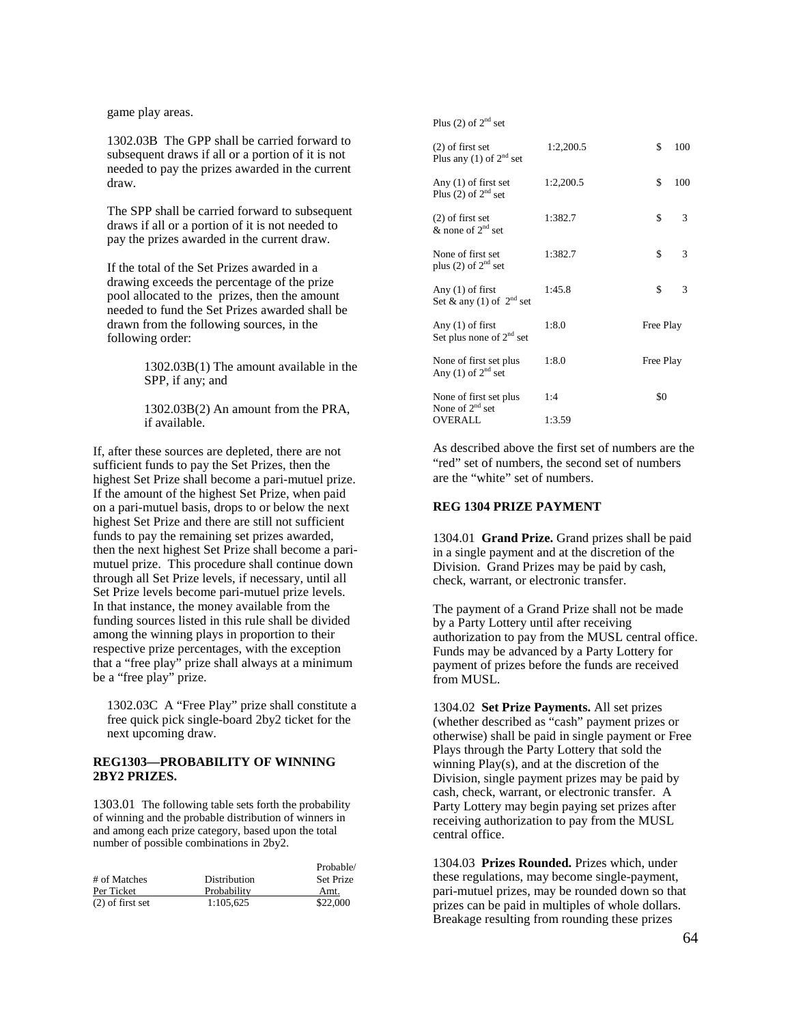game play areas.

1302.03B The GPP shall be carried forward to subsequent draws if all or a portion of it is not needed to pay the prizes awarded in the current draw.

The SPP shall be carried forward to subsequent draws if all or a portion of it is not needed to pay the prizes awarded in the current draw.

If the total of the Set Prizes awarded in a drawing exceeds the percentage of the prize pool allocated to the prizes, then the amount needed to fund the Set Prizes awarded shall be drawn from the following sources, in the following order:

> 1302.03B(1) The amount available in the SPP, if any; and

1302.03B(2) An amount from the PRA, if available.

If, after these sources are depleted, there are not sufficient funds to pay the Set Prizes, then the highest Set Prize shall become a pari-mutuel prize. If the amount of the highest Set Prize, when paid on a pari-mutuel basis, drops to or below the next highest Set Prize and there are still not sufficient funds to pay the remaining set prizes awarded, then the next highest Set Prize shall become a parimutuel prize. This procedure shall continue down through all Set Prize levels, if necessary, until all Set Prize levels become pari-mutuel prize levels. In that instance, the money available from the funding sources listed in this rule shall be divided among the winning plays in proportion to their respective prize percentages, with the exception that a "free play" prize shall always at a minimum be a "free play" prize.

1302.03C A "Free Play" prize shall constitute a free quick pick single-board 2by2 ticket for the next upcoming draw.

# **REG1303—PROBABILITY OF WINNING 2BY2 PRIZES.**

1303.01 The following table sets forth the probability of winning and the probable distribution of winners in and among each prize category, based upon the total number of possible combinations in 2by2.

|                    |              | Probable/        |
|--------------------|--------------|------------------|
| # of Matches       | Distribution | <b>Set Prize</b> |
| Per Ticket         | Probability  | Amt.             |
| $(2)$ of first set | 1:105.625    | \$22,000         |

Plus  $(2)$  of  $2<sup>nd</sup>$  set

| $(2)$ of first set<br>Plus any (1) of $2^{nd}$ set | 1:2,200.5 | \$        | 100 |
|----------------------------------------------------|-----------|-----------|-----|
| Any $(1)$ of first set<br>Plus (2) of $2^{nd}$ set | 1:2,200.5 | \$        | 100 |
| $(2)$ of first set<br>& none of $2^{nd}$ set       | 1:382.7   | \$        | 3   |
| None of first set<br>plus (2) of $2nd$ set         | 1:382.7   | \$        | 3   |
| Any $(1)$ of first<br>Set & any (1) of $2nd$ set   | 1:45.8    | \$        | 3   |
| Any $(1)$ of first<br>Set plus none of $2nd$ set   | 1:8.0     | Free Play |     |
| None of first set plus<br>Any (1) of $2nd$ set     | 1:8.0     | Free Play |     |
| None of first set plus<br>None of $2nd$ set        | 1:4       | \$0       |     |
| <b>OVERALL</b>                                     | 1:3.59    |           |     |

As described above the first set of numbers are the "red" set of numbers, the second set of numbers are the "white" set of numbers.

# **REG 1304 PRIZE PAYMENT**

1304.01 **Grand Prize.** Grand prizes shall be paid in a single payment and at the discretion of the Division. Grand Prizes may be paid by cash, check, warrant, or electronic transfer.

The payment of a Grand Prize shall not be made by a Party Lottery until after receiving authorization to pay from the MUSL central office. Funds may be advanced by a Party Lottery for payment of prizes before the funds are received from MUSL.

1304.02 **Set Prize Payments.** All set prizes (whether described as "cash" payment prizes or otherwise) shall be paid in single payment or Free Plays through the Party Lottery that sold the winning Play(s), and at the discretion of the Division, single payment prizes may be paid by cash, check, warrant, or electronic transfer. A Party Lottery may begin paying set prizes after receiving authorization to pay from the MUSL central office.

1304.03 **Prizes Rounded.** Prizes which, under these regulations, may become single-payment, pari-mutuel prizes, may be rounded down so that prizes can be paid in multiples of whole dollars. Breakage resulting from rounding these prizes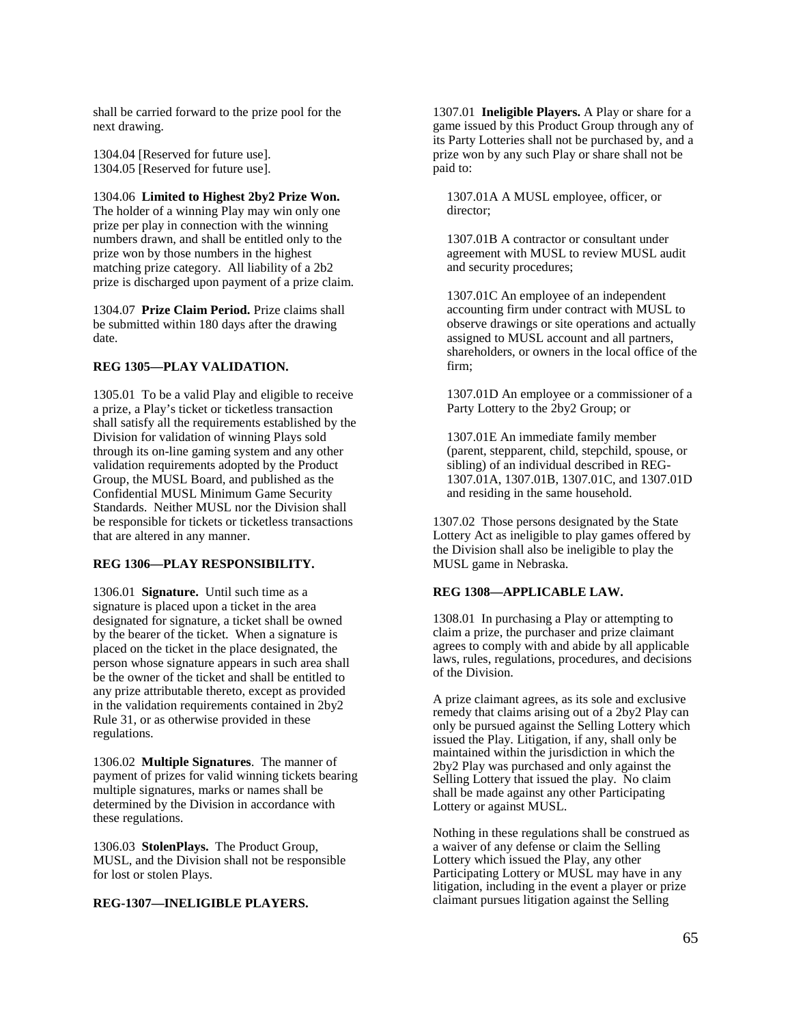shall be carried forward to the prize pool for the next drawing.

1304.04 [Reserved for future use]. 1304.05 [Reserved for future use].

1304.06 **Limited to Highest 2by2 Prize Won.** 

The holder of a winning Play may win only one prize per play in connection with the winning numbers drawn, and shall be entitled only to the prize won by those numbers in the highest matching prize category. All liability of a 2b2 prize is discharged upon payment of a prize claim.

1304.07 **Prize Claim Period.** Prize claims shall be submitted within 180 days after the drawing date.

## **REG 1305—PLAY VALIDATION.**

1305.01 To be a valid Play and eligible to receive a prize, a Play's ticket or ticketless transaction shall satisfy all the requirements established by the Division for validation of winning Plays sold through its on-line gaming system and any other validation requirements adopted by the Product Group, the MUSL Board, and published as the Confidential MUSL Minimum Game Security Standards. Neither MUSL nor the Division shall be responsible for tickets or ticketless transactions that are altered in any manner.

# **REG 1306—PLAY RESPONSIBILITY.**

1306.01 **Signature.** Until such time as a signature is placed upon a ticket in the area designated for signature, a ticket shall be owned by the bearer of the ticket. When a signature is placed on the ticket in the place designated, the person whose signature appears in such area shall be the owner of the ticket and shall be entitled to any prize attributable thereto, except as provided in the validation requirements contained in 2by2 Rule 31, or as otherwise provided in these regulations.

1306.02 **Multiple Signatures**. The manner of payment of prizes for valid winning tickets bearing multiple signatures, marks or names shall be determined by the Division in accordance with these regulations.

1306.03 **StolenPlays.** The Product Group, MUSL, and the Division shall not be responsible for lost or stolen Plays.

## **REG-1307—INELIGIBLE PLAYERS.**

1307.01 **Ineligible Players.** A Play or share for a game issued by this Product Group through any of its Party Lotteries shall not be purchased by, and a prize won by any such Play or share shall not be paid to:

1307.01A A MUSL employee, officer, or director;

1307.01B A contractor or consultant under agreement with MUSL to review MUSL audit and security procedures;

1307.01C An employee of an independent accounting firm under contract with MUSL to observe drawings or site operations and actually assigned to MUSL account and all partners, shareholders, or owners in the local office of the firm;

1307.01D An employee or a commissioner of a Party Lottery to the 2by2 Group; or

1307.01E An immediate family member (parent, stepparent, child, stepchild, spouse, or sibling) of an individual described in REG-1307.01A, 1307.01B, 1307.01C, and 1307.01D and residing in the same household.

1307.02 Those persons designated by the State Lottery Act as ineligible to play games offered by the Division shall also be ineligible to play the MUSL game in Nebraska.

# **REG 1308—APPLICABLE LAW.**

1308.01 In purchasing a Play or attempting to claim a prize, the purchaser and prize claimant agrees to comply with and abide by all applicable laws, rules, regulations, procedures, and decisions of the Division.

A prize claimant agrees, as its sole and exclusive remedy that claims arising out of a 2by2 Play can only be pursued against the Selling Lottery which issued the Play. Litigation, if any, shall only be maintained within the jurisdiction in which the 2by2 Play was purchased and only against the Selling Lottery that issued the play. No claim shall be made against any other Participating Lottery or against MUSL.

Nothing in these regulations shall be construed as a waiver of any defense or claim the Selling Lottery which issued the Play, any other Participating Lottery or MUSL may have in any litigation, including in the event a player or prize claimant pursues litigation against the Selling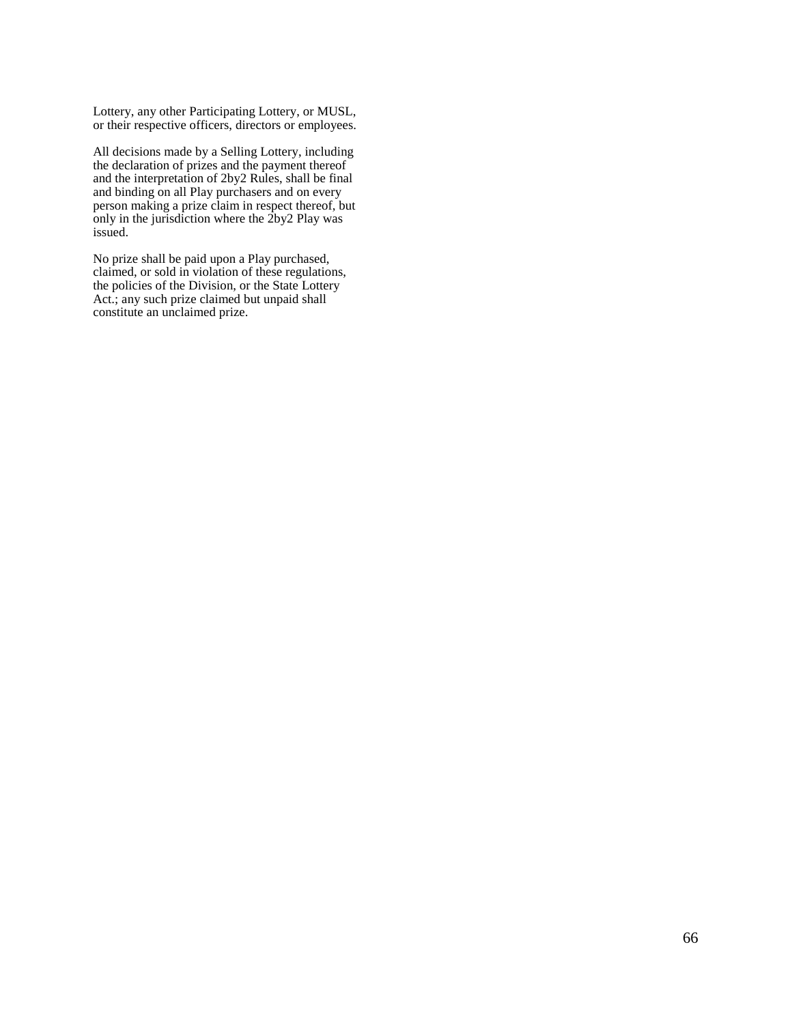Lottery, any other Participating Lottery, or MUSL, or their respective officers, directors or employees.

All decisions made by a Selling Lottery, including the declaration of prizes and the payment thereof and the interpretation of 2by2 Rules, shall be final and binding on all Play purchasers and on every person making a prize claim in respect thereof, but only in the jurisdiction where the 2by2 Play was issued.

No prize shall be paid upon a Play purchased, claimed, or sold in violation of these regulations, the policies of the Division, or the State Lottery Act.; any such prize claimed but unpaid shall constitute an unclaimed prize.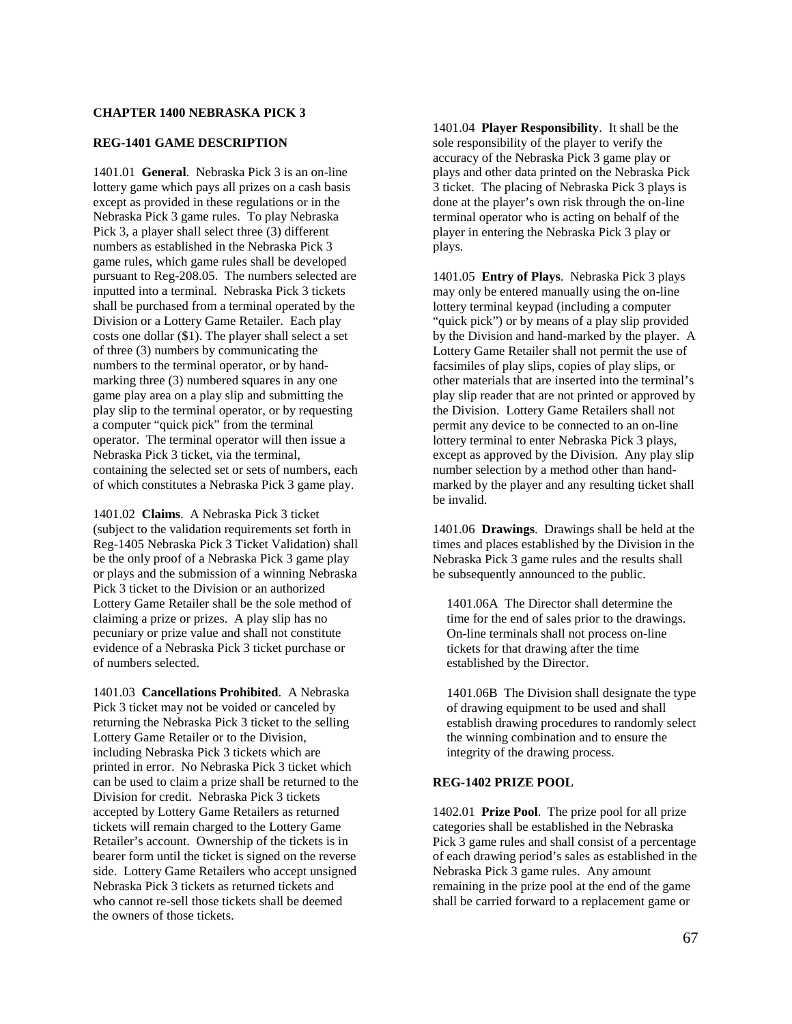## **CHAPTER 1400 NEBRASKA PICK 3**

#### **REG-1401 GAME DESCRIPTION**

1401.01 **General**. Nebraska Pick 3 is an on-line lottery game which pays all prizes on a cash basis except as provided in these regulations or in the Nebraska Pick 3 game rules. To play Nebraska Pick 3, a player shall select three (3) different numbers as established in the Nebraska Pick 3 game rules, which game rules shall be developed pursuant to Reg-208.05. The numbers selected are inputted into a terminal. Nebraska Pick 3 tickets shall be purchased from a terminal operated by the Division or a Lottery Game Retailer. Each play costs one dollar (\$1). The player shall select a set of three (3) numbers by communicating the numbers to the terminal operator, or by handmarking three (3) numbered squares in any one game play area on a play slip and submitting the play slip to the terminal operator, or by requesting a computer "quick pick" from the terminal operator. The terminal operator will then issue a Nebraska Pick 3 ticket, via the terminal, containing the selected set or sets of numbers, each of which constitutes a Nebraska Pick 3 game play.

1401.02 **Claims**. A Nebraska Pick 3 ticket (subject to the validation requirements set forth in Reg-1405 Nebraska Pick 3 Ticket Validation) shall be the only proof of a Nebraska Pick 3 game play or plays and the submission of a winning Nebraska Pick 3 ticket to the Division or an authorized Lottery Game Retailer shall be the sole method of claiming a prize or prizes. A play slip has no pecuniary or prize value and shall not constitute evidence of a Nebraska Pick 3 ticket purchase or of numbers selected.

1401.03 **Cancellations Prohibited**. A Nebraska Pick 3 ticket may not be voided or canceled by returning the Nebraska Pick 3 ticket to the selling Lottery Game Retailer or to the Division, including Nebraska Pick 3 tickets which are printed in error. No Nebraska Pick 3 ticket which can be used to claim a prize shall be returned to the Division for credit. Nebraska Pick 3 tickets accepted by Lottery Game Retailers as returned tickets will remain charged to the Lottery Game Retailer's account. Ownership of the tickets is in bearer form until the ticket is signed on the reverse side. Lottery Game Retailers who accept unsigned Nebraska Pick 3 tickets as returned tickets and who cannot re-sell those tickets shall be deemed the owners of those tickets.

1401.04 **Player Responsibility**. It shall be the sole responsibility of the player to verify the accuracy of the Nebraska Pick 3 game play or plays and other data printed on the Nebraska Pick 3 ticket. The placing of Nebraska Pick 3 plays is done at the player's own risk through the on-line terminal operator who is acting on behalf of the player in entering the Nebraska Pick 3 play or plays.

1401.05 **Entry of Plays**. Nebraska Pick 3 plays may only be entered manually using the on-line lottery terminal keypad (including a computer "quick pick") or by means of a play slip provided by the Division and hand-marked by the player. A Lottery Game Retailer shall not permit the use of facsimiles of play slips, copies of play slips, or other materials that are inserted into the terminal's play slip reader that are not printed or approved by the Division. Lottery Game Retailers shall not permit any device to be connected to an on-line lottery terminal to enter Nebraska Pick 3 plays, except as approved by the Division. Any play slip number selection by a method other than handmarked by the player and any resulting ticket shall be invalid.

1401.06 **Drawings**. Drawings shall be held at the times and places established by the Division in the Nebraska Pick 3 game rules and the results shall be subsequently announced to the public.

1401.06A The Director shall determine the time for the end of sales prior to the drawings. On-line terminals shall not process on-line tickets for that drawing after the time established by the Director.

1401.06B The Division shall designate the type of drawing equipment to be used and shall establish drawing procedures to randomly select the winning combination and to ensure the integrity of the drawing process.

## **REG-1402 PRIZE POOL**

1402.01 **Prize Pool**. The prize pool for all prize categories shall be established in the Nebraska Pick 3 game rules and shall consist of a percentage of each drawing period's sales as established in the Nebraska Pick 3 game rules. Any amount remaining in the prize pool at the end of the game shall be carried forward to a replacement game or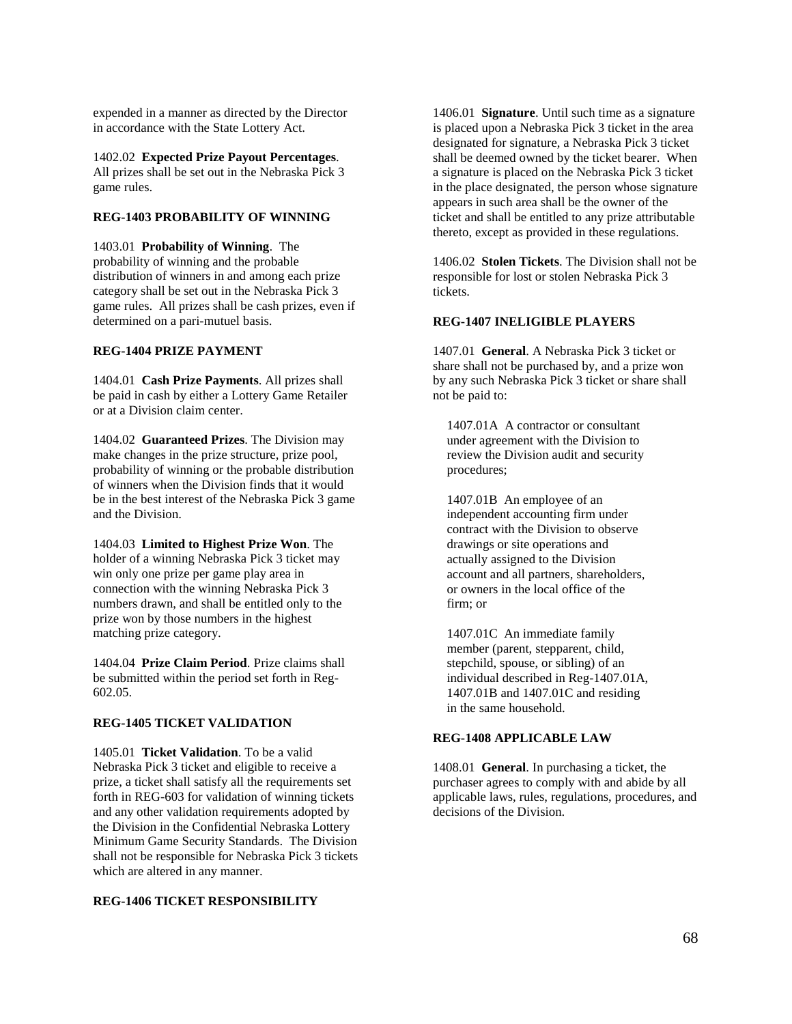expended in a manner as directed by the Director in accordance with the State Lottery Act.

1402.02 **Expected Prize Payout Percentages**. All prizes shall be set out in the Nebraska Pick 3 game rules.

# **REG-1403 PROBABILITY OF WINNING**

1403.01 **Probability of Winning**. The probability of winning and the probable distribution of winners in and among each prize category shall be set out in the Nebraska Pick 3 game rules. All prizes shall be cash prizes, even if determined on a pari-mutuel basis.

## **REG-1404 PRIZE PAYMENT**

1404.01 **Cash Prize Payments**. All prizes shall be paid in cash by either a Lottery Game Retailer or at a Division claim center.

1404.02 **Guaranteed Prizes**. The Division may make changes in the prize structure, prize pool, probability of winning or the probable distribution of winners when the Division finds that it would be in the best interest of the Nebraska Pick 3 game and the Division.

1404.03 **Limited to Highest Prize Won**. The holder of a winning Nebraska Pick 3 ticket may win only one prize per game play area in connection with the winning Nebraska Pick 3 numbers drawn, and shall be entitled only to the prize won by those numbers in the highest matching prize category.

1404.04 **Prize Claim Period**. Prize claims shall be submitted within the period set forth in Reg-602.05.

## **REG-1405 TICKET VALIDATION**

1405.01 **Ticket Validation**. To be a valid Nebraska Pick 3 ticket and eligible to receive a prize, a ticket shall satisfy all the requirements set forth in REG-603 for validation of winning tickets and any other validation requirements adopted by the Division in the Confidential Nebraska Lottery Minimum Game Security Standards. The Division shall not be responsible for Nebraska Pick 3 tickets which are altered in any manner.

#### **REG-1406 TICKET RESPONSIBILITY**

1406.01 **Signature**. Until such time as a signature is placed upon a Nebraska Pick 3 ticket in the area designated for signature, a Nebraska Pick 3 ticket shall be deemed owned by the ticket bearer. When a signature is placed on the Nebraska Pick 3 ticket in the place designated, the person whose signature appears in such area shall be the owner of the ticket and shall be entitled to any prize attributable thereto, except as provided in these regulations.

1406.02 **Stolen Tickets**. The Division shall not be responsible for lost or stolen Nebraska Pick 3 tickets.

#### **REG-1407 INELIGIBLE PLAYERS**

1407.01 **General**. A Nebraska Pick 3 ticket or share shall not be purchased by, and a prize won by any such Nebraska Pick 3 ticket or share shall not be paid to:

1407.01A A contractor or consultant under agreement with the Division to review the Division audit and security procedures;

1407.01B An employee of an independent accounting firm under contract with the Division to observe drawings or site operations and actually assigned to the Division account and all partners, shareholders, or owners in the local office of the firm; or

1407.01C An immediate family member (parent, stepparent, child, stepchild, spouse, or sibling) of an individual described in Reg-1407.01A, 1407.01B and 1407.01C and residing in the same household.

#### **REG-1408 APPLICABLE LAW**

1408.01 **General**. In purchasing a ticket, the purchaser agrees to comply with and abide by all applicable laws, rules, regulations, procedures, and decisions of the Division.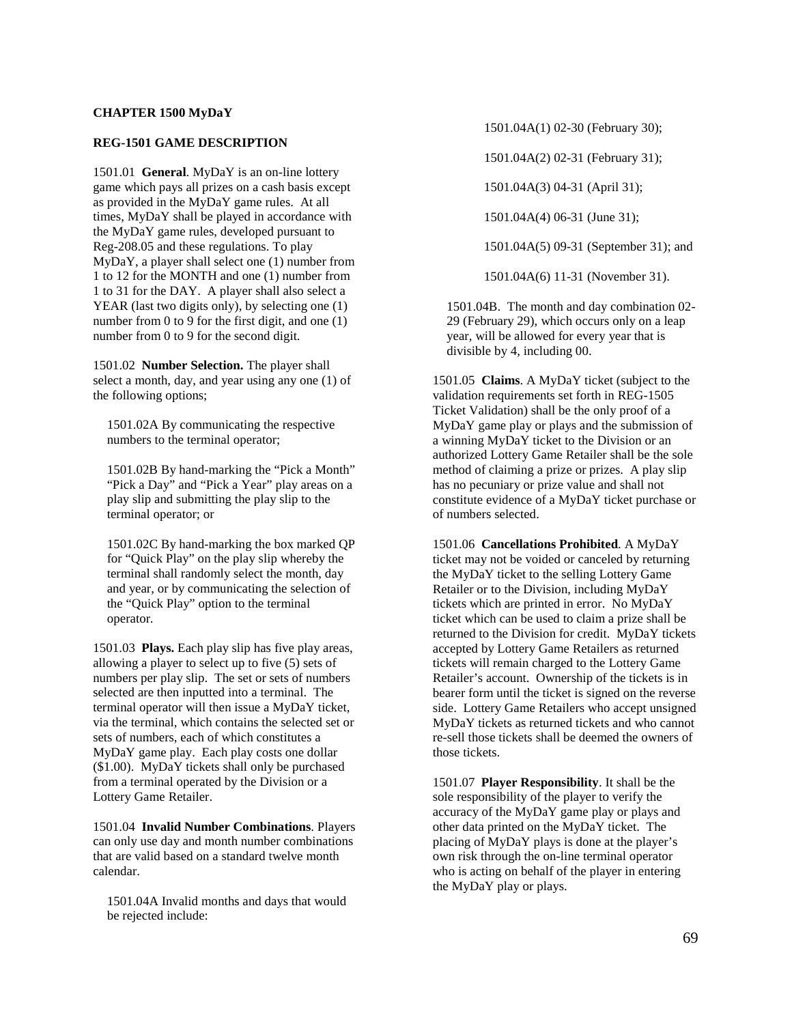# **CHAPTER 1500 MyDaY**

#### **REG-1501 GAME DESCRIPTION**

1501.01 **General**. MyDaY is an on-line lottery game which pays all prizes on a cash basis except as provided in the MyDaY game rules. At all times, MyDaY shall be played in accordance with the MyDaY game rules, developed pursuant to Reg-208.05 and these regulations. To play MyDaY, a player shall select one (1) number from 1 to 12 for the MONTH and one (1) number from 1 to 31 for the DAY. A player shall also select a YEAR (last two digits only), by selecting one (1) number from 0 to 9 for the first digit, and one (1) number from 0 to 9 for the second digit.

1501.02 **Number Selection.** The player shall select a month, day, and year using any one (1) of the following options;

1501.02A By communicating the respective numbers to the terminal operator;

1501.02B By hand-marking the "Pick a Month" "Pick a Day" and "Pick a Year" play areas on a play slip and submitting the play slip to the terminal operator; or

1501.02C By hand-marking the box marked QP for "Quick Play" on the play slip whereby the terminal shall randomly select the month, day and year, or by communicating the selection of the "Quick Play" option to the terminal operator.

1501.03 **Plays.** Each play slip has five play areas, allowing a player to select up to five (5) sets of numbers per play slip. The set or sets of numbers selected are then inputted into a terminal. The terminal operator will then issue a MyDaY ticket, via the terminal, which contains the selected set or sets of numbers, each of which constitutes a MyDaY game play. Each play costs one dollar (\$1.00). MyDaY tickets shall only be purchased from a terminal operated by the Division or a Lottery Game Retailer.

1501.04 **Invalid Number Combinations**. Players can only use day and month number combinations that are valid based on a standard twelve month calendar.

1501.04A Invalid months and days that would be rejected include:

1501.04A(1) 02-30 (February 30);

1501.04A(2) 02-31 (February 31);

1501.04A(3) 04-31 (April 31);

1501.04A(4) 06-31 (June 31);

1501.04A(5) 09-31 (September 31); and

1501.04A(6) 11-31 (November 31).

1501.04B. The month and day combination 02- 29 (February 29), which occurs only on a leap year, will be allowed for every year that is divisible by 4, including 00.

1501.05 **Claims**. A MyDaY ticket (subject to the validation requirements set forth in REG-1505 Ticket Validation) shall be the only proof of a MyDaY game play or plays and the submission of a winning MyDaY ticket to the Division or an authorized Lottery Game Retailer shall be the sole method of claiming a prize or prizes. A play slip has no pecuniary or prize value and shall not constitute evidence of a MyDaY ticket purchase or of numbers selected.

1501.06 **Cancellations Prohibited**. A MyDaY ticket may not be voided or canceled by returning the MyDaY ticket to the selling Lottery Game Retailer or to the Division, including MyDaY tickets which are printed in error. No MyDaY ticket which can be used to claim a prize shall be returned to the Division for credit. MyDaY tickets accepted by Lottery Game Retailers as returned tickets will remain charged to the Lottery Game Retailer's account. Ownership of the tickets is in bearer form until the ticket is signed on the reverse side. Lottery Game Retailers who accept unsigned MyDaY tickets as returned tickets and who cannot re-sell those tickets shall be deemed the owners of those tickets.

1501.07 **Player Responsibility**. It shall be the sole responsibility of the player to verify the accuracy of the MyDaY game play or plays and other data printed on the MyDaY ticket. The placing of MyDaY plays is done at the player's own risk through the on-line terminal operator who is acting on behalf of the player in entering the MyDaY play or plays.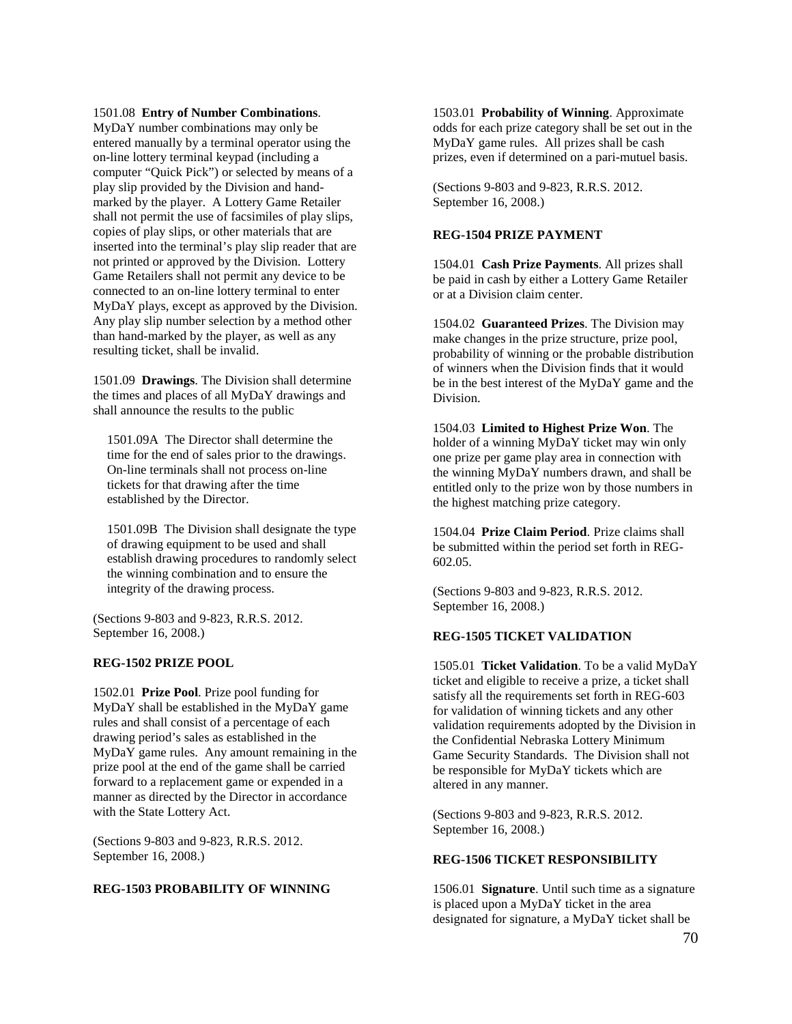1501.08 **Entry of Number Combinations**.

MyDaY number combinations may only be entered manually by a terminal operator using the on-line lottery terminal keypad (including a computer "Quick Pick") or selected by means of a play slip provided by the Division and handmarked by the player. A Lottery Game Retailer shall not permit the use of facsimiles of play slips, copies of play slips, or other materials that are inserted into the terminal's play slip reader that are not printed or approved by the Division. Lottery Game Retailers shall not permit any device to be connected to an on-line lottery terminal to enter MyDaY plays, except as approved by the Division. Any play slip number selection by a method other than hand-marked by the player, as well as any resulting ticket, shall be invalid.

1501.09 **Drawings**. The Division shall determine the times and places of all MyDaY drawings and shall announce the results to the public

1501.09A The Director shall determine the time for the end of sales prior to the drawings. On-line terminals shall not process on-line tickets for that drawing after the time established by the Director.

1501.09B The Division shall designate the type of drawing equipment to be used and shall establish drawing procedures to randomly select the winning combination and to ensure the integrity of the drawing process.

(Sections 9-803 and 9-823, R.R.S. 2012. September 16, 2008.)

## **REG-1502 PRIZE POOL**

1502.01 **Prize Pool**. Prize pool funding for MyDaY shall be established in the MyDaY game rules and shall consist of a percentage of each drawing period's sales as established in the MyDaY game rules. Any amount remaining in the prize pool at the end of the game shall be carried forward to a replacement game or expended in a manner as directed by the Director in accordance with the State Lottery Act.

(Sections 9-803 and 9-823, R.R.S. 2012. September 16, 2008.)

# **REG-1503 PROBABILITY OF WINNING**

1503.01 **Probability of Winning**. Approximate odds for each prize category shall be set out in the MyDaY game rules. All prizes shall be cash prizes, even if determined on a pari-mutuel basis.

(Sections 9-803 and 9-823, R.R.S. 2012. September 16, 2008.)

## **REG-1504 PRIZE PAYMENT**

1504.01 **Cash Prize Payments**. All prizes shall be paid in cash by either a Lottery Game Retailer or at a Division claim center.

1504.02 **Guaranteed Prizes**. The Division may make changes in the prize structure, prize pool, probability of winning or the probable distribution of winners when the Division finds that it would be in the best interest of the MyDaY game and the Division.

1504.03 **Limited to Highest Prize Won**. The holder of a winning MyDaY ticket may win only one prize per game play area in connection with the winning MyDaY numbers drawn, and shall be entitled only to the prize won by those numbers in the highest matching prize category.

1504.04 **Prize Claim Period**. Prize claims shall be submitted within the period set forth in REG-602.05.

(Sections 9-803 and 9-823, R.R.S. 2012. September 16, 2008.)

## **REG-1505 TICKET VALIDATION**

1505.01 **Ticket Validation**. To be a valid MyDaY ticket and eligible to receive a prize, a ticket shall satisfy all the requirements set forth in REG-603 for validation of winning tickets and any other validation requirements adopted by the Division in the Confidential Nebraska Lottery Minimum Game Security Standards. The Division shall not be responsible for MyDaY tickets which are altered in any manner.

(Sections 9-803 and 9-823, R.R.S. 2012. September 16, 2008.)

## **REG-1506 TICKET RESPONSIBILITY**

1506.01 **Signature**. Until such time as a signature is placed upon a MyDaY ticket in the area designated for signature, a MyDaY ticket shall be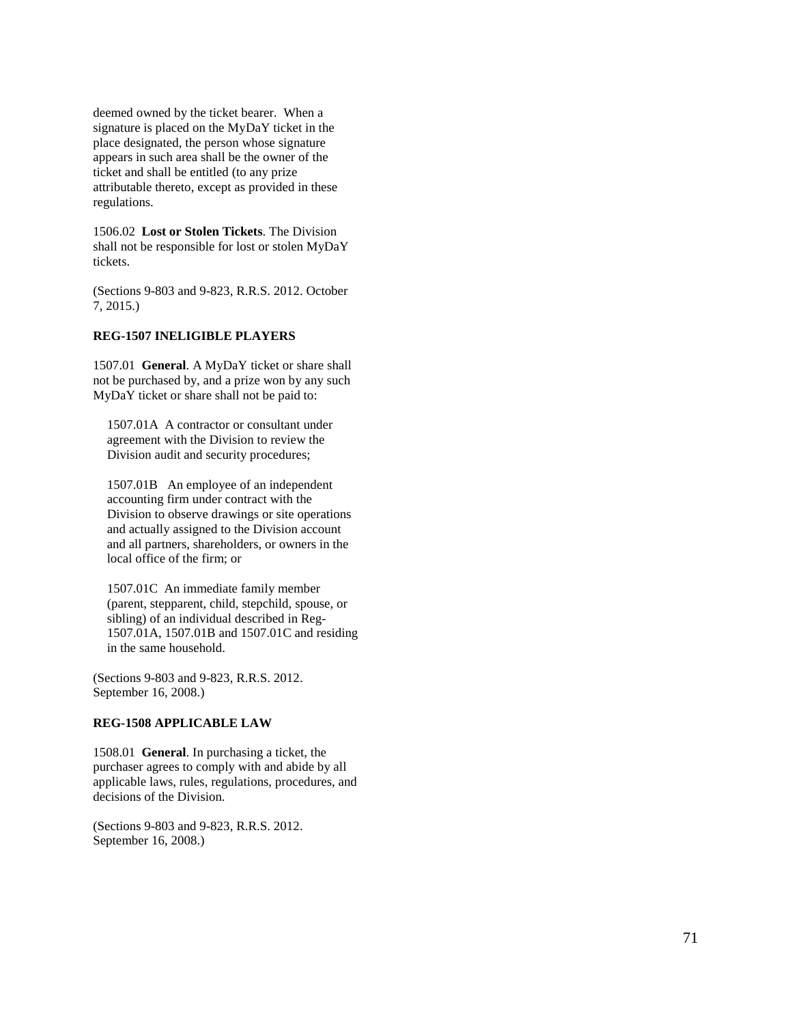deemed owned by the ticket bearer. When a signature is placed on the MyDaY ticket in the place designated, the person whose signature appears in such area shall be the owner of the ticket and shall be entitled (to any prize attributable thereto, except as provided in these regulations.

1506.02 **Lost or Stolen Tickets**. The Division shall not be responsible for lost or stolen MyDaY tickets.

(Sections 9 -803 and 9 -823, R.R.S. 2012. October 7, 2015.)

#### **REG -1507 INELIGIBLE PLAYERS**

1507.01 **General**. A MyDaY ticket or share shall not be purchased by, and a prize won by any such MyDaY ticket or share shall not be paid to:

1507.01A A contractor or consultant under agreement with the Division to review the Division audit and security procedures;

1507.01B An employee of an independent accounting firm under contract with the Division to observe drawings or site operations and actually assigned to the Division account and all partners, shareholders, or owners in the local office of the firm; or

1507.01C An immediate family member (parent, stepparent, child, stepchild, spouse, or sibling) of an individual described in Reg - 1507.01A, 1507.01B and 1507.01C and residing in the same household.

(Sections 9 -803 and 9 -823, R.R.S. 2012. September 16, 2008.)

#### **REG -1508 APPLICABLE LAW**

1508.01 **General**. In purchasing a ticket, the purchaser agrees to comply with and abide by all applicable laws, rules, regulations, procedures, and decisions of the Division.

(Sections 9 -803 and 9 -823, R.R.S. 2012. September 16, 2008.)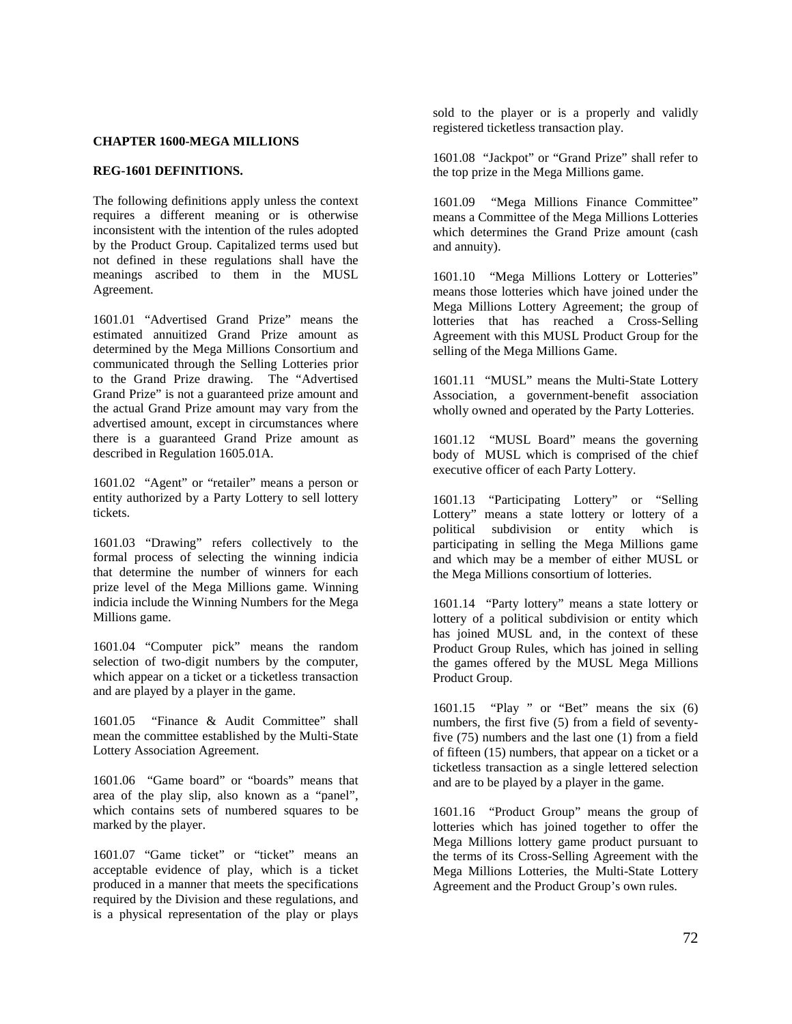## **CHAPTER 1600-MEGA MILLIONS**

## **REG-1601 DEFINITIONS.**

The following definitions apply unless the context requires a different meaning or is otherwise inconsistent with the intention of the rules adopted by the Product Group. Capitalized terms used but not defined in these regulations shall have the meanings ascribed to them in the MUSL Agreement.

1601.01 "Advertised Grand Prize" means the estimated annuitized Grand Prize amount as determined by the Mega Millions Consortium and communicated through the Selling Lotteries prior to the Grand Prize drawing. The "Advertised Grand Prize" is not a guaranteed prize amount and the actual Grand Prize amount may vary from the advertised amount, except in circumstances where there is a guaranteed Grand Prize amount as described in Regulation 1605.01A.

1601.02 "Agent" or "retailer" means a person or entity authorized by a Party Lottery to sell lottery tickets.

1601.03 "Drawing" refers collectively to the formal process of selecting the winning indicia that determine the number of winners for each prize level of the Mega Millions game. Winning indicia include the Winning Numbers for the Mega Millions game.

1601.04 "Computer pick" means the random selection of two-digit numbers by the computer, which appear on a ticket or a ticketless transaction and are played by a player in the game.

1601.05 "Finance & Audit Committee" shall mean the committee established by the Multi-State Lottery Association Agreement.

1601.06 "Game board" or "boards" means that area of the play slip, also known as a "panel", which contains sets of numbered squares to be marked by the player.

1601.07 "Game ticket" or "ticket" means an acceptable evidence of play, which is a ticket produced in a manner that meets the specifications required by the Division and these regulations, and is a physical representation of the play or plays sold to the player or is a properly and validly registered ticketless transaction play.

1601.08 "Jackpot" or "Grand Prize" shall refer to the top prize in the Mega Millions game.

1601.09 "Mega Millions Finance Committee" means a Committee of the Mega Millions Lotteries which determines the Grand Prize amount (cash and annuity).

1601.10 "Mega Millions Lottery or Lotteries" means those lotteries which have joined under the Mega Millions Lottery Agreement; the group of lotteries that has reached a Cross-Selling Agreement with this MUSL Product Group for the selling of the Mega Millions Game.

1601.11 "MUSL" means the Multi-State Lottery Association, a government-benefit association wholly owned and operated by the Party Lotteries.

1601.12 "MUSL Board" means the governing body of MUSL which is comprised of the chief executive officer of each Party Lottery.

1601.13 "Participating Lottery" or "Selling Lottery" means a state lottery or lottery of a political subdivision or entity which is participating in selling the Mega Millions game and which may be a member of either MUSL or the Mega Millions consortium of lotteries.

1601.14 "Party lottery" means a state lottery or lottery of a political subdivision or entity which has joined MUSL and, in the context of these Product Group Rules, which has joined in selling the games offered by the MUSL Mega Millions Product Group.

1601.15 "Play " or "Bet" means the six (6) numbers, the first five (5) from a field of seventyfive (75) numbers and the last one (1) from a field of fifteen (15) numbers, that appear on a ticket or a ticketless transaction as a single lettered selection and are to be played by a player in the game.

1601.16 "Product Group" means the group of lotteries which has joined together to offer the Mega Millions lottery game product pursuant to the terms of its Cross-Selling Agreement with the Mega Millions Lotteries, the Multi-State Lottery Agreement and the Product Group's own rules.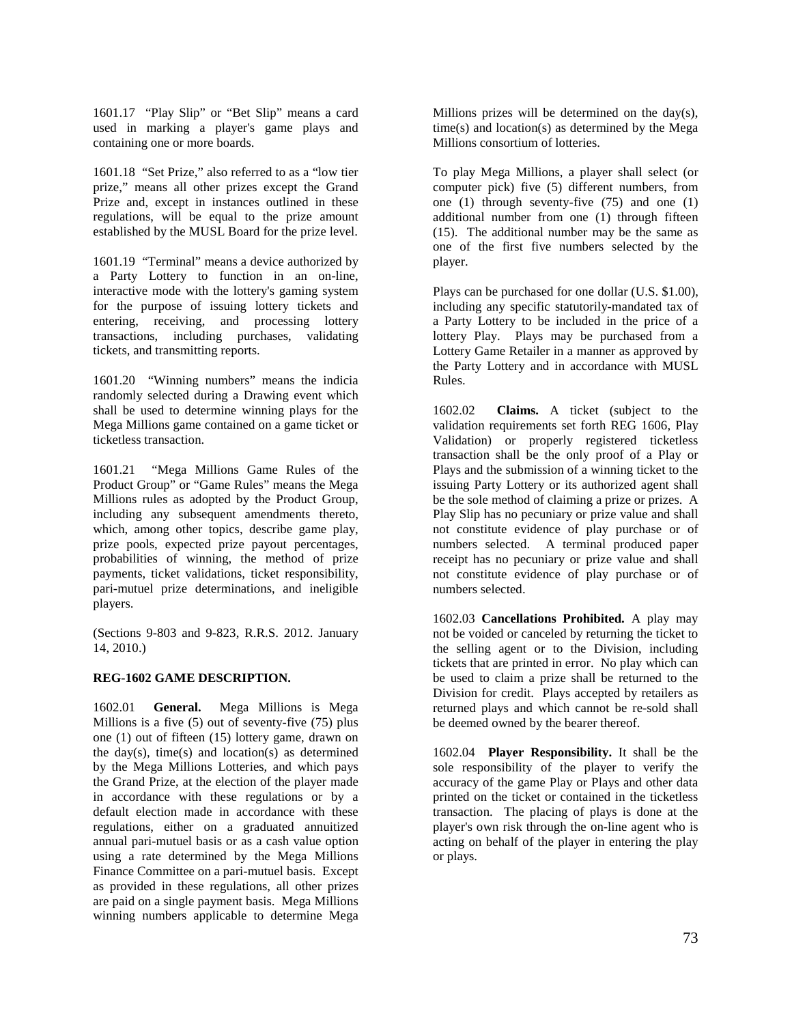1601.17 "Play Slip" or "Bet Slip" means a card used in marking a player's game plays and containing one or more boards.

1601.18 "Set Prize," also referred to as a "low tier prize," means all other prizes except the Grand Prize and, except in instances outlined in these regulations, will be equal to the prize amount established by the MUSL Board for the prize level.

1601.19 "Terminal" means a device authorized by a Party Lottery to function in an on-line, interactive mode with the lottery's gaming system for the purpose of issuing lottery tickets and entering, receiving, and processing lottery transactions, including purchases, validating tickets, and transmitting reports.

1601.20 "Winning numbers" means the indicia randomly selected during a Drawing event which shall be used to determine winning plays for the Mega Millions game contained on a game ticket or ticketless transaction.

1601.21 "Mega Millions Game Rules of the Product Group" or "Game Rules" means the Mega Millions rules as adopted by the Product Group, including any subsequent amendments thereto, which, among other topics, describe game play, prize pools, expected prize payout percentages, probabilities of winning, the method of prize payments, ticket validations, ticket responsibility, pari-mutuel prize determinations, and ineligible players.

(Sections 9-803 and 9-823, R.R.S. 2012. January 14, 2010.)

# **REG-1602 GAME DESCRIPTION.**

1602.01 **General.** Mega Millions is Mega Millions is a five (5) out of seventy-five (75) plus one (1) out of fifteen (15) lottery game, drawn on the day(s), time(s) and location(s) as determined by the Mega Millions Lotteries, and which pays the Grand Prize, at the election of the player made in accordance with these regulations or by a default election made in accordance with these regulations, either on a graduated annuitized annual pari-mutuel basis or as a cash value option using a rate determined by the Mega Millions Finance Committee on a pari-mutuel basis. Except as provided in these regulations, all other prizes are paid on a single payment basis. Mega Millions winning numbers applicable to determine Mega Millions prizes will be determined on the day(s), time(s) and location(s) as determined by the Mega Millions consortium of lotteries.

To play Mega Millions, a player shall select (or computer pick) five (5) different numbers, from one (1) through seventy-five (75) and one (1) additional number from one (1) through fifteen (15). The additional number may be the same as one of the first five numbers selected by the player.

Plays can be purchased for one dollar (U.S. \$1.00), including any specific statutorily-mandated tax of a Party Lottery to be included in the price of a lottery Play. Plays may be purchased from a Lottery Game Retailer in a manner as approved by the Party Lottery and in accordance with MUSL Rules.

1602.02 **Claims.** A ticket (subject to the validation requirements set forth REG 1606, Play Validation) or properly registered ticketless transaction shall be the only proof of a Play or Plays and the submission of a winning ticket to the issuing Party Lottery or its authorized agent shall be the sole method of claiming a prize or prizes. A Play Slip has no pecuniary or prize value and shall not constitute evidence of play purchase or of numbers selected. A terminal produced paper receipt has no pecuniary or prize value and shall not constitute evidence of play purchase or of numbers selected.

1602.03 **Cancellations Prohibited.** A play may not be voided or canceled by returning the ticket to the selling agent or to the Division, including tickets that are printed in error. No play which can be used to claim a prize shall be returned to the Division for credit. Plays accepted by retailers as returned plays and which cannot be re-sold shall be deemed owned by the bearer thereof.

1602.04 **Player Responsibility.** It shall be the sole responsibility of the player to verify the accuracy of the game Play or Plays and other data printed on the ticket or contained in the ticketless transaction. The placing of plays is done at the player's own risk through the on-line agent who is acting on behalf of the player in entering the play or plays.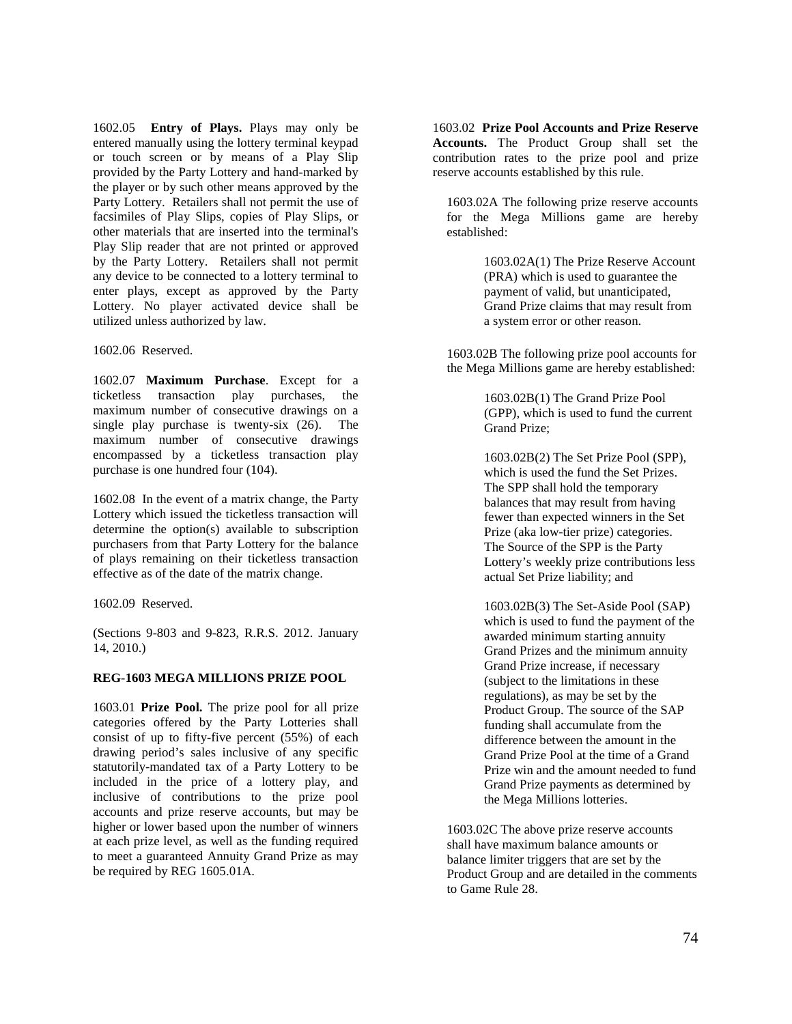1602.05 **Entry of Plays.** Plays may only be entered manually using the lottery terminal keypad or touch screen or by means of a Play Slip provided by the Party Lottery and hand-marked by the player or by such other means approved by the Party Lottery. Retailers shall not permit the use of facsimiles of Play Slips, copies of Play Slips, or other materials that are inserted into the terminal's Play Slip reader that are not printed or approved by the Party Lottery. Retailers shall not permit any device to be connected to a lottery terminal to enter plays, except as approved by the Party Lottery. No player activated device shall be utilized unless authorized by law.

1602.06 Reserved.

1602.07 **Maximum Purchase**. Except for a ticketless transaction play purchases, the maximum number of consecutive drawings on a single play purchase is twenty-six (26). The maximum number of consecutive drawings encompassed by a ticketless transaction play purchase is one hundred four (104).

1602.08 In the event of a matrix change, the Party Lottery which issued the ticketless transaction will determine the option(s) available to subscription purchasers from that Party Lottery for the balance of plays remaining on their ticketless transaction effective as of the date of the matrix change.

1602.09 Reserved.

(Sections 9-803 and 9-823, R.R.S. 2012. January 14, 2010.)

# **REG-1603 MEGA MILLIONS PRIZE POOL**

1603.01 **Prize Pool.** The prize pool for all prize categories offered by the Party Lotteries shall consist of up to fifty-five percent (55%) of each drawing period's sales inclusive of any specific statutorily-mandated tax of a Party Lottery to be included in the price of a lottery play, and inclusive of contributions to the prize pool accounts and prize reserve accounts, but may be higher or lower based upon the number of winners at each prize level, as well as the funding required to meet a guaranteed Annuity Grand Prize as may be required by REG 1605.01A.

1603.02 **Prize Pool Accounts and Prize Reserve Accounts.** The Product Group shall set the contribution rates to the prize pool and prize reserve accounts established by this rule.

1603.02A The following prize reserve accounts for the Mega Millions game are hereby established:

> 1603.02A(1) The Prize Reserve Account (PRA) which is used to guarantee the payment of valid, but unanticipated, Grand Prize claims that may result from a system error or other reason.

1603.02B The following prize pool accounts for the Mega Millions game are hereby established:

> 1603.02B(1) The Grand Prize Pool (GPP), which is used to fund the current Grand Prize;

> 1603.02B(2) The Set Prize Pool (SPP), which is used the fund the Set Prizes. The SPP shall hold the temporary balances that may result from having fewer than expected winners in the Set Prize (aka low-tier prize) categories. The Source of the SPP is the Party Lottery's weekly prize contributions less actual Set Prize liability; and

1603.02B(3) The Set-Aside Pool (SAP) which is used to fund the payment of the awarded minimum starting annuity Grand Prizes and the minimum annuity Grand Prize increase, if necessary (subject to the limitations in these regulations), as may be set by the Product Group. The source of the SAP funding shall accumulate from the difference between the amount in the Grand Prize Pool at the time of a Grand Prize win and the amount needed to fund Grand Prize payments as determined by the Mega Millions lotteries.

1603.02C The above prize reserve accounts shall have maximum balance amounts or balance limiter triggers that are set by the Product Group and are detailed in the comments to Game Rule 28.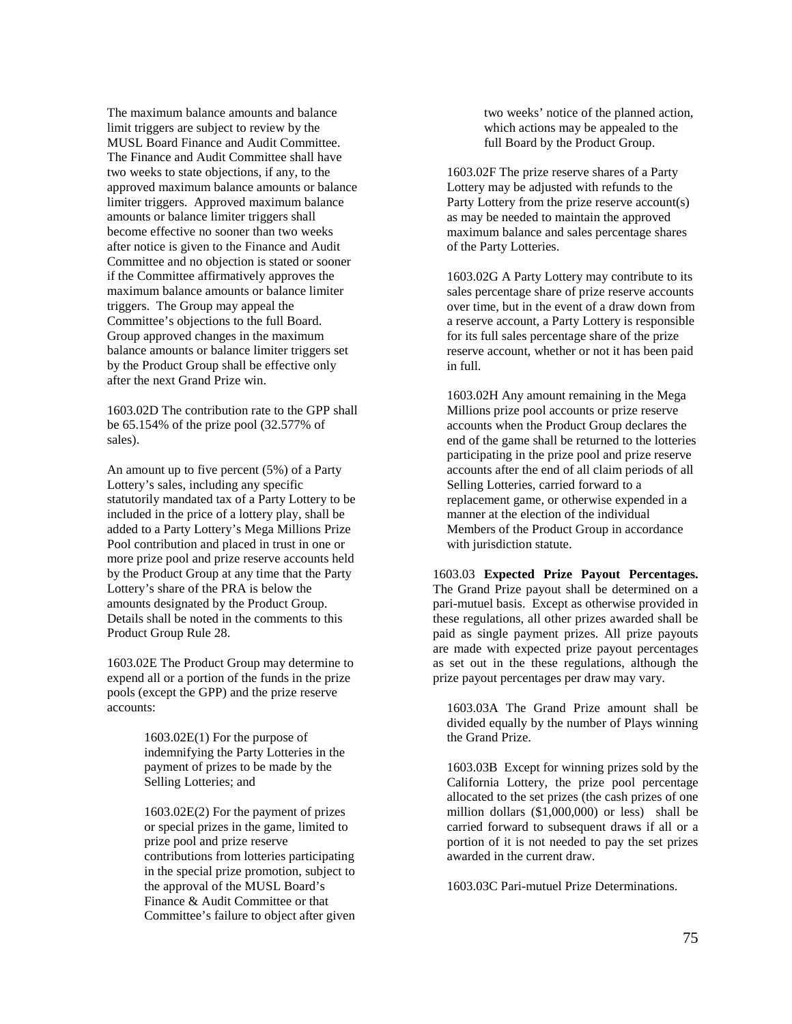The maximum balance amounts and balance limit triggers are subject to review by the MUSL Board Finance and Audit Committee. The Finance and Audit Committee shall have two weeks to state objections, if any, to the approved maximum balance amounts or balance limiter triggers. Approved maximum balance amounts or balance limiter triggers shall become effective no sooner than two weeks after notice is given to the Finance and Audit Committee and no objection is stated or sooner if the Committee affirmatively approves the maximum balance amounts or balance limiter triggers. The Group may appeal the Committee's objections to the full Board. Group approved changes in the maximum balance amounts or balance limiter triggers set by the Product Group shall be effective only after the next Grand Prize win.

1603.02D The contribution rate to the GPP shall be 65.154% of the prize pool (32.577% of sales).

An amount up to five percent (5%) of a Party Lottery's sales, including any specific statutorily mandated tax of a Party Lottery to be included in the price of a lottery play, shall be added to a Party Lottery's Mega Millions Prize Pool contribution and placed in trust in one or more prize pool and prize reserve accounts held by the Product Group at any time that the Party Lottery's share of the PRA is below the amounts designated by the Product Group. Details shall be noted in the comments to this Product Group Rule 28.

1603.02E The Product Group may determine to expend all or a portion of the funds in the prize pools (except the GPP) and the prize reserve accounts:

> 1603.02E(1) For the purpose of indemnifying the Party Lotteries in the payment of prizes to be made by the Selling Lotteries; and

1603.02E(2) For the payment of prizes or special prizes in the game, limited to prize pool and prize reserve contributions from lotteries participating in the special prize promotion, subject to the approval of the MUSL Board's Finance & Audit Committee or that Committee's failure to object after given two weeks' notice of the planned action, which actions may be appealed to the full Board by the Product Group.

1603.02F The prize reserve shares of a Party Lottery may be adjusted with refunds to the Party Lottery from the prize reserve account(s) as may be needed to maintain the approved maximum balance and sales percentage shares of the Party Lotteries.

1603.02G A Party Lottery may contribute to its sales percentage share of prize reserve accounts over time, but in the event of a draw down from a reserve account, a Party Lottery is responsible for its full sales percentage share of the prize reserve account, whether or not it has been paid in full.

1603.02H Any amount remaining in the Mega Millions prize pool accounts or prize reserve accounts when the Product Group declares the end of the game shall be returned to the lotteries participating in the prize pool and prize reserve accounts after the end of all claim periods of all Selling Lotteries, carried forward to a replacement game, or otherwise expended in a manner at the election of the individual Members of the Product Group in accordance with jurisdiction statute.

1603.03 **Expected Prize Payout Percentages.** The Grand Prize payout shall be determined on a pari-mutuel basis. Except as otherwise provided in these regulations, all other prizes awarded shall be paid as single payment prizes. All prize payouts are made with expected prize payout percentages as set out in the these regulations, although the prize payout percentages per draw may vary.

1603.03A The Grand Prize amount shall be divided equally by the number of Plays winning the Grand Prize.

1603.03B Except for winning prizes sold by the California Lottery, the prize pool percentage allocated to the set prizes (the cash prizes of one million dollars (\$1,000,000) or less) shall be carried forward to subsequent draws if all or a portion of it is not needed to pay the set prizes awarded in the current draw.

1603.03C Pari-mutuel Prize Determinations.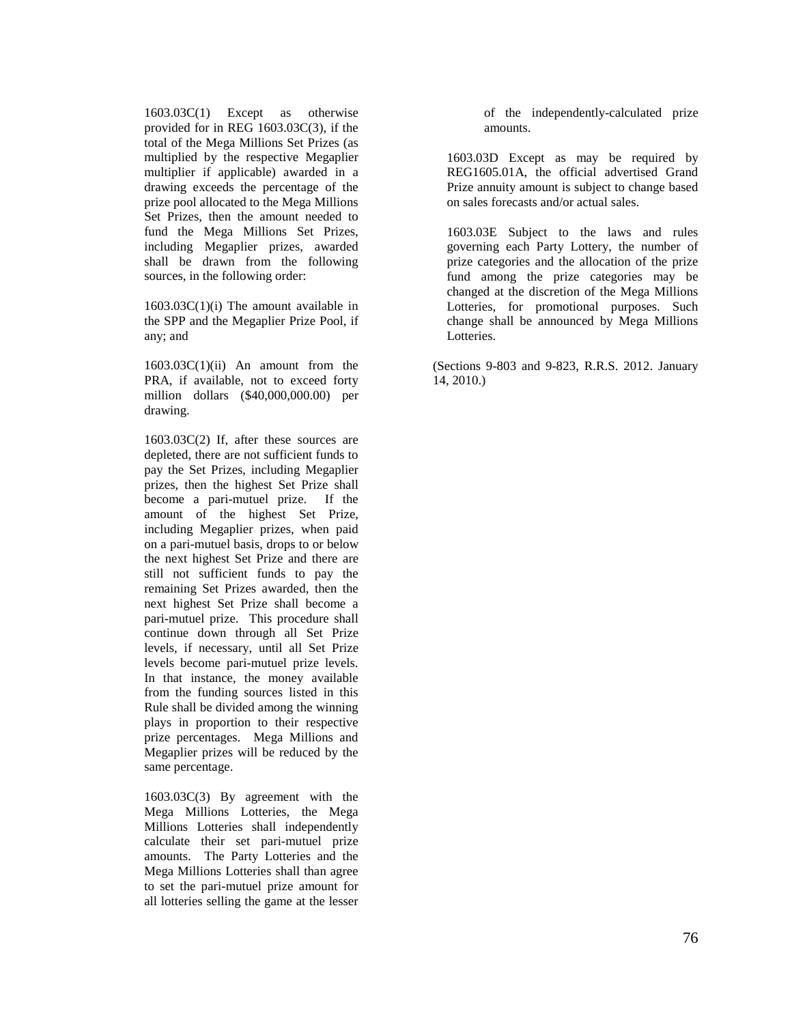1603.03C(1) Except as otherwise provided for in REG 1603.03C(3), if the total of the Mega Millions Set Prizes (as multiplied by the respective Megaplier multiplier if applicable) awarded in a drawing exceeds the percentage of the prize pool allocated to the Mega Millions Set Prizes, then the amount needed to fund the Mega Millions Set Prizes, including Megaplier prizes, awarded shall be drawn from the following sources, in the following order:

1603.03C(1)(i) The amount available in the SPP and the Megaplier Prize Pool, if any; and

 $1603.03C(1)(ii)$  An amount from the PRA, if available, not to exceed forty million dollars (\$40,000,000.00) per drawing.

1603.03C(2) If, after these sources are depleted, there are not sufficient funds to pay the Set Prizes, including Megaplier prizes, then the highest Set Prize shall become a pari-mutuel prize. If the amount of the highest Set Prize, including Megaplier prizes, when paid on a pari-mutuel basis, drops to or below the next highest Set Prize and there are still not sufficient funds to pay the remaining Set Prizes awarded, then the next highest Set Prize shall become a pari-mutuel prize. This procedure shall continue down through all Set Prize levels, if necessary, until all Set Prize levels become pari-mutuel prize levels. In that instance, the money available from the funding sources listed in this Rule shall be divided among the winning plays in proportion to their respective prize percentages. Mega Millions and Megaplier prizes will be reduced by the same percentage.

1603.03C(3) By agreement with the Mega Millions Lotteries, the Mega Millions Lotteries shall independently calculate their set pari-mutuel prize amounts. The Party Lotteries and the Mega Millions Lotteries shall than agree to set the pari-mutuel prize amount for all lotteries selling the game at the lesser

of the independently-calculated prize amounts.

1603.03D Except as may be required by REG1605.01A, the official advertised Grand Prize annuity amount is subject to change based on sales forecasts and/or actual sales.

1603.03E Subject to the laws and rules governing each Party Lottery, the number of prize categories and the allocation of the prize fund among the prize categories may be changed at the discretion of the Mega Millions Lotteries, for promotional purposes. Such change shall be announced by Mega Millions Lotteries.

(Sections 9-803 and 9-823, R.R.S. 2012. January 14, 2010.)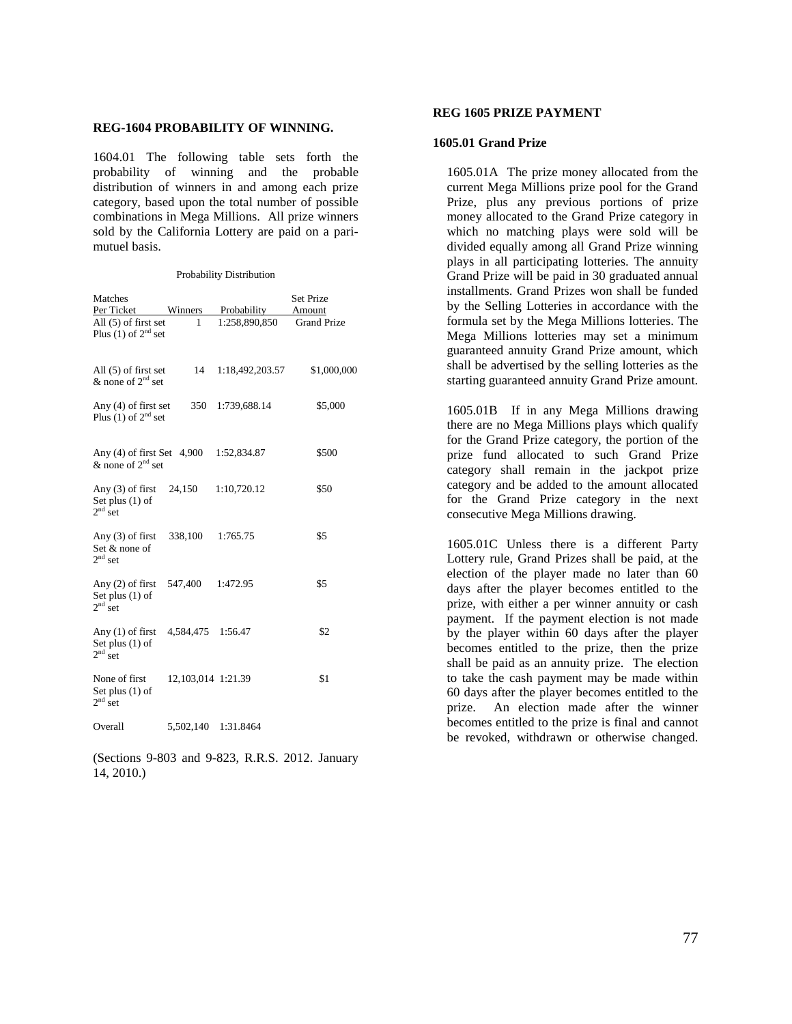#### **REG-1604 PROBABILITY OF WINNING.**

1604.01 The following table sets forth the probability of winning and the probable distribution of winners in and among each prize category, based upon the total number of possible combinations in Mega Millions. All prize winners sold by the California Lottery are paid on a parimutuel basis.

Probability Distribution

| Matches                                               |                    |                 | <b>Set Prize</b>   |
|-------------------------------------------------------|--------------------|-----------------|--------------------|
| Per Ticket                                            | Winners            | Probability     | Amount             |
| All (5) of first set<br>Plus (1) of $2^{nd}$ set      | 1                  | 1:258,890,850   | <b>Grand Prize</b> |
| All $(5)$ of first set<br>& none of $2^{nd}$ set      | 14                 | 1:18,492,203.57 | \$1,000,000        |
| Any $(4)$ of first set<br>Plus (1) of $2nd$ set       | 350                | 1:739,688.14    | \$5,000            |
| Any $(4)$ of first Set $4,900$<br>& none of $2nd$ set |                    | 1:52,834.87     | \$500              |
| Any $(3)$ of first<br>Set plus $(1)$ of<br>$2nd$ set  | 24,150             | 1:10,720.12     | \$50               |
| Any $(3)$ of first<br>Set & none of<br>$2nd$ set      | 338,100            | 1:765.75        | \$5                |
| Any $(2)$ of first<br>Set plus $(1)$ of<br>$2nd$ set  | 547.400            | 1:472.95        | \$5                |
| Any $(1)$ of first<br>Set plus $(1)$ of<br>$2nd$ set  | 4,584,475 1:56.47  |                 | \$2                |
| None of first<br>Set plus $(1)$ of<br>$2nd$ set       | 12,103,014 1:21.39 |                 | \$1                |
| Overall                                               | 5,502,140          | 1:31.8464       |                    |

(Sections 9-803 and 9-823, R.R.S. 2012. January 14, 2010.)

# **REG 1605 PRIZE PAYMENT**

#### **1605.01 Grand Prize**

1605.01A The prize money allocated from the current Mega Millions prize pool for the Grand Prize, plus any previous portions of prize money allocated to the Grand Prize category in which no matching plays were sold will be divided equally among all Grand Prize winning plays in all participating lotteries. The annuity Grand Prize will be paid in 30 graduated annual installments. Grand Prizes won shall be funded by the Selling Lotteries in accordance with the formula set by the Mega Millions lotteries. The Mega Millions lotteries may set a minimum guaranteed annuity Grand Prize amount, which shall be advertised by the selling lotteries as the starting guaranteed annuity Grand Prize amount.

1605.01B If in any Mega Millions drawing there are no Mega Millions plays which qualify for the Grand Prize category, the portion of the prize fund allocated to such Grand Prize category shall remain in the jackpot prize category and be added to the amount allocated for the Grand Prize category in the next consecutive Mega Millions drawing.

1605.01C Unless there is a different Party Lottery rule, Grand Prizes shall be paid, at the election of the player made no later than 60 days after the player becomes entitled to the prize, with either a per winner annuity or cash payment. If the payment election is not made by the player within 60 days after the player becomes entitled to the prize, then the prize shall be paid as an annuity prize. The election to take the cash payment may be made within 60 days after the player becomes entitled to the prize. An election made after the winner becomes entitled to the prize is final and cannot be revoked, withdrawn or otherwise changed.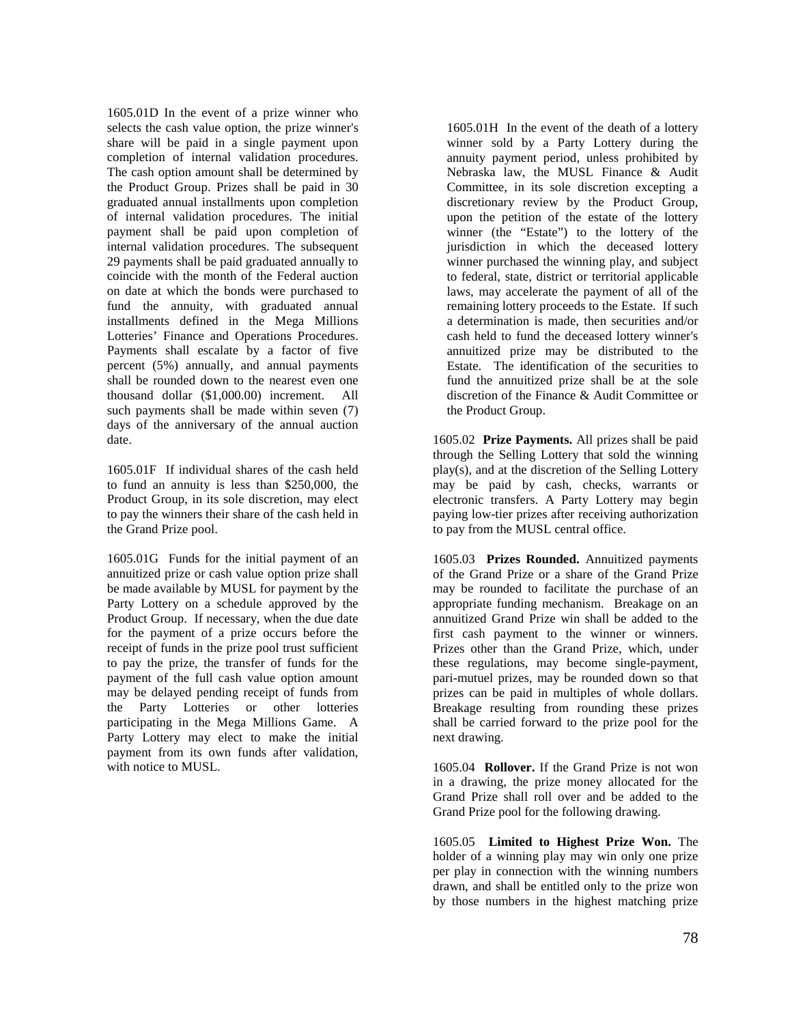1605.01D In the event of a prize winner who selects the cash value option, the prize winner's share will be paid in a single payment upon completion of internal validation procedures. The cash option amount shall be determined by the Product Group. Prizes shall be paid in 30 graduated annual installments upon completion of internal validation procedures. The initial payment shall be paid upon completion of internal validation procedures. The subsequent 29 payments shall be paid graduated annually to coincide with the month of the Federal auction on date at which the bonds were purchased to fund the annuity, with graduated annual installments defined in the Mega Millions Lotteries' Finance and Operations Procedures. Payments shall escalate by a factor of five percent (5%) annually, and annual payments shall be rounded down to the nearest even one thousand dollar (\$1,000.00) increment. All such payments shall be made within seven (7) days of the anniversary of the annual auction date.

1605.01F If individual shares of the cash held to fund an annuity is less than \$250,000, the Product Group, in its sole discretion, may elect to pay the winners their share of the cash held in the Grand Prize pool.

1605.01G Funds for the initial payment of an annuitized prize or cash value option prize shall be made available by MUSL for payment by the Party Lottery on a schedule approved by the Product Group. If necessary, when the due date for the payment of a prize occurs before the receipt of funds in the prize pool trust sufficient to pay the prize, the transfer of funds for the payment of the full cash value option amount may be delayed pending receipt of funds from the Party Lotteries or other lotteries participating in the Mega Millions Game. A Party Lottery may elect to make the initial payment from its own funds after validation, with notice to MUSL.

1605.01H In the event of the death of a lottery winner sold by a Party Lottery during the annuity payment period, unless prohibited by Nebraska law, the MUSL Finance & Audit Committee, in its sole discretion excepting a discretionary review by the Product Group, upon the petition of the estate of the lottery winner (the "Estate") to the lottery of the jurisdiction in which the deceased lottery winner purchased the winning play, and subject to federal, state, district or territorial applicable laws, may accelerate the payment of all of the remaining lottery proceeds to the Estate. If such a determination is made, then securities and/or cash held to fund the deceased lottery winner's annuitized prize may be distributed to the Estate. The identification of the securities to fund the annuitized prize shall be at the sole discretion of the Finance & Audit Committee or the Product Group.

1605.02 **Prize Payments.** All prizes shall be paid through the Selling Lottery that sold the winning play(s), and at the discretion of the Selling Lottery may be paid by cash, checks, warrants or electronic transfers. A Party Lottery may begin paying low-tier prizes after receiving authorization to pay from the MUSL central office.

1605.03 **Prizes Rounded.** Annuitized payments of the Grand Prize or a share of the Grand Prize may be rounded to facilitate the purchase of an appropriate funding mechanism. Breakage on an annuitized Grand Prize win shall be added to the first cash payment to the winner or winners. Prizes other than the Grand Prize, which, under these regulations, may become single-payment, pari-mutuel prizes, may be rounded down so that prizes can be paid in multiples of whole dollars. Breakage resulting from rounding these prizes shall be carried forward to the prize pool for the next drawing.

1605.04 **Rollover.** If the Grand Prize is not won in a drawing, the prize money allocated for the Grand Prize shall roll over and be added to the Grand Prize pool for the following drawing.

1605.05 **Limited to Highest Prize Won.** The holder of a winning play may win only one prize per play in connection with the winning numbers drawn, and shall be entitled only to the prize won by those numbers in the highest matching prize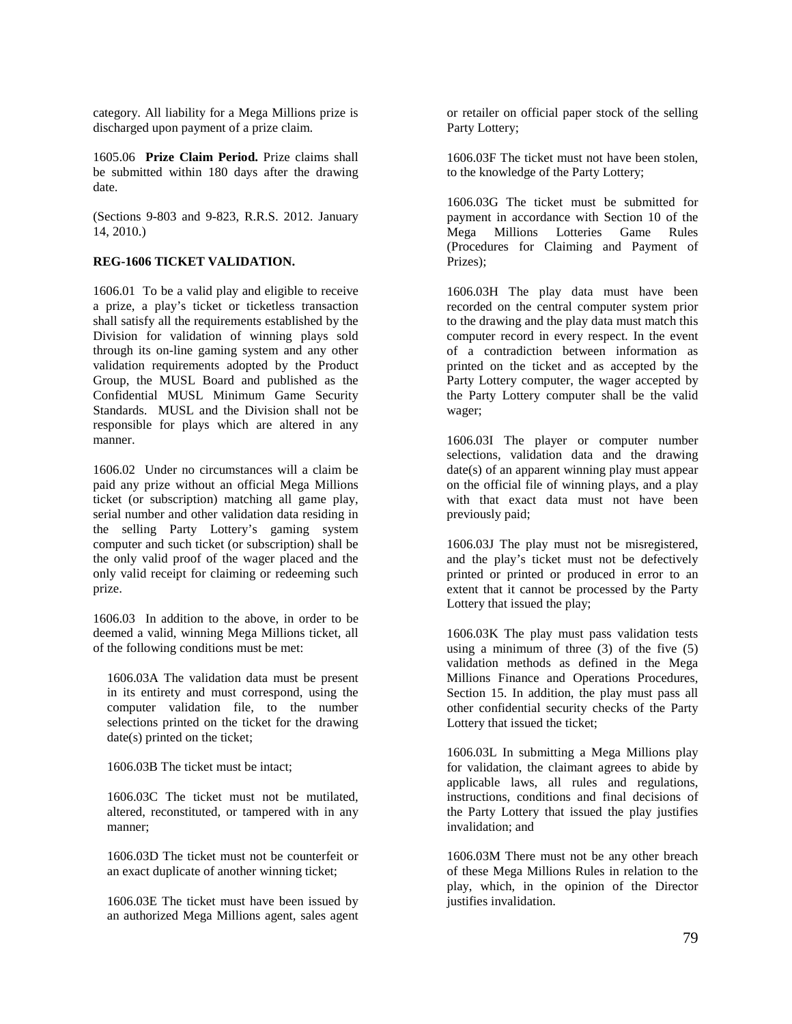category. All liability for a Mega Millions prize is discharged upon payment of a prize claim.

1605.06 **Prize Claim Period.** Prize claims shall be submitted within 180 days after the drawing date.

(Sections 9-803 and 9-823, R.R.S. 2012. January 14, 2010.)

# **REG-1606 TICKET VALIDATION.**

1606.01 To be a valid play and eligible to receive a prize, a play's ticket or ticketless transaction shall satisfy all the requirements established by the Division for validation of winning plays sold through its on-line gaming system and any other validation requirements adopted by the Product Group, the MUSL Board and published as the Confidential MUSL Minimum Game Security Standards. MUSL and the Division shall not be responsible for plays which are altered in any manner.

1606.02 Under no circumstances will a claim be paid any prize without an official Mega Millions ticket (or subscription) matching all game play, serial number and other validation data residing in the selling Party Lottery's gaming system computer and such ticket (or subscription) shall be the only valid proof of the wager placed and the only valid receipt for claiming or redeeming such prize.

1606.03 In addition to the above, in order to be deemed a valid, winning Mega Millions ticket, all of the following conditions must be met:

1606.03A The validation data must be present in its entirety and must correspond, using the computer validation file, to the number selections printed on the ticket for the drawing date(s) printed on the ticket;

1606.03B The ticket must be intact;

1606.03C The ticket must not be mutilated, altered, reconstituted, or tampered with in any manner;

1606.03D The ticket must not be counterfeit or an exact duplicate of another winning ticket;

1606.03E The ticket must have been issued by an authorized Mega Millions agent, sales agent or retailer on official paper stock of the selling Party Lottery;

1606.03F The ticket must not have been stolen, to the knowledge of the Party Lottery;

1606.03G The ticket must be submitted for payment in accordance with Section 10 of the Mega Millions Lotteries Game Rules (Procedures for Claiming and Payment of Prizes);

1606.03H The play data must have been recorded on the central computer system prior to the drawing and the play data must match this computer record in every respect. In the event of a contradiction between information as printed on the ticket and as accepted by the Party Lottery computer, the wager accepted by the Party Lottery computer shall be the valid wager;

1606.03I The player or computer number selections, validation data and the drawing date(s) of an apparent winning play must appear on the official file of winning plays, and a play with that exact data must not have been previously paid;

1606.03J The play must not be misregistered, and the play's ticket must not be defectively printed or printed or produced in error to an extent that it cannot be processed by the Party Lottery that issued the play;

1606.03K The play must pass validation tests using a minimum of three  $(3)$  of the five  $(5)$ validation methods as defined in the Mega Millions Finance and Operations Procedures, Section 15. In addition, the play must pass all other confidential security checks of the Party Lottery that issued the ticket;

1606.03L In submitting a Mega Millions play for validation, the claimant agrees to abide by applicable laws, all rules and regulations, instructions, conditions and final decisions of the Party Lottery that issued the play justifies invalidation; and

1606.03M There must not be any other breach of these Mega Millions Rules in relation to the play, which, in the opinion of the Director justifies invalidation.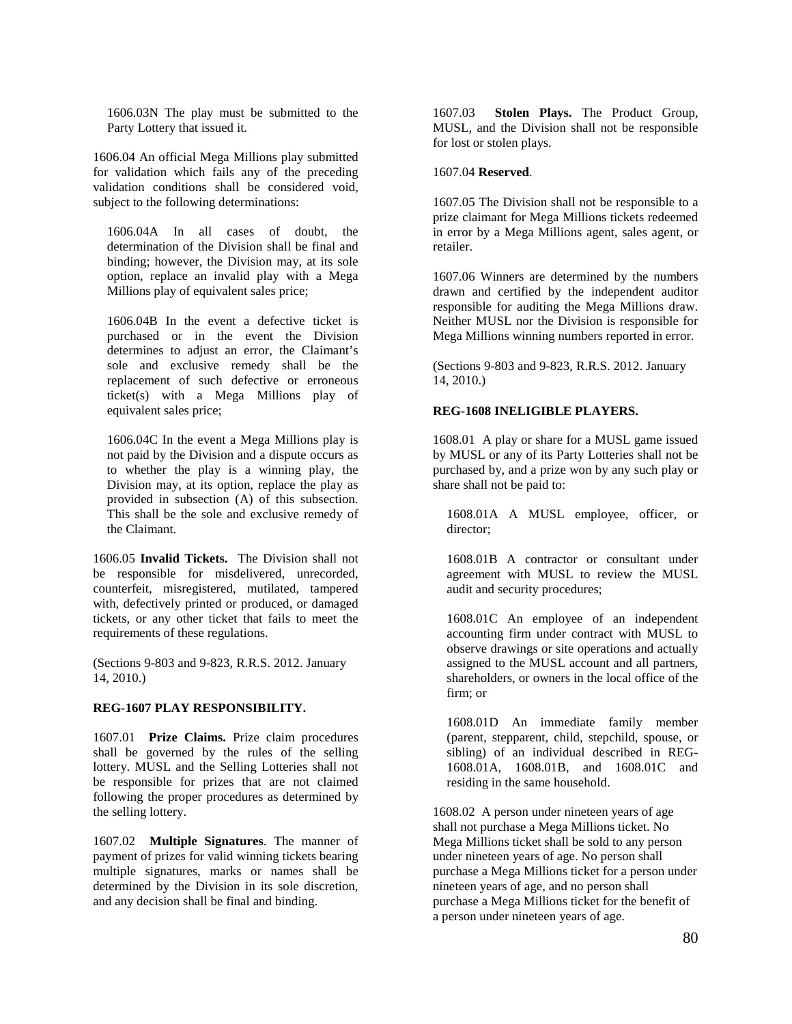1606.03N The play must be submitted to the Party Lottery that issued it.

1606.04 An official Mega Millions play submitted for validation which fails any of the preceding validation conditions shall be considered void, subject to the following determinations:

1606.04A In all cases of doubt, the determination of the Division shall be final and binding; however, the Division may, at its sole option, replace an invalid play with a Mega Millions play of equivalent sales price;

1606.04B In the event a defective ticket is purchased or in the event the Division determines to adjust an error, the Claimant's sole and exclusive remedy shall be the replacement of such defective or erroneous ticket(s) with a Mega Millions play of equivalent sales price;

1606.04C In the event a Mega Millions play is not paid by the Division and a dispute occurs as to whether the play is a winning play, the Division may, at its option, replace the play as provided in subsection (A) of this subsection. This shall be the sole and exclusive remedy of the Claimant.

1606.05 **Invalid Tickets.** The Division shall not be responsible for misdelivered, unrecorded, counterfeit, misregistered, mutilated, tampered with, defectively printed or produced, or damaged tickets, or any other ticket that fails to meet the requirements of these regulations.

(Sections 9-803 and 9-823, R.R.S. 2012. January 14, 2010.)

### **REG-1607 PLAY RESPONSIBILITY.**

1607.01 **Prize Claims.** Prize claim procedures shall be governed by the rules of the selling lottery. MUSL and the Selling Lotteries shall not be responsible for prizes that are not claimed following the proper procedures as determined by the selling lottery.

1607.02 **Multiple Signatures**. The manner of payment of prizes for valid winning tickets bearing multiple signatures, marks or names shall be determined by the Division in its sole discretion, and any decision shall be final and binding.

1607.03 **Stolen Plays.** The Product Group, MUSL, and the Division shall not be responsible for lost or stolen plays.

### 1607.04 **Reserved**.

1607.05 The Division shall not be responsible to a prize claimant for Mega Millions tickets redeemed in error by a Mega Millions agent, sales agent, or retailer.

1607.06 Winners are determined by the numbers drawn and certified by the independent auditor responsible for auditing the Mega Millions draw. Neither MUSL nor the Division is responsible for Mega Millions winning numbers reported in error.

(Sections 9-803 and 9-823, R.R.S. 2012. January 14, 2010.)

### **REG-1608 INELIGIBLE PLAYERS.**

1608.01 A play or share for a MUSL game issued by MUSL or any of its Party Lotteries shall not be purchased by, and a prize won by any such play or share shall not be paid to:

1608.01A A MUSL employee, officer, or director;

1608.01B A contractor or consultant under agreement with MUSL to review the MUSL audit and security procedures;

1608.01C An employee of an independent accounting firm under contract with MUSL to observe drawings or site operations and actually assigned to the MUSL account and all partners, shareholders, or owners in the local office of the firm; or

1608.01D An immediate family member (parent, stepparent, child, stepchild, spouse, or sibling) of an individual described in REG-1608.01A, 1608.01B, and 1608.01C and residing in the same household.

1608.02 A person under nineteen years of age shall not purchase a Mega Millions ticket. No Mega Millions ticket shall be sold to any person under nineteen years of age. No person shall purchase a Mega Millions ticket for a person under nineteen years of age, and no person shall purchase a Mega Millions ticket for the benefit of a person under nineteen years of age.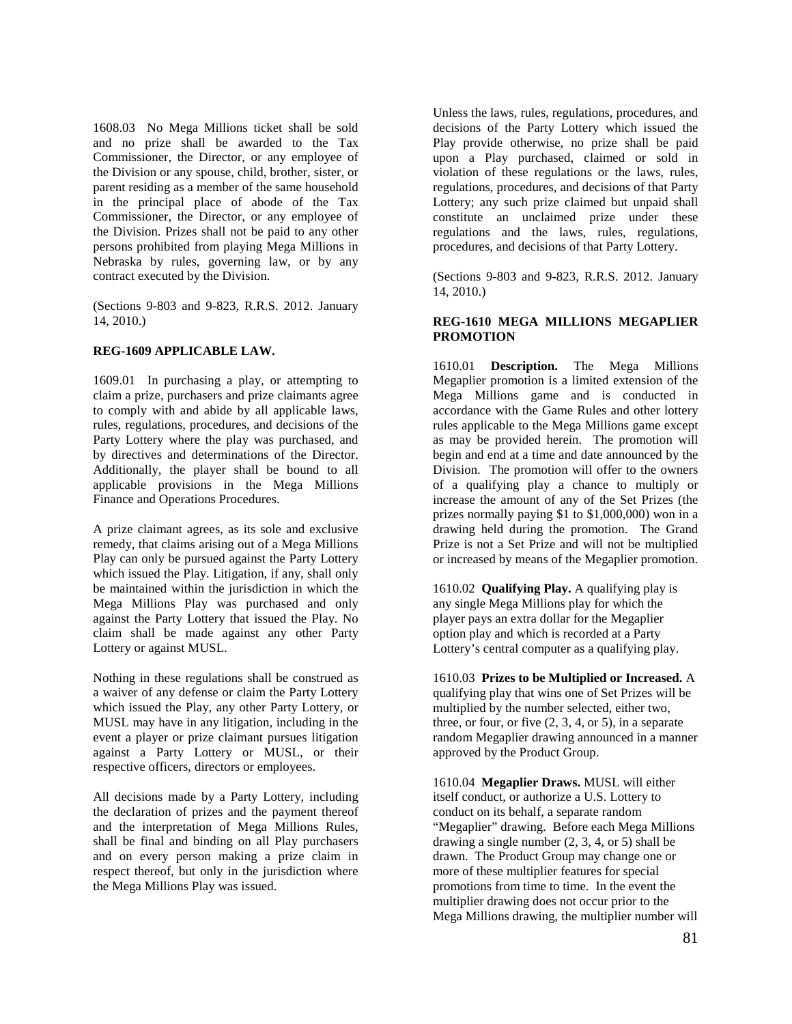1608.03 No Mega Millions ticket shall be sold and no prize shall be awarded to the Tax Commissioner, the Director, or any employee of the Division or any spouse, child, brother, sister, or parent residing as a member of the same household in the principal place of abode of the Tax Commissioner, the Director, or any employee of the Division. Prizes shall not be paid to any other persons prohibited from playing Mega Millions in Nebraska by rules, governing law, or by any contract executed by the Division.

(Sections 9-803 and 9-823, R.R.S. 2012. January 14, 2010.)

### **REG-1609 APPLICABLE LAW.**

1609.01 In purchasing a play, or attempting to claim a prize, purchasers and prize claimants agree to comply with and abide by all applicable laws, rules, regulations, procedures, and decisions of the Party Lottery where the play was purchased, and by directives and determinations of the Director. Additionally, the player shall be bound to all applicable provisions in the Mega Millions Finance and Operations Procedures.

A prize claimant agrees, as its sole and exclusive remedy, that claims arising out of a Mega Millions Play can only be pursued against the Party Lottery which issued the Play. Litigation, if any, shall only be maintained within the jurisdiction in which the Mega Millions Play was purchased and only against the Party Lottery that issued the Play. No claim shall be made against any other Party Lottery or against MUSL.

Nothing in these regulations shall be construed as a waiver of any defense or claim the Party Lottery which issued the Play, any other Party Lottery, or MUSL may have in any litigation, including in the event a player or prize claimant pursues litigation against a Party Lottery or MUSL, or their respective officers, directors or employees.

All decisions made by a Party Lottery, including the declaration of prizes and the payment thereof and the interpretation of Mega Millions Rules, shall be final and binding on all Play purchasers and on every person making a prize claim in respect thereof, but only in the jurisdiction where the Mega Millions Play was issued.

Unless the laws, rules, regulations, procedures, and decisions of the Party Lottery which issued the Play provide otherwise, no prize shall be paid upon a Play purchased, claimed or sold in violation of these regulations or the laws, rules, regulations, procedures, and decisions of that Party Lottery; any such prize claimed but unpaid shall constitute an unclaimed prize under these regulations and the laws, rules, regulations, procedures, and decisions of that Party Lottery.

(Sections 9-803 and 9-823, R.R.S. 2012. January 14, 2010.)

# **REG-1610 MEGA MILLIONS MEGAPLIER PROMOTION**

1610.01 **Description.** The Mega Millions Megaplier promotion is a limited extension of the Mega Millions game and is conducted in accordance with the Game Rules and other lottery rules applicable to the Mega Millions game except as may be provided herein. The promotion will begin and end at a time and date announced by the Division. The promotion will offer to the owners of a qualifying play a chance to multiply or increase the amount of any of the Set Prizes (the prizes normally paying \$1 to \$1,000,000) won in a drawing held during the promotion. The Grand Prize is not a Set Prize and will not be multiplied or increased by means of the Megaplier promotion.

1610.02 **Qualifying Play.** A qualifying play is any single Mega Millions play for which the player pays an extra dollar for the Megaplier option play and which is recorded at a Party Lottery's central computer as a qualifying play.

1610.03 **Prizes to be Multiplied or Increased.** A qualifying play that wins one of Set Prizes will be multiplied by the number selected, either two, three, or four, or five  $(2, 3, 4, 0r 5)$ , in a separate random Megaplier drawing announced in a manner approved by the Product Group.

1610.04 **Megaplier Draws.** MUSL will either itself conduct, or authorize a U.S. Lottery to conduct on its behalf, a separate random "Megaplier" drawing. Before each Mega Millions drawing a single number (2, 3, 4, or 5) shall be drawn. The Product Group may change one or more of these multiplier features for special promotions from time to time. In the event the multiplier drawing does not occur prior to the Mega Millions drawing, the multiplier number will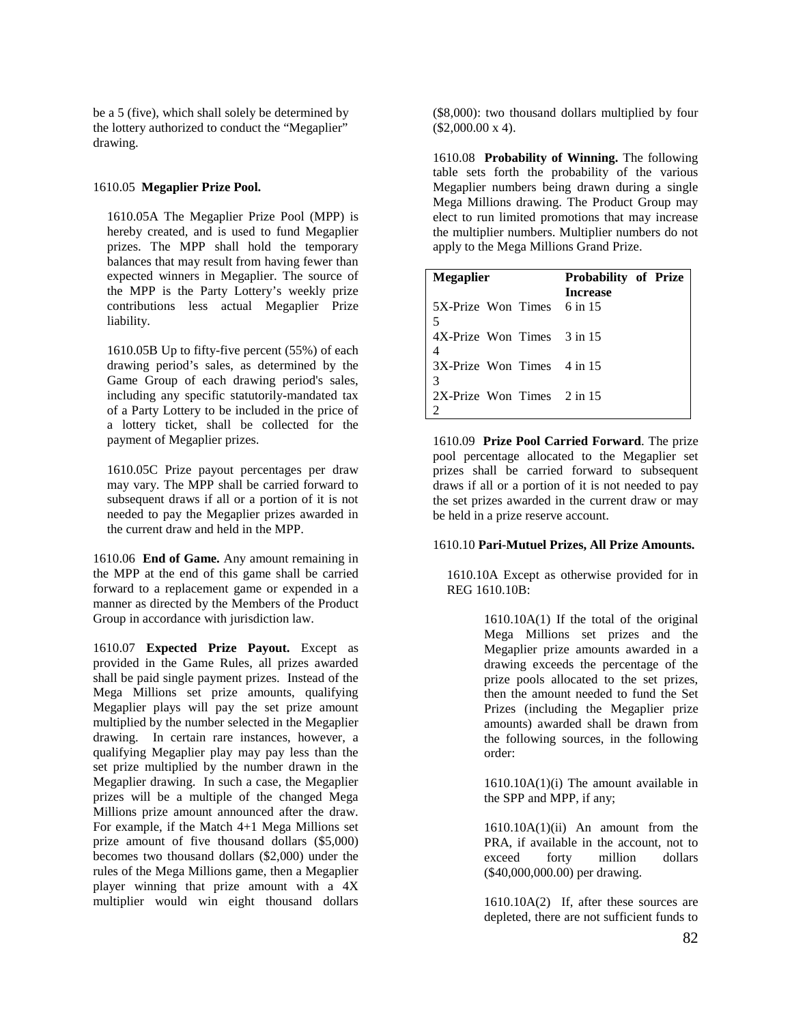be a 5 (five), which shall solely be determined by the lottery authorized to conduct the "Megaplier" drawing.

### 1610.05 **Megaplier Prize Pool.**

1610.05A The Megaplier Prize Pool (MPP) is hereby created, and is used to fund Megaplier prizes. The MPP shall hold the temporary balances that may result from having fewer than expected winners in Megaplier. The source of the MPP is the Party Lottery's weekly prize contributions less actual Megaplier Prize liability.

1610.05B Up to fifty-five percent (55%) of each drawing period's sales, as determined by the Game Group of each drawing period's sales, including any specific statutorily-mandated tax of a Party Lottery to be included in the price of a lottery ticket, shall be collected for the payment of Megaplier prizes.

1610.05C Prize payout percentages per draw may vary. The MPP shall be carried forward to subsequent draws if all or a portion of it is not needed to pay the Megaplier prizes awarded in the current draw and held in the MPP.

1610.06 **End of Game.** Any amount remaining in the MPP at the end of this game shall be carried forward to a replacement game or expended in a manner as directed by the Members of the Product Group in accordance with jurisdiction law.

1610.07 **Expected Prize Payout.** Except as provided in the Game Rules, all prizes awarded shall be paid single payment prizes. Instead of the Mega Millions set prize amounts, qualifying Megaplier plays will pay the set prize amount multiplied by the number selected in the Megaplier drawing. In certain rare instances, however, a qualifying Megaplier play may pay less than the set prize multiplied by the number drawn in the Megaplier drawing. In such a case, the Megaplier prizes will be a multiple of the changed Mega Millions prize amount announced after the draw. For example, if the Match 4+1 Mega Millions set prize amount of five thousand dollars (\$5,000) becomes two thousand dollars (\$2,000) under the rules of the Mega Millions game, then a Megaplier player winning that prize amount with a 4X multiplier would win eight thousand dollars

(\$8,000): two thousand dollars multiplied by four  $($2,000.00 \text{ x } 4).$ 

1610.08 **Probability of Winning.** The following table sets forth the probability of the various Megaplier numbers being drawn during a single Mega Millions drawing. The Product Group may elect to run limited promotions that may increase the multiplier numbers. Multiplier numbers do not apply to the Mega Millions Grand Prize.

| <b>Megaplier</b>                         | Probability of Prize |
|------------------------------------------|----------------------|
|                                          | <b>Increase</b>      |
| 5X-Prize Won Times 6 in 15               |                      |
|                                          |                      |
| $4X-Prize$ Won Times $3$ in 15           |                      |
|                                          |                      |
| $3X$ -Prize Won Times $4$ in 15          |                      |
| 3                                        |                      |
| $2X$ -Prize Won Times $2 \text{ in } 15$ |                      |
|                                          |                      |

1610.09 **Prize Pool Carried Forward**. The prize pool percentage allocated to the Megaplier set prizes shall be carried forward to subsequent draws if all or a portion of it is not needed to pay the set prizes awarded in the current draw or may be held in a prize reserve account.

### 1610.10 **Pari-Mutuel Prizes, All Prize Amounts.**

1610.10A Except as otherwise provided for in REG 1610.10B:

> 1610.10A(1) If the total of the original Mega Millions set prizes and the Megaplier prize amounts awarded in a drawing exceeds the percentage of the prize pools allocated to the set prizes, then the amount needed to fund the Set Prizes (including the Megaplier prize amounts) awarded shall be drawn from the following sources, in the following order:

> 1610.10A(1)(i) The amount available in the SPP and MPP, if any;

> 1610.10A(1)(ii) An amount from the PRA, if available in the account, not to exceed forty million dollars (\$40,000,000.00) per drawing.

> 1610.10A(2) If, after these sources are depleted, there are not sufficient funds to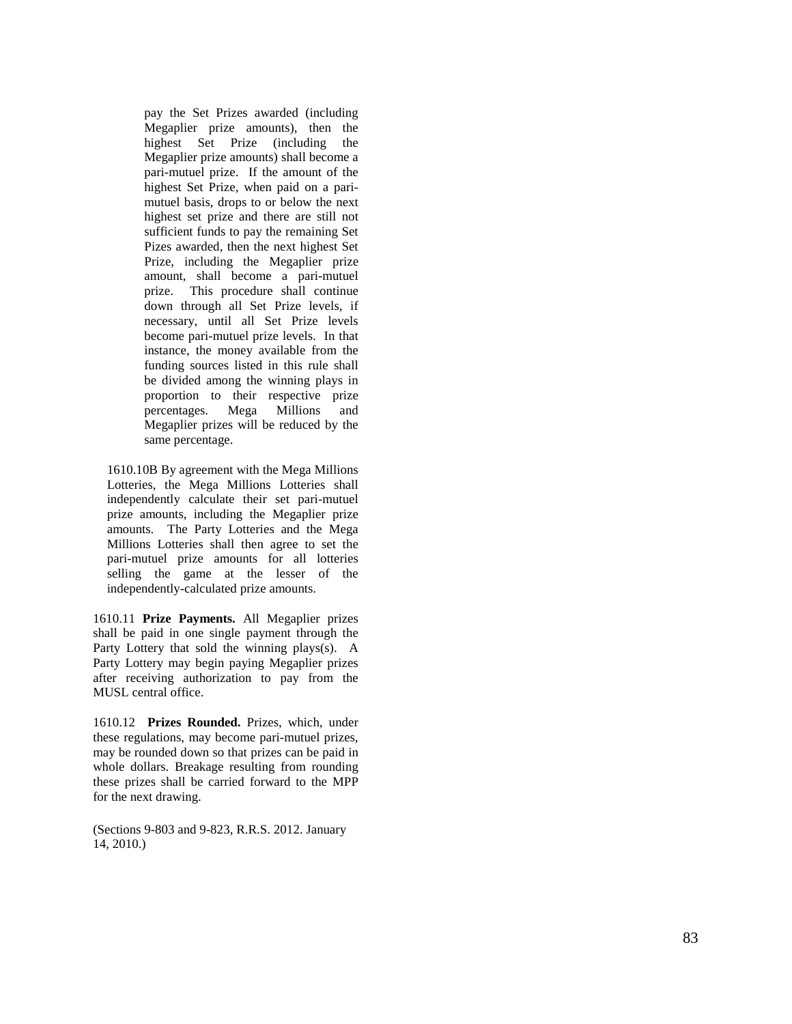pay the Set Prizes awarded (including Megaplier prize amounts), then the highest Set Prize (including the Megaplier prize amounts) shall become a pari -mutuel prize. If the amount of the highest Set Prize, when paid on a pari mutuel basis, drops to or below the next highest set prize and there are still not sufficient funds to pay the remaining Set Pizes awarded, then the next highest Set Prize, including the Megaplier prize amount, shall become a pari -mutuel prize. This procedure shall continue down through all Set Prize levels, if necessary, until all Set Prize levels become pari -mutuel prize levels. In that instance, the money available from the funding sources listed in this rule shall be divided among the winning plays in proportion to their respective prize percentages. Mega Millions and Megaplier prizes will be reduced by the same percentage.

1610.10B By agreement with the Mega Millions Lotteries, the Mega Millions Lotteries shall independently calculate their set pari -mutuel prize amounts, including the Megaplier prize amounts. The Party Lotteries and the Mega Millions Lotteries shall then agree to set the pari -mutuel prize amounts for all lotteries selling the game at the lesser of the independently -calculated prize amounts.

1610.11 **Prize Payments.** All Megaplier prizes shall be paid in one single payment through the Party Lottery that sold the winning plays(s). A Party Lottery may begin paying Megaplier prizes after receiving authorization to pay from the MUSL central office.

1610.12 **Prizes Rounded.** Prizes, which, under these regulations, may become pari -mutuel prizes, may be rounded down so that prizes can be paid in whole dollars. Breakage resulting from rounding these prizes shall be carried forward to the MPP for the next drawing.

(Sections 9 -803 and 9 -823, R.R.S. 2012. January 14, 2010.)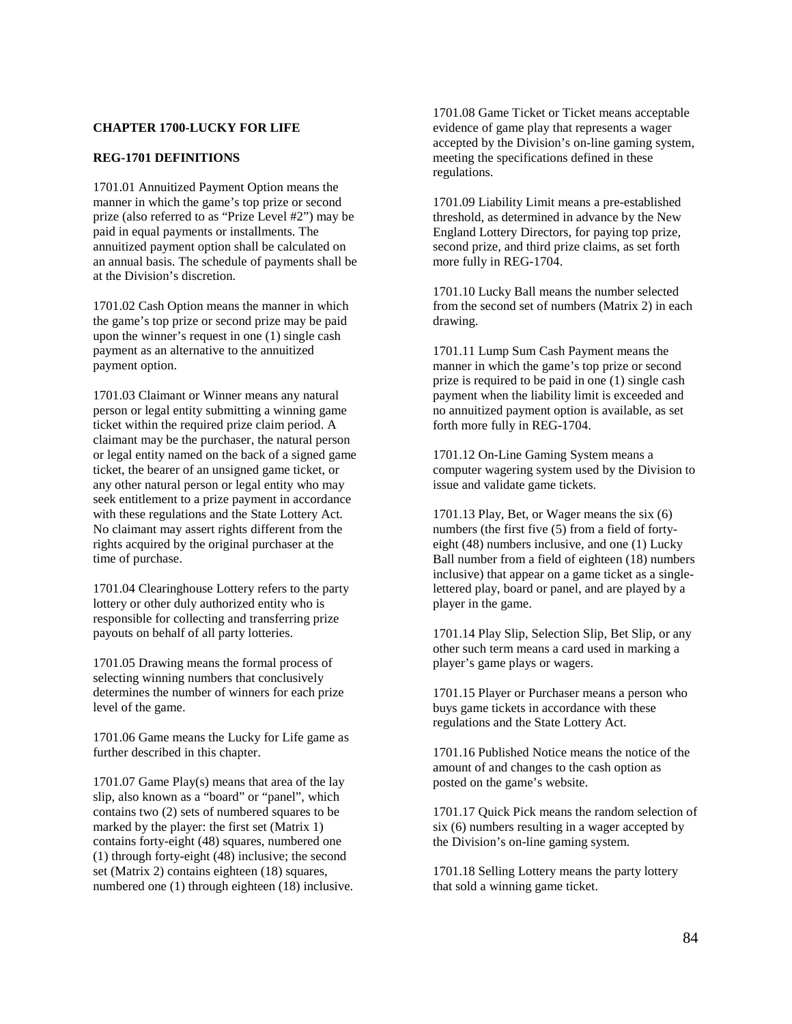## **CHAPTER 1700-LUCKY FOR LIFE**

# **REG-1701 DEFINITIONS**

1701.01 Annuitized Payment Option means the manner in which the game's top prize or second prize (also referred to as "Prize Level #2") may be paid in equal payments or installments. The annuitized payment option shall be calculated on an annual basis. The schedule of payments shall be at the Division's discretion.

1701.02 Cash Option means the manner in which the game's top prize or second prize may be paid upon the winner's request in one (1) single cash payment as an alternative to the annuitized payment option.

1701.03 Claimant or Winner means any natural person or legal entity submitting a winning game ticket within the required prize claim period. A claimant may be the purchaser, the natural person or legal entity named on the back of a signed game ticket, the bearer of an unsigned game ticket, or any other natural person or legal entity who may seek entitlement to a prize payment in accordance with these regulations and the State Lottery Act. No claimant may assert rights different from the rights acquired by the original purchaser at the time of purchase.

1701.04 Clearinghouse Lottery refers to the party lottery or other duly authorized entity who is responsible for collecting and transferring prize payouts on behalf of all party lotteries.

1701.05 Drawing means the formal process of selecting winning numbers that conclusively determines the number of winners for each prize level of the game.

1701.06 Game means the Lucky for Life game as further described in this chapter.

1701.07 Game Play(s) means that area of the lay slip, also known as a "board" or "panel", which contains two (2) sets of numbered squares to be marked by the player: the first set (Matrix 1) contains forty-eight (48) squares, numbered one (1) through forty-eight (48) inclusive; the second set (Matrix 2) contains eighteen (18) squares, numbered one (1) through eighteen (18) inclusive. 1701.08 Game Ticket or Ticket means acceptable evidence of game play that represents a wager accepted by the Division's on-line gaming system, meeting the specifications defined in these regulations.

1701.09 Liability Limit means a pre-established threshold, as determined in advance by the New England Lottery Directors, for paying top prize, second prize, and third prize claims, as set forth more fully in REG-1704.

1701.10 Lucky Ball means the number selected from the second set of numbers (Matrix 2) in each drawing.

1701.11 Lump Sum Cash Payment means the manner in which the game's top prize or second prize is required to be paid in one (1) single cash payment when the liability limit is exceeded and no annuitized payment option is available, as set forth more fully in REG-1704.

1701.12 On-Line Gaming System means a computer wagering system used by the Division to issue and validate game tickets.

1701.13 Play, Bet, or Wager means the six (6) numbers (the first five (5) from a field of fortyeight (48) numbers inclusive, and one (1) Lucky Ball number from a field of eighteen (18) numbers inclusive) that appear on a game ticket as a singlelettered play, board or panel, and are played by a player in the game.

1701.14 Play Slip, Selection Slip, Bet Slip, or any other such term means a card used in marking a player's game plays or wagers.

1701.15 Player or Purchaser means a person who buys game tickets in accordance with these regulations and the State Lottery Act.

1701.16 Published Notice means the notice of the amount of and changes to the cash option as posted on the game's website.

1701.17 Quick Pick means the random selection of six (6) numbers resulting in a wager accepted by the Division's on-line gaming system.

1701.18 Selling Lottery means the party lottery that sold a winning game ticket.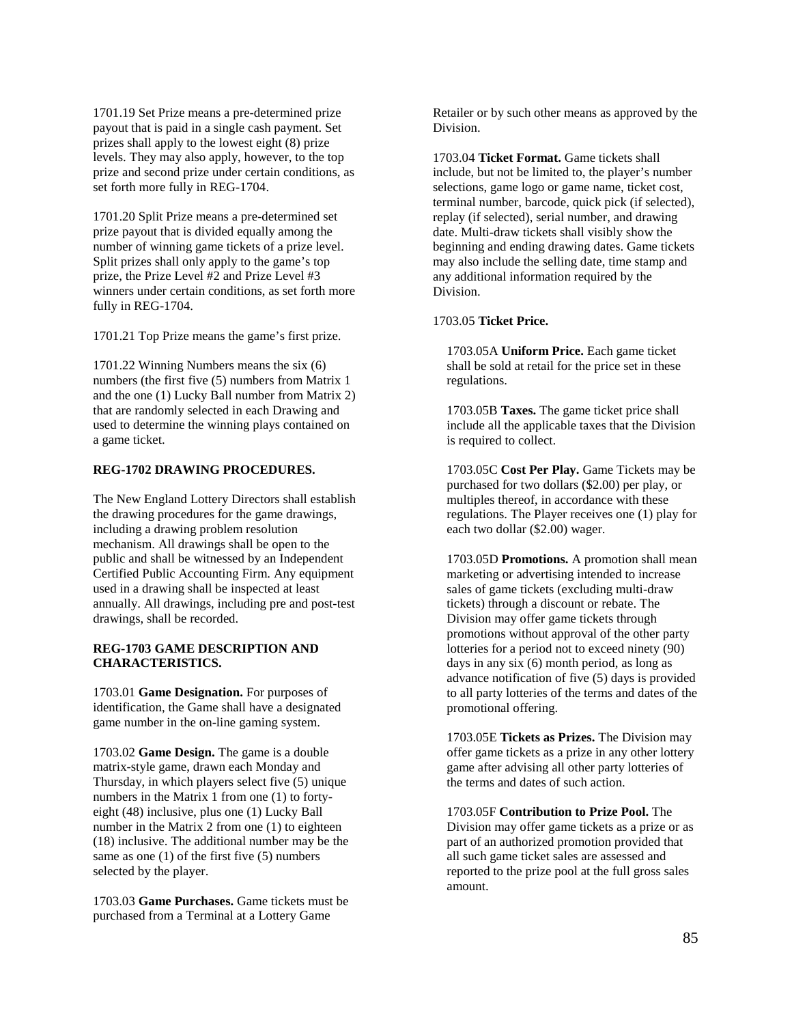1701.19 Set Prize means a pre-determined prize payout that is paid in a single cash payment. Set prizes shall apply to the lowest eight (8) prize levels. They may also apply, however, to the top prize and second prize under certain conditions, as set forth more fully in REG-1704.

1701.20 Split Prize means a pre-determined set prize payout that is divided equally among the number of winning game tickets of a prize level. Split prizes shall only apply to the game's top prize, the Prize Level #2 and Prize Level #3 winners under certain conditions, as set forth more fully in REG-1704.

1701.21 Top Prize means the game's first prize.

1701.22 Winning Numbers means the six (6) numbers (the first five (5) numbers from Matrix 1 and the one (1) Lucky Ball number from Matrix 2) that are randomly selected in each Drawing and used to determine the winning plays contained on a game ticket.

# **REG-1702 DRAWING PROCEDURES.**

The New England Lottery Directors shall establish the drawing procedures for the game drawings, including a drawing problem resolution mechanism. All drawings shall be open to the public and shall be witnessed by an Independent Certified Public Accounting Firm. Any equipment used in a drawing shall be inspected at least annually. All drawings, including pre and post-test drawings, shall be recorded.

# **REG-1703 GAME DESCRIPTION AND CHARACTERISTICS.**

1703.01 **Game Designation.** For purposes of identification, the Game shall have a designated game number in the on-line gaming system.

1703.02 **Game Design.** The game is a double matrix-style game, drawn each Monday and Thursday, in which players select five (5) unique numbers in the Matrix 1 from one (1) to fortyeight (48) inclusive, plus one (1) Lucky Ball number in the Matrix 2 from one (1) to eighteen (18) inclusive. The additional number may be the same as one (1) of the first five (5) numbers selected by the player.

1703.03 **Game Purchases.** Game tickets must be purchased from a Terminal at a Lottery Game

Retailer or by such other means as approved by the Division.

1703.04 **Ticket Format.** Game tickets shall include, but not be limited to, the player's number selections, game logo or game name, ticket cost, terminal number, barcode, quick pick (if selected), replay (if selected), serial number, and drawing date. Multi-draw tickets shall visibly show the beginning and ending drawing dates. Game tickets may also include the selling date, time stamp and any additional information required by the Division.

# 1703.05 **Ticket Price.**

1703.05A **Uniform Price.** Each game ticket shall be sold at retail for the price set in these regulations.

1703.05B **Taxes.** The game ticket price shall include all the applicable taxes that the Division is required to collect.

1703.05C **Cost Per Play.** Game Tickets may be purchased for two dollars (\$2.00) per play, or multiples thereof, in accordance with these regulations. The Player receives one (1) play for each two dollar (\$2.00) wager.

1703.05D **Promotions.** A promotion shall mean marketing or advertising intended to increase sales of game tickets (excluding multi-draw tickets) through a discount or rebate. The Division may offer game tickets through promotions without approval of the other party lotteries for a period not to exceed ninety (90) days in any six (6) month period, as long as advance notification of five (5) days is provided to all party lotteries of the terms and dates of the promotional offering.

1703.05E **Tickets as Prizes.** The Division may offer game tickets as a prize in any other lottery game after advising all other party lotteries of the terms and dates of such action.

1703.05F **Contribution to Prize Pool.** The Division may offer game tickets as a prize or as part of an authorized promotion provided that all such game ticket sales are assessed and reported to the prize pool at the full gross sales amount.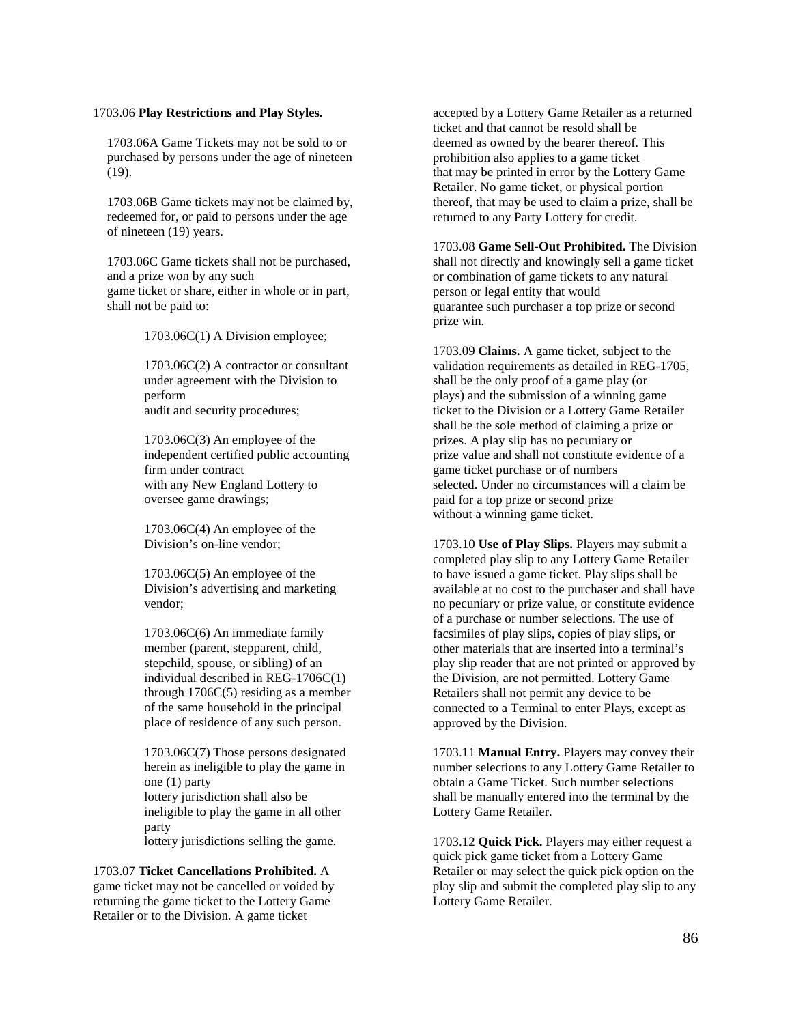# 1703.06 **Play Restrictions and Play Styles.**

1703.06A Game Tickets may not be sold to or purchased by persons under the age of nineteen (19).

1703.06B Game tickets may not be claimed by, redeemed for, or paid to persons under the age of nineteen (19) years.

1703.06C Game tickets shall not be purchased, and a prize won by any such game ticket or share, either in whole or in part, shall not be paid to:

1703.06C(1) A Division employee;

1703.06C(2) A contractor or consultant under agreement with the Division to perform audit and security procedures;

1703.06C(3) An employee of the independent certified public accounting firm under contract with any New England Lottery to oversee game drawings;

1703.06C(4) An employee of the Division's on-line vendor;

1703.06C(5) An employee of the Division's advertising and marketing vendor;

1703.06C(6) An immediate family member (parent, stepparent, child, stepchild, spouse, or sibling) of an individual described in REG-1706C(1) through 1706C(5) residing as a member of the same household in the principal place of residence of any such person.

1703.06C(7) Those persons designated herein as ineligible to play the game in one (1) party lottery jurisdiction shall also be ineligible to play the game in all other party lottery jurisdictions selling the game.

1703.07 **Ticket Cancellations Prohibited.** A game ticket may not be cancelled or voided by returning the game ticket to the Lottery Game Retailer or to the Division. A game ticket

accepted by a Lottery Game Retailer as a returned ticket and that cannot be resold shall be deemed as owned by the bearer thereof. This prohibition also applies to a game ticket that may be printed in error by the Lottery Game Retailer. No game ticket, or physical portion thereof, that may be used to claim a prize, shall be returned to any Party Lottery for credit.

1703.08 **Game Sell-Out Prohibited.** The Division shall not directly and knowingly sell a game ticket or combination of game tickets to any natural person or legal entity that would guarantee such purchaser a top prize or second prize win.

1703.09 **Claims.** A game ticket, subject to the validation requirements as detailed in REG-1705, shall be the only proof of a game play (or plays) and the submission of a winning game ticket to the Division or a Lottery Game Retailer shall be the sole method of claiming a prize or prizes. A play slip has no pecuniary or prize value and shall not constitute evidence of a game ticket purchase or of numbers selected. Under no circumstances will a claim be paid for a top prize or second prize without a winning game ticket.

1703.10 **Use of Play Slips.** Players may submit a completed play slip to any Lottery Game Retailer to have issued a game ticket. Play slips shall be available at no cost to the purchaser and shall have no pecuniary or prize value, or constitute evidence of a purchase or number selections. The use of facsimiles of play slips, copies of play slips, or other materials that are inserted into a terminal's play slip reader that are not printed or approved by the Division, are not permitted. Lottery Game Retailers shall not permit any device to be connected to a Terminal to enter Plays, except as approved by the Division.

1703.11 **Manual Entry.** Players may convey their number selections to any Lottery Game Retailer to obtain a Game Ticket. Such number selections shall be manually entered into the terminal by the Lottery Game Retailer.

1703.12 **Quick Pick.** Players may either request a quick pick game ticket from a Lottery Game Retailer or may select the quick pick option on the play slip and submit the completed play slip to any Lottery Game Retailer.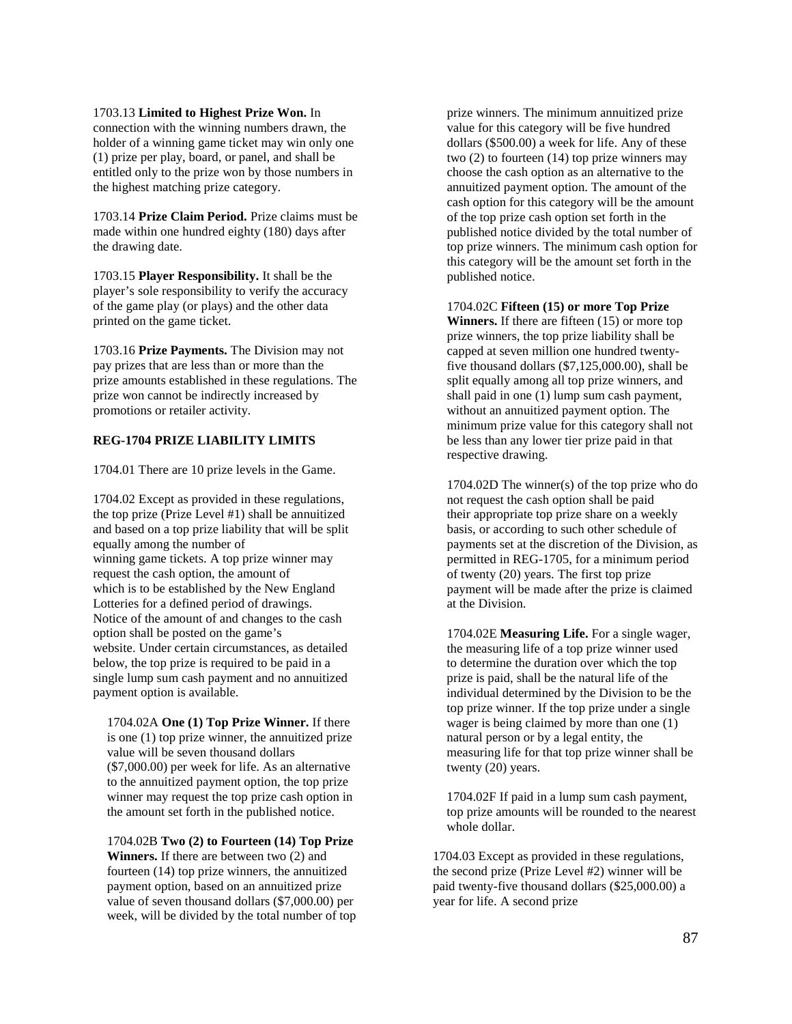#### 1703.13 **Limited to Highest Prize Won.** In

connection with the winning numbers drawn, the holder of a winning game ticket may win only one (1) prize per play, board, or panel, and shall be entitled only to the prize won by those numbers in the highest matching prize category.

1703.14 **Prize Claim Period.** Prize claims must be made within one hundred eighty (180) days after the drawing date.

1703.15 **Player Responsibility.** It shall be the player's sole responsibility to verify the accuracy of the game play (or plays) and the other data printed on the game ticket.

1703.16 **Prize Payments.** The Division may not pay prizes that are less than or more than the prize amounts established in these regulations. The prize won cannot be indirectly increased by promotions or retailer activity.

# **REG-1704 PRIZE LIABILITY LIMITS**

1704.01 There are 10 prize levels in the Game.

1704.02 Except as provided in these regulations, the top prize (Prize Level #1) shall be annuitized and based on a top prize liability that will be split equally among the number of winning game tickets. A top prize winner may request the cash option, the amount of which is to be established by the New England Lotteries for a defined period of drawings. Notice of the amount of and changes to the cash option shall be posted on the game's website. Under certain circumstances, as detailed below, the top prize is required to be paid in a single lump sum cash payment and no annuitized payment option is available.

1704.02A **One (1) Top Prize Winner.** If there is one (1) top prize winner, the annuitized prize value will be seven thousand dollars (\$7,000.00) per week for life. As an alternative to the annuitized payment option, the top prize winner may request the top prize cash option in the amount set forth in the published notice.

1704.02B **Two (2) to Fourteen (14) Top Prize Winners.** If there are between two (2) and fourteen (14) top prize winners, the annuitized payment option, based on an annuitized prize value of seven thousand dollars (\$7,000.00) per week, will be divided by the total number of top prize winners. The minimum annuitized prize value for this category will be five hundred dollars (\$500.00) a week for life. Any of these two (2) to fourteen (14) top prize winners may choose the cash option as an alternative to the annuitized payment option. The amount of the cash option for this category will be the amount of the top prize cash option set forth in the published notice divided by the total number of top prize winners. The minimum cash option for this category will be the amount set forth in the published notice.

### 1704.02C **Fifteen (15) or more Top Prize**

**Winners.** If there are fifteen (15) or more top prize winners, the top prize liability shall be capped at seven million one hundred twentyfive thousand dollars (\$7,125,000.00), shall be split equally among all top prize winners, and shall paid in one (1) lump sum cash payment, without an annuitized payment option. The minimum prize value for this category shall not be less than any lower tier prize paid in that respective drawing.

1704.02D The winner(s) of the top prize who do not request the cash option shall be paid their appropriate top prize share on a weekly basis, or according to such other schedule of payments set at the discretion of the Division, as permitted in REG-1705, for a minimum period of twenty (20) years. The first top prize payment will be made after the prize is claimed at the Division.

1704.02E **Measuring Life.** For a single wager, the measuring life of a top prize winner used to determine the duration over which the top prize is paid, shall be the natural life of the individual determined by the Division to be the top prize winner. If the top prize under a single wager is being claimed by more than one (1) natural person or by a legal entity, the measuring life for that top prize winner shall be twenty (20) years.

1704.02F If paid in a lump sum cash payment, top prize amounts will be rounded to the nearest whole dollar.

1704.03 Except as provided in these regulations, the second prize (Prize Level #2) winner will be paid twenty-five thousand dollars (\$25,000.00) a year for life. A second prize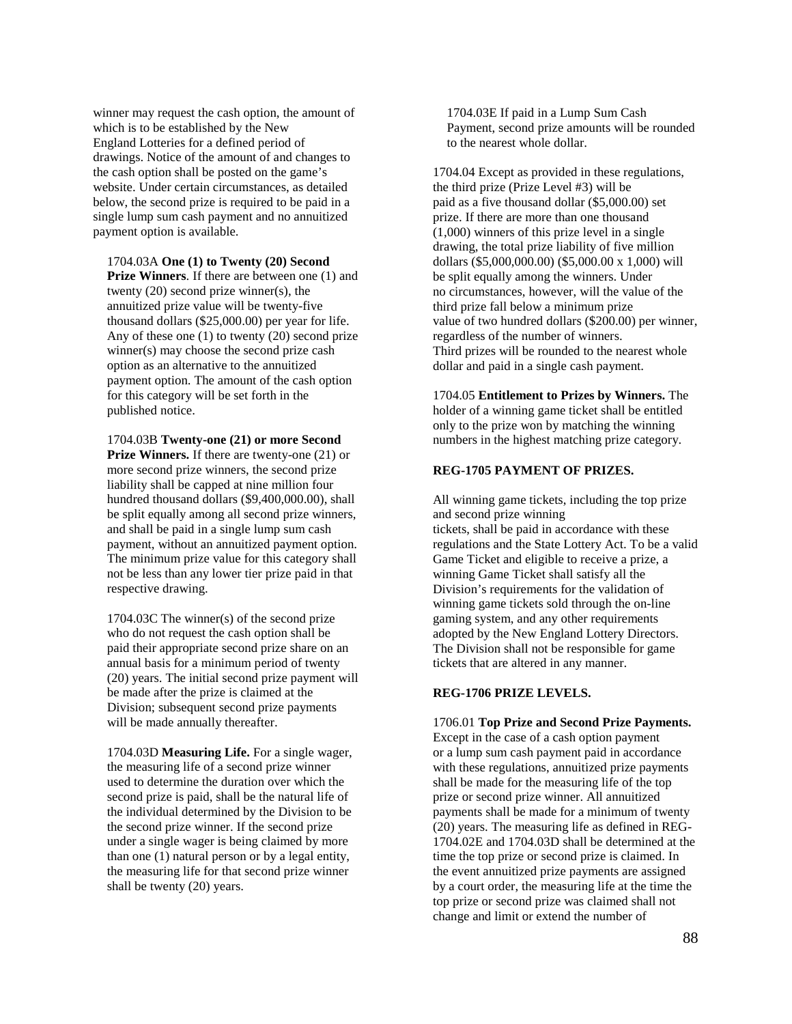winner may request the cash option, the amount of which is to be established by the New England Lotteries for a defined period of drawings. Notice of the amount of and changes to the cash option shall be posted on the game's website. Under certain circumstances, as detailed below, the second prize is required to be paid in a single lump sum cash payment and no annuitized payment option is available.

1704.03A **One (1) to Twenty (20) Second Prize Winners**. If there are between one (1) and twenty (20) second prize winner(s), the annuitized prize value will be twenty-five thousand dollars (\$25,000.00) per year for life. Any of these one (1) to twenty (20) second prize winner(s) may choose the second prize cash option as an alternative to the annuitized payment option. The amount of the cash option for this category will be set forth in the published notice.

1704.03B **Twenty-one (21) or more Second Prize Winners.** If there are twenty-one (21) or more second prize winners, the second prize liability shall be capped at nine million four hundred thousand dollars (\$9,400,000.00), shall be split equally among all second prize winners, and shall be paid in a single lump sum cash payment, without an annuitized payment option. The minimum prize value for this category shall not be less than any lower tier prize paid in that respective drawing.

1704.03C The winner(s) of the second prize who do not request the cash option shall be paid their appropriate second prize share on an annual basis for a minimum period of twenty (20) years. The initial second prize payment will be made after the prize is claimed at the Division; subsequent second prize payments will be made annually thereafter.

1704.03D **Measuring Life.** For a single wager, the measuring life of a second prize winner used to determine the duration over which the second prize is paid, shall be the natural life of the individual determined by the Division to be the second prize winner. If the second prize under a single wager is being claimed by more than one (1) natural person or by a legal entity, the measuring life for that second prize winner shall be twenty (20) years.

1704.03E If paid in a Lump Sum Cash Payment, second prize amounts will be rounded to the nearest whole dollar.

1704.04 Except as provided in these regulations, the third prize (Prize Level #3) will be paid as a five thousand dollar (\$5,000.00) set prize. If there are more than one thousand (1,000) winners of this prize level in a single drawing, the total prize liability of five million dollars (\$5,000,000.00) (\$5,000.00 x 1,000) will be split equally among the winners. Under no circumstances, however, will the value of the third prize fall below a minimum prize value of two hundred dollars (\$200.00) per winner, regardless of the number of winners. Third prizes will be rounded to the nearest whole dollar and paid in a single cash payment.

1704.05 **Entitlement to Prizes by Winners.** The holder of a winning game ticket shall be entitled only to the prize won by matching the winning numbers in the highest matching prize category.

# **REG-1705 PAYMENT OF PRIZES.**

All winning game tickets, including the top prize and second prize winning tickets, shall be paid in accordance with these regulations and the State Lottery Act. To be a valid Game Ticket and eligible to receive a prize, a winning Game Ticket shall satisfy all the Division's requirements for the validation of winning game tickets sold through the on-line gaming system, and any other requirements adopted by the New England Lottery Directors. The Division shall not be responsible for game tickets that are altered in any manner.

#### **REG-1706 PRIZE LEVELS.**

1706.01 **Top Prize and Second Prize Payments.** Except in the case of a cash option payment or a lump sum cash payment paid in accordance with these regulations, annuitized prize payments shall be made for the measuring life of the top prize or second prize winner. All annuitized payments shall be made for a minimum of twenty (20) years. The measuring life as defined in REG-1704.02E and 1704.03D shall be determined at the time the top prize or second prize is claimed. In the event annuitized prize payments are assigned by a court order, the measuring life at the time the top prize or second prize was claimed shall not change and limit or extend the number of